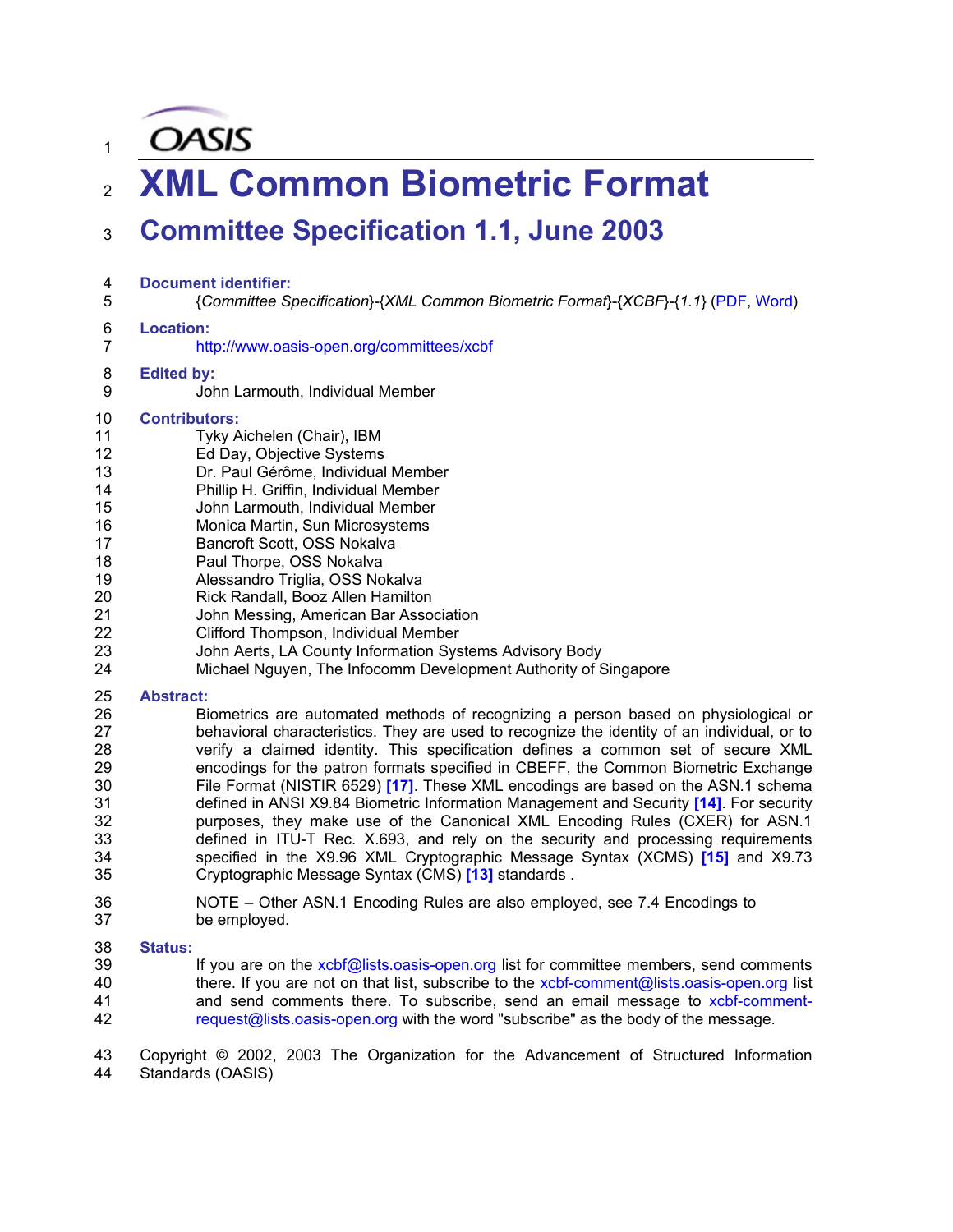**OASIS** 

1

# <sup>2</sup>**XML Common Biometric Format**

## <sup>3</sup>**Committee Specification 1.1, June 2003**

- 4 **Document identifier:**  5 {*Committee Specification*}-{*XML Common Biometric Format*}-{*XCBF*}-{*1.1*} (PDF, Word) 6 **Location:**  7 http://www.oasis-open.org/committees/xcbf 8 **Edited by:**  9 John Larmouth, Individual Member 10 **Contributors:**  11 Tyky Aichelen (Chair), IBM 12 Ed Day, Objective Systems 13 Dr. Paul Gérôme, Individual Member 14 Phillip H. Griffin, Individual Member 15 John Larmouth, Individual Member 16 Monica Martin, Sun Microsystems 17 Bancroft Scott, OSS Nokalva 18 **Paul Thorpe, OSS Nokalva** 19 Alessandro Triglia, OSS Nokalva 20 Rick Randall, Booz Allen Hamilton 21 John Messing, American Bar Association<br>22 Clifford Thompson, Individual Member Clifford Thompson, Individual Member 23 John Aerts, LA County Information Systems Advisory Body 24 Michael Nguyen, The Infocomm Development Authority of Singapore 25 **Abstract:**  26 Biometrics are automated methods of recognizing a person based on physiological or
- 27 behavioral characteristics. They are used to recognize the identity of an individual, or to 28 verify a claimed identity. This specification defines a common set of secure XML 29 encodings for the patron formats specified in CBEFF, the Common Biometric Exchange 30 File Format (NISTIR 6529) **[17]**. These XML encodings are based on the ASN.1 schema 31 defined in ANSI X9.84 Biometric Information Management and Security **[14]**. For security 32 purposes, they make use of the Canonical XML Encoding Rules (CXER) for ASN.1 33 defined in ITU-T Rec. X.693, and rely on the security and processing requirements 34 specified in the X9.96 XML Cryptographic Message Syntax (XCMS) **[15]** and X9.73 35 Cryptographic Message Syntax (CMS) **[13]** standards .
- 36 NOTE Other ASN.1 Encoding Rules are also employed, see 7.4 Encodings to 37 be employed.

#### 38 **Status:**

39 If you are on the xcbf@lists.oasis-open.org list for committee members, send comments 40 there. If you are not on that list, subscribe to the xcbf-comment@lists.oasis-open.org list 41 and send comments there. To subscribe, send an email message to xcbf-comment-42 request@lists.oasis-open.org with the word "subscribe" as the body of the message.

43 Copyright © 2002, 2003 The Organization for the Advancement of Structured Information 44 Standards (OASIS)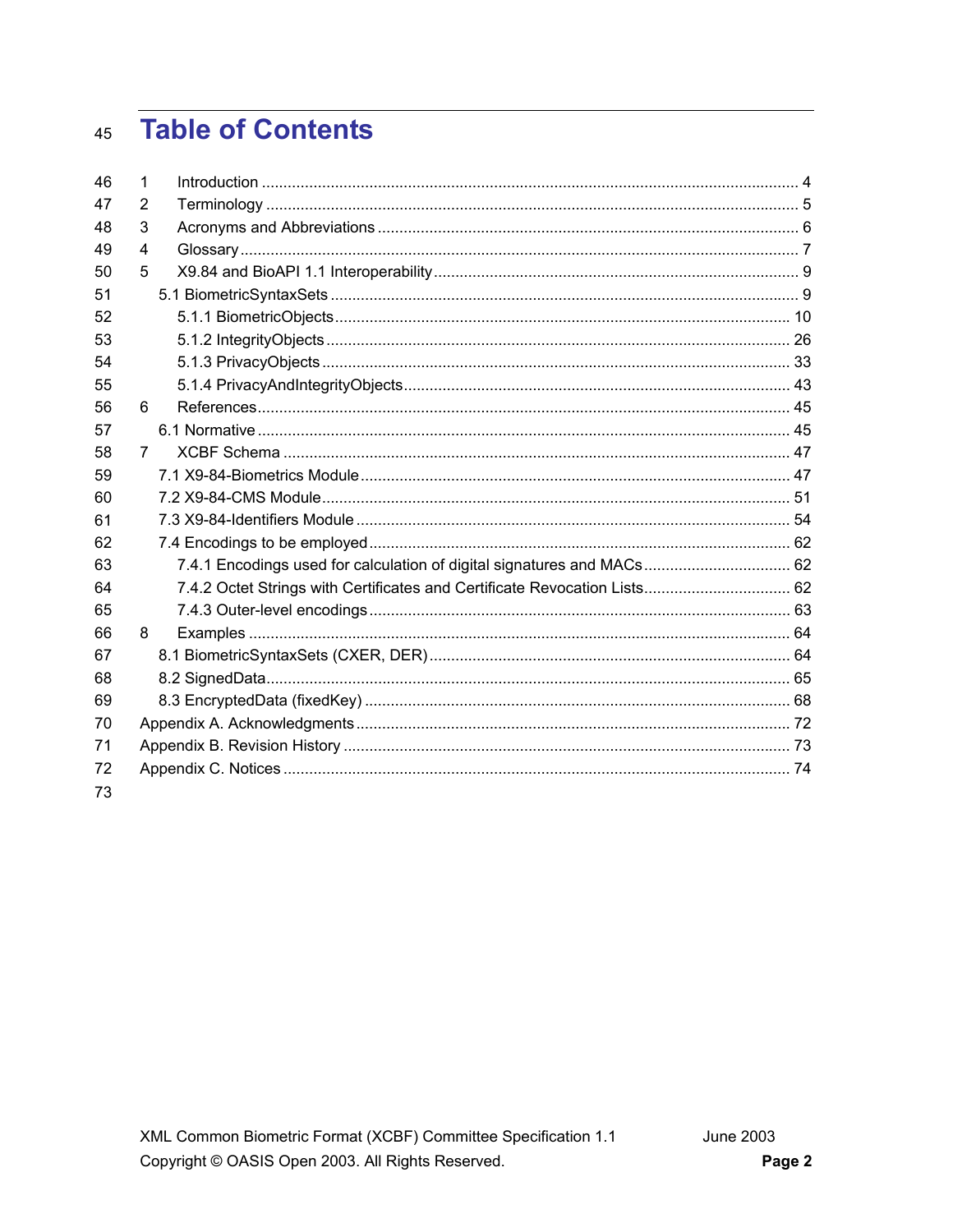#### **Table of Contents**  $45$

| 46 | 1              |                                                                        |  |
|----|----------------|------------------------------------------------------------------------|--|
| 47 | 2              |                                                                        |  |
| 48 | 3              |                                                                        |  |
| 49 | $\overline{4}$ |                                                                        |  |
| 50 | 5              |                                                                        |  |
| 51 |                |                                                                        |  |
| 52 |                |                                                                        |  |
| 53 |                |                                                                        |  |
| 54 |                |                                                                        |  |
| 55 |                |                                                                        |  |
| 56 | 6              |                                                                        |  |
| 57 |                |                                                                        |  |
| 58 | $\overline{7}$ |                                                                        |  |
| 59 |                |                                                                        |  |
| 60 |                |                                                                        |  |
| 61 |                |                                                                        |  |
| 62 |                |                                                                        |  |
| 63 |                | 7.4.1 Encodings used for calculation of digital signatures and MACs 62 |  |
| 64 |                |                                                                        |  |
| 65 |                |                                                                        |  |
| 66 | 8              |                                                                        |  |
| 67 |                |                                                                        |  |
| 68 |                |                                                                        |  |
| 69 |                |                                                                        |  |
| 70 |                |                                                                        |  |
| 71 |                |                                                                        |  |
| 72 |                |                                                                        |  |
| 73 |                |                                                                        |  |
|    |                |                                                                        |  |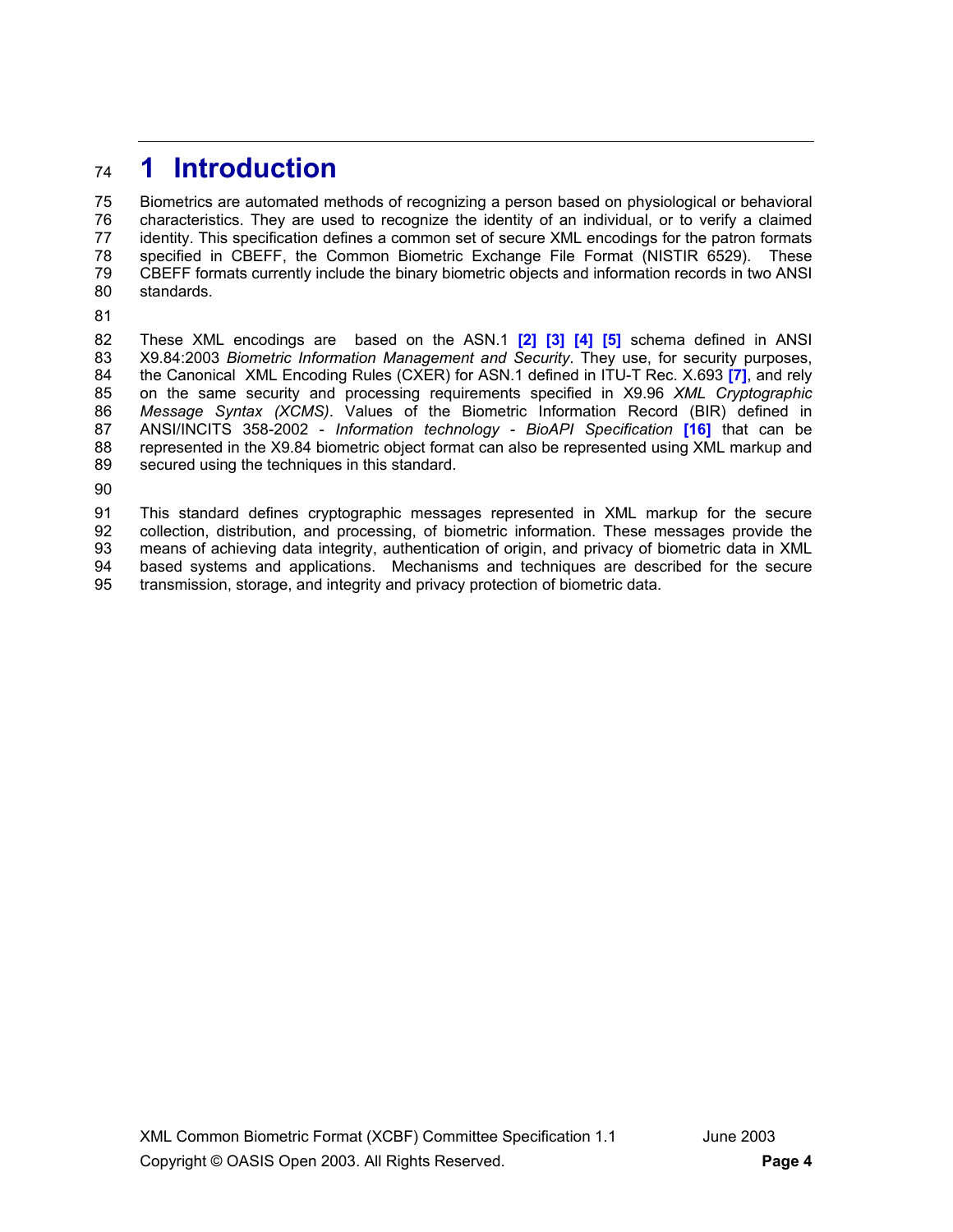## <sup>74</sup>**1 Introduction**

75 Biometrics are automated methods of recognizing a person based on physiological or behavioral 76 characteristics. They are used to recognize the identity of an individual, or to verify a claimed 77 identity. This specification defines a common set of secure XML encodings for the patron formats<br>78 Specified in CBEFF, the Common Biometric Exchange File Format (NISTIR 6529). These 78 specified in CBEFF, the Common Biometric Exchange File Format (NISTIR 6529). These<br>79 CBEFF formats currently include the binary biometric objects and information records in two ANSI 79 CBEFF formats currently include the binary biometric objects and information records in two ANSI 80 standards.

81

82 These XML encodings are based on the ASN.1 **[2] [3] [4] [5]** schema defined in ANSI 83 X9.84:2003 *Biometric Information Management and Security*. They use, for security purposes, 84 the Canonical XML Encoding Rules (CXER) for ASN.1 defined in ITU-T Rec. X.693 **[7]**, and rely 85 on the same security and processing requirements specified in X9.96 *XML Cryptographic*  86 *Message Syntax (XCMS)*. Values of the Biometric Information Record (BIR) defined in 87 ANSI/INCITS 358-2002 - *Information technology - BioAPI Specification* **[16]** that can be 88 represented in the X9.84 biometric object format can also be represented using XML markup and 89 secured using the techniques in this standard.

90

91 This standard defines cryptographic messages represented in XML markup for the secure 92 collection, distribution, and processing, of biometric information. These messages provide the<br>93 means of achieving data integrity, authentication of origin, and privacy of biometric data in XML means of achieving data integrity, authentication of origin, and privacy of biometric data in XML 94 based systems and applications. Mechanisms and techniques are described for the secure 95 transmission, storage, and integrity and privacy protection of biometric data.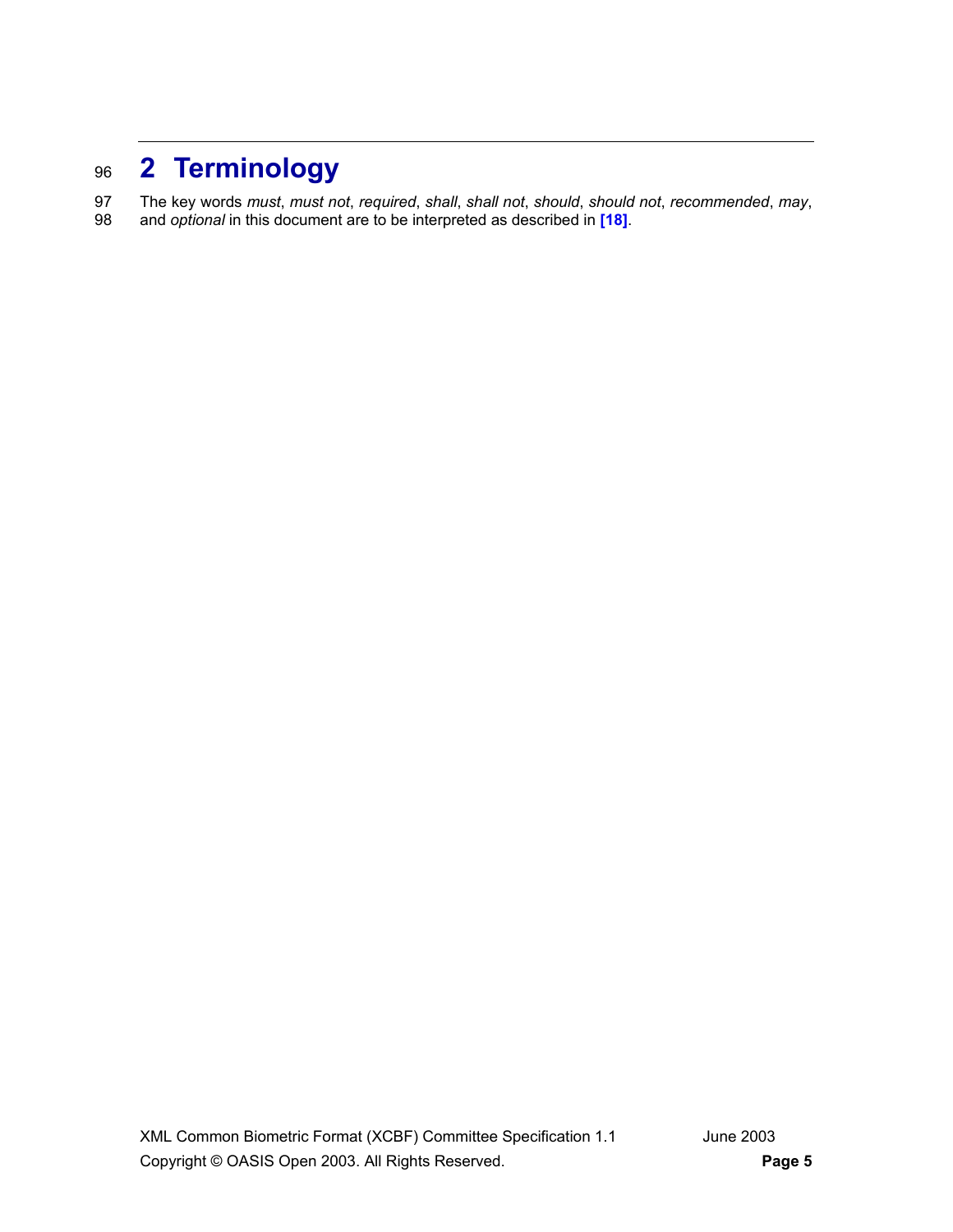# <sup>96</sup>**2 Terminology**

97 The key words *must*, *must not*, *required*, *shall*, *shall not*, *should*, *should not*, *recommended*, *may*, 98 and *optional* in this document are to be interpreted as described in **[18]**.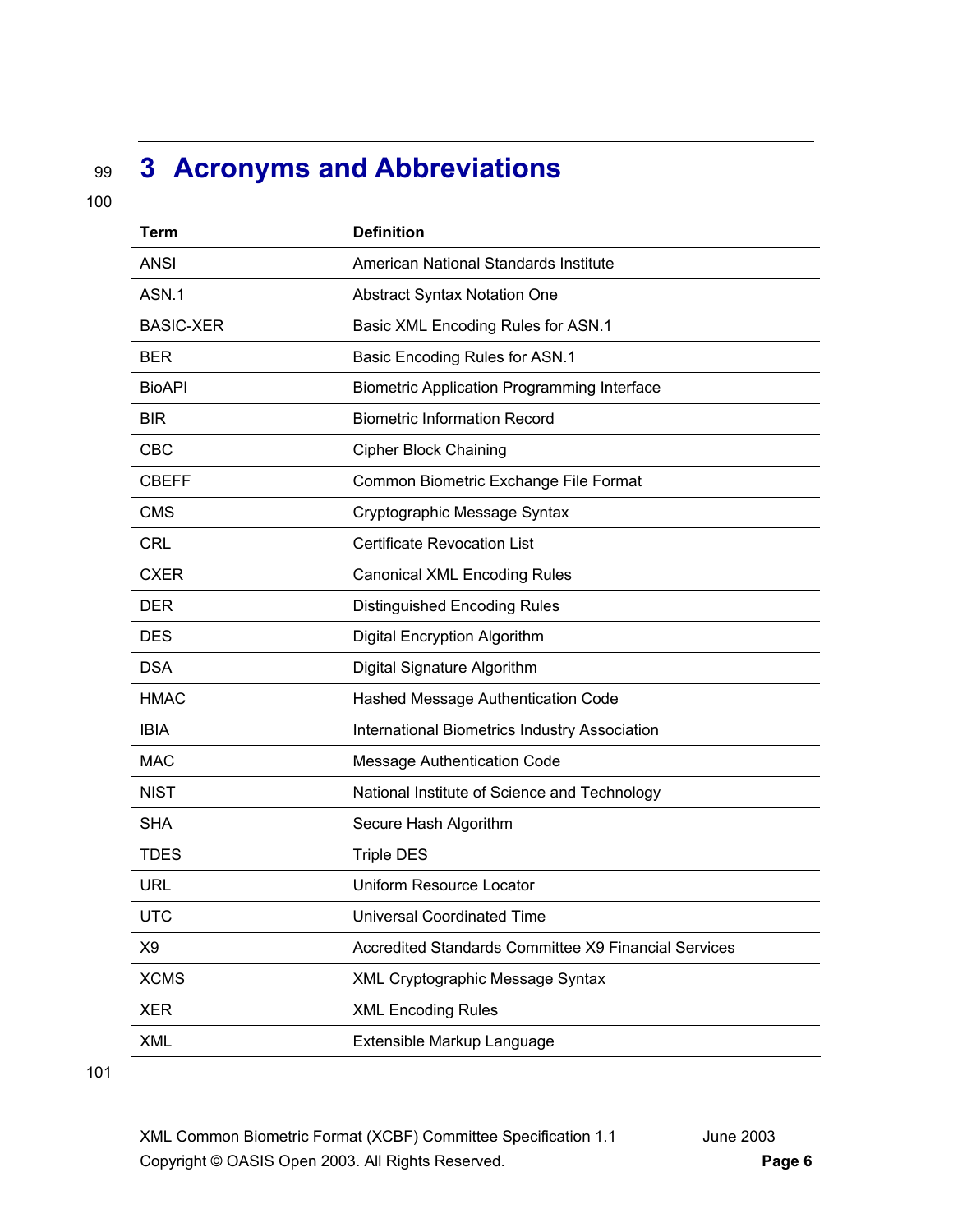# <sup>99</sup>**3 Acronyms and Abbreviations**

100

| <b>Term</b>      | <b>Definition</b>                                    |
|------------------|------------------------------------------------------|
| <b>ANSI</b>      | American National Standards Institute                |
| ASN.1            | <b>Abstract Syntax Notation One</b>                  |
| <b>BASIC-XER</b> | Basic XML Encoding Rules for ASN.1                   |
| <b>BER</b>       | Basic Encoding Rules for ASN.1                       |
| <b>BioAPI</b>    | <b>Biometric Application Programming Interface</b>   |
| <b>BIR</b>       | <b>Biometric Information Record</b>                  |
| CBC              | <b>Cipher Block Chaining</b>                         |
| <b>CBEFF</b>     | Common Biometric Exchange File Format                |
| <b>CMS</b>       | Cryptographic Message Syntax                         |
| <b>CRL</b>       | <b>Certificate Revocation List</b>                   |
| <b>CXER</b>      | <b>Canonical XML Encoding Rules</b>                  |
| <b>DER</b>       | <b>Distinguished Encoding Rules</b>                  |
| <b>DES</b>       | Digital Encryption Algorithm                         |
| <b>DSA</b>       | Digital Signature Algorithm                          |
| <b>HMAC</b>      | Hashed Message Authentication Code                   |
| <b>IBIA</b>      | International Biometrics Industry Association        |
| <b>MAC</b>       | <b>Message Authentication Code</b>                   |
| <b>NIST</b>      | National Institute of Science and Technology         |
| <b>SHA</b>       | Secure Hash Algorithm                                |
| <b>TDES</b>      | <b>Triple DES</b>                                    |
| URL              | Uniform Resource Locator                             |
| <b>UTC</b>       | <b>Universal Coordinated Time</b>                    |
| X <sub>9</sub>   | Accredited Standards Committee X9 Financial Services |
| <b>XCMS</b>      | XML Cryptographic Message Syntax                     |
| <b>XER</b>       | <b>XML Encoding Rules</b>                            |
| <b>XML</b>       | Extensible Markup Language                           |

101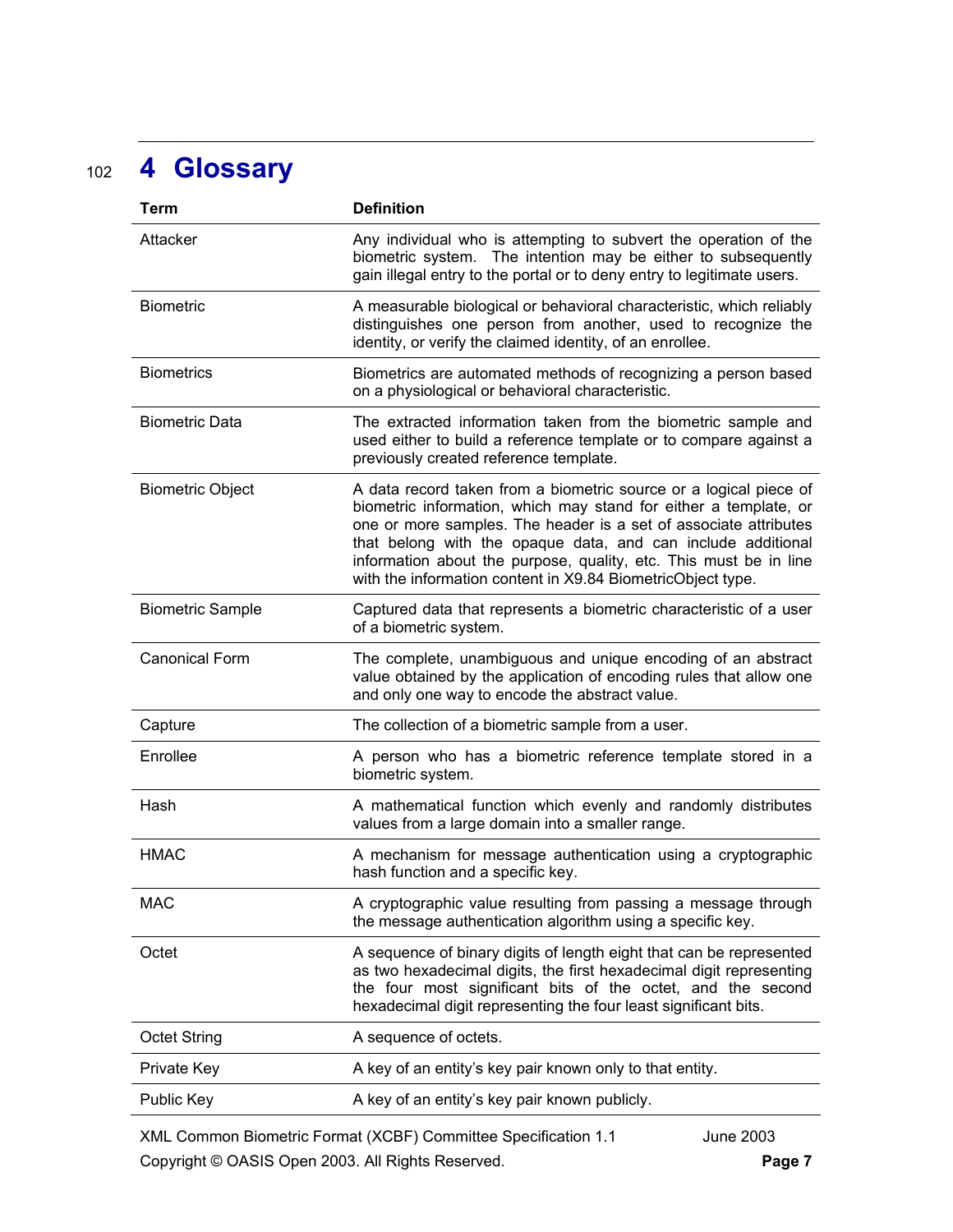# <sup>102</sup>**4 Glossary**

| <b>Term</b>             | <b>Definition</b>                                                                                                                                                                                                                                                                                                                                                                                             |
|-------------------------|---------------------------------------------------------------------------------------------------------------------------------------------------------------------------------------------------------------------------------------------------------------------------------------------------------------------------------------------------------------------------------------------------------------|
| Attacker                | Any individual who is attempting to subvert the operation of the<br>biometric system. The intention may be either to subsequently<br>gain illegal entry to the portal or to deny entry to legitimate users.                                                                                                                                                                                                   |
| <b>Biometric</b>        | A measurable biological or behavioral characteristic, which reliably<br>distinguishes one person from another, used to recognize the<br>identity, or verify the claimed identity, of an enrollee.                                                                                                                                                                                                             |
| <b>Biometrics</b>       | Biometrics are automated methods of recognizing a person based<br>on a physiological or behavioral characteristic.                                                                                                                                                                                                                                                                                            |
| <b>Biometric Data</b>   | The extracted information taken from the biometric sample and<br>used either to build a reference template or to compare against a<br>previously created reference template.                                                                                                                                                                                                                                  |
| <b>Biometric Object</b> | A data record taken from a biometric source or a logical piece of<br>biometric information, which may stand for either a template, or<br>one or more samples. The header is a set of associate attributes<br>that belong with the opaque data, and can include additional<br>information about the purpose, quality, etc. This must be in line<br>with the information content in X9.84 BiometricObject type. |
| <b>Biometric Sample</b> | Captured data that represents a biometric characteristic of a user<br>of a biometric system.                                                                                                                                                                                                                                                                                                                  |
| <b>Canonical Form</b>   | The complete, unambiguous and unique encoding of an abstract<br>value obtained by the application of encoding rules that allow one<br>and only one way to encode the abstract value.                                                                                                                                                                                                                          |
| Capture                 | The collection of a biometric sample from a user.                                                                                                                                                                                                                                                                                                                                                             |
| Enrollee                | A person who has a biometric reference template stored in a<br>biometric system.                                                                                                                                                                                                                                                                                                                              |
| Hash                    | A mathematical function which evenly and randomly distributes<br>values from a large domain into a smaller range.                                                                                                                                                                                                                                                                                             |
| <b>HMAC</b>             | A mechanism for message authentication using a cryptographic<br>hash function and a specific key.                                                                                                                                                                                                                                                                                                             |
| <b>MAC</b>              | A cryptographic value resulting from passing a message through<br>the message authentication algorithm using a specific key.                                                                                                                                                                                                                                                                                  |
| Octet                   | A sequence of binary digits of length eight that can be represented<br>as two hexadecimal digits, the first hexadecimal digit representing<br>the four most significant bits of the octet, and the second<br>hexadecimal digit representing the four least significant bits.                                                                                                                                  |
| <b>Octet String</b>     | A sequence of octets.                                                                                                                                                                                                                                                                                                                                                                                         |
| Private Key             | A key of an entity's key pair known only to that entity.                                                                                                                                                                                                                                                                                                                                                      |
| Public Key              | A key of an entity's key pair known publicly.                                                                                                                                                                                                                                                                                                                                                                 |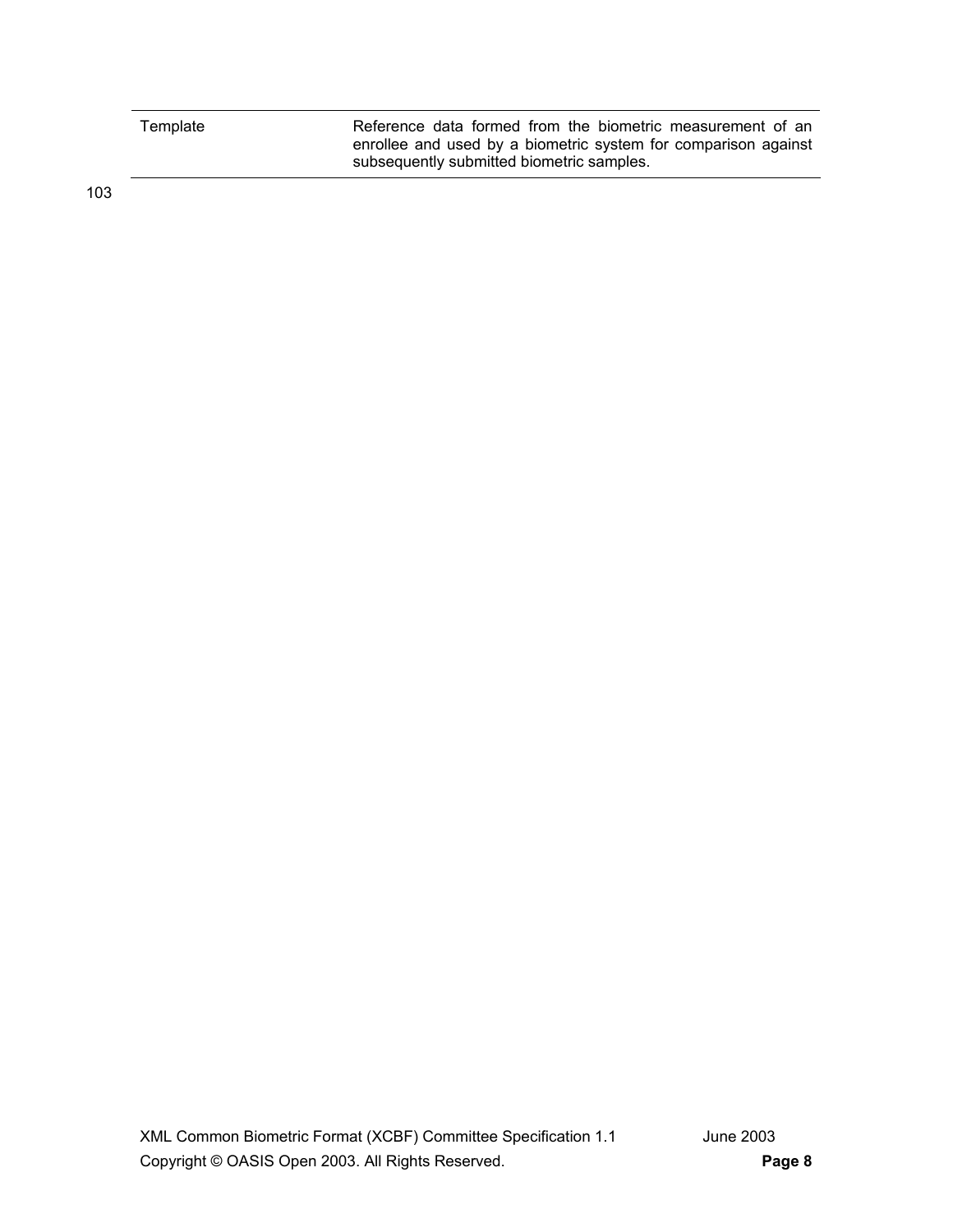| Template | Reference data formed from the biometric measurement of an     |
|----------|----------------------------------------------------------------|
|          | enrollee and used by a biometric system for comparison against |
|          | subsequently submitted biometric samples.                      |

103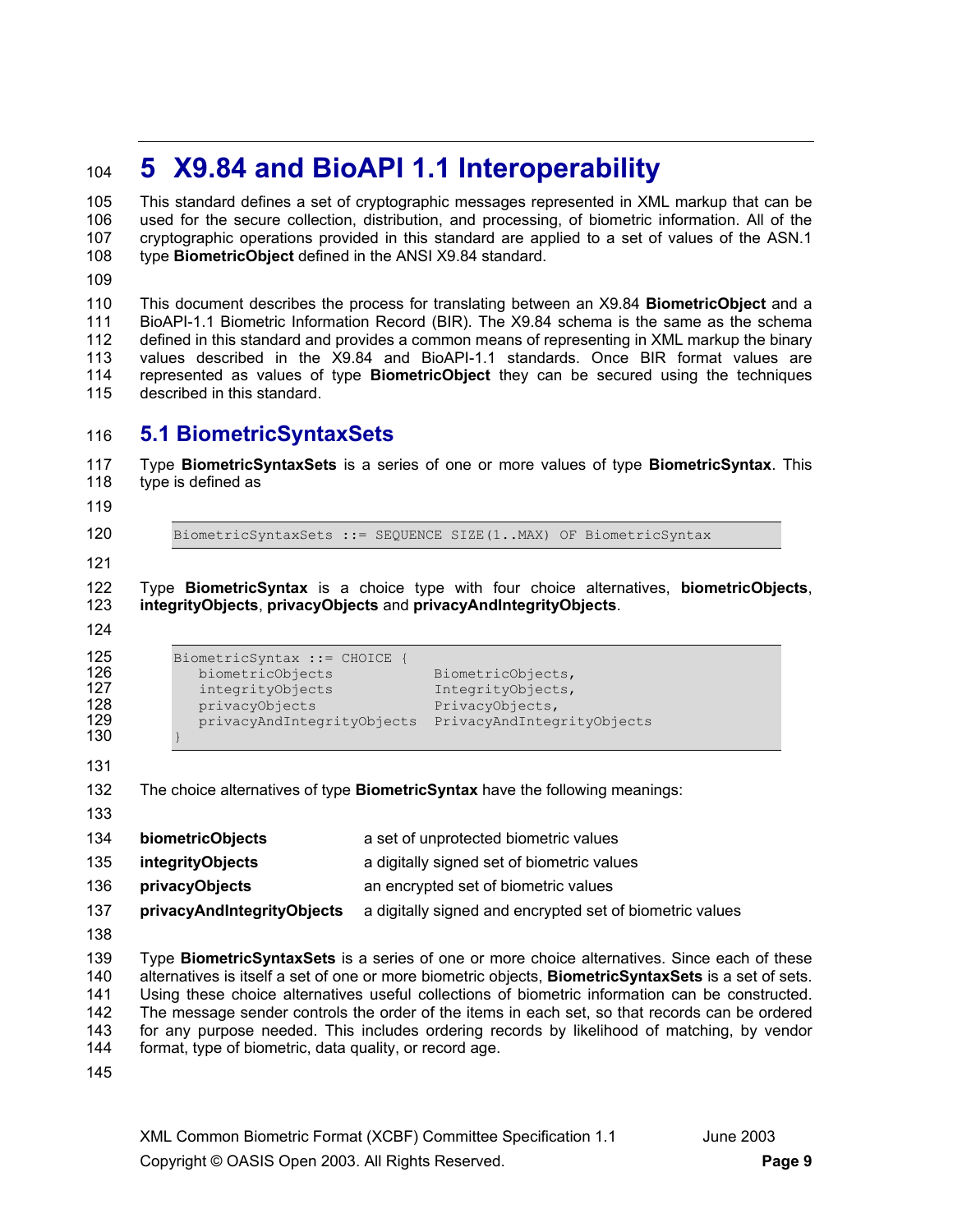# <sup>104</sup>**5 X9.84 and BioAPI 1.1 Interoperability**

105 This standard defines a set of cryptographic messages represented in XML markup that can be 106 used for the secure collection, distribution, and processing, of biometric information. All of the 107 cryptographic operations provided in this standard are applied to a set of values of the ASN.1 108 type **BiometricObject** defined in the ANSI X9.84 standard.

109

110 This document describes the process for translating between an X9.84 **BiometricObject** and a 111 BioAPI-1.1 Biometric Information Record (BIR). The X9.84 schema is the same as the schema 112 defined in this standard and provides a common means of representing in XML markup the binary 113 values described in the X9.84 and BioAPI-1.1 standards. Once BIR format values are 114 represented as values of type **BiometricObject** they can be secured using the techniques 115 described in this standard.

## 116 **5.1 BiometricSyntaxSets**

117 Type **BiometricSyntaxSets** is a series of one or more values of type **BiometricSyntax**. This 118 type is defined as

119

120 BiometricSyntaxSets ::= SEQUENCE SIZE(1..MAX) OF BiometricSyntax

121

122 Type **BiometricSyntax** is a choice type with four choice alternatives, **biometricObjects**, 123 **integrityObjects**, **privacyObjects** and **privacyAndIntegrityObjects**.

124

| 125 | BiometricSyntax ::= CHOICE |                            |
|-----|----------------------------|----------------------------|
| 126 | biometricObjects           | BiometricObjects,          |
| 127 | integrityObjects           | IntegrityObjects,          |
| 128 | privacyObjects             | PrivacyObjects,            |
| 129 | privacyAndIntegrityObjects | PrivacyAndIntegrityObjects |
| 130 |                            |                            |

130 } 131

- 132 The choice alternatives of type **BiometricSyntax** have the following meanings: 133 134 **biometricObjects** a set of unprotected biometric values 135 **integrityObjects** a digitally signed set of biometric values 136 **privacyObjects** an encrypted set of biometric values
- 137 **privacyAndIntegrityObjects** a digitally signed and encrypted set of biometric values
- 138

139 Type **BiometricSyntaxSets** is a series of one or more choice alternatives. Since each of these 140 alternatives is itself a set of one or more biometric objects, **BiometricSyntaxSets** is a set of sets. 141 Using these choice alternatives useful collections of biometric information can be constructed. 142 The message sender controls the order of the items in each set, so that records can be ordered 143 for any purpose needed. This includes ordering records by likelihood of matching, by vendor 144 format, type of biometric, data quality, or record age.

145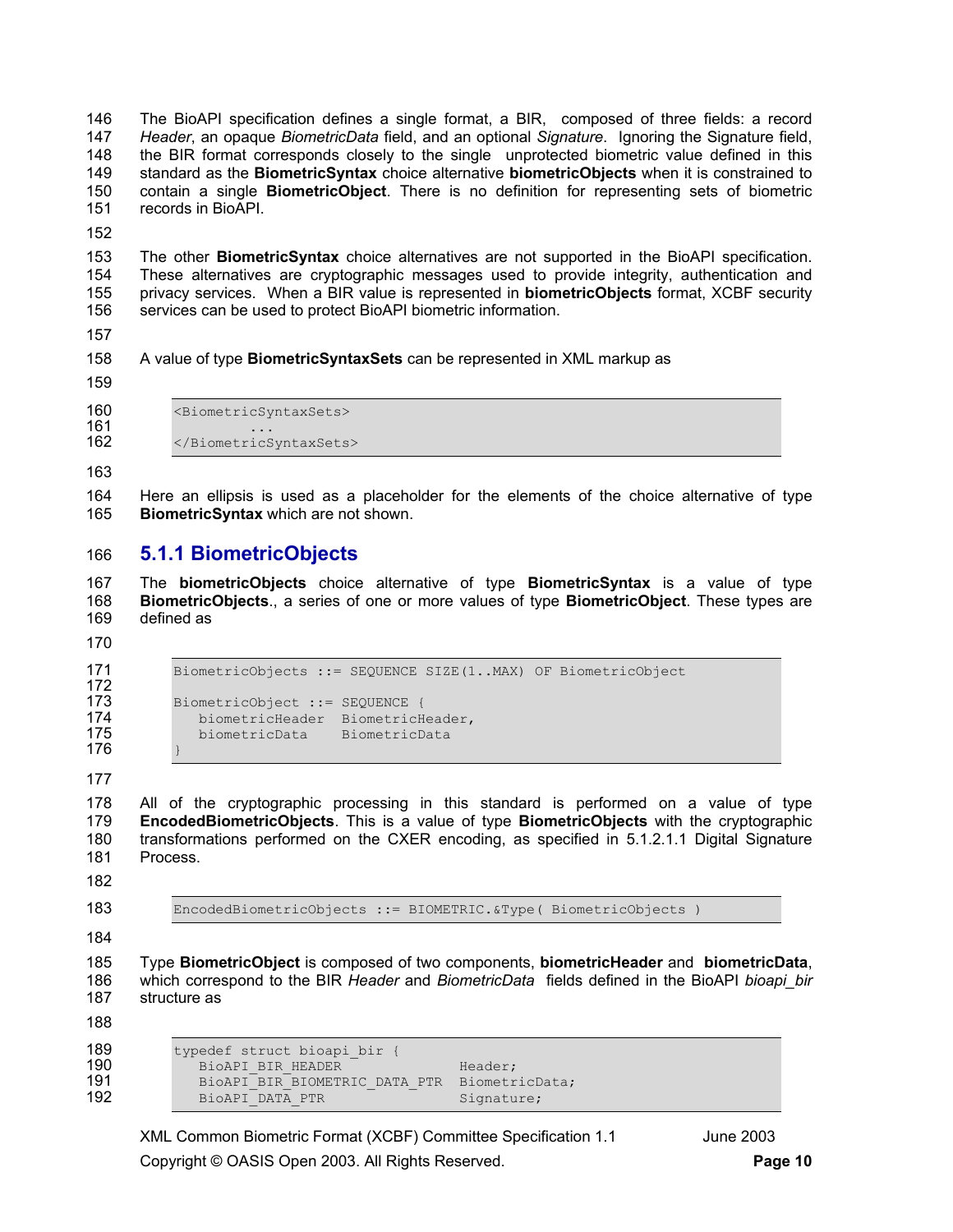146 The BioAPI specification defines a single format, a BIR, composed of three fields: a record 147 *Header*, an opaque *BiometricData* field, and an optional *Signature*. Ignoring the Signature field, 148 the BIR format corresponds closely to the single unprotected biometric value defined in this 149 standard as the **BiometricSyntax** choice alternative **biometricObjects** when it is constrained to 150 contain a single **BiometricObject**. There is no definition for representing sets of biometric 151 records in BioAPI.

152

153 The other **BiometricSyntax** choice alternatives are not supported in the BioAPI specification. 154 These alternatives are cryptographic messages used to provide integrity, authentication and 155 privacy services. When a BIR value is represented in **biometricObjects** format, XCBF security 156 services can be used to protect BioAPI biometric information.

157

158 A value of type **BiometricSyntaxSets** can be represented in XML markup as

159

- 160 <BiometricSyntaxSets>
- 
- 161 ...<br>162 / / http://ex.cometrics </BiometricSyntaxSets>

163

164 Here an ellipsis is used as a placeholder for the elements of the choice alternative of type 165 **BiometricSyntax** which are not shown.

## 166 **5.1.1 BiometricObjects**

167 The **biometricObjects** choice alternative of type **BiometricSyntax** is a value of type 168 **BiometricObjects**., a series of one or more values of type **BiometricObject**. These types are 169 defined as

170

172

```
171 BiometricObjects ::= SEQUENCE SIZE(1..MAX) OF BiometricObject 
173 BiometricObject ::= SEQUENCE {<br>174 biometricHeader BiometricH
174 biometricHeader BiometricHeader,<br>175 biometricData BiometricData
                biometricData BiometricData
```
176 } 177

178 All of the cryptographic processing in this standard is performed on a value of type 179 **EncodedBiometricObjects**. This is a value of type **BiometricObjects** with the cryptographic 180 transformations performed on the CXER encoding, as specified in 5.1.2.1.1 Digital Signature 181 Process.

182

183 EncodedBiometricObjects ::= BIOMETRIC.&Type( BiometricObjects )

184

185 Type **BiometricObject** is composed of two components, **biometricHeader** and **biometricData**, 186 which correspond to the BIR *Header* and *BiometricData* fields defined in the BioAPI *bioapi\_bir* 187 structure as

188

| 189 | typedef struct bioapi bir {   |                |
|-----|-------------------------------|----------------|
| 190 | BiOAPI BIR HEADER             | Header;        |
| 191 | BiOAPI BIR BIOMETRIC DATA PTR | BiometricData; |
| 192 | BioAPI DATA PTR               | Signature;     |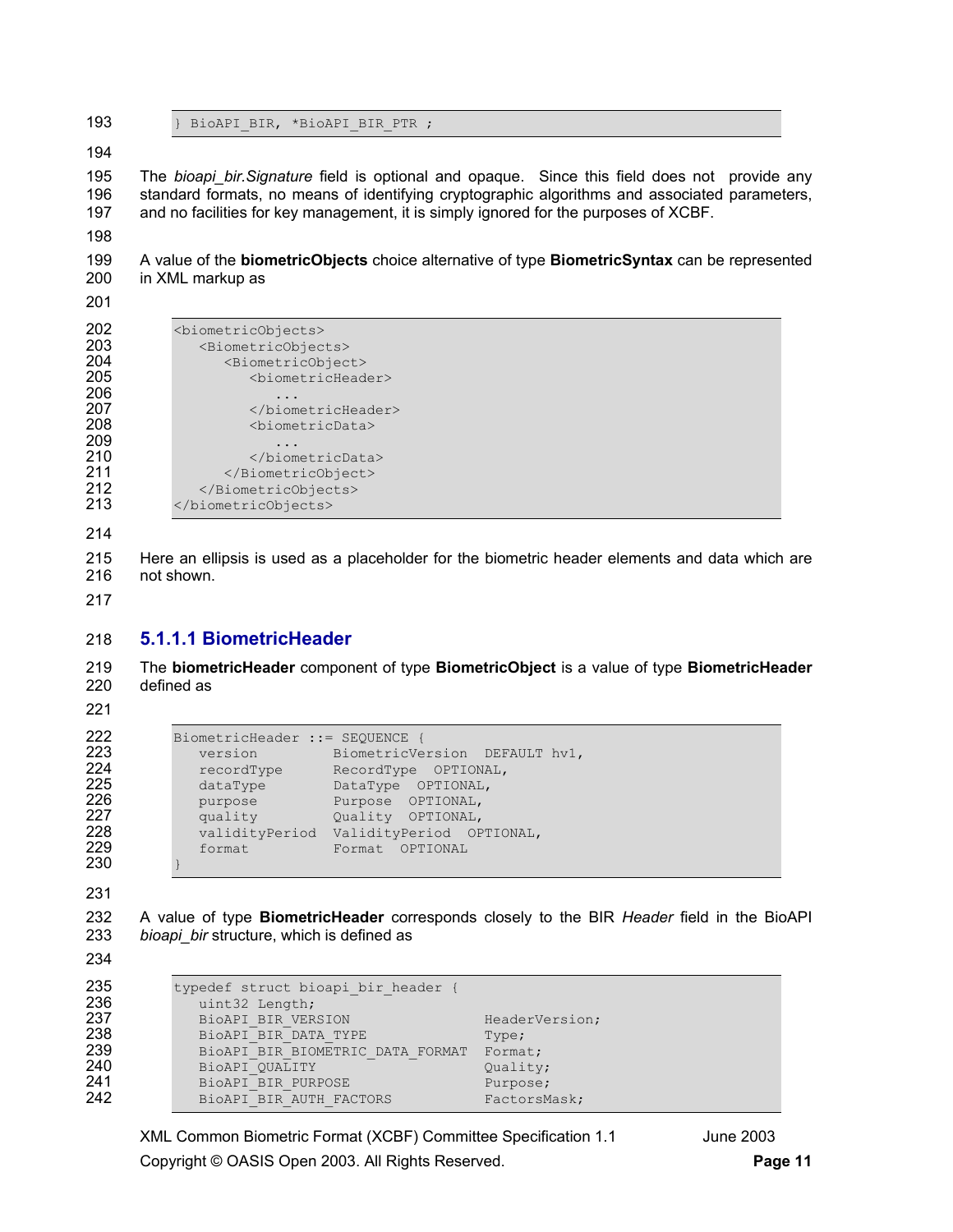193 } BioAPI BIR, \*BioAPI BIR PTR ;

195 The *bioapi bir.Signature* field is optional and opaque. Since this field does not provide any 196 standard formats, no means of identifying cryptographic algorithms and associated parameters, 197 and no facilities for key management, it is simply ignored for the purposes of XCBF.

199 A value of the **biometricObjects** choice alternative of type **BiometricSyntax** can be represented 200 in XML markup as

| 202<br>203<br>204<br>205<br>206<br>207<br>208 | <biometricobjects><br/><biometricobjects><br/><biometricobject><br/><biometricheader><br/></biometricheader><br/><biometricdata></biometricdata></biometricobject></biometricobjects></biometricobjects> |
|-----------------------------------------------|----------------------------------------------------------------------------------------------------------------------------------------------------------------------------------------------------------|
| 209<br>210<br>211<br>212<br>213               | <br><br><br>                                                                                                                                                                                             |

215 Here an ellipsis is used as a placeholder for the biometric header elements and data which are 216 not shown.

## **5.1.1.1 BiometricHeader**

219 The **biometricHeader** component of type **BiometricObject** is a value of type **BiometricHeader**  220 defined as

```
222 BiometricHeader ::= SEQUENCE {<br>223 version BiometricVe
223 version BiometricVersion DEFAULT hv1,
224 recordType RecordType OPTIONAL,
225 dataType DataType OPTIONAL,
226 purpose Purpose OPTIONAL,
220 purpose Furpose OFTIONAL,<br>227 quality Quality OPTIONAL,<br>228 validityPeriod ValidityPeriod OP
228 validityPeriod ValidityPeriod OPTIONAL, 
                            229 format Format OPTIONAL
```
} 

232 A value of type **BiometricHeader** corresponds closely to the BIR *Header* field in the BioAPI *bioapi\_bir* structure, which is defined as

| 235<br>236 | typedef struct bioapi bir header {<br>uint32 Length; |                |
|------------|------------------------------------------------------|----------------|
| 237        | BioAPI BIR VERSION                                   | HeaderVersion; |
| 238        | BioAPI BIR DATA TYPE                                 | Type;          |
| 239        | BiOAPI BIR BIOMETRIC DATA FORMAT                     | Format;        |
| 240        | BioAPI QUALITY                                       | Quality;       |
| 241        | BioAPI BIR PURPOSE                                   | Purpose;       |
| 242        | BioAPI BIR AUTH FACTORS                              | FactorsMask;   |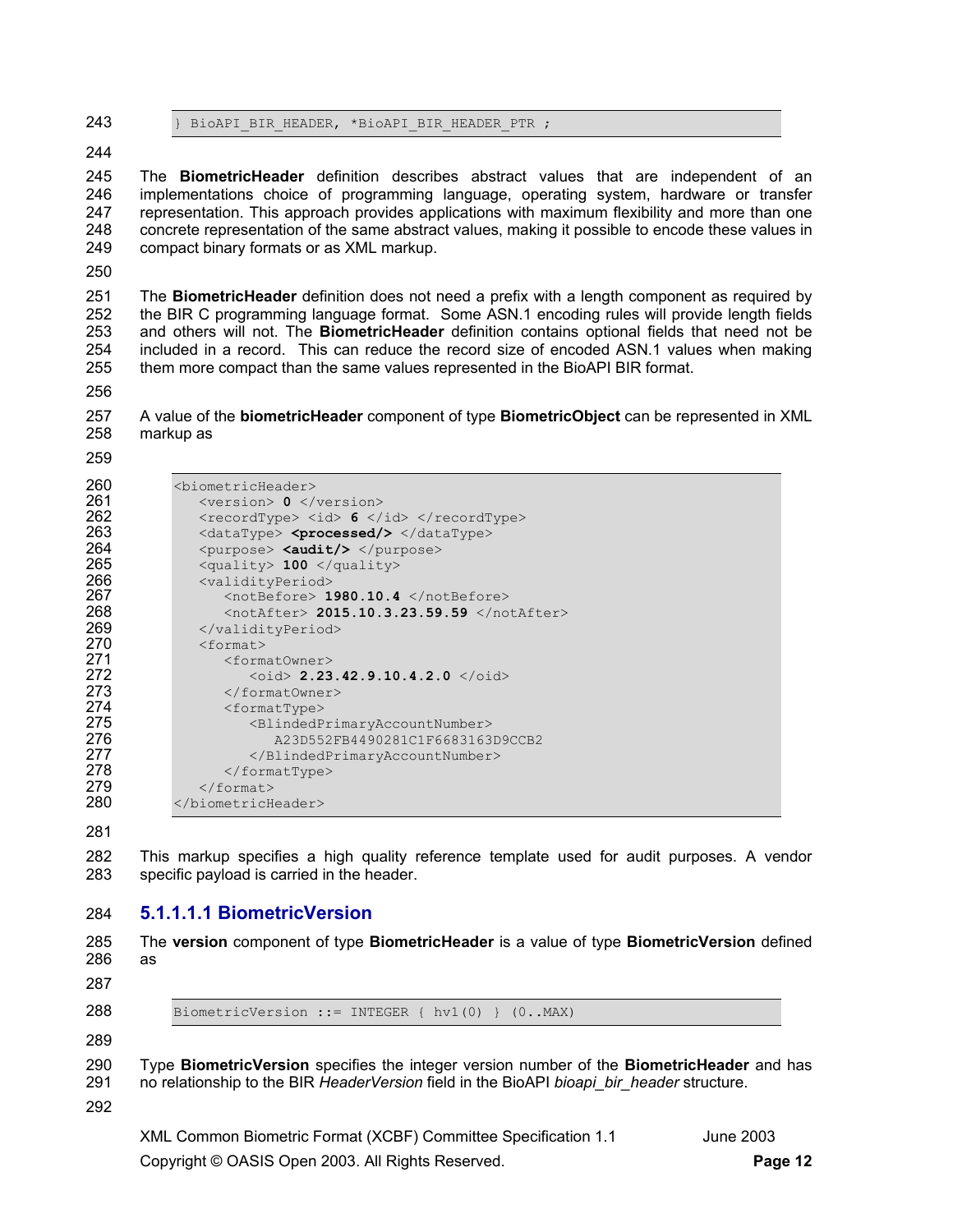- 243 BioAPI BIR HEADER, \*BioAPI BIR HEADER PTR ;
- 244

245 The **BiometricHeader** definition describes abstract values that are independent of an 246 implementations choice of programming language, operating system, hardware or transfer 247 representation. This approach provides applications with maximum flexibility and more than one 248 concrete representation of the same abstract values, making it possible to encode these values in 249 compact binary formats or as XML markup.

250

251 The **BiometricHeader** definition does not need a prefix with a length component as required by 252 the BIR C programming language format. Some ASN.1 encoding rules will provide length fields 253 and others will not. The **BiometricHeader** definition contains optional fields that need not be 254 included in a record. This can reduce the record size of encoded ASN.1 values when making<br>255 them more compact than the same values represented in the BioAPI BIR format. them more compact than the same values represented in the BioAPI BIR format.

256

257 A value of the **biometricHeader** component of type **BiometricObject** can be represented in XML 258 markup as

259

| 260 | <biometricheader></biometricheader>                                                    |
|-----|----------------------------------------------------------------------------------------|
| 261 | $<$ version> 0 $<$ /version>                                                           |
| 262 | $<$ recordType> $<$ id> 6 $<$ /id> $<$ /recordType>                                    |
| 263 | $\langle dataType\rangle$ <processed></processed> $\langle dataType\rangle$            |
| 264 | <purpose> <audit></audit> </purpose>                                                   |
| 265 | $\langle \text{quality} \rangle$ 100 $\langle \text{quality} \rangle$                  |
| 266 | <validityperiod></validityperiod>                                                      |
| 267 | <notbefore> 1980.10.4 </notbefore>                                                     |
| 268 | $\langle \text{notAfter} \rangle$ 2015.10.3.23.59.59 $\langle \text{notAfter} \rangle$ |
| 269 |                                                                                        |
| 270 | $<$ format>                                                                            |
| 271 | <formatowner></formatowner>                                                            |
| 272 | $\langle \circ \text{id} \rangle$ 2.23.42.9.10.4.2.0 $\langle \circ \text{id} \rangle$ |
| 273 |                                                                                        |
| 274 | <formattype></formattype>                                                              |
| 275 | <blindedprimaryaccountnumber></blindedprimaryaccountnumber>                            |
| 276 | A23D552FB4490281C1F6683163D9CCB2                                                       |
| 277 |                                                                                        |
| 278 | $\langle$ /formatType>                                                                 |
| 279 | $\langle$ /format>                                                                     |
| 280 |                                                                                        |
|     |                                                                                        |

281

282 This markup specifies a high quality reference template used for audit purposes. A vendor 283 specific payload is carried in the header.

## 284 **5.1.1.1.1 BiometricVersion**

285 The **version** component of type **BiometricHeader** is a value of type **BiometricVersion** defined 286 as

287

288 BiometricVersion ::= INTEGER {  $hv1(0)$  }  $(0..MAX)$ 

289

290 Type **BiometricVersion** specifies the integer version number of the **BiometricHeader** and has 291 no relationship to the BIR *HeaderVersion* field in the BioAPI *bioapi\_bir\_header* structure.

292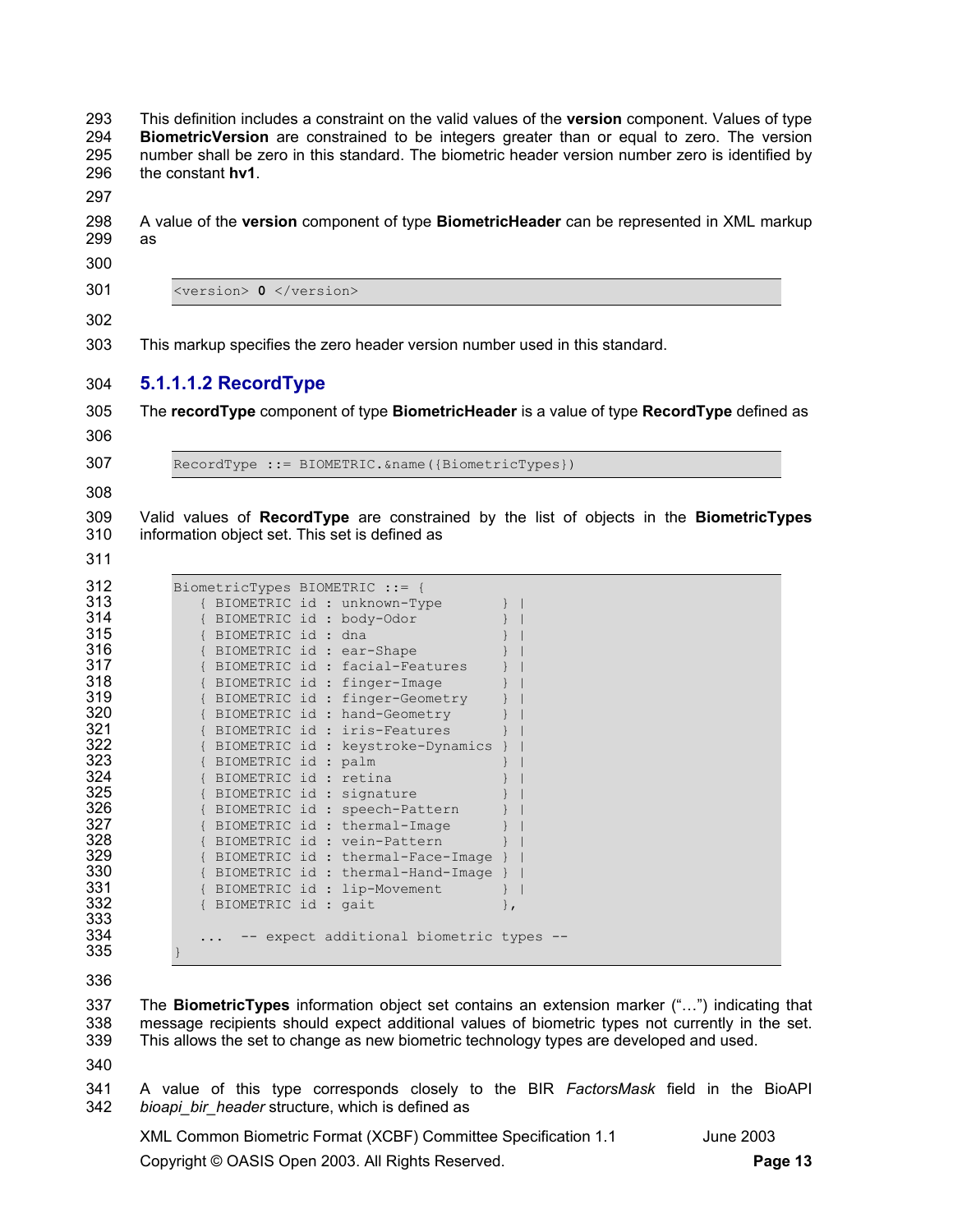294 **BiometricVersion** are constrained to be integers greater than or equal to zero. The version 295 number shall be zero in this standard. The biometric header version number zero is identified by 296 the constant **hv1**. 297 298 A value of the **version** component of type **BiometricHeader** can be represented in XML markup 299 as 300 301 <version> **0** </version> 302 303 This markup specifies the zero header version number used in this standard. 304 **5.1.1.1.2 RecordType**  305 The **recordType** component of type **BiometricHeader** is a value of type **RecordType** defined as 306 307 RecordType ::= BIOMETRIC.&name({BiometricTypes}) 308 309 Valid values of **RecordType** are constrained by the list of objects in the **BiometricTypes** 310 information object set. This set is defined as 311 312 BiometricTypes BIOMETRIC ::= { 313 { BIOMETRIC id : unknown-Type<br>314 { BIOMETRIC id : body-Odor 314 { BIOMETRIC id : body-Odor<br>315 { BIOMETRIC id : dna 315 { BIOMETRIC id : dna } | 316 { BIOMETRIC id : ear-Shape<br>317 { BIOMETRIC id : facial-Fea 317 { BIOMETRIC id : facial-Features }<br>318 { BIOMETRIC id : finger-Image 318 { BIOMETRIC id : finger-Image<br>319 { BIOMETRIC id : finger-Geometr 319 { BIOMETRIC id : finger-Geometry<br>320 { BIOMETRIC id : hand-Geometry 320 { BIOMETRIC id : hand-Geometry<br>321 { BIOMETRIC id : iris-Features 321 { BIOMETRIC id : iris-Features<br>322 { BIOMETRIC id : keystroke-Dyna 322 { BIOMETRIC id : keystroke-Dynamics }<br>323 { BIOMETRIC id : palm } 323 { BIOMETRIC id : palm<br>324 { BIOMETRIC id : retir 324 { BIOMETRIC id : retina<br>325 { BIOMETRIC id : signati 325 { BIOMETRIC id : signature<br>326 { BIOMETRIC id : speech-Pat 326 { BIOMETRIC id : speech-Pattern<br>327 { BIOMETRIC id : thermal-Image 327 { BIOMETRIC id : thermal-Image<br>328 { BIOMETRIC id : vein-Pattern 328 { BIOMETRIC id : vein-Pattern<br>329 { BIOMETRIC id : thermal-Face-329 { BIOMETRIC id : thermal-Face-Image } | 330 { BIOMETRIC id : thermal-Hand-Image } | 331 { BIOMETRIC id : lip-Movement } |<br>332 { BIOMETRIC id : gait { BIOMETRIC id : gait }, 333<br>334 ... -- expect additional biometric types --335 }

293 This definition includes a constraint on the valid values of the **version** component. Values of type

336

337 The **BiometricTypes** information object set contains an extension marker ("…") indicating that 338 message recipients should expect additional values of biometric types not currently in the set. 339 This allows the set to change as new biometric technology types are developed and used.

340

341 A value of this type corresponds closely to the BIR *FactorsMask* field in the BioAPI 342 *bioapi\_bir\_header* structure, which is defined as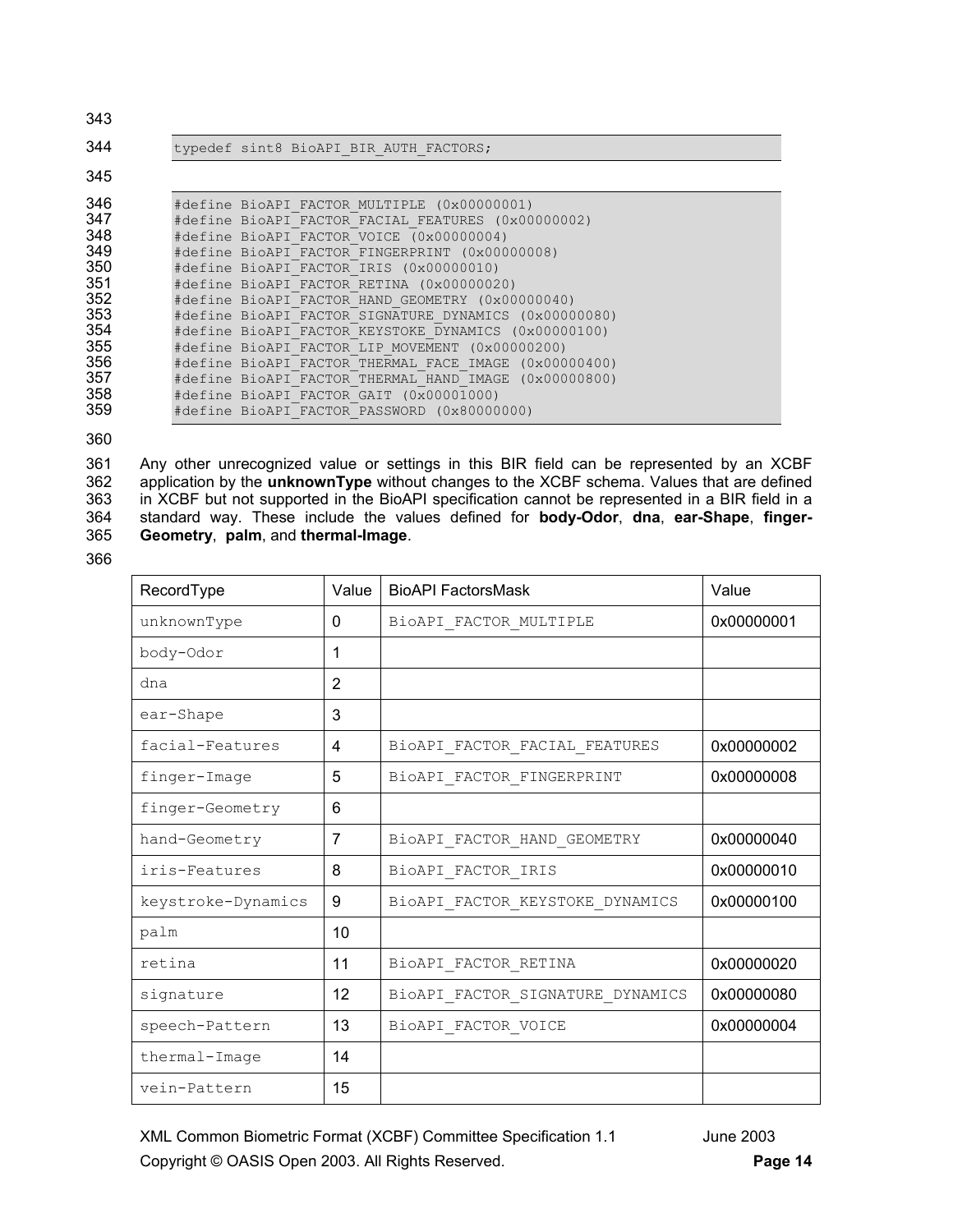| 343                                                                                     |                                                                                                                                                                                                                                                                                                                                                                                                                                                                                                                                                                                                                                                                              |
|-----------------------------------------------------------------------------------------|------------------------------------------------------------------------------------------------------------------------------------------------------------------------------------------------------------------------------------------------------------------------------------------------------------------------------------------------------------------------------------------------------------------------------------------------------------------------------------------------------------------------------------------------------------------------------------------------------------------------------------------------------------------------------|
| 344                                                                                     | typedef sint8 BioAPI BIR AUTH FACTORS;                                                                                                                                                                                                                                                                                                                                                                                                                                                                                                                                                                                                                                       |
| 345                                                                                     |                                                                                                                                                                                                                                                                                                                                                                                                                                                                                                                                                                                                                                                                              |
| 346<br>347<br>348<br>349<br>350<br>351<br>352<br>353<br>354<br>355<br>356<br>357<br>358 | #define BioAPI FACTOR MULTIPLE (0x00000001)<br>#define BioAPI FACTOR FACIAL FEATURES (0x00000002)<br>#define BioAPI FACTOR VOICE (0x00000004)<br>#define BioAPI FACTOR FINGERPRINT (0x00000008)<br>#define BioAPI FACTOR IRIS (0x00000010)<br>#define BioAPI FACTOR RETINA (0x00000020)<br>#define BioAPI FACTOR HAND GEOMETRY (0x00000040)<br>#define BioAPI FACTOR SIGNATURE DYNAMICS (0x00000080)<br>#define BioAPI FACTOR KEYSTOKE DYNAMICS (0x00000100)<br>#define BioAPI FACTOR LIP MOVEMENT (0x00000200)<br>#define BioAPI FACTOR THERMAL FACE IMAGE (0x00000400)<br>#define BioAPI FACTOR THERMAL HAND IMAGE (0x00000800)<br>#define BioAPI FACTOR GAIT (0x00001000) |
| 359                                                                                     | #define BioAPI FACTOR PASSWORD (0x80000000)                                                                                                                                                                                                                                                                                                                                                                                                                                                                                                                                                                                                                                  |

360

361 Any other unrecognized value or settings in this BIR field can be represented by an XCBF 362 application by the **unknownType** without changes to the XCBF schema. Values that are defined in XCBF but not supported in the BioAPI specification cannot be represented in a BIR field in a 364 standard way. These include the values defined for **body-Odor**, **dna**, **ear-Shape**, **finger-**365 **Geometry**, **palm**, and **thermal-Image**.

366

| RecordType         | Value    | <b>BioAPI FactorsMask</b>        | Value      |
|--------------------|----------|----------------------------------|------------|
| unknownType        | $\Omega$ | BiOAPI FACTOR MULTIPLE           | 0x00000001 |
| body-Odor          | 1        |                                  |            |
| dna                | 2        |                                  |            |
| ear-Shape          | 3        |                                  |            |
| facial-Features    | 4        | BioAPI FACTOR FACIAL FEATURES    | 0x00000002 |
| finger-Image       | 5        | BioAPI_FACTOR_FINGERPRINT        | 0x00000008 |
| finger-Geometry    | 6        |                                  |            |
| hand-Geometry      | 7        | BioAPI FACTOR HAND GEOMETRY      | 0x00000040 |
| iris-Features      | 8        | BioAPI FACTOR IRIS               | 0x00000010 |
| keystroke-Dynamics | 9        | BioAPI FACTOR KEYSTOKE DYNAMICS  | 0x00000100 |
| palm               | 10       |                                  |            |
| retina             | 11       | BioAPI_FACTOR_RETINA             | 0x00000020 |
| signature          | 12       | BioAPI FACTOR SIGNATURE DYNAMICS | 0x00000080 |
| speech-Pattern     | 13       | BioAPI_FACTOR_VOICE              | 0x00000004 |
| thermal-Image      | 14       |                                  |            |
| vein-Pattern       | 15       |                                  |            |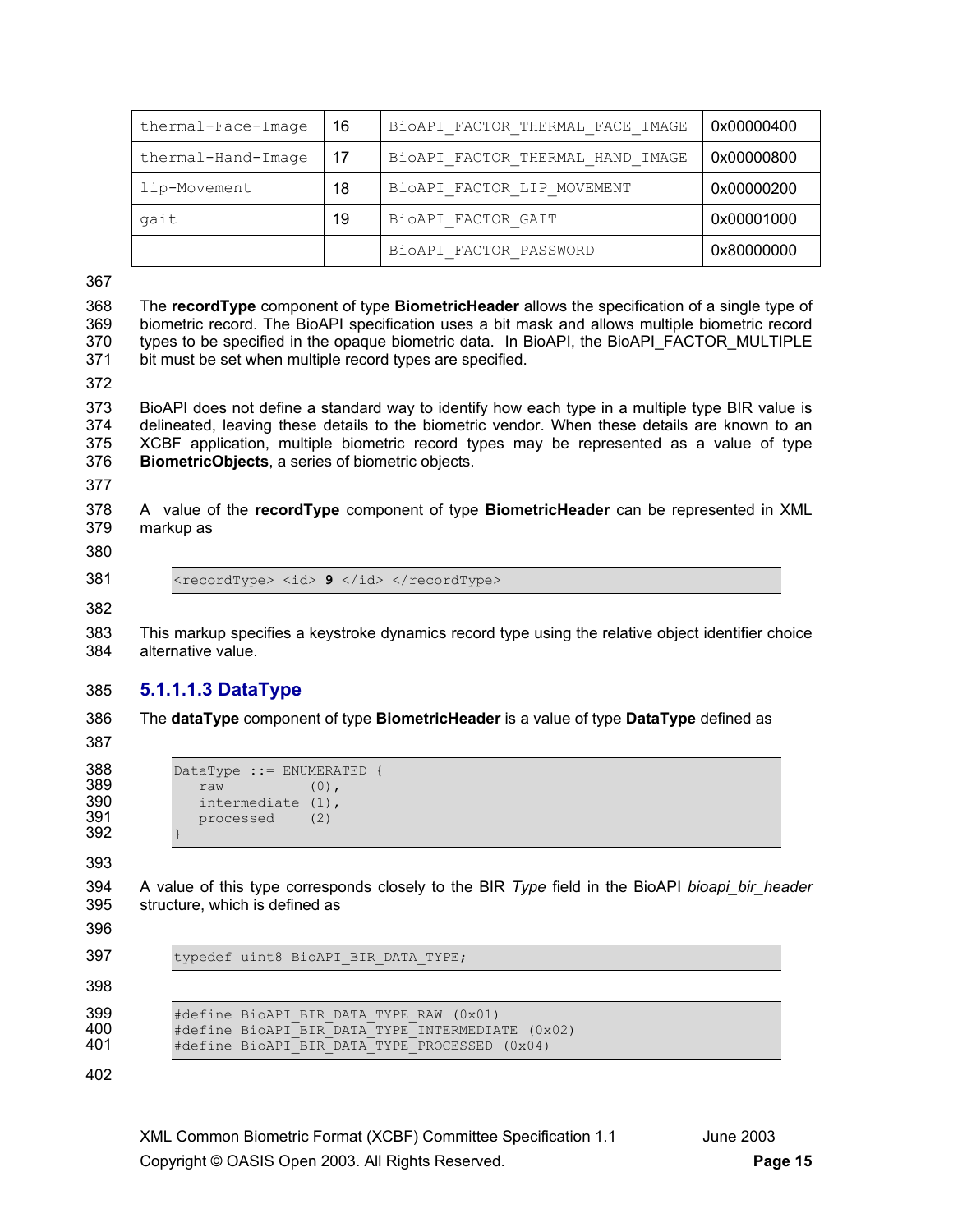| thermal-Face-Image | - 16              | BIOAPI FACTOR THERMAL FACE IMAGE | 0x00000400 |
|--------------------|-------------------|----------------------------------|------------|
| thermal-Hand-Image | $\overline{1}$ 17 | BiOAPI FACTOR THERMAL HAND IMAGE | 0x00000800 |
| lip-Movement       | 18                | BiOAPI FACTOR LIP MOVEMENT       | 0x00000200 |
| gait               | 19                | BioAPI FACTOR GAIT               | 0x00001000 |
|                    |                   | BioAPI FACTOR PASSWORD           | 0x80000000 |

367

368 The **recordType** component of type **BiometricHeader** allows the specification of a single type of 369 biometric record. The BioAPI specification uses a bit mask and allows multiple biometric record 370 types to be specified in the opaque biometric data. In BioAPI, the BioAPI\_FACTOR\_MULTIPLE 371 bit must be set when multiple record types are specified.

372

373 BioAPI does not define a standard way to identify how each type in a multiple type BIR value is 374 delineated, leaving these details to the biometric vendor. When these details are known to an 375 XCBF application, multiple biometric record types may be represented as a value of type 376 **BiometricObjects**, a series of biometric objects.

377

378 A value of the **recordType** component of type **BiometricHeader** can be represented in XML 379 markup as

380

382

381 <recordType> <id> 9 </id> </recordType>

383 This markup specifies a keystroke dynamics record type using the relative object identifier choice 384 alternative value.

## 385 **5.1.1.1.3 DataType**

386 The **dataType** component of type **BiometricHeader** is a value of type **DataType** defined as

387

```
388 DataType ::= ENUMERATED {<br>389 raw (0).
389 raw (0),<br>390 intermediate (1).
390 intermediate (1),<br>391 processed (2)
                processed (2)
392 }
```
393

394 A value of this type corresponds closely to the BIR *Type* field in the BioAPI *bioapi\_bir\_header* 395 structure, which is defined as

396

397 typedef uint8 BioAPI BIR DATA TYPE;

398

399 #define BioAPI\_BIR\_DATA\_TYPE\_RAW (0x01)<br>400 #define BioAPI\_BIR\_DATA\_TYPE\_INTERMEDIA 400 #define BioAPI\_BIR\_DATA\_TYPE\_INTERMEDIATE (0x02) #define BioAPI BIR DATA TYPE PROCESSED (0x04)

402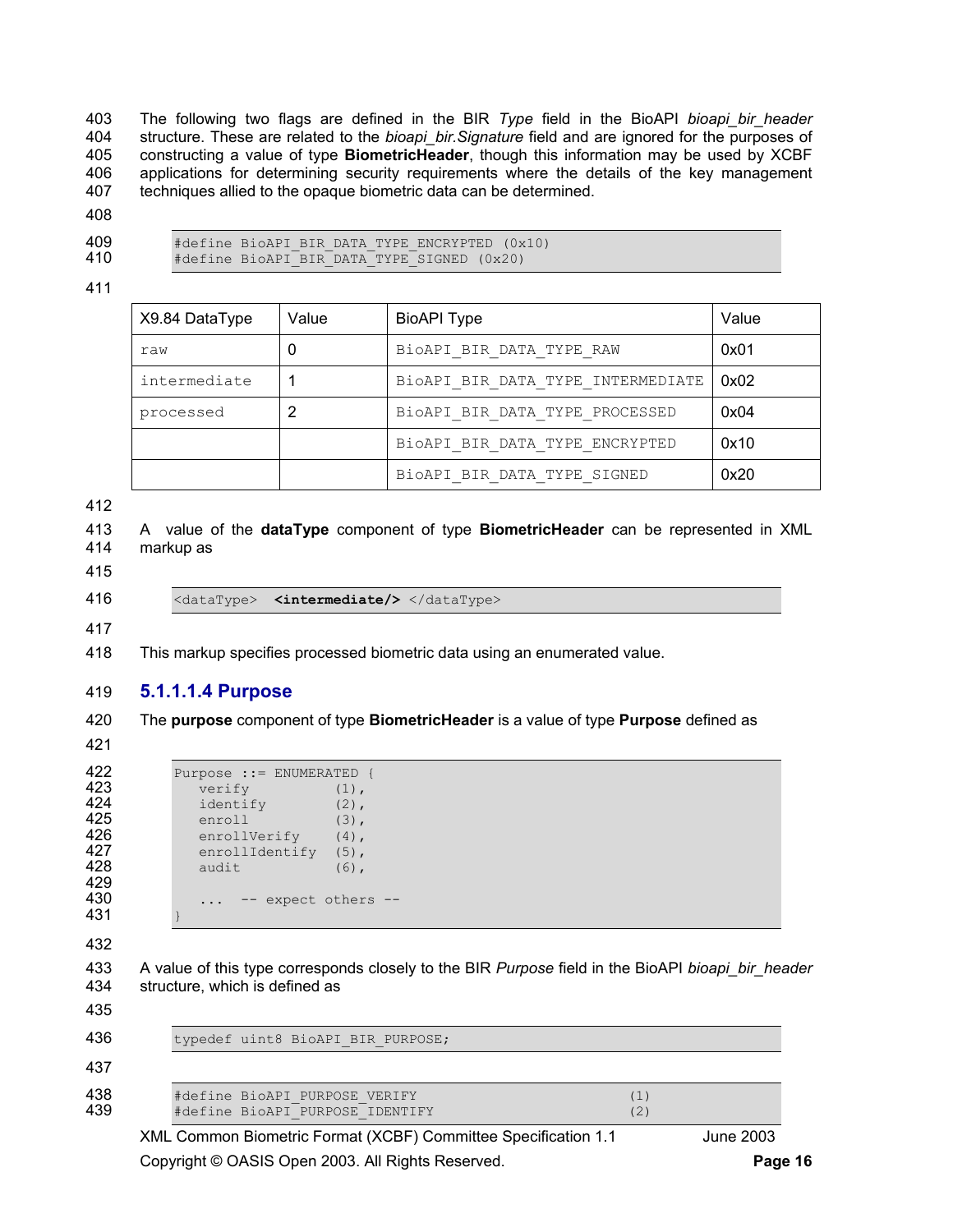403 The following two flags are defined in the BIR *Type* field in the BioAPI *bioapi\_bir\_header* 404 structure. These are related to the *bioapi\_bir.Signature* field and are ignored for the purposes of 405 constructing a value of type **BiometricHeader**, though this information may be used by XCBF 406 applications for determining security requirements where the details of the key management 407 techniques allied to the opaque biometric data can be determined.

- 408
- 
- 409 #define BioAPI\_BIR\_DATA\_TYPE\_ENCRYPTED (0x10)<br>410 #define BioAPI\_BIR\_DATA\_TYPE\_SIGNED (0x20)
- 410 #define BioAPI\_BIR\_DATA\_TYPE\_SIGNED (0x20)
- 411

| X9.84 DataType | Value | <b>BioAPI Type</b>                | Value |
|----------------|-------|-----------------------------------|-------|
| raw            |       | BioAPI BIR DATA TYPE RAW          | 0x01  |
| intermediate   |       | BiOAPI BIR DATA TYPE INTERMEDIATE | 0x02  |
| processed      |       | BiOAPI BIR DATA TYPE PROCESSED    | 0x04  |
|                |       | BiOAPI BIR DATA TYPE ENCRYPTED    | 0x10  |
|                |       | BiOAPI BIR DATA TYPE SIGNED       | 0x20  |

412

```
413 A value of the dataType component of type BiometricHeader can be represented in XML 
414 markup as
```
- 415
- 

416 <dataType> **<intermediate/>** </dataType>

417

418 This markup specifies processed biometric data using an enumerated value.

#### 419 **5.1.1.1.4 Purpose**

420 The **purpose** component of type **BiometricHeader** is a value of type **Purpose** defined as

421

```
422 Purpose ::= ENUMERATED {<br>423 verify (1),
423 verify (1),<br>424 identify (2),
424 identify (2),<br>425 enroll (3),
425 enroll (3),<br>426 enrollVerify (4),
426 enrollVerify (4),<br>427 enrollIdentify (5),
427 enrollIdentify (5),<br>428 audit (6),
               audit (6),
429 
430 ... -- expect others -- 
431 }
```

```
432
```
433 A value of this type corresponds closely to the BIR *Purpose* field in the BioAPI *bioapi\_bir\_header* 434 structure, which is defined as

XML Common Biometric Format (XCBF) Committee Specification 1.1 June 2003 435 436 typedef uint8 BioAPI BIR PURPOSE; 437 438 #define BioAPI\_PURPOSE\_VERIFY (1)<br>439 #define BioAPI<sup>\_</sup>PURPOSE\_IDENTIFY (2) 439 #define BioAPI\_PURPOSE\_IDENTIFY (2)

Copyright © OASIS Open 2003. All Rights Reserved. **Page 16**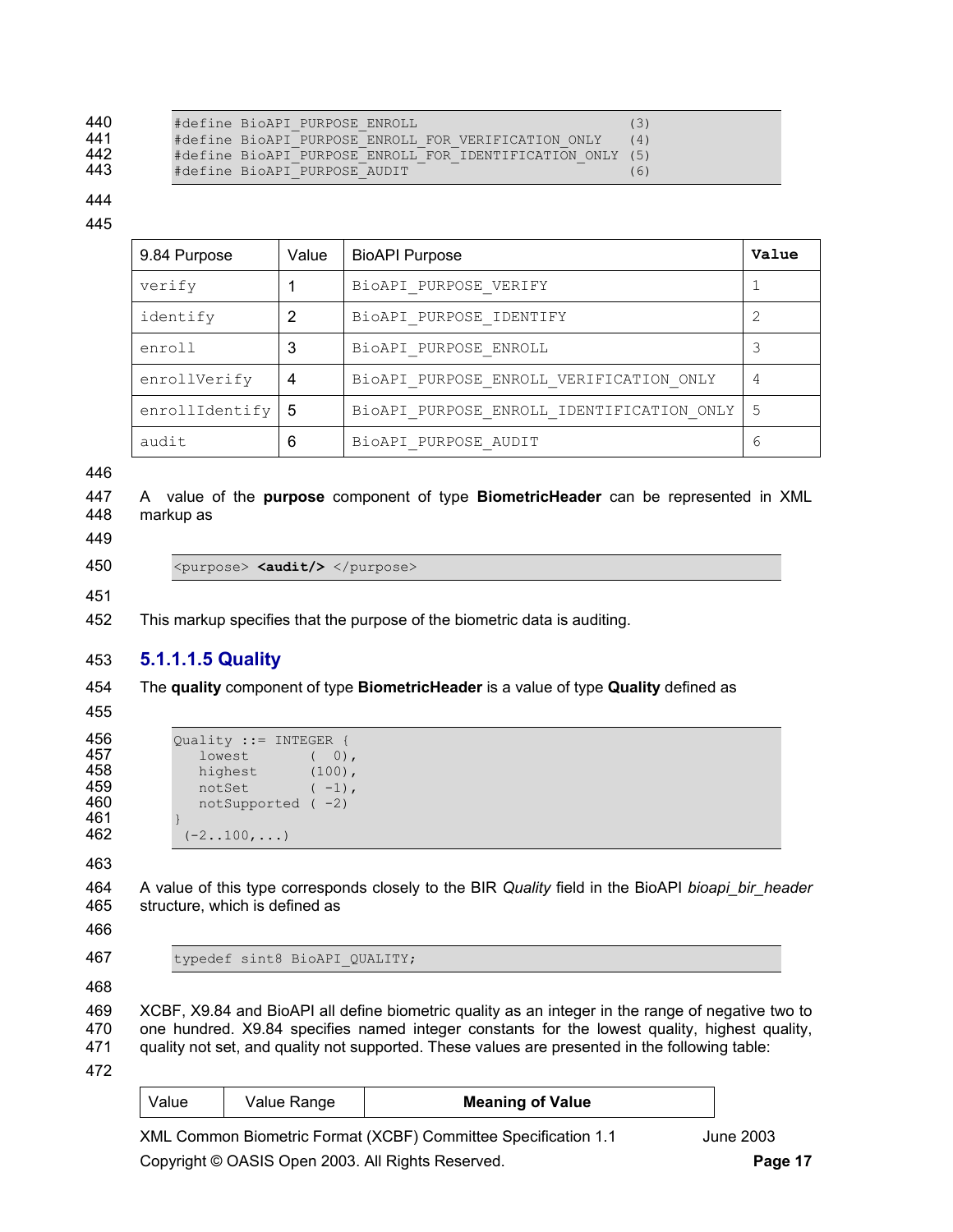| 440 | #define BioAPI PURPOSE ENROLL                             | (3) |
|-----|-----------------------------------------------------------|-----|
| 441 | #define BioAPI PURPOSE ENROLL FOR VERIFICATION ONLY       | (4) |
| 442 | #define BioAPI PURPOSE ENROLL FOR IDENTIFICATION ONLY (5) |     |
| 443 | #define BioAPI PURPOSE AUDIT                              | (6) |

444

#### 445

| 9.84 Purpose   | Value | <b>BioAPI Purpose</b>                     | Value |
|----------------|-------|-------------------------------------------|-------|
| verify         |       | BioAPI PURPOSE VERIFY                     |       |
| identify       | 2     | BioAPI PURPOSE IDENTIFY                   |       |
| enroll         | 3     | BioAPI PURPOSE ENROLL                     |       |
| enrollVerify   | 4     | BiOAPI PURPOSE ENROLL VERIFICATION ONLY   | 4     |
| enrollIdentify | -5    | BIOAPI PURPOSE ENROLL IDENTIFICATION ONLY | .5    |
| audit          | 6     | BioAPI PURPOSE AUDIT                      | 6     |

446

447 A value of the **purpose** component of type **BiometricHeader** can be represented in XML 448 markup as

449

450 <purpose> **<audit/>** </purpose>

451

452 This markup specifies that the purpose of the biometric data is auditing.

## 453 **5.1.1.1.5 Quality**

454 The **quality** component of type **BiometricHeader** is a value of type **Quality** defined as

455

**456** Quality := INTEGER {<br>**457** lowest (0) 457 lowest ( 0), **458** highest (100),  $459$  notSet (-1), 459 notSet (-1),<br>460 notSupported (-2) 461<br>462  $(-2.100, \ldots)$ 

463

464 A value of this type corresponds closely to the BIR *Quality* field in the BioAPI *bioapi\_bir\_header* 465 structure, which is defined as

466

467 typedef sint8 BioAPI QUALITY;

468

469 XCBF, X9.84 and BioAPI all define biometric quality as an integer in the range of negative two to 470 one hundred. X9.84 specifies named integer constants for the lowest quality, highest quality, 471 quality not set, and quality not supported. These values are presented in the following table:

472

| Value | Value Range | <b>Meaning of Value</b> |  |
|-------|-------------|-------------------------|--|
|       |             |                         |  |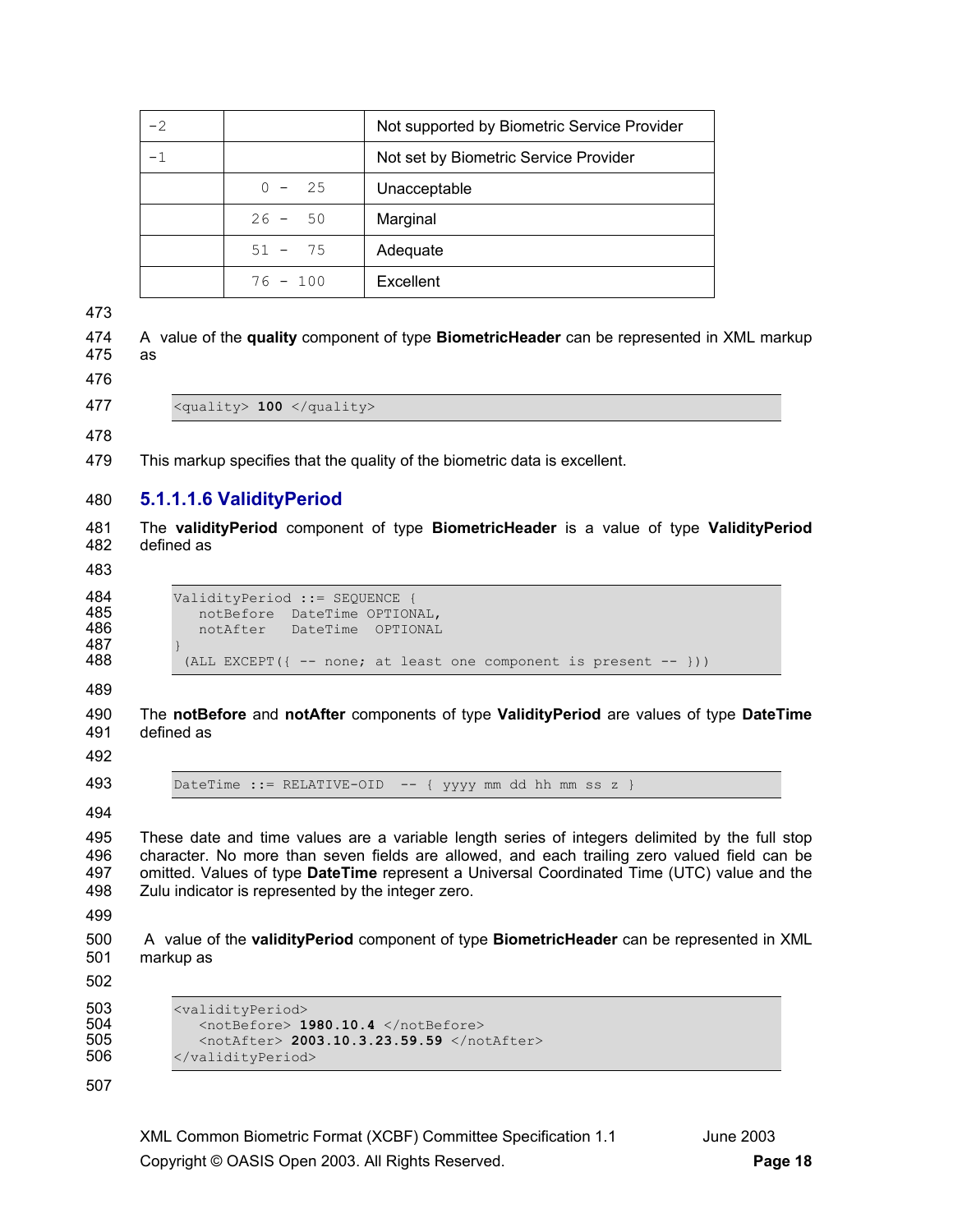| $-2$ |            | Not supported by Biometric Service Provider |
|------|------------|---------------------------------------------|
|      |            | Not set by Biometric Service Provider       |
|      | $0 - 25$   | Unacceptable                                |
|      | $26 - 50$  | Marginal                                    |
|      | $51 - 75$  | Adequate                                    |
|      | $76 - 100$ | Excellent                                   |

473

474 A value of the **quality** component of type **BiometricHeader** can be represented in XML markup 475 as

476

477 <quality> **100** </quality>

478

479 This markup specifies that the quality of the biometric data is excellent.

## 480 **5.1.1.1.6 ValidityPeriod**

481 The **validityPeriod** component of type **BiometricHeader** is a value of type **ValidityPeriod** 482 defined as

483

487<br>488

484 ValidityPeriod ::= SEQUENCE {<br>485 00tBefore DateTime OPTION 485 motBefore DateTime OPTIONAL,<br>486 motAfter DateTime OPTIONAL 486 notAfter DateTime OPTIONAL (ALL EXCEPT({ -- none; at least one component is present -- }))

489

490 The **notBefore** and **notAfter** components of type **ValidityPeriod** are values of type **DateTime** 491 defined as

492

493 DateTime ::= RELATIVE-OID -- { yyyy mm dd hh mm ss z }

494

495 These date and time values are a variable length series of integers delimited by the full stop 496 character. No more than seven fields are allowed, and each trailing zero valued field can be 497 omitted. Values of type **DateTime** represent a Universal Coordinated Time (UTC) value and the 498 Zulu indicator is represented by the integer zero.

499

500 A value of the **validityPeriod** component of type **BiometricHeader** can be represented in XML 501 markup as

502

```
503 <validityPeriod><br>504 <walidityPeriod>
504 < notBefore> 1980.10.4 </notBefore><br>505 < notAfter> 2003.10.3.23.59.59 </no
505 <notAfter> 2003.10.3.23.59.59 </notAfter> 
              506 </validityPeriod>
```
507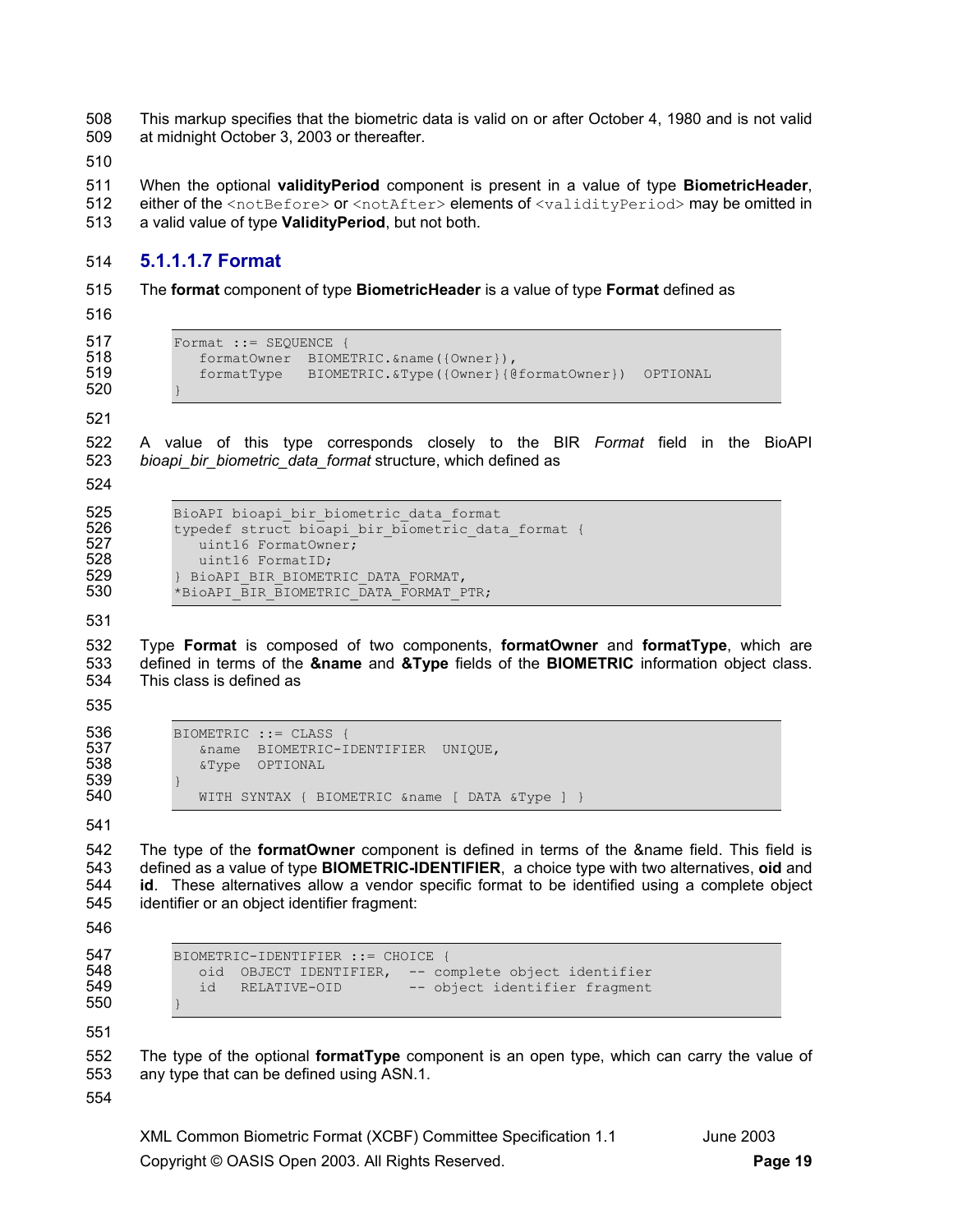508 This markup specifies that the biometric data is valid on or after October 4, 1980 and is not valid 509 at midnight October 3, 2003 or thereafter.

510

511 When the optional **validityPeriod** component is present in a value of type **BiometricHeader**, 512 either of the <notBefore> or <notAfter> elements of <validityPeriod> may be omitted in

513 a valid value of type **ValidityPeriod**, but not both.

#### 514 **5.1.1.1.7 Format**

515 The **format** component of type **BiometricHeader** is a value of type **Format** defined as

516

```
517 Format := SEQUENCE {<br>518 formatOwner BIOME
518 formatOwner BIOMETRIC.&name({Owner}),<br>519 formatType BIOMETRIC.&Type({Owner}{@
                  519 formatType BIOMETRIC.&Type({Owner}{@formatOwner}) OPTIONAL
```
520 } 521

522 A value of this type corresponds closely to the BIR *Format* field in the BioAPI 523 *bioapi\_bir\_biometric\_data\_format* structure, which defined as

524

```
525 BioAPI bioapi_bir_biometric_data_format<br>526 typedef struct bioapi bir biometric dat.
             typedef struct bioapi bir biometric data format {
527 uint16 FormatOwner;<br>528 uint16 FormatID:
528 uint16 FormatID;<br>529 > BioAPI BIR BIOMET
529 } BioAPI_BIR_BIOMETRIC_DATA_FORMAT, 
             *BioAPI_BIR_BIOMETRIC_DATA_FORMAT_PTR;
```
531

532 Type **Format** is composed of two components, **formatOwner** and **formatType**, which are 533 defined in terms of the **&name** and **&Type** fields of the **BIOMETRIC** information object class. 534 This class is defined as

535

```
539<br>540
```
536 BIOMETRIC ::= CLASS {<br>537 6name BIOMETRIC-T 537 6name BIOMETRIC-IDENTIFIER UNIQUE,<br>538 6Type OPTIONAL 538 &Type OPTIONAL WITH SYNTAX { BIOMETRIC &name [ DATA &Type ] }

541

542 The type of the **formatOwner** component is defined in terms of the &name field. This field is 543 defined as a value of type **BIOMETRIC-IDENTIFIER**, a choice type with two alternatives, **oid** and 544 **id**. These alternatives allow a vendor specific format to be identified using a complete object 545 identifier or an object identifier fragment:

546

```
547 BIOMETRIC-IDENTIFIER ::= CHOICE {
```

```
548 oid OBJECT IDENTIFIER, -- complete object identifier 
550 }
```
552 The type of the optional **formatType** component is an open type, which can carry the value of 553 any type that can be defined using ASN.1.

554

551

XML Common Biometric Format (XCBF) Committee Specification 1.1 June 2003 Copyright © OASIS Open 2003. All Rights Reserved. **Page 19**

-- object identifier fragment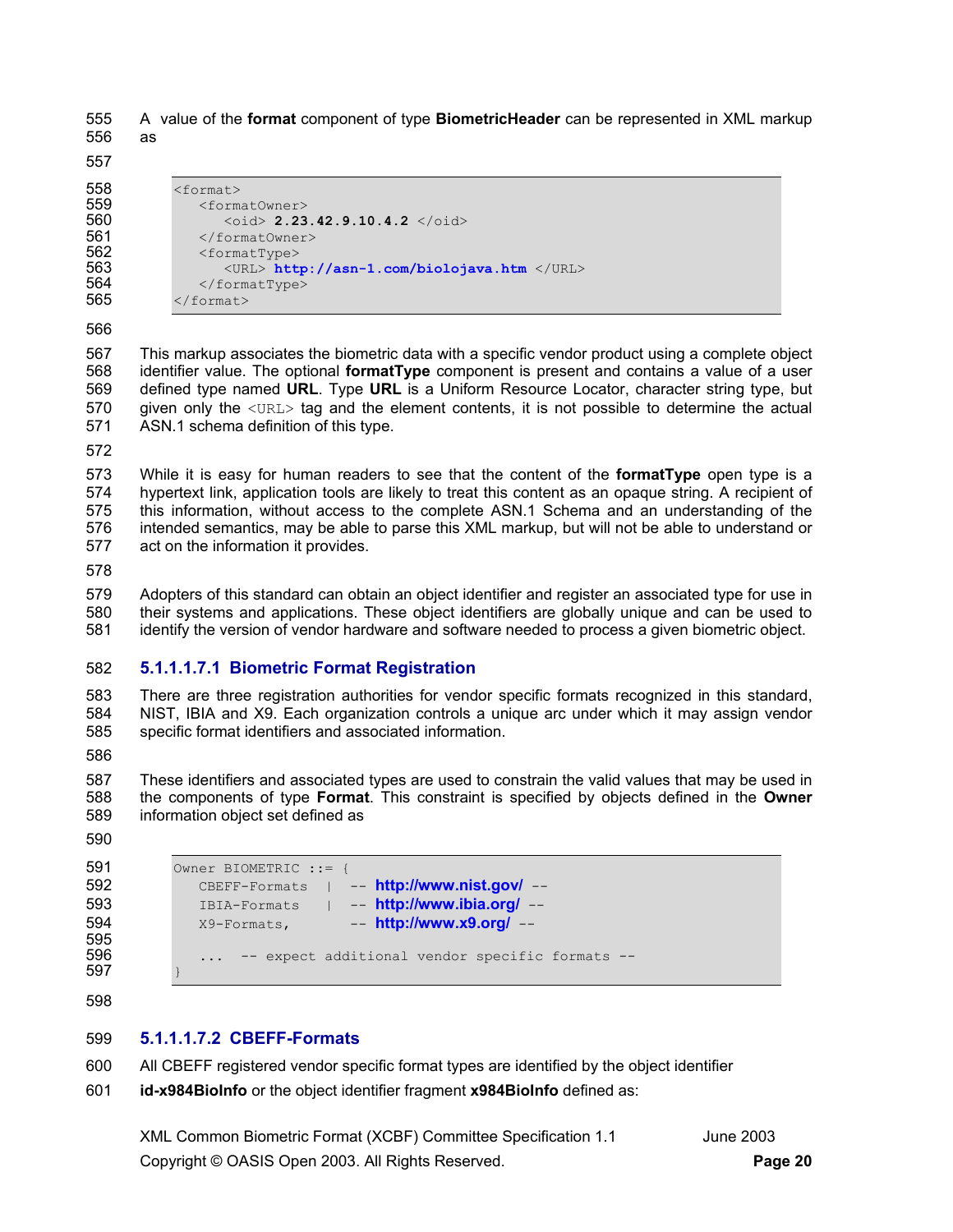555 A value of the **format** component of type **BiometricHeader** can be represented in XML markup 556 as

557

558 <format><br>559 <form 559 <formatOwner><br>560 <oid> 2.23 560 <oid> **2.23.42.9.10.4.2** </oid><br>561 </format0wner> 561 </formatOwner><br>562 <formatType> 562 <formatType> 563 <URL> **http://asn-1.com/biolojava.htm** </URL><br>564 </formatTvpe> 564 </formatType><br>565 </format>  $\langle$  format>

566

567 This markup associates the biometric data with a specific vendor product using a complete object 568 identifier value. The optional **formatType** component is present and contains a value of a user 569 defined type named **URL**. Type **URL** is a Uniform Resource Locator, character string type, but 570 given only the <URL> tag and the element contents, it is not possible to determine the actual 571 ASN.1 schema definition of this type.

572

573 While it is easy for human readers to see that the content of the **formatType** open type is a 574 hypertext link, application tools are likely to treat this content as an opaque string. A recipient of 575 this information, without access to the complete ASN.1 Schema and an understanding of the 576 intended semantics, may be able to parse this XML markup, but will not be able to understand or 577 act on the information it provides.

578

579 Adopters of this standard can obtain an object identifier and register an associated type for use in 580 their systems and applications. These object identifiers are globally unique and can be used to 581 identify the version of vendor hardware and software needed to process a given biometric object.

## 582 **5.1.1.1.7.1 Biometric Format Registration**

583 There are three registration authorities for vendor specific formats recognized in this standard, 584 NIST, IBIA and X9. Each organization controls a unique arc under which it may assign vendor 585 specific format identifiers and associated information.

586

587 These identifiers and associated types are used to constrain the valid values that may be used in 588 the components of type **Format**. This constraint is specified by objects defined in the **Owner** 589 information object set defined as

590

```
591 Owner BIOMETRIC ::= { 
592 CBEFF-Formats | -- http://www.nist.gov/ -- 
593 IBIA-Formats | -- http://www.ibia.org/ -- 
594 X9-Formats, -- http://www.x9.org/ --
595 
            ... -- expect additional vendor specific formats --
597 }
```
598

## 599 **5.1.1.1.7.2 CBEFF-Formats**

600 All CBEFF registered vendor specific format types are identified by the object identifier

601 **id-x984BioInfo** or the object identifier fragment **x984BioInfo** defined as: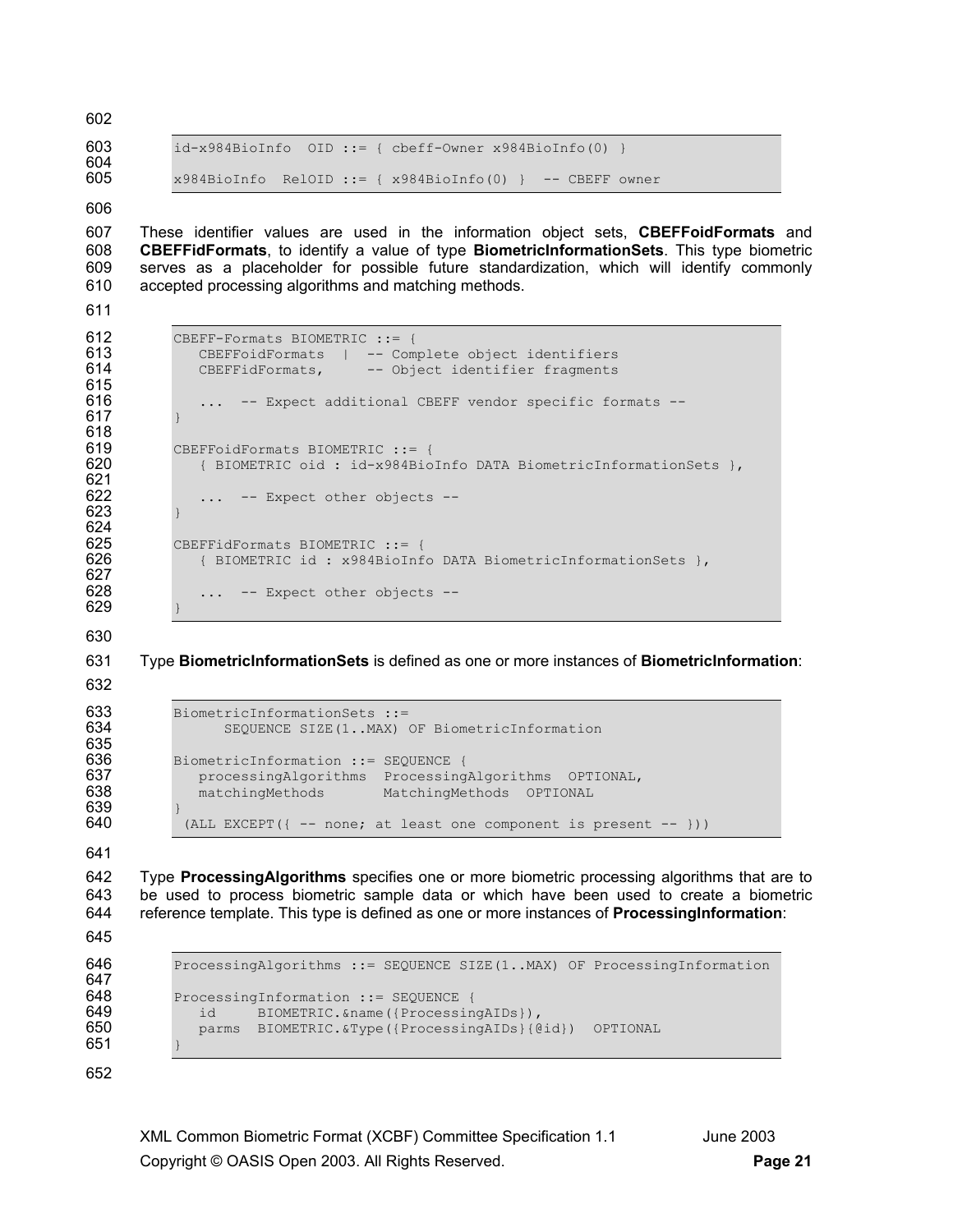603 id-x984BioInfo OID ::= { cbeff-Owner x984BioInfo(0) } 604<br>605  $x984BioInfo$  RelOID ::= {  $x984BioInfo(0)$  } -- CBEFF owner

#### 606

602

607 These identifier values are used in the information object sets, **CBEFFoidFormats** and 608 **CBEFFidFormats**, to identify a value of type **BiometricInformationSets**. This type biometric 609 serves as a placeholder for possible future standardization, which will identify commonly 610 accepted processing algorithms and matching methods.

611

615<br>616

617 } 618

621

623 } 624<br>625

```
612 CBEFF-Formats BIOMETRIC ::= {<br>613 CBEFFoidFormats | -- Com
613 CBEFFoidFormats | -- Complete object identifiers<br>614 CBEFFidFormats, -- Object identifier fragments
                CBEFFidFormats, -- Object identifier fragments
                ... -- Expect additional CBEFF vendor specific formats --
619 CBEFFoidFormats BIOMETRIC ::= {<br>620 { BIOMETRIC oid : id-x984Biol
              620 { BIOMETRIC oid : id-x984BioInfo DATA BiometricInformationSets }, 
622 ... -- Expect other objects --
625 CBEFFidFormats BIOMETRIC ::= {<br>626 (BIOMETRIC id : x984BioInf
               626 { BIOMETRIC id : x984BioInfo DATA BiometricInformationSets }, 
                ... -- Expect other objects --
```
629 } 630

627<br>628

631 Type **BiometricInformationSets** is defined as one or more instances of **BiometricInformation**:

632

635<br>636

```
633 BiometricInformationSets ::=<br>634 SEQUENCE SIZE(1..MAX)
                  SEQUENCE SIZE(1..MAX) OF BiometricInformation
636 BiometricInformation ::= SEQUENCE {<br>637 processingAlgorithms Processing
              processingAlgorithms ProcessingAlgorithms OPTIONAL,
638 matchingMethods MatchingMethods OPTIONAL 
             (ALL EXCEPT(\{ -- none; at least one component is present - - \}))
```
641

639<br>640

642 Type **ProcessingAlgorithms** specifies one or more biometric processing algorithms that are to 643 be used to process biometric sample data or which have been used to create a biometric 644 reference template. This type is defined as one or more instances of **ProcessingInformation**:

```
645
```
647<br>648

```
646 ProcessingAlgorithms ::= SEQUENCE SIZE(1..MAX) OF ProcessingInformation
648 ProcessingInformation ::= SEQUENCE {<br>649 id BIOMETRIC.&name({Processine
649 id BIOMETRIC.&name({ProcessingAIDs}),<br>650 parms BIOMETRIC.&Type({ProcessingAIDs}{@
                parms BIOMETRIC.&Type({ProcessingAIDs}{@id}) OPTIONAL
```
652

651 }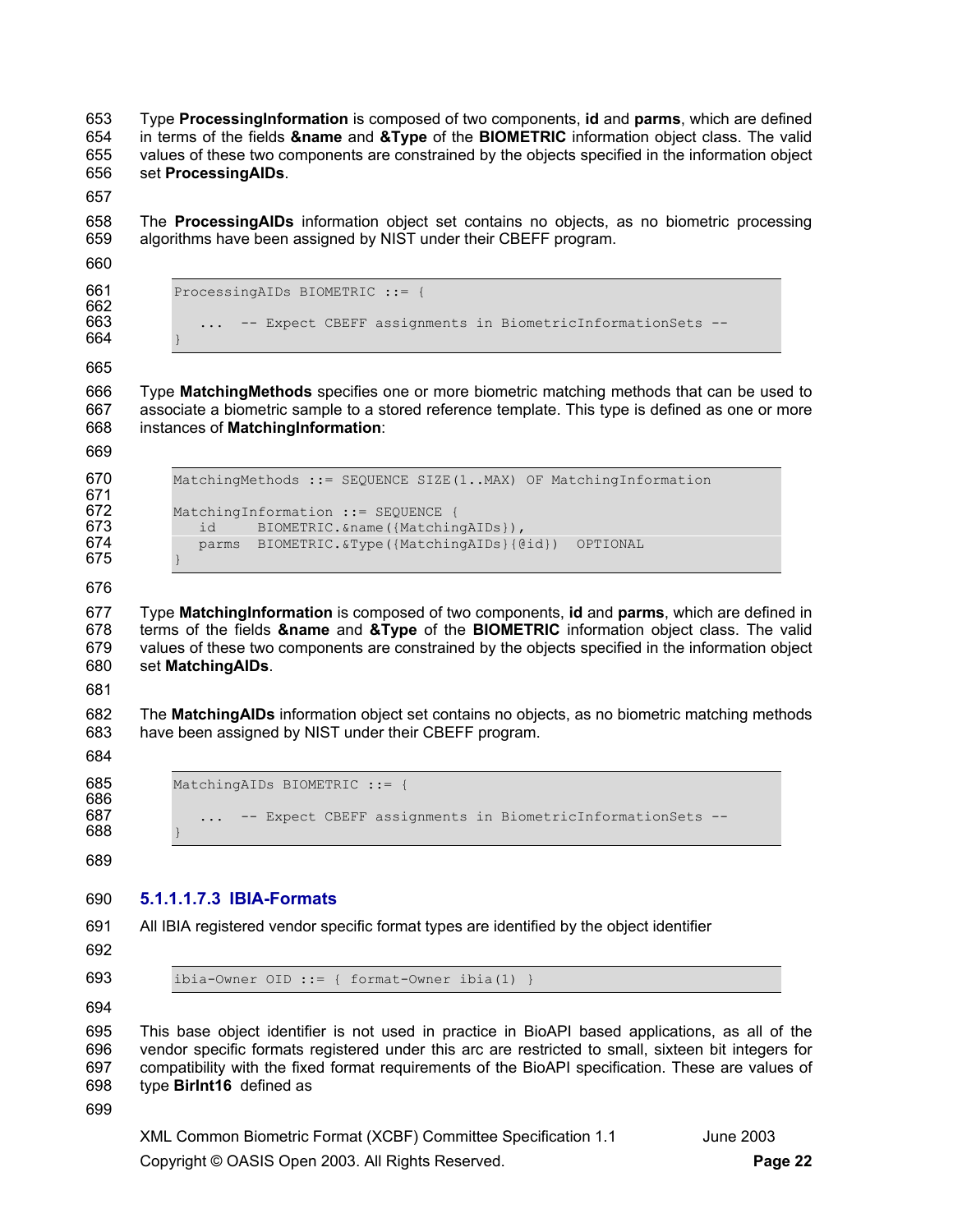653 Type **ProcessingInformation** is composed of two components, **id** and **parms**, which are defined 654 in terms of the fields **&name** and **&Type** of the **BIOMETRIC** information object class. The valid 655 values of these two components are constrained by the objects specified in the information object 656 set **ProcessingAIDs**.

657

658 The **ProcessingAIDs** information object set contains no objects, as no biometric processing 659 algorithms have been assigned by NIST under their CBEFF program.

660

661 ProcessingAIDs BIOMETRIC ::= { 662 663 ... -- Expect CBEFF assignments in BiometricInformationSets --

664 665

666 Type **MatchingMethods** specifies one or more biometric matching methods that can be used to 667 associate a biometric sample to a stored reference template. This type is defined as one or more 668 instances of **MatchingInformation**:

669

671<br>672

| 670<br>671               | MatchingMethods ::= SEOUENCE SIZE (1MAX) OF MatchingInformation                                                                                     |
|--------------------------|-----------------------------------------------------------------------------------------------------------------------------------------------------|
| 672<br>673<br>674<br>675 | MatchingInformation ::= SEOUENCE {<br>BIOMETRIC. & name ({MatchingAIDs}),<br>id<br>BIOMETRIC. & Type ({MatchingAIDs} { @did })<br>OPTIONAL<br>parms |

675 } 676

677 Type **MatchingInformation** is composed of two components, **id** and **parms**, which are defined in 678 terms of the fields **&name** and **&Type** of the **BIOMETRIC** information object class. The valid 679 values of these two components are constrained by the objects specified in the information object 680 set **MatchingAIDs**.

681

682 The **MatchingAIDs** information object set contains no objects, as no biometric matching methods 683 have been assigned by NIST under their CBEFF program.

684

| 68<br>ר |  |
|---------|--|
| 686     |  |

MatchingAIDs BIOMETRIC ::= { 687 ... -- Expect CBEFF assignments in BiometricInformationSets --

688 } 689

## 690 **5.1.1.1.7.3 IBIA-Formats**

691 All IBIA registered vendor specific format types are identified by the object identifier

692

693 ibia-Owner OID ::= { format-Owner ibia(1) }

694

695 This base object identifier is not used in practice in BioAPI based applications, as all of the 696 vendor specific formats registered under this arc are restricted to small, sixteen bit integers for 697 compatibility with the fixed format requirements of the BioAPI specification. These are values of 698 type **BirInt16** defined as

699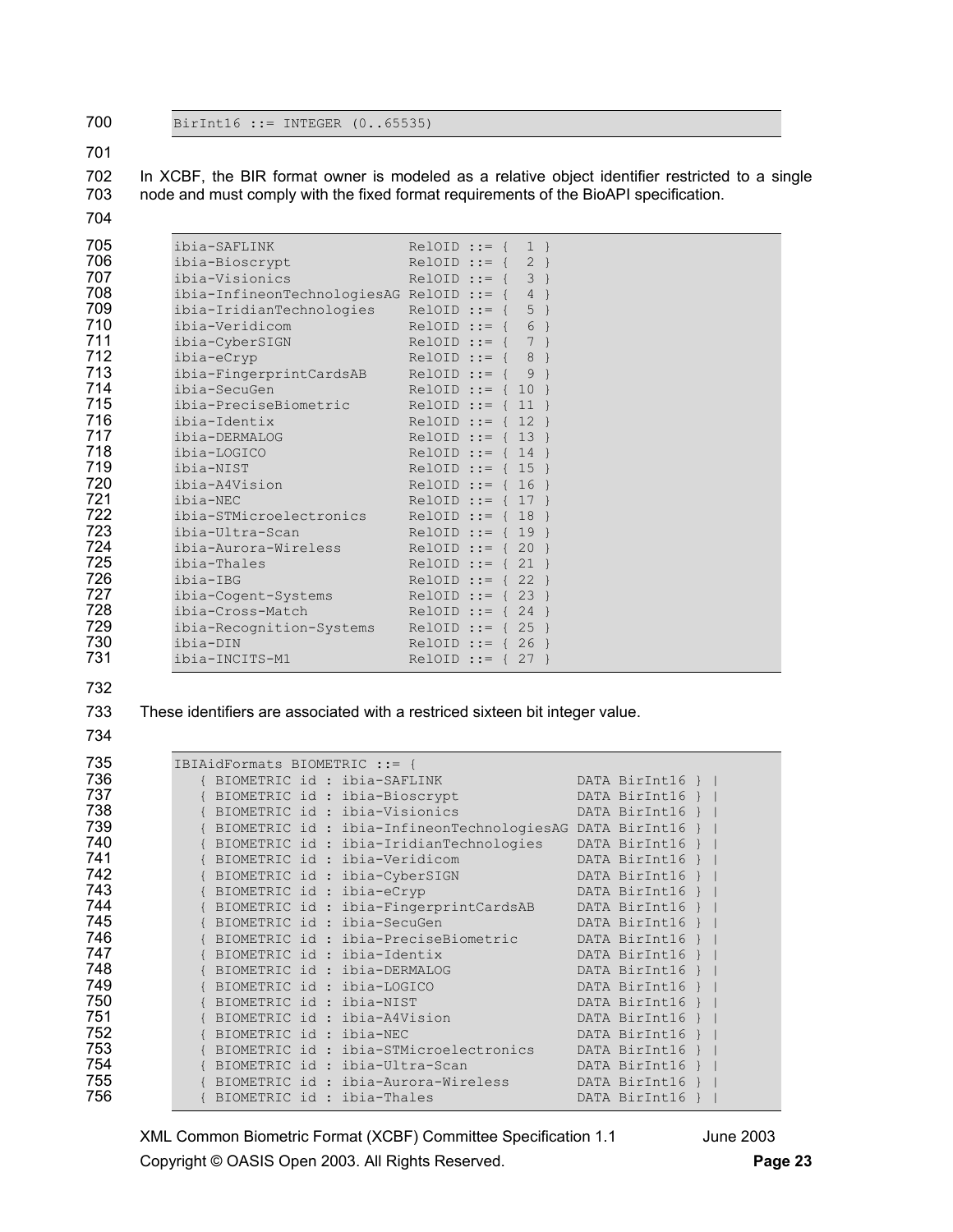BirInt16 ::= INTEGER (0..65535)

#### 702 In XCBF, the BIR format owner is modeled as a relative object identifier restricted to a single 703 node and must comply with the fixed format requirements of the BioAPI specification.

| 705 | ibia-SAFLINK                                                                                                                                                                                                                                                                                                                                                                                                                                                                                               | $RelOID :: = \{ 1 \}$  |  |   |  |
|-----|------------------------------------------------------------------------------------------------------------------------------------------------------------------------------------------------------------------------------------------------------------------------------------------------------------------------------------------------------------------------------------------------------------------------------------------------------------------------------------------------------------|------------------------|--|---|--|
| 706 | ibia-Bioscrypt                                                                                                                                                                                                                                                                                                                                                                                                                                                                                             | $RelOID ::= \{ 2 \}$   |  |   |  |
| 707 | ibia-Visionics                                                                                                                                                                                                                                                                                                                                                                                                                                                                                             | $RelOID :: = \{ 3 \}$  |  |   |  |
| 708 | ibia-InfineonTechnologiesAG RelOID ::= $\{4\}$                                                                                                                                                                                                                                                                                                                                                                                                                                                             |                        |  |   |  |
| 709 | ibia-IridianTechnologies $\text{RelOD} :: = \{ 5 \}$                                                                                                                                                                                                                                                                                                                                                                                                                                                       |                        |  |   |  |
| 710 | ibia-Veridicom                                                                                                                                                                                                                                                                                                                                                                                                                                                                                             | $RelOID ::= \{ 6 \}$   |  |   |  |
| 711 | ibia-CyberSIGN                                                                                                                                                                                                                                                                                                                                                                                                                                                                                             | $RelOID :: = { 7 }$    |  |   |  |
| 712 | ibia-eCryp                                                                                                                                                                                                                                                                                                                                                                                                                                                                                                 | $RelOID ::= \{ 8 \}$   |  |   |  |
| 713 | ibia-FingerprintCardsAB RelOID ::= {                                                                                                                                                                                                                                                                                                                                                                                                                                                                       |                        |  | 9 |  |
| 714 | $\blacksquare$ $\blacksquare$ $\blacksquare$ $\blacksquare$ $\blacksquare$ $\blacksquare$ $\blacksquare$ $\blacksquare$ $\blacksquare$ $\blacksquare$ $\blacksquare$ $\blacksquare$ $\blacksquare$ $\blacksquare$ $\blacksquare$ $\blacksquare$ $\blacksquare$ $\blacksquare$ $\blacksquare$ $\blacksquare$ $\blacksquare$ $\blacksquare$ $\blacksquare$ $\blacksquare$ $\blacksquare$ $\blacksquare$ $\blacksquare$ $\blacksquare$ $\blacksquare$ $\blacksquare$ $\blacksquare$ $\blacks$<br>ibia-SecuGen |                        |  |   |  |
| 715 | $ibia-PreciseBiometric$ RelOID ::= { 11 }                                                                                                                                                                                                                                                                                                                                                                                                                                                                  |                        |  |   |  |
| 716 | ibia-Identix                                                                                                                                                                                                                                                                                                                                                                                                                                                                                               | $RelOID ::= { 12 }$    |  |   |  |
| 717 | ibia-DERMALOG                                                                                                                                                                                                                                                                                                                                                                                                                                                                                              | $RelOD ::= \{ 13 \}$   |  |   |  |
| 718 | ibia-LOGICO                                                                                                                                                                                                                                                                                                                                                                                                                                                                                                | $RelOID :: = \{ 14 \}$ |  |   |  |
| 719 | ibia-NIST                                                                                                                                                                                                                                                                                                                                                                                                                                                                                                  | $RelOID ::= \{ 15 \}$  |  |   |  |
| 720 | ibia-A4Vision                                                                                                                                                                                                                                                                                                                                                                                                                                                                                              | RelOID ::= { 16 }      |  |   |  |
| 721 | ibia-NEC                                                                                                                                                                                                                                                                                                                                                                                                                                                                                                   | $RelOID ::= { 17 }$    |  |   |  |
| 722 | $ibia-TMicroelectronics$ RelOID ::= { 18 }                                                                                                                                                                                                                                                                                                                                                                                                                                                                 |                        |  |   |  |
| 723 | ibia-Ultra-Scan<br>$\blacksquare$ Reloid $\blacksquare$ ::= { 19 }                                                                                                                                                                                                                                                                                                                                                                                                                                         |                        |  |   |  |
| 724 | ibia-Aurora-Wireless                                                                                                                                                                                                                                                                                                                                                                                                                                                                                       | RelOID ::= { 20 }      |  |   |  |
| 725 | ibia-Thales                                                                                                                                                                                                                                                                                                                                                                                                                                                                                                | RelOID ::= { 21 }      |  |   |  |
| 726 | ibia-IBG                                                                                                                                                                                                                                                                                                                                                                                                                                                                                                   | $RelOID ::= {22}$      |  |   |  |
| 727 | $ibia-Cogent-Systems$ RelOID ::= { 23 }                                                                                                                                                                                                                                                                                                                                                                                                                                                                    |                        |  |   |  |
| 728 | $ibia-Cross-Match$ RelOID := { 24 }                                                                                                                                                                                                                                                                                                                                                                                                                                                                        |                        |  |   |  |
| 729 | ibia-Recognition-Systems RelOID ::= $\{ 25 \}$                                                                                                                                                                                                                                                                                                                                                                                                                                                             |                        |  |   |  |
| 730 | ibia-DIN                                                                                                                                                                                                                                                                                                                                                                                                                                                                                                   | $RelOID :: = {26}$     |  |   |  |
| 731 | ibia-INCITS-M1                                                                                                                                                                                                                                                                                                                                                                                                                                                                                             | $RelOID :: = {27}$     |  |   |  |

#### 733 These identifiers are associated with a restriced sixteen bit integer value.

| 735 | IBIAidFormats BIOMETRIC ::= { |  |                                                              |                 |  |
|-----|-------------------------------|--|--------------------------------------------------------------|-----------------|--|
| 736 |                               |  | { BIOMETRIC id : ibia-SAFLINK                                | DATA BirInt16 } |  |
| 737 |                               |  | { BIOMETRIC id : ibia-Bioscrypt                              | DATA BirInt16 } |  |
| 738 |                               |  | { BIOMETRIC id : ibia-Visionics                              | DATA BirInt16 } |  |
| 739 |                               |  | { BIOMETRIC id : ibia-InfineonTechnologiesAG DATA BirInt16 } |                 |  |
| 740 |                               |  | { BIOMETRIC id : ibia-IridianTechnologies DATA BirInt16 }    |                 |  |
| 741 |                               |  | { BIOMETRIC id : ibia-Veridicom                              | DATA BirInt16 } |  |
| 742 |                               |  | { BIOMETRIC id : ibia-CyberSIGN                              | DATA BirInt16 } |  |
| 743 |                               |  | { BIOMETRIC id : ibia-eCryp                                  | DATA BirInt16 } |  |
| 744 |                               |  | { BIOMETRIC id : ibia-FingerprintCardsAB DATA BirInt16 }     |                 |  |
| 745 |                               |  | { BIOMETRIC id : ibia-SecuGen                                | DATA BirInt16 } |  |
| 746 |                               |  | { BIOMETRIC id : ibia-PreciseBiometric                       | DATA BirInt16 } |  |
| 747 |                               |  | { BIOMETRIC id : ibia-Identix                                | DATA BirInt16 } |  |
| 748 |                               |  | BIOMETRIC id: ibia-DERMALOG                                  | DATA BirInt16 } |  |
| 749 |                               |  | BIOMETRIC id: ibia-LOGICO                                    | DATA BirInt16 } |  |
| 750 | { BIOMETRIC id : ibia-NIST    |  |                                                              | DATA BirInt16 } |  |
| 751 |                               |  | { BIOMETRIC id : ibia-A4Vision                               | DATA BirInt16 } |  |
| 752 | { BIOMETRIC id : ibia-NEC     |  |                                                              | DATA BirInt16 } |  |
| 753 |                               |  | { BIOMETRIC id : ibia-STMicroelectronics                     | DATA BirInt16 } |  |
| 754 |                               |  | BIOMETRIC id: ibia-Ultra-Scan                                | DATA BirInt16 } |  |
| 755 |                               |  | { BIOMETRIC id : ibia-Aurora-Wireless                        | DATA BirInt16 } |  |
| 756 |                               |  | { BIOMETRIC id : ibia-Thales                                 | DATA BirInt16 } |  |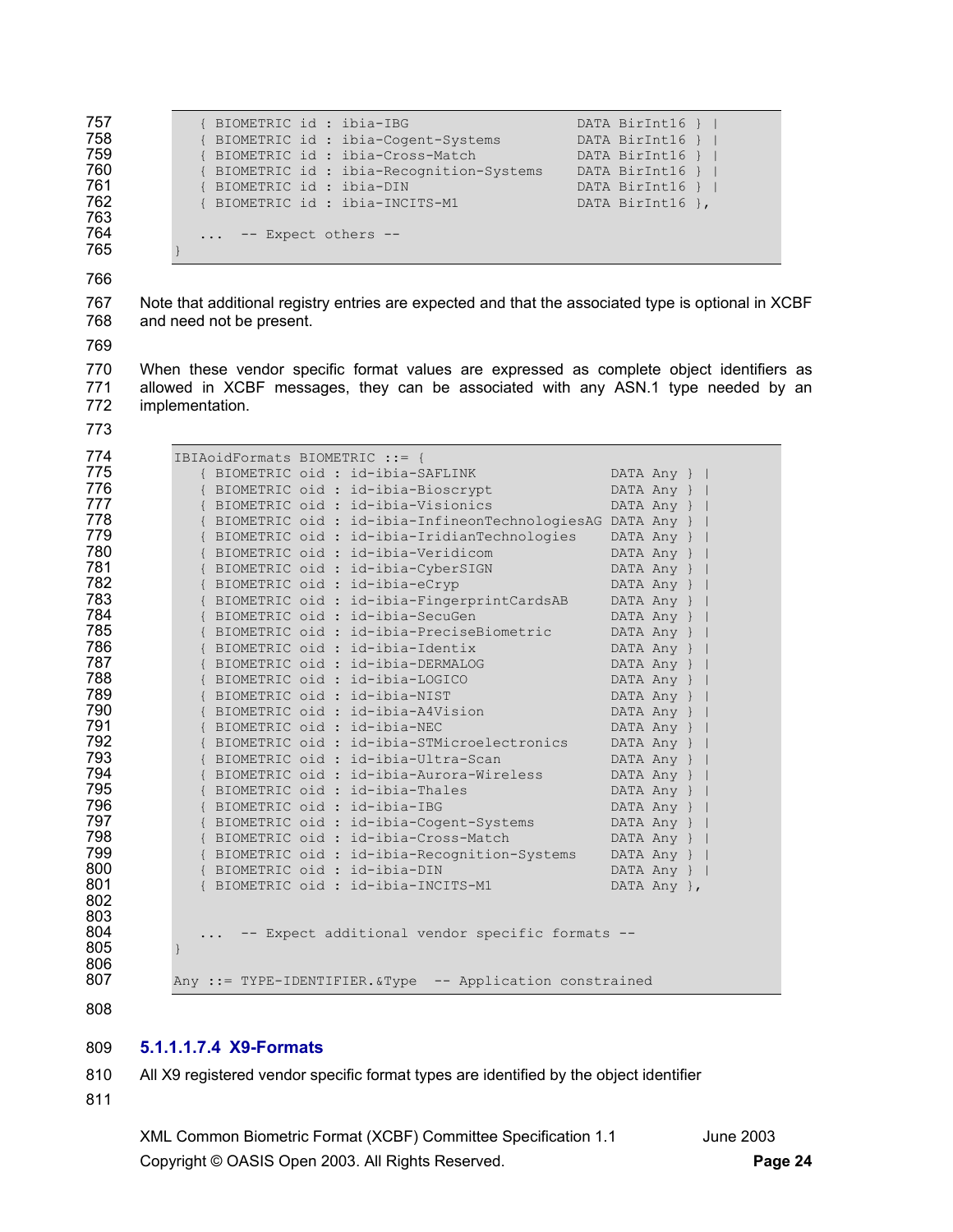```
757 		 { BIOMETRIC id : ibia-IBG 		 DATA BirInt16 } |
758 		 { BIOMETRIC id : ibia-Cogent-Systems 		 DATA BirInt16 } |
759 { BIOMETRIC id : ibia-Cross-Match DATA BirInt16 } | 
760 		 { BIOMETRIC id : ibia-Recognition-Systems 		 DATA BirInt16 } |
761 		 { BIOMETRIC id : ibia-DIN 		 DATA BirInt16 } |
762 { BIOMETRIC id : ibia-INCITS-M1 DATA BirInt16 }, 
764 ... -- Expect others --
```
} 

767 Note that additional registry entries are expected and that the associated type is optional in XCBF 768 and need not be present.

770 When these vendor specific format values are expressed as complete object identifiers as 771 allowed in XCBF messages, they can be associated with any ASN.1 type needed by an 772 implementation.

| 774 |               | IBIAoidFormats BIOMETRIC ::= {                              |             |
|-----|---------------|-------------------------------------------------------------|-------------|
| 775 |               | { BIOMETRIC oid : id-ibia-SAFLINK                           | DATA Any }  |
| 776 |               | { BIOMETRIC oid : id-ibia-Bioscrypt                         | DATA Any }  |
| 777 |               | { BIOMETRIC oid : id-ibia-Visionics                         | DATA Any }  |
| 778 |               | { BIOMETRIC oid : id-ibia-InfineonTechnologiesAG DATA Any } |             |
| 779 |               | { BIOMETRIC oid : id-ibia-IridianTechnologies               | DATA Any }  |
| 780 |               | { BIOMETRIC oid : id-ibia-Veridicom                         | DATA Any }  |
| 781 |               | { BIOMETRIC oid : id-ibia-CyberSIGN                         | DATA Any }  |
| 782 |               | { BIOMETRIC oid : id-ibia-eCryp                             | DATA Any }  |
| 783 |               | { BIOMETRIC oid : id-ibia-FingerprintCardsAB                | DATA Any }  |
| 784 |               | { BIOMETRIC oid : id-ibia-SecuGen                           | DATA Any }  |
| 785 |               | { BIOMETRIC oid : id-ibia-PreciseBiometric                  | DATA Any }  |
| 786 |               | { BIOMETRIC oid : id-ibia-Identix                           | DATA Any }  |
| 787 |               | { BIOMETRIC oid : id-ibia-DERMALOG                          | DATA Any }  |
| 788 |               | { BIOMETRIC oid : id-ibia-LOGICO                            | DATA Any }  |
| 789 |               | { BIOMETRIC oid : id-ibia-NIST                              | DATA Any }  |
| 790 |               | { BIOMETRIC oid : id-ibia-A4Vision                          | DATA Any }  |
| 791 |               | { BIOMETRIC oid : id-ibia-NEC                               | DATA Any }  |
| 792 |               | { BIOMETRIC oid : id-ibia-STMicroelectronics                | DATA Any }  |
| 793 |               | { BIOMETRIC oid : id-ibia-Ultra-Scan                        | DATA Any }  |
| 794 |               | { BIOMETRIC oid : id-ibia-Aurora-Wireless                   | DATA Any }  |
| 795 |               | { BIOMETRIC oid : id-ibia-Thales                            | DATA Any }  |
| 796 |               | { BIOMETRIC oid : id-ibia-IBG                               | DATA Any }  |
| 797 |               | { BIOMETRIC oid : id-ibia-Cogent-Systems                    | DATA Any }  |
| 798 |               | { BIOMETRIC oid : id-ibia-Cross-Match                       | DATA Any }  |
| 799 |               | { BIOMETRIC oid : id-ibia-Recognition-Systems               | DATA Any }  |
| 800 |               | { BIOMETRIC oid : id-ibia-DIN                               | DATA Any }  |
| 801 |               | { BIOMETRIC oid : id-ibia-INCITS-M1                         | DATA Any }, |
| 802 |               |                                                             |             |
| 803 |               |                                                             |             |
| 804 |               | -- Expect additional vendor specific formats --             |             |
| 805 | $\mathcal{F}$ |                                                             |             |
| 806 |               |                                                             |             |
| 807 |               | Any ::= TYPE-IDENTIFIER. &Type -- Application constrained   |             |

#### **5.1.1.1.7.4 X9-Formats**

810 All X9 registered vendor specific format types are identified by the object identifier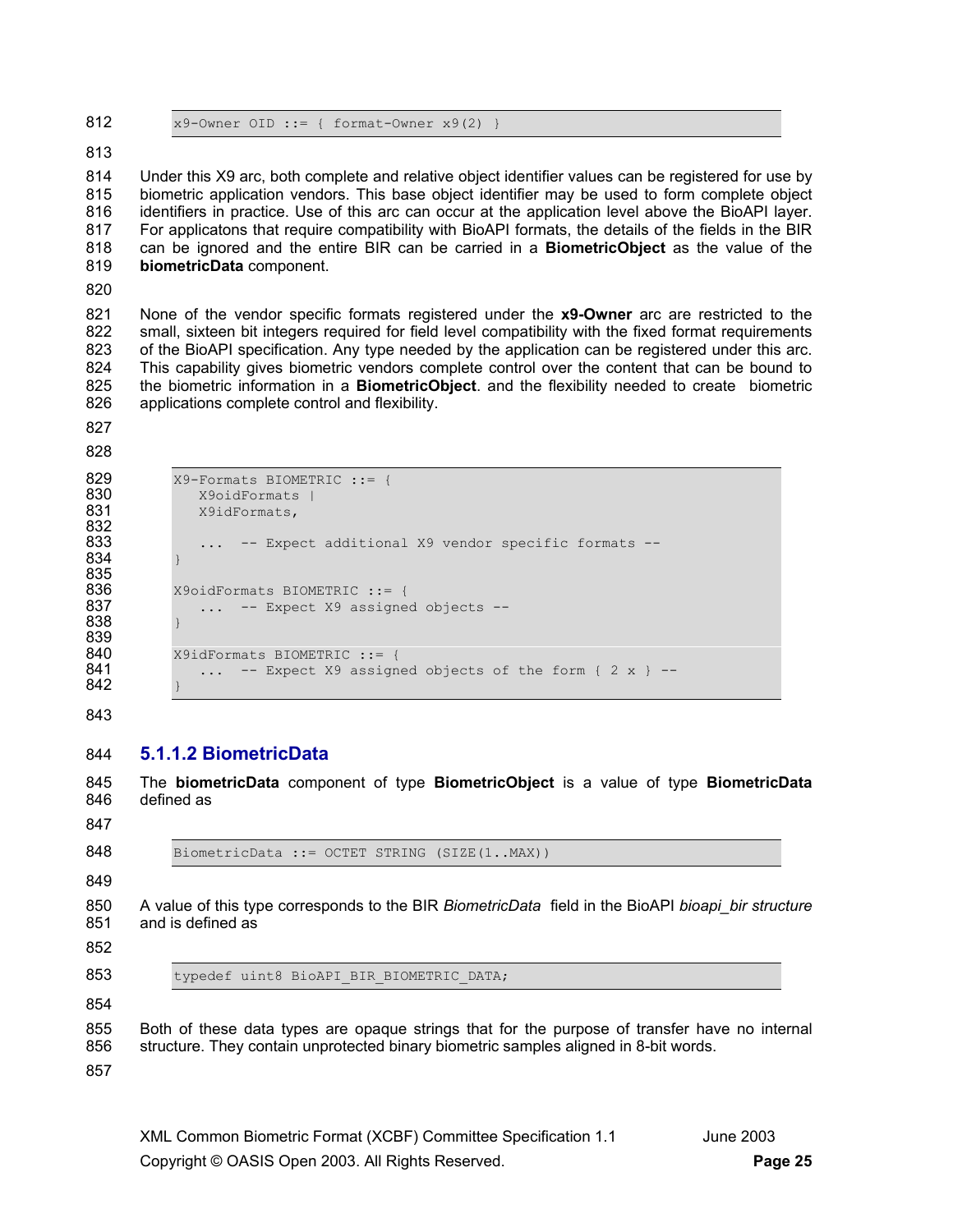812  $x9$ -Owner OID ::= { format-Owner  $x9(2)$  }

#### 813

814 Under this X9 arc, both complete and relative object identifier values can be registered for use by 815 biometric application vendors. This base object identifier may be used to form complete object 816 identifiers in practice. Use of this arc can occur at the application level above the BioAPI layer. 817 For applicatons that require compatibility with BioAPI formats, the details of the fields in the BIR 818 can be ignored and the entire BIR can be carried in a **BiometricObject** as the value of the 819 **biometricData** component.

820

821 None of the vendor specific formats registered under the **x9-Owner** arc are restricted to the 822 small, sixteen bit integers required for field level compatibility with the fixed format requirements 823 of the BioAPI specification. Any type needed by the application can be registered under this arc. 824 This capability gives biometric vendors complete control over the content that can be bound to 825 the biometric information in a **BiometricObject**. and the flexibility needed to create biometric 826 applications complete control and flexibility.

827

```
828
```

```
829 		 X9-Formats BIOMETRIC ::= {<br>830 		 X9oidFormats |
830 X9oidFormats | 
                831 X9idFormats, 
832 
833 ... -- Expect additional X9 vendor specific formats --
834 } 
835<br>836
836 X9oidFormats BIOMETRIC ::= {<br>837 ... -- Expect X9 assigne
                 ... -- Expect X9 assigned objects --
838 } 
839 
840 X9idFormats BIOMETRIC ::= {<br>841 ... -- Expect X9 assign
                 \ldots -- Expect X9 assigned objects of the form { 2 x } --
842 }
```
843

## 844 **5.1.1.2 BiometricData**

845 The **biometricData** component of type **BiometricObject** is a value of type **BiometricData**  846 defined as

847

848 BiometricData ::= OCTET STRING (SIZE(1..MAX))

849

850 A value of this type corresponds to the BIR *BiometricData* field in the BioAPI *bioapi bir structure* 851 and is defined as

852

853 typedef uint8 BioAPI BIR BIOMETRIC DATA;

854

855 Both of these data types are opaque strings that for the purpose of transfer have no internal 856 structure. They contain unprotected binary biometric samples aligned in 8-bit words.

857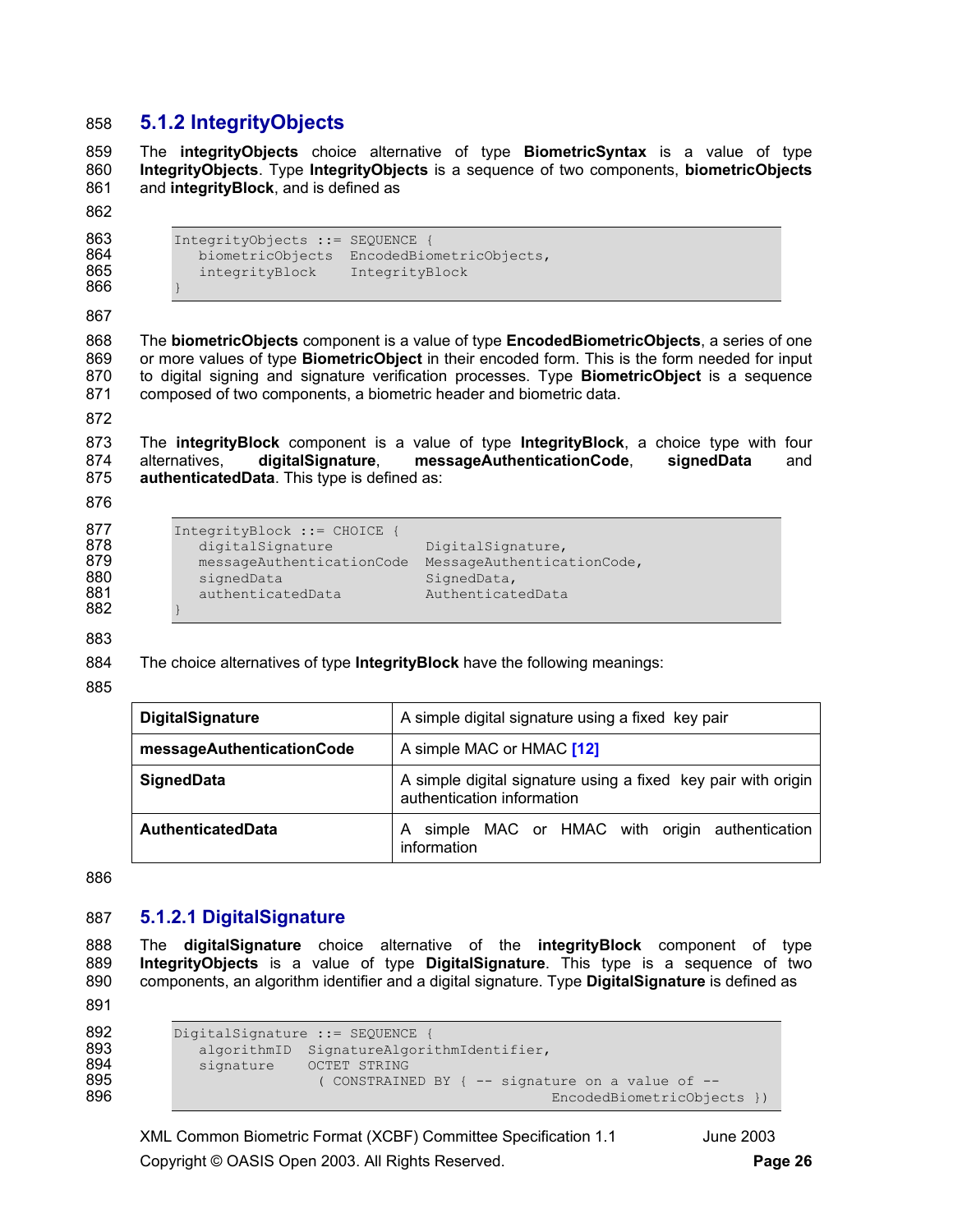## 858 **5.1.2 IntegrityObjects**

859 The **integrityObjects** choice alternative of type **BiometricSyntax** is a value of type 860 **IntegrityObjects**. Type **IntegrityObjects** is a sequence of two components, **biometricObjects** 861 and **integrityBlock**, and is defined as

```
862
```

```
863 IntegrityObjects ::= SEQUENCE {<br>864 biometricObjects EncodedBio
864 biometricObjects EncodedBiometricObjects, 
               integrityBlock IntegrityBlock
```
866 } 867

868 The **biometricObjects** component is a value of type **EncodedBiometricObjects**, a series of one 869 or more values of type **BiometricObject** in their encoded form. This is the form needed for input 870 to digital signing and signature verification processes. Type **BiometricObject** is a sequence 871 composed of two components, a biometric header and biometric data.

872

873 The **integrityBlock** component is a value of type **IntegrityBlock**, a choice type with four 874 alternatives, **digitalSignature**, **messageAuthenticationCode**, **signedData** and 875 **authenticatedData**. This type is defined as:

876

```
877 IntegrityBlock ::= CHOICE {<br>878 digitalSignature
878 digitalSignature DigitalSignature,<br>879 messageAuthenticationCode MessageAuthentica
                messageAuthenticationCode MessageAuthenticationCode,
880 signedData SignedData,<br>881 sauthenticatedData Authenticat
                authenticatedData AuthenticatedData
```
882 } 883

884 The choice alternatives of type **IntegrityBlock** have the following meanings:

885

| <b>DigitalSignature</b>   | A simple digital signature using a fixed key pair                                           |  |  |  |  |
|---------------------------|---------------------------------------------------------------------------------------------|--|--|--|--|
| messageAuthenticationCode | A simple MAC or HMAC [12]                                                                   |  |  |  |  |
| <b>SignedData</b>         | A simple digital signature using a fixed key pair with origin<br>authentication information |  |  |  |  |
| <b>AuthenticatedData</b>  | simple MAC or HMAC with origin authentication<br>A<br>information                           |  |  |  |  |

886

## 887 **5.1.2.1 DigitalSignature**

888 The **digitalSignature** choice alternative of the **integrityBlock** component of type 889 **IntegrityObjects** is a value of type **DigitalSignature**. This type is a sequence of two 890 components, an algorithm identifier and a digital signature. Type **DigitalSignature** is defined as

891

```
892 DigitalSignature ::= SEQUENCE {<br>893 algorithmID SignatureAlgori
893 algorithmID SignatureAlgorithmIdentifier,<br>894 signature OCTET STRING
894 signature OCTET STRING<br>895 (CONSTRAINE
895 ( CONSTRAINED BY { -- signature on a value of -- 
                                                             EncodedBiometricObjects })
```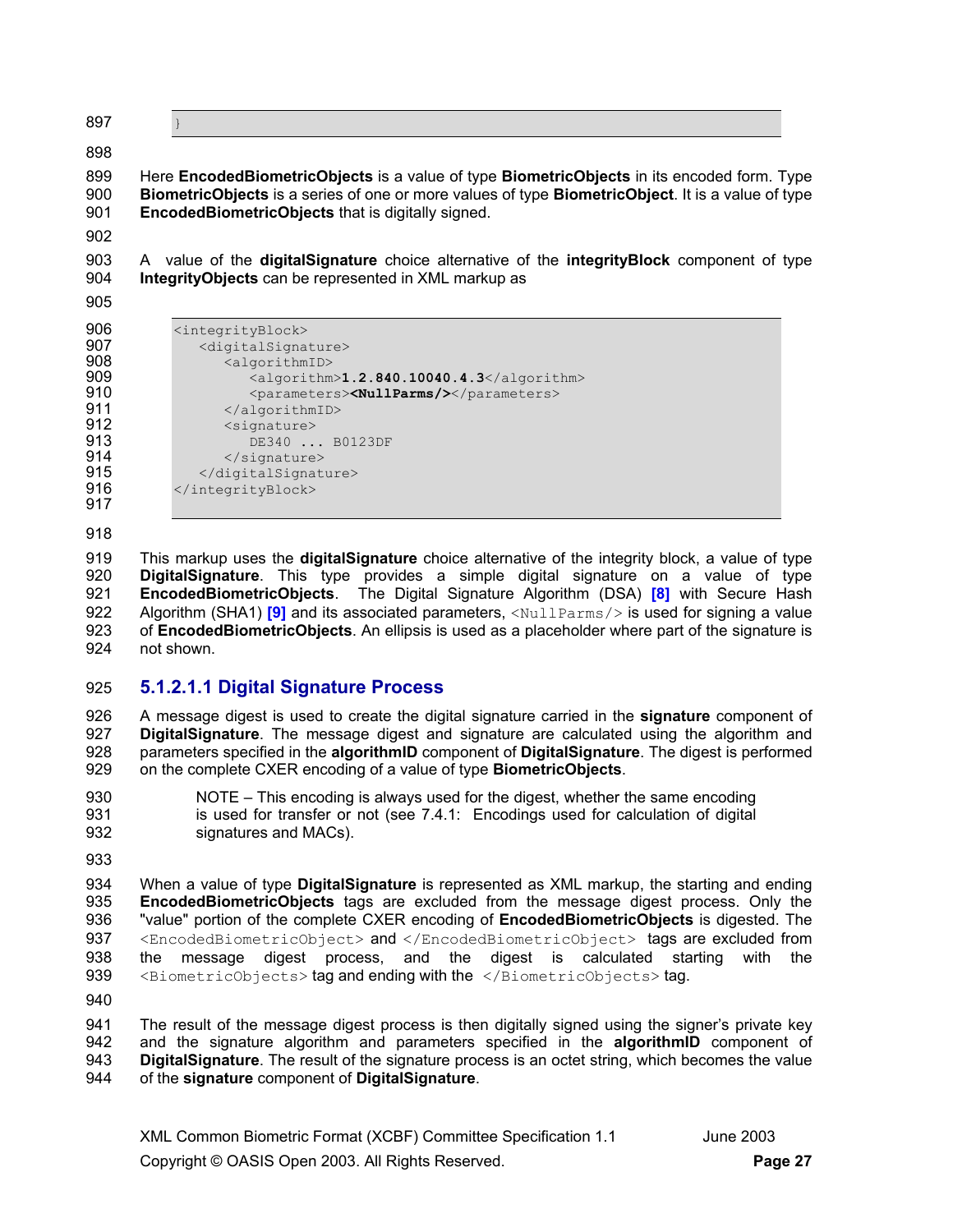897 }

898

899 Here **EncodedBiometricObjects** is a value of type **BiometricObjects** in its encoded form. Type 900 **BiometricObjects** is a series of one or more values of type **BiometricObject**. It is a value of type 901 **EncodedBiometricObjects** that is digitally signed.

902

903 A value of the **digitalSignature** choice alternative of the **integrityBlock** component of type 904 **IntegrityObjects** can be represented in XML markup as

905

| ອບບ | <lntegrityblock></lntegrityblock>       |
|-----|-----------------------------------------|
| 907 | <digitalsignat< th=""></digitalsignat<> |
| 908 | <algorithmi< th=""></algorithmi<>       |
| 909 | <algorit< th=""></algorit<>             |
| 910 | <paramet< th=""></paramet<>             |
| 911 |                                         |
| 912 | <signature></signature>                 |
| 913 | DE340                                   |
| 914 |                                         |
| 915 |                                         |
|     |                                         |

| 906 | <integrityblock></integrityblock>                |
|-----|--------------------------------------------------|
| 907 | <digitalsignature></digitalsignature>            |
| 908 | <algorithmid></algorithmid>                      |
| 909 | <algorithm>1.2.840.10040.4.3</algorithm>         |
| 910 | <parameters><nullparms></nullparms></parameters> |
| 911 |                                                  |
| 912 | <signature></signature>                          |
| 913 | DE340  B0123DF                                   |
| 914 | $\langle$ /signature>                            |
| 915 |                                                  |
| 916 |                                                  |

917 918

919 This markup uses the **digitalSignature** choice alternative of the integrity block, a value of type 920 **DigitalSignature**. This type provides a simple digital signature on a value of type 921 **EncodedBiometricObjects**. The Digital Signature Algorithm (DSA) **[8]** with Secure Hash 922 Algorithm (SHA1) <sup>[9]</sup> and its associated parameters, <NullParms/> is used for signing a value 923 of **EncodedBiometricObjects**. An ellipsis is used as a placeholder where part of the signature is 924 not shown.

## 925 **5.1.2.1.1 Digital Signature Process**

926 A message digest is used to create the digital signature carried in the **signature** component of 927 **DigitalSignature**. The message digest and signature are calculated using the algorithm and 928 parameters specified in the **algorithmID** component of **DigitalSignature**. The digest is performed 929 on the complete CXER encoding of a value of type **BiometricObjects**.

930 NOTE – This encoding is always used for the digest, whether the same encoding 931 is used for transfer or not (see 7.4.1: Encodings used for calculation of digital 932 signatures and MACs).

933

934 When a value of type **DigitalSignature** is represented as XML markup, the starting and ending 935 **EncodedBiometricObjects** tags are excluded from the message digest process. Only the 936 "value" portion of the complete CXER encoding of **EncodedBiometricObjects** is digested. The 937 <EncodedBiometricObject> and </EncodedBiometricObject> tags are excluded from 938 the message digest process, and the digest is calculated starting with the 939 <BiometricObjects> tag and ending with the </BiometricObjects> tag.

940

941 The result of the message digest process is then digitally signed using the signer's private key 942 and the signature algorithm and parameters specified in the **algorithmID** component of 943 **DigitalSignature**. The result of the signature process is an octet string, which becomes the value 944 of the **signature** component of **DigitalSignature**.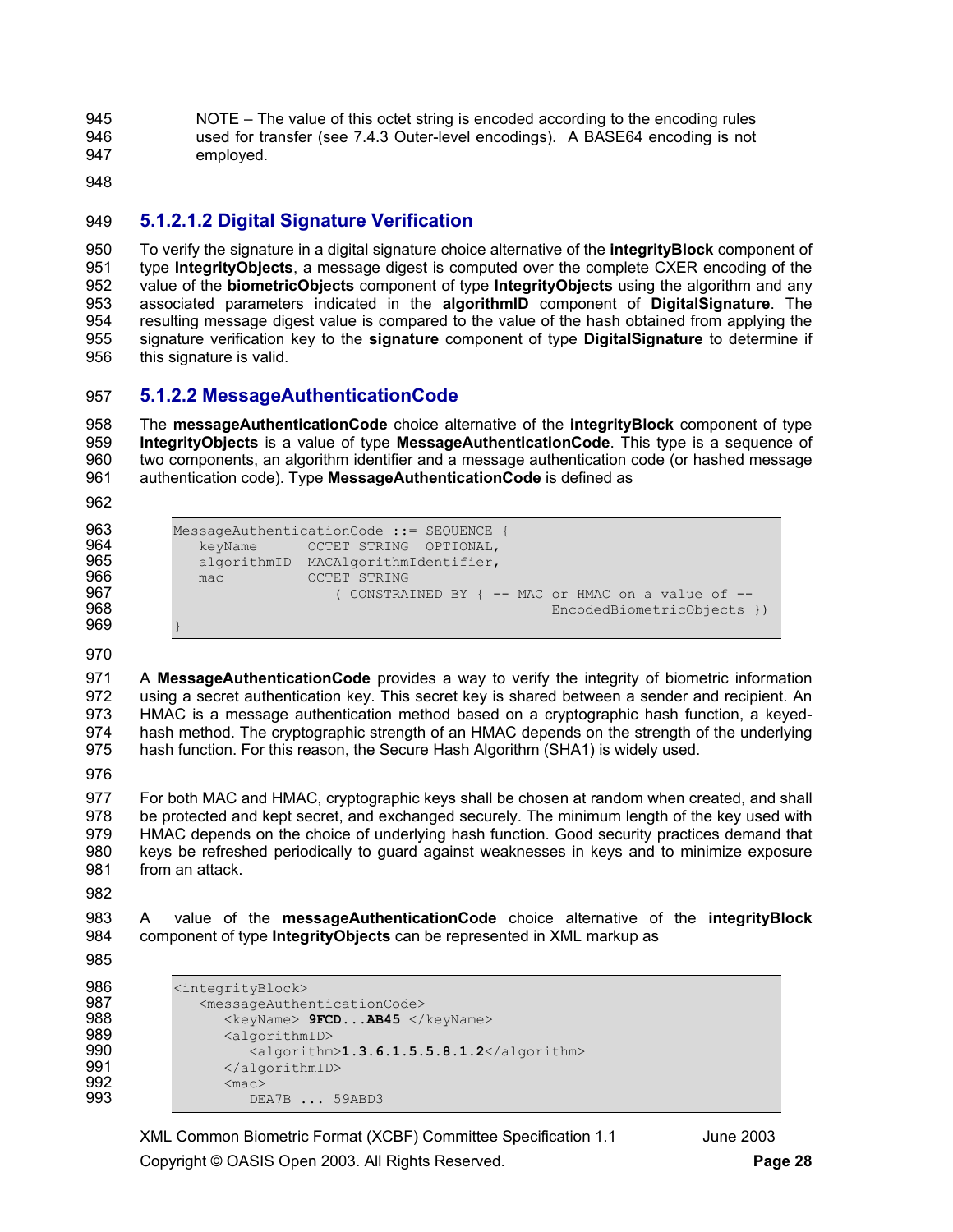945 NOTE – The value of this octet string is encoded according to the encoding rules 946 used for transfer (see 7.4.3 Outer-level encodings). A BASE64 encoding is not 947 employed.

948

## 949 **5.1.2.1.2 Digital Signature Verification**

950 To verify the signature in a digital signature choice alternative of the **integrityBlock** component of 951 type **IntegrityObjects**, a message digest is computed over the complete CXER encoding of the 952 value of the **biometricObjects** component of type **IntegrityObjects** using the algorithm and any 953 associated parameters indicated in the **algorithmID** component of **DigitalSignature**. The 954 resulting message digest value is compared to the value of the hash obtained from applying the 955 signature verification key to the **signature** component of type **DigitalSignature** to determine if 956 this signature is valid.

## 957 **5.1.2.2 MessageAuthenticationCode**

958 The **messageAuthenticationCode** choice alternative of the **integrityBlock** component of type 959 **IntegrityObjects** is a value of type **MessageAuthenticationCode**. This type is a sequence of 960 two components, an algorithm identifier and a message authentication code (or hashed message 961 authentication code). Type **MessageAuthenticationCode** is defined as

962

```
963 MessageAuthenticationCode := SEQUENCE {<br>964 MeeyName OCTET STRING OPTIONAL,
964 keyName OCTET STRING OPTIONAL,<br>965 algorithmID MACAlgorithmIdentifier,
965 algorithmID MACAlgorithmIdentifier, 
er octet string the community of the construction of the construction of the construction of the construction <br>The construction of the construction of the construction of the construction of the construction of the constr
967 ( CONSTRAINED BY { -- MAC or HMAC on a value of -- 
                                                                                             EncodedBiometricObjects })
969 }
```
970

971 A **MessageAuthenticationCode** provides a way to verify the integrity of biometric information 972 using a secret authentication key. This secret key is shared between a sender and recipient. An 973 HMAC is a message authentication method based on a cryptographic hash function, a keyed-974 hash method. The cryptographic strength of an HMAC depends on the strength of the underlying 975 hash function. For this reason, the Secure Hash Algorithm (SHA1) is widely used.

976

977 For both MAC and HMAC, cryptographic keys shall be chosen at random when created, and shall 978 be protected and kept secret, and exchanged securely. The minimum length of the key used with 979 HMAC depends on the choice of underlying hash function. Good security practices demand that 980 keys be refreshed periodically to guard against weaknesses in keys and to minimize exposure 981 from an attack.

982

983 A value of the **messageAuthenticationCode** choice alternative of the **integrityBlock** 984 component of type **IntegrityObjects** can be represented in XML markup as

```
985
```

```
986 <integrityBlock><br>987 < messageAuther>
987 <messageAuthenticationCode><br>988 <keyName> 9FCD...AB45 </
988 <keyName> 9FCD...AB45 </keyName> 
989 <algorithmID><br>990 <algorithm
990 <algorithm>1.3.6.1.5.5.8.1.2</algorithm><br>991 </algorithmID>
991 </algorithmID><br>992 <mac>
992 <mac>
                     DEA7B ... 59ABD3
```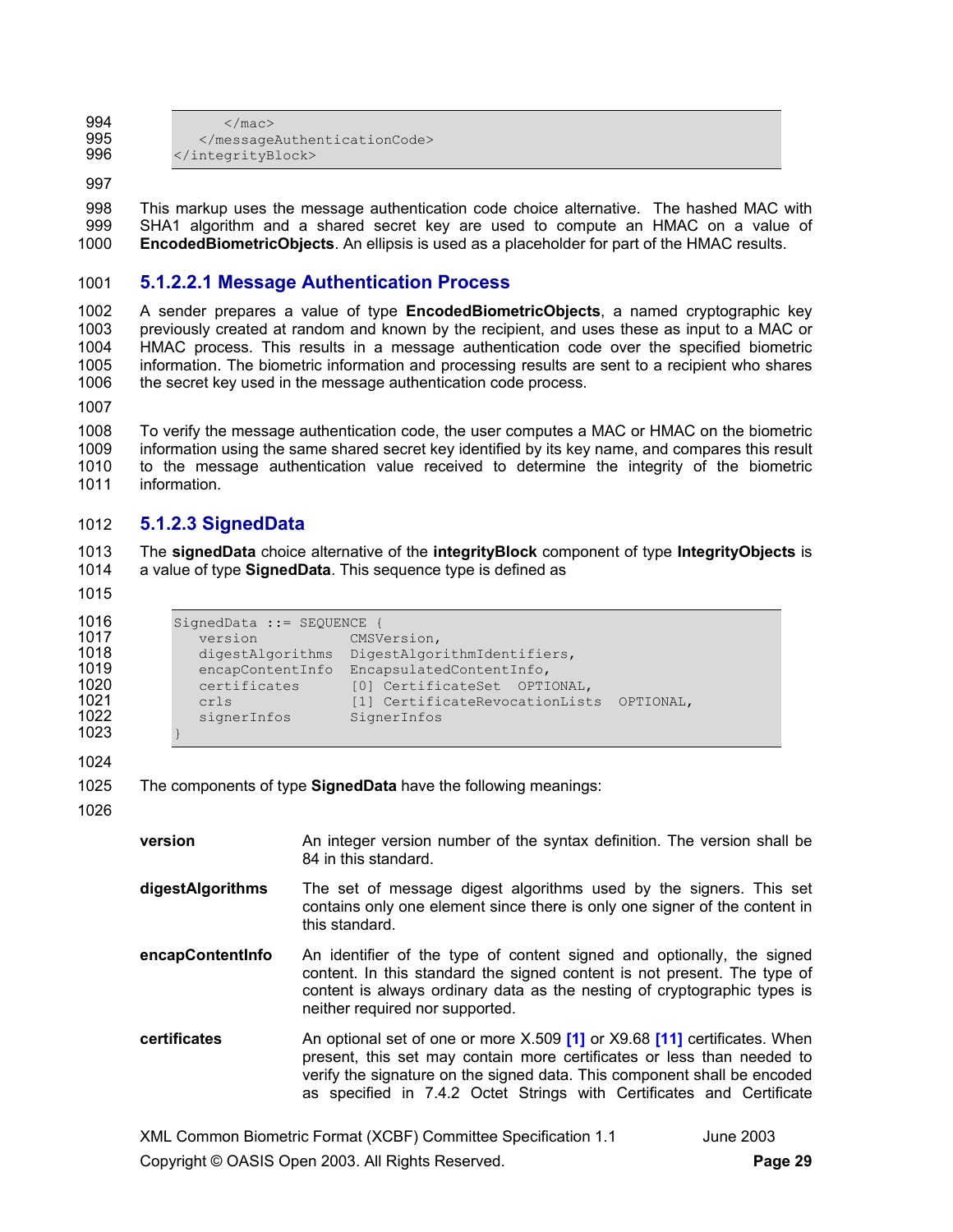994  $\langle / \text{mac} \rangle$ <br>995  $\langle / \text{message} \rangle$ 995 </messageAuthenticationCode><br>996 </integrityBlock> </integrityBlock>

997

998 This markup uses the message authentication code choice alternative. The hashed MAC with 999 SHA1 algorithm and a shared secret key are used to compute an HMAC on a value of 1000 **EncodedBiometricObjects**. An ellipsis is used as a placeholder for part of the HMAC results.

## 1001 **5.1.2.2.1 Message Authentication Process**

1002 A sender prepares a value of type **EncodedBiometricObjects**, a named cryptographic key 1003 previously created at random and known by the recipient, and uses these as input to a MAC or 1004 HMAC process. This results in a message authentication code over the specified biometric 1005 information. The biometric information and processing results are sent to a recipient who shares 1006 the secret key used in the message authentication code process.

1007

1008 To verify the message authentication code, the user computes a MAC or HMAC on the biometric 1009 information using the same shared secret key identified by its key name, and compares this result 1010 to the message authentication value received to determine the integrity of the biometric 1011 information.

## 1012 **5.1.2.3 SignedData**

1013 The **signedData** choice alternative of the **integrityBlock** component of type **IntegrityObjects** is 1014 a value of type **SignedData**. This sequence type is defined as

1015

```
1016 SignedData ::= SEQUENCE {<br>1017 version CMSV
1017 version CMSVersion,<br>1018 digestAlgorithms DigestAlgor
1018 digestAlgorithms DigestAlgorithmIdentifiers, 
1019 encapContentInfo EncapsulatedContentInfo,<br>1020 eertificates [0] CertificateSet OPTI
1020 certificates [0] CertificateSet OPTIONAL,<br>1021 crls [1] CertificateRevocationList
1021 crls [1] CertificateRevocationLists OPTIONAL,<br>1022 signerInfos SignerInfos
                  1022 signerInfos SignerInfos 
1023 }
```
1024

| 1025 |  |  | The components of type SignedData have the following meanings: |
|------|--|--|----------------------------------------------------------------|
|------|--|--|----------------------------------------------------------------|

1026

- **version An integer version number of the syntax definition. The version shall be** 84 in this standard.
- **digestAlgorithms** The set of message digest algorithms used by the signers. This set contains only one element since there is only one signer of the content in this standard.
- **encapContentInfo** An identifier of the type of content signed and optionally, the signed content. In this standard the signed content is not present. The type of content is always ordinary data as the nesting of cryptographic types is neither required nor supported.
- **certificates** An optional set of one or more X.509 **[1]** or X9.68 **[11]** certificates. When present, this set may contain more certificates or less than needed to verify the signature on the signed data. This component shall be encoded as specified in 7.4.2 Octet Strings with Certificates and Certificate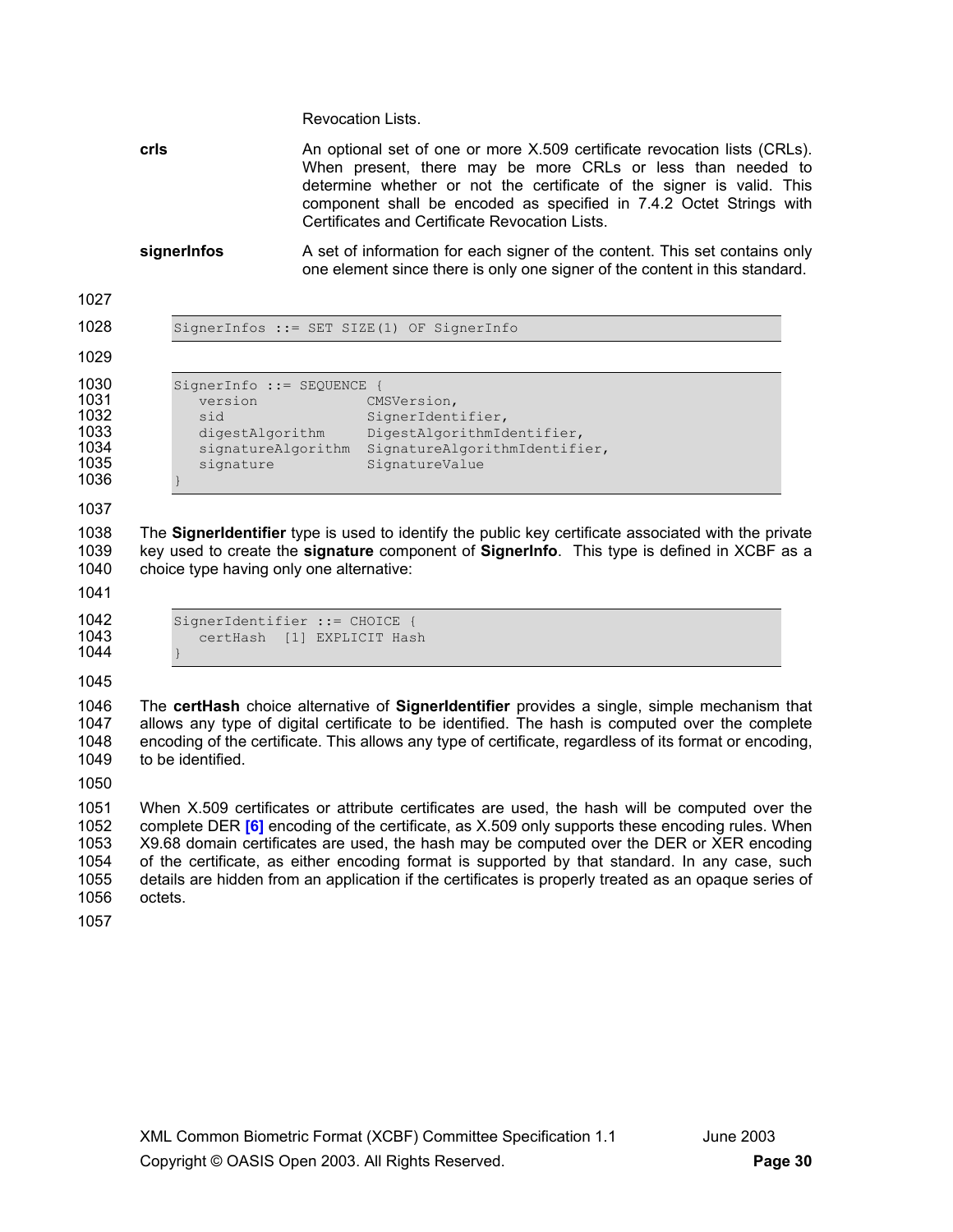Revocation Lists.

**crls An** optional set of one or more X.509 certificate revocation lists (CRLs). When present, there may be more CRLs or less than needed to determine whether or not the certificate of the signer is valid. This component shall be encoded as specified in 7.4.2 Octet Strings with Certificates and Certificate Revocation Lists.

**signerInfos** A set of information for each signer of the content. This set contains only one element since there is only one signer of the content in this standard.

| SignerInfos ::= SET SIZE(1) OF SignerInfo<br>SignerInfo ::= SEQUENCE {<br>version<br>CMSVersion,<br>SignerIdentifier,<br>sid<br>DigestAlgorithmIdentifier,<br>digestAlgorithm<br>SignatureAlgorithmIdentifier,<br>signatureAlgorithm<br>SignatureValue<br>signature |  |
|---------------------------------------------------------------------------------------------------------------------------------------------------------------------------------------------------------------------------------------------------------------------|--|
|                                                                                                                                                                                                                                                                     |  |
|                                                                                                                                                                                                                                                                     |  |
|                                                                                                                                                                                                                                                                     |  |

1038 The **SignerIdentifier** type is used to identify the public key certificate associated with the private 1039 key used to create the **signature** component of **SignerInfo**. This type is defined in XCBF as a 1040 choice type having only one alternative:

1041

1044 }

| 1042    | SignerIdentifier ::= CHOICE { |                   |
|---------|-------------------------------|-------------------|
| 1043    | certHash                      | [1] EXPLICIT Hash |
| 1 N A A |                               |                   |

1045

1046 The **certHash** choice alternative of **SignerIdentifier** provides a single, simple mechanism that 1047 allows any type of digital certificate to be identified. The hash is computed over the complete 1048 encoding of the certificate. This allows any type of certificate, regardless of its format or encoding, 1049 to be identified.

1050

1051 When X.509 certificates or attribute certificates are used, the hash will be computed over the 1052 complete DER **[6]** encoding of the certificate, as X.509 only supports these encoding rules. When 1053 X9.68 domain certificates are used, the hash may be computed over the DER or XER encoding 1054 of the certificate, as either encoding format is supported by that standard. In any case, such 1055 details are hidden from an application if the certificates is properly treated as an opaque series of octets.

1057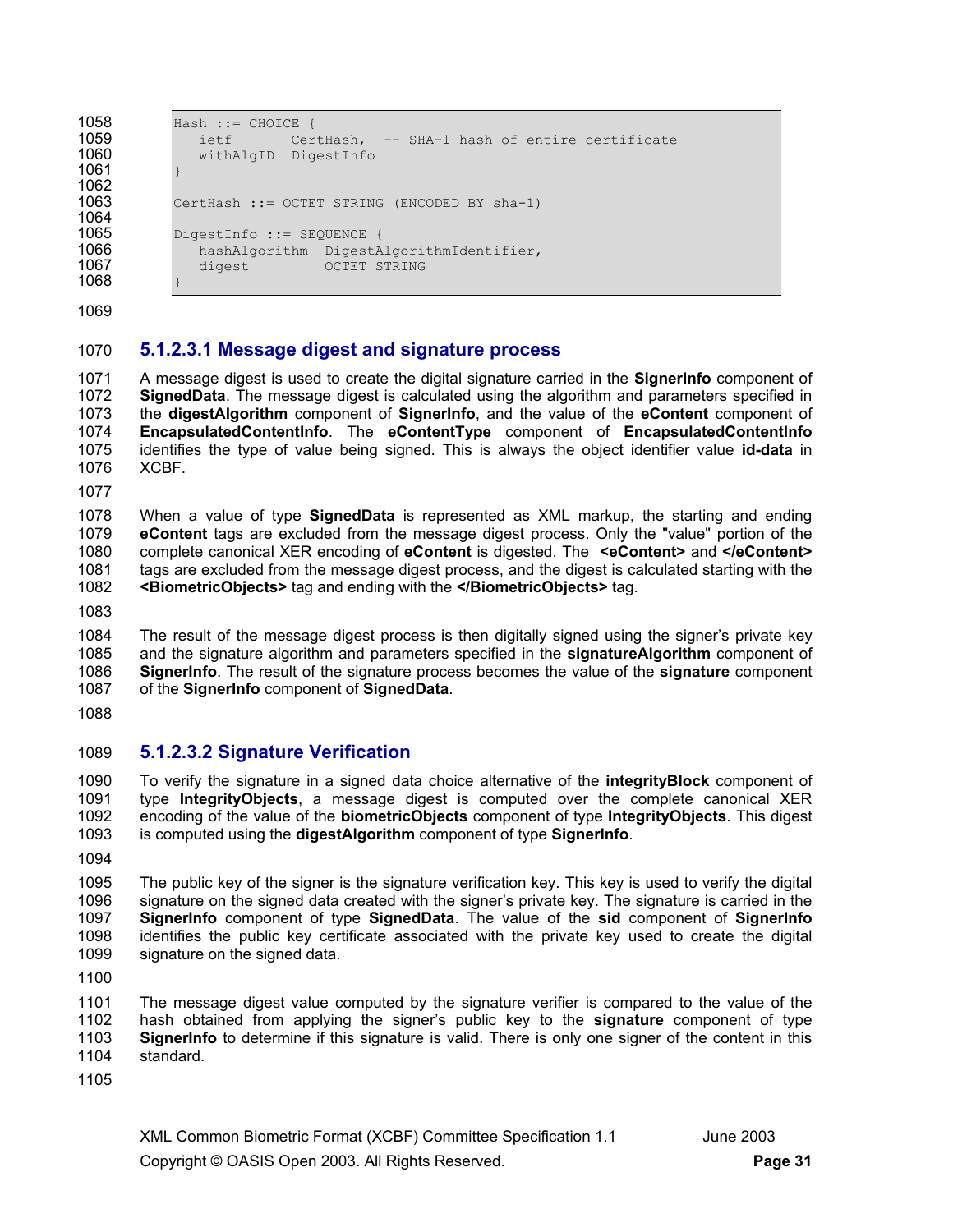1061 } 1062

1064

```
1058 Hash ::= CHOICE {<br>1059 ietf Cer
1059 ietf CertHash, -- SHA-1 hash of entire certificate 
               withAlgID DigestInfo
1063 CertHash ::= OCTET STRING (ENCODED BY sha-1) 
1065 DigestInfo ::= SEQUENCE {<br>1066 hashAlgorithm DigestA
1066 hashAlgorithm DigestAlgorithmIdentifier,<br>1067 digest OCTET STRING
               digest OCTET STRING
```
1069

1068 }

## 1070 **5.1.2.3.1 Message digest and signature process**

1071 A message digest is used to create the digital signature carried in the **SignerInfo** component of 1072 **SignedData**. The message digest is calculated using the algorithm and parameters specified in 1073 the **digestAlgorithm** component of **SignerInfo**, and the value of the **eContent** component of 1074 **EncapsulatedContentInfo**. The **eContentType** component of **EncapsulatedContentInfo** 1075 identifies the type of value being signed. This is always the object identifier value **id-data** in 1076 XCBF.

1077

1078 When a value of type **SignedData** is represented as XML markup, the starting and ending 1079 **eContent** tags are excluded from the message digest process. Only the "value" portion of the 1080 complete canonical XER encoding of **eContent** is digested. The **<eContent>** and **</eContent>** 1081 tags are excluded from the message digest process, and the digest is calculated starting with the 1082 **<BiometricObjects>** tag and ending with the **</BiometricObjects>** tag.

1083

1084 The result of the message digest process is then digitally signed using the signer's private key 1085 and the signature algorithm and parameters specified in the **signatureAlgorithm** component of 1086 **SignerInfo**. The result of the signature process becomes the value of the **signature** component 1087 of the **SignerInfo** component of **SignedData**.

1088

## 1089 **5.1.2.3.2 Signature Verification**

1090 To verify the signature in a signed data choice alternative of the **integrityBlock** component of 1091 type **IntegrityObjects**, a message digest is computed over the complete canonical XER 1092 encoding of the value of the **biometricObjects** component of type **IntegrityObjects**. This digest 1093 is computed using the **digestAlgorithm** component of type **SignerInfo**.

1094

1095 The public key of the signer is the signature verification key. This key is used to verify the digital 1096 signature on the signed data created with the signer's private key. The signature is carried in the 1097 **SignerInfo** component of type **SignedData**. The value of the **sid** component of **SignerInfo** 1098 identifies the public key certificate associated with the private key used to create the digital 1099 signature on the signed data.

1100

1101 The message digest value computed by the signature verifier is compared to the value of the 1102 hash obtained from applying the signer's public key to the **signature** component of type 1103 **SignerInfo** to determine if this signature is valid. There is only one signer of the content in this 1104 standard.

1105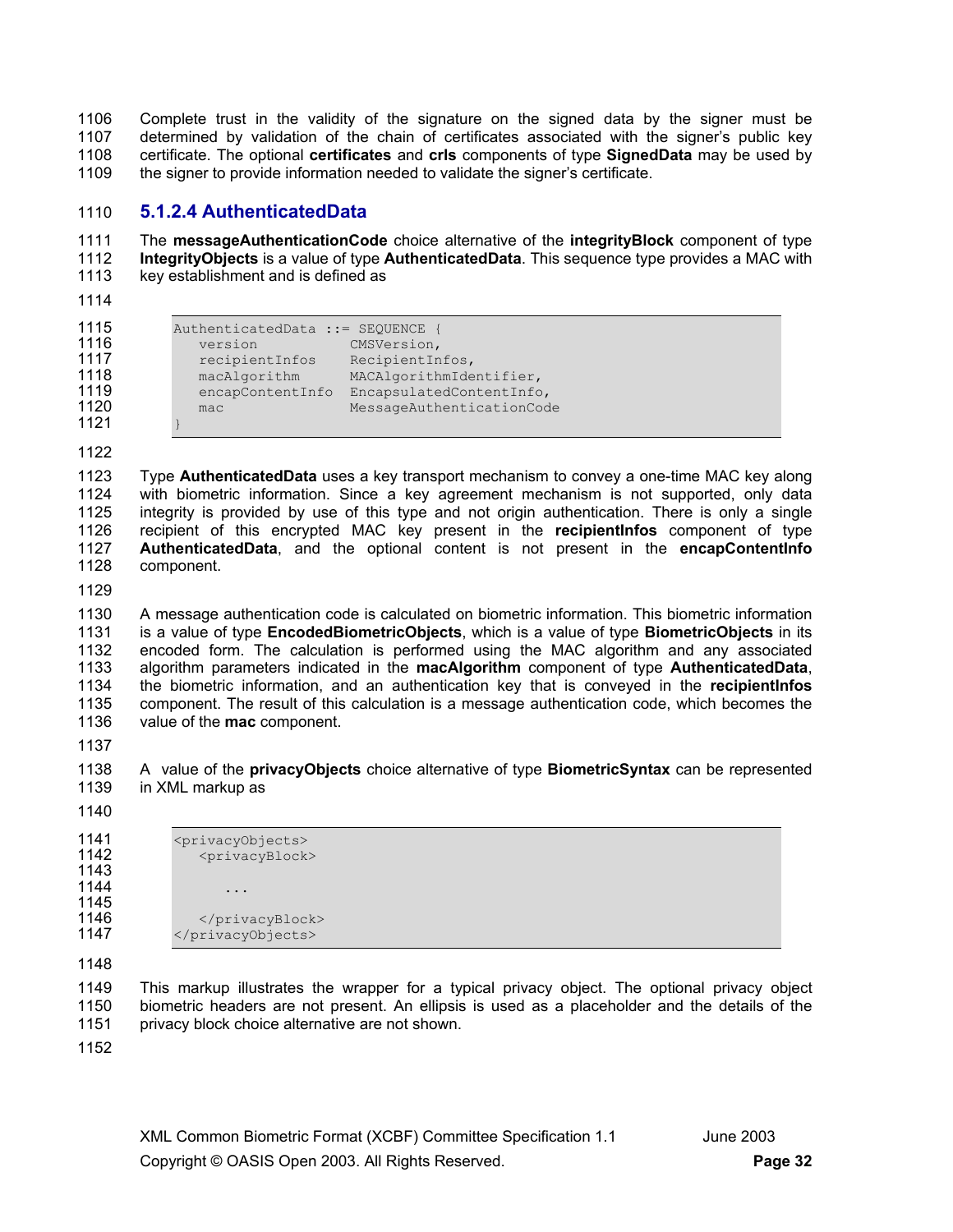1106 Complete trust in the validity of the signature on the signed data by the signer must be 1107 determined by validation of the chain of certificates associated with the signer's public key determined by validation of the chain of certificates associated with the signer's public key 1108 certificate. The optional **certificates** and **crls** components of type **SignedData** may be used by 1109 the signer to provide information needed to validate the signer's certificate.

## 1110 **5.1.2.4 AuthenticatedData**

1111 The **messageAuthenticationCode** choice alternative of the **integrityBlock** component of type 1112 **IntegrityObjects** is a value of type **AuthenticatedData**. This sequence type provides a MAC with 1113 key establishment and is defined as

1114

| 1115 | AuthenticatedData ::= SEQUENCE |                           |
|------|--------------------------------|---------------------------|
| 1116 | version                        | CMSVersion,               |
| 1117 | recipientInfos                 | RecipientInfos,           |
| 1118 | macAlgorithm                   | MACAlgorithmIdentifier,   |
| 1119 | encapContentInfo               | EncapsulatedContentInfo,  |
| 1120 | mac                            | MessageAuthenticationCode |
| 1121 |                                |                           |

1122

1123 Type **AuthenticatedData** uses a key transport mechanism to convey a one-time MAC key along 1124 with biometric information. Since a key agreement mechanism is not supported, only data 1125 integrity is provided by use of this type and not origin authentication. There is only a single 1126 recipient of this encrypted MAC key present in the **recipientInfos** component of type 1127 **AuthenticatedData**, and the optional content is not present in the **encapContentInfo** 1128 component.

1129

1130 A message authentication code is calculated on biometric information. This biometric information 1131 is a value of type **EncodedBiometricObjects**, which is a value of type **BiometricObjects** in its 1132 encoded form. The calculation is performed using the MAC algorithm and any associated 1133 algorithm parameters indicated in the **macAlgorithm** component of type **Authenticated Data**. 1133 algorithm parameters indicated in the **macAlgorithm** component of type **AuthenticatedData**, 1134 the biometric information, and an authentication key that is conveyed in the **recipientInfos** 1135 component. The result of this calculation is a message authentication code, which becomes the 1136 value of the **mac** component.

1137

1138 A value of the **privacyObjects** choice alternative of type **BiometricSyntax** can be represented in XML markup as

1140

1141 <privacyObjects><br>1142 <privacyBlock> <privacyBlock> 1143 1144 ... 1145<br>1146 1146 </privacyBlock><br>1147 </privacyObjects> </privacyObjects>

1148

1149 This markup illustrates the wrapper for a typical privacy object. The optional privacy object 1150 biometric headers are not present. An ellipsis is used as a placeholder and the details of the 1151 privacy block choice alternative are not shown.

1152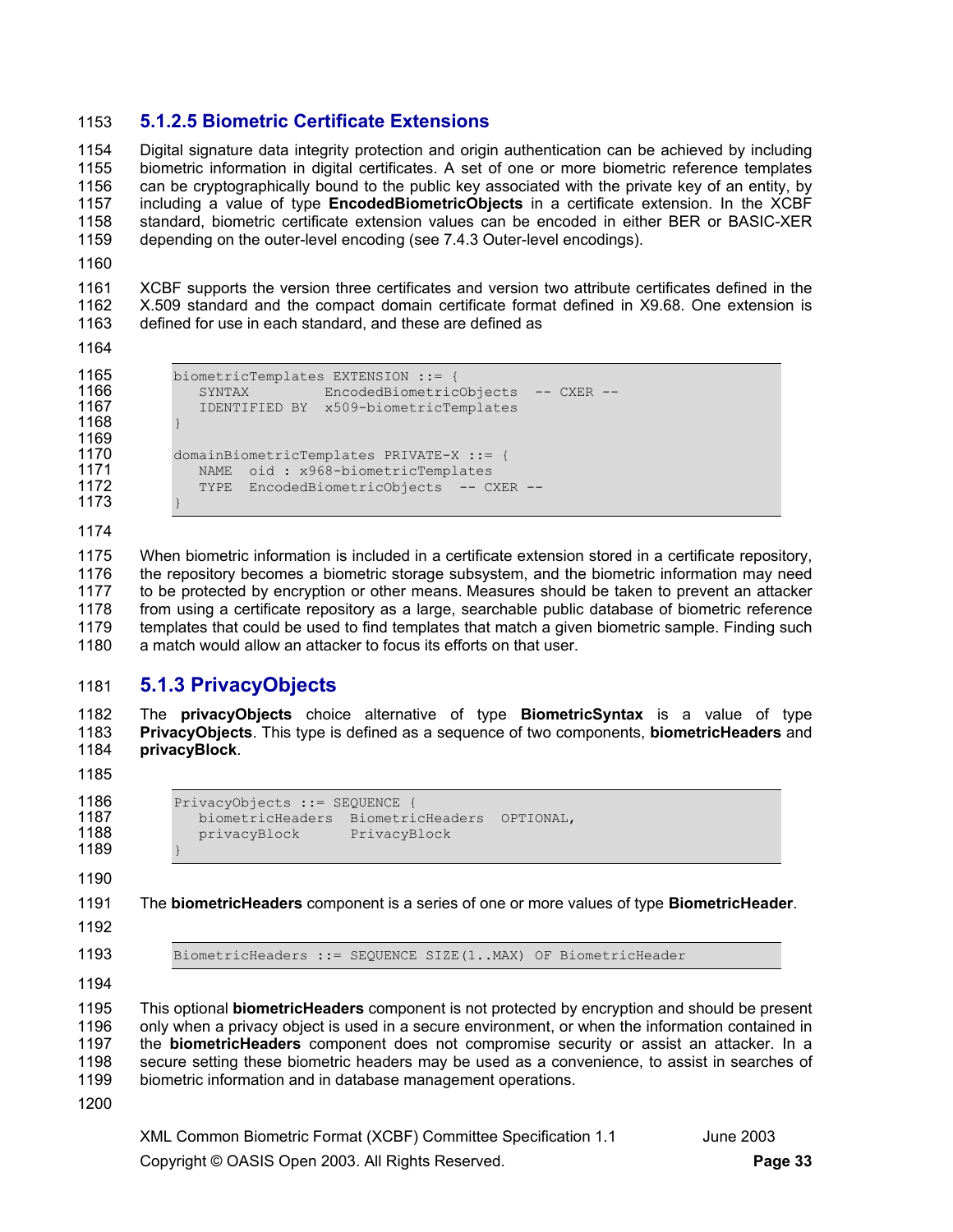## 1153 **5.1.2.5 Biometric Certificate Extensions**

1154 Digital signature data integrity protection and origin authentication can be achieved by including 1155 biometric information in digital certificates. A set of one or more biometric reference templates 1156 can be cryptographically bound to the public key associated with the private key of an entity, by 1157 including a value of type **EncodedBiometricObjects** in a certificate extension. In the XCBF 1158 standard, biometric certificate extension values can be encoded in either BER or BASIC-XER 1159 depending on the outer-level encoding (see 7.4.3 Outer-level encodings).

1160

1161 XCBF supports the version three certificates and version two attribute certificates defined in the 1162 X.509 standard and the compact domain certificate format defined in X9.68. One extension is 1163 defined for use in each standard, and these are defined as

1164

1165 biometricTemplates EXTENSION ::= {<br>1166 SYNTAX EncodedBiometric 1166 SYNTAX EncodedBiometricObjects -- CXER --<br>1167 IDENTIFIED BY x509-biometricTemplates

1168 } 1169 1170 domainBiometricTemplates PRIVATE-X ::= {<br>1171 NAME oid : x968-biometricTemplates

1171 MAME oid : x968-biometricTemplates<br>1172 TYPE EncodedBiometricObiects -- C

1173 } 1174

1175 When biometric information is included in a certificate extension stored in a certificate repository,<br>1176 the repository becomes a biometric storage subsystem, and the biometric information may need the repository becomes a biometric storage subsystem, and the biometric information may need 1177 to be protected by encryption or other means. Measures should be taken to prevent an attacker 1178 from using a certificate repository as a large, searchable public database of biometric reference 1179 templates that could be used to find templates that match a given biometric sample. Finding such 1180 a match would allow an attacker to focus its efforts on that user.

## 1181 **5.1.3 PrivacyObjects**

1182 The **privacyObjects** choice alternative of type **BiometricSyntax** is a value of type 1183 **PrivacyObjects**. This type is defined as a sequence of two components, **biometricHeaders** and 1184 **privacyBlock**.

1185

1186 PrivacyObjects ::= SEQUENCE { 1187 biometricHeaders BiometricHeaders OPTIONAL, privacyBlock PrivacyBlock

1167 IDENTIFIED BY x509-biometricTemplates

TYPE EncodedBiometricObjects -- CXER --

1189 } 1190

1191 The **biometricHeaders** component is a series of one or more values of type **BiometricHeader**.

- 1192
- 

1193 BiometricHeaders ::= SEQUENCE SIZE(1..MAX) OF BiometricHeader

1194

1195 This optional **biometricHeaders** component is not protected by encryption and should be present 1196 only when a privacy object is used in a secure environment, or when the information contained in 1197 the **biometricHeaders** component does not compromise security or assist an attacker. In a secure setting these biometric headers may be used as a convenience, to assist in searches of 1199 biometric information and in database management operations.

1200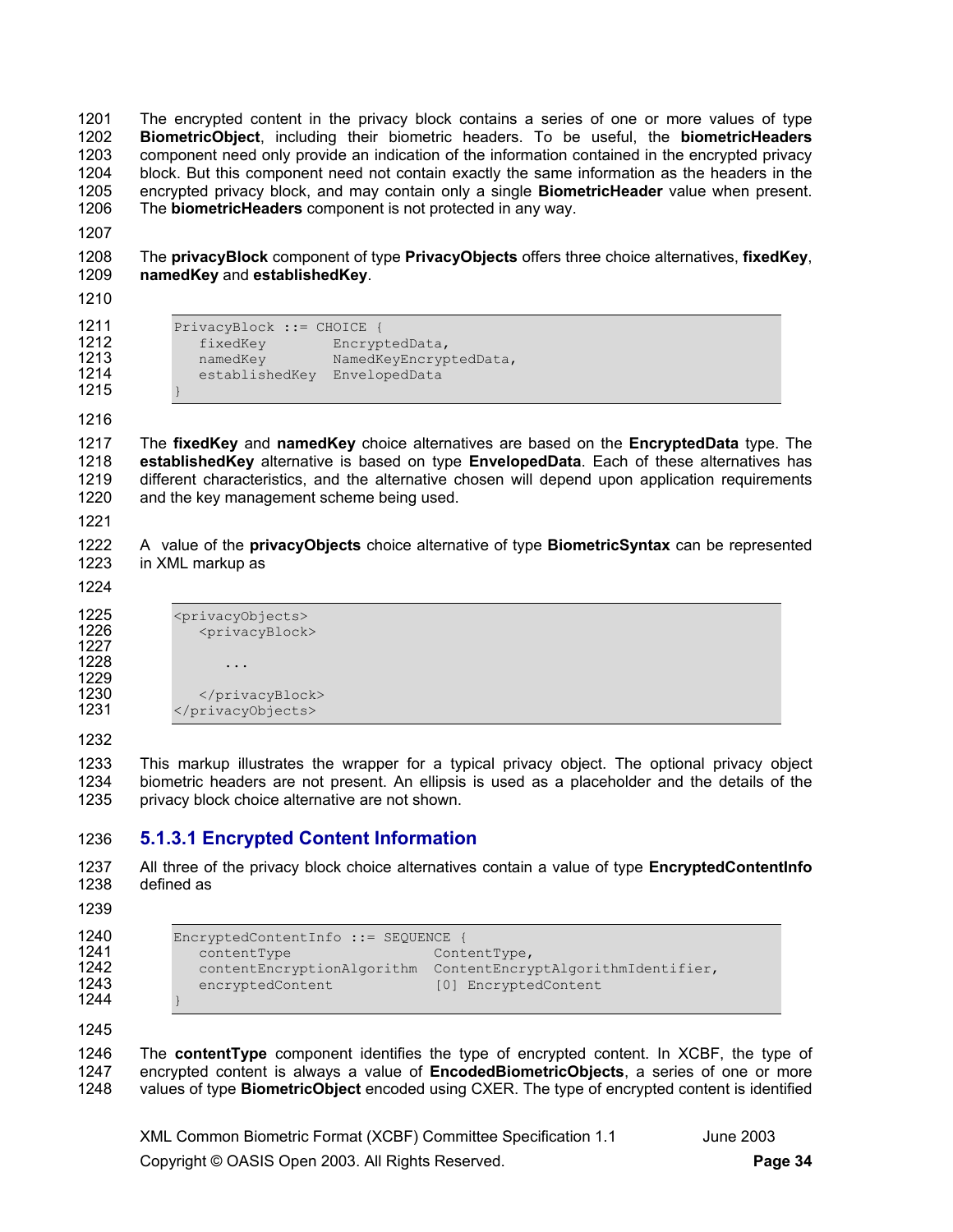1201 The encrypted content in the privacy block contains a series of one or more values of type 1202 **BiometricObject**, including their biometric headers. To be useful, the **biometricHeaders** 1203 component need only provide an indication of the information contained in the encrypted privacy 1204 block. But this component need not contain exactly the same information as the headers in the 1205 encrypted privacy block, and may contain only a single **BiometricHeader** value when present. 1206 The **biometricHeaders** component is not protected in any way.

1207

1208 The **privacyBlock** component of type **PrivacyObjects** offers three choice alternatives, **fixedKey**, 1209 **namedKey** and **establishedKey**.

1210

1211 PrivacyBlock ::= CHOICE {<br>1212 fixedKey Fuctvo 1212 fixedKey EncryptedData, 1213 **namedKey** NamedKeyEncryptedData, 1214 establishedKey EnvelopedData

1215 } 1216

1217 The **fixedKey** and **namedKey** choice alternatives are based on the **EncryptedData** type. The 1218 **establishedKey** alternative is based on type **EnvelopedData**. Each of these alternatives has 1219 different characteristics, and the alternative chosen will depend upon application requirements 1220 and the key management scheme being used.

1221

1222 A value of the **privacyObjects** choice alternative of type **BiometricSyntax** can be represented 1223 in XML markup as

1224

1225 <privacyObjects><br>1226 <privacyBlock <privacyBlock> 1227  $1228$  ... 1229 1230 </privacyBlock><br>1231 </privacyObjects> </privacyObjects>

1232

1233 This markup illustrates the wrapper for a typical privacy object. The optional privacy object 1234 biometric headers are not present. An ellipsis is used as a placeholder and the details of the 1235 privacy block choice alternative are not shown.

## 1236 **5.1.3.1 Encrypted Content Information**

1237 All three of the privacy block choice alternatives contain a value of type **EncryptedContentInfo** 1238 defined as

1239

```
1240 EncryptedContentInfo ::= SEQUENCE {<br>1241 contentType content Cont
1241 contentType contentType,<br>1242 contentEncryptionAlgorithm ContentEncry
1242 contentEncryptionAlgorithm ContentEncryptAlgorithmIdentifier,<br>1243 encryptedContent [0] EncryptedContent
                   encryptedContent [0] EncryptedContent
```
1244 } 1245

1246 The **contentType** component identifies the type of encrypted content. In XCBF, the type of 1247 encrypted content is always a value of **EncodedBiometricObjects**, a series of one or more 1248 values of type **BiometricObject** encoded using CXER. The type of encrypted content is identified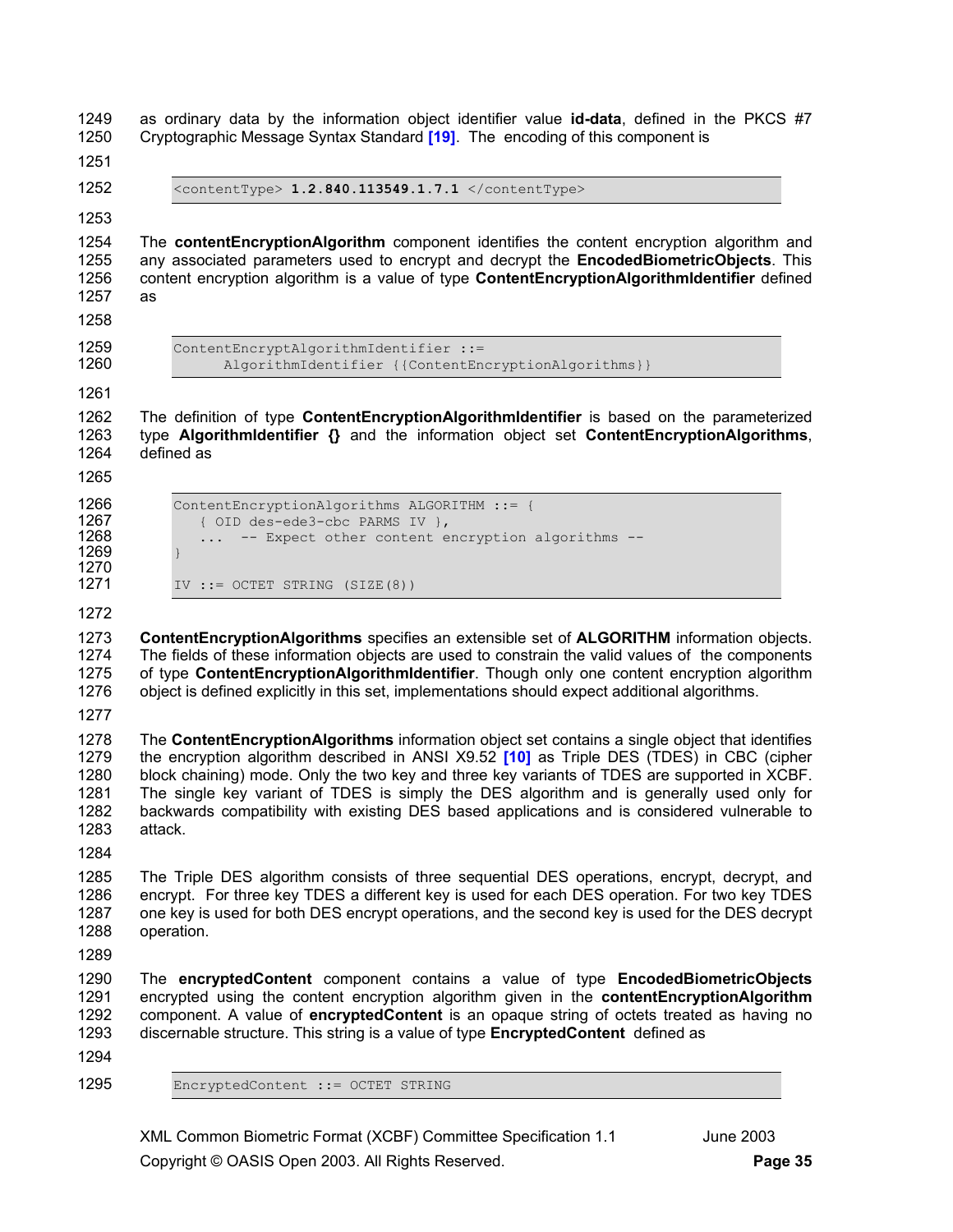1249 as ordinary data by the information object identifier value **id-data**, defined in the PKCS #7 1250 Cryptographic Message Syntax Standard **[19]**. The encoding of this component is

1251

1252 <contentType> **1.2.840.113549.1.7.1** </contentType>

1253

1254 The **contentEncryptionAlgorithm** component identifies the content encryption algorithm and 1255 any associated parameters used to encrypt and decrypt the **EncodedBiometricObjects**. This 1256 content encryption algorithm is a value of type **ContentEncryptionAlgorithmIdentifier** defined 1257 as

1258

1259 ContentEncryptAlgorithmIdentifier ::= AlgorithmIdentifier {{ContentEncryptionAlgorithms}}

1261

1262 The definition of type **ContentEncryptionAlgorithmIdentifier** is based on the parameterized 1263 type **AlgorithmIdentifier {}** and the information object set **ContentEncryptionAlgorithms**, 1264 defined as

1265

| 1266 | ContentEncryptionAlgorithms ALGORITHM ::= {      |
|------|--------------------------------------------------|
| 1267 | { OID des-ede3-cbc PARMS IV },                   |
| 1268 | -- Expect other content encryption algorithms -- |
| 1269 |                                                  |
| 1270 |                                                  |
| 1271 | IV ::= OCTET STRING $(SIZE(8))$                  |

1272

1273 **ContentEncryptionAlgorithms** specifies an extensible set of **ALGORITHM** information objects. 1274 The fields of these information objects are used to constrain the valid values of the components 1275 of type **ContentEncryptionAlgorithmIdentifier**. Though only one content encryption algorithm 1276 object is defined explicitly in this set, implementations should expect additional algorithms.

1277

1278 The **ContentEncryptionAlgorithms** information object set contains a single object that identifies 1279 the encryption algorithm described in ANSI X9.52 **[10]** as Triple DES (TDES) in CBC (cipher 1280 block chaining) mode. Only the two key and three key variants of TDES are supported in XCBF. 1281 The single key variant of TDES is simply the DES algorithm and is generally used only for 1282 backwards compatibility with existing DES based applications and is considered vulnerable to 1283 attack.

1284

1285 The Triple DES algorithm consists of three sequential DES operations, encrypt, decrypt, and 1286 encrypt. For three key TDES a different key is used for each DES operation. For two key TDES 1287 one key is used for both DES encrypt operations, and the second key is used for the DES decrypt 1288 operation.

1289

1290 The **encryptedContent** component contains a value of type **EncodedBiometricObjects** 1291 encrypted using the content encryption algorithm given in the **contentEncryptionAlgorithm** 1292 component. A value of **encryptedContent** is an opaque string of octets treated as having no 1293 discernable structure. This string is a value of type **EncryptedContent** defined as

1294

1295 EncryptedContent ::= OCTET STRING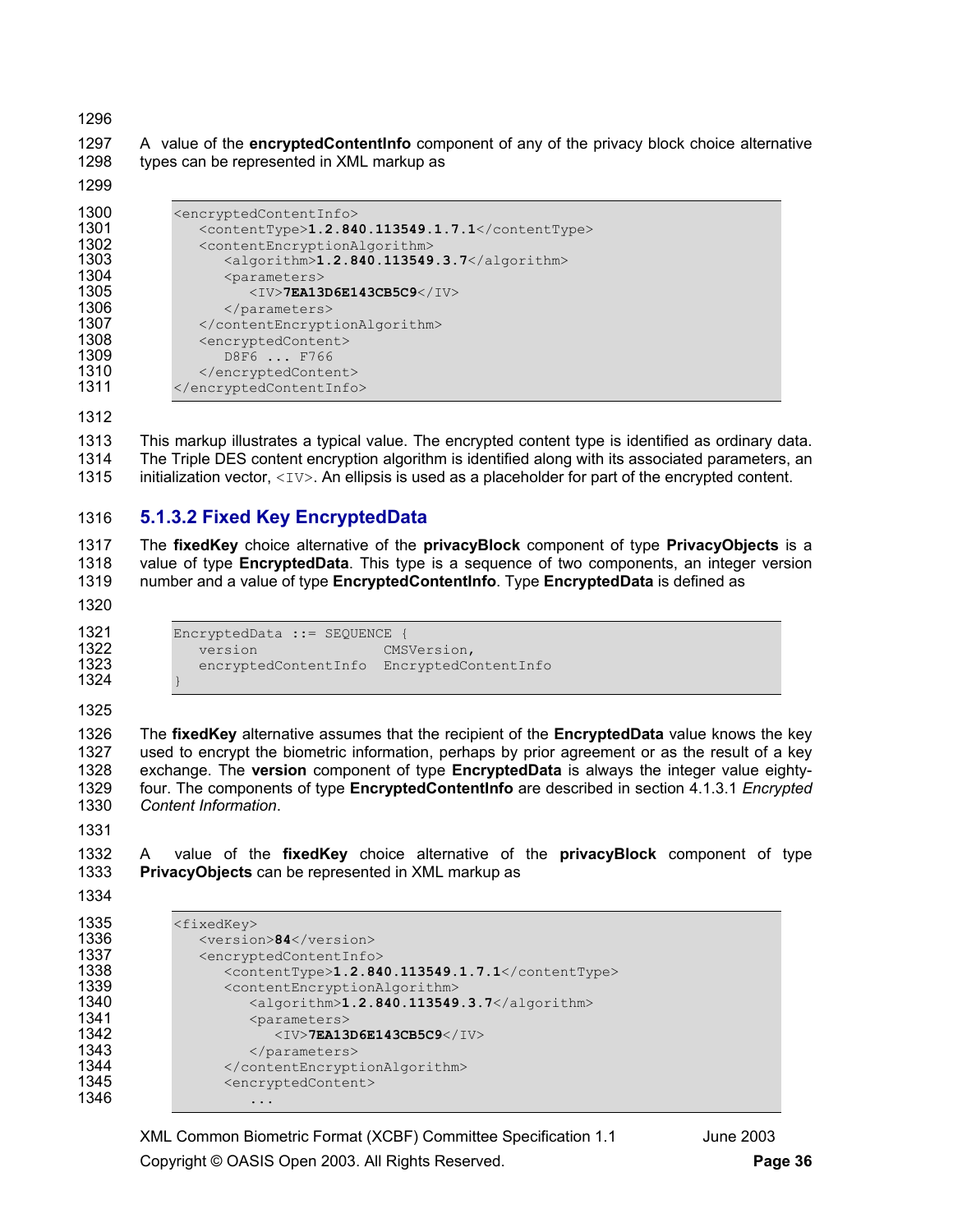1297 A value of the **encryptedContentInfo** component of any of the privacy block choice alternative 1298 types can be represented in XML markup as

| 1300 | <encryptedcontentinfo></encryptedcontentinfo>             |
|------|-----------------------------------------------------------|
| 1301 | <contenttype>1.2.840.113549.1.7.1</contenttype>           |
| 1302 | <contentencryptionalgorithm></contentencryptionalgorithm> |
| 1303 | <algorithm>1.2.840.113549.3.7</algorithm>                 |
| 1304 | <parameters></parameters>                                 |
| 1305 | $<$ IV>7EA13D6E143CB5C9                                   |
| 1306 |                                                           |
| 1307 |                                                           |
| 1308 | <encryptedcontent></encryptedcontent>                     |
| 1309 | D8F6  F766                                                |
| 1310 |                                                           |
| 1311 |                                                           |

1313 This markup illustrates a typical value. The encrypted content type is identified as ordinary data. 1314 The Triple DES content encryption algorithm is identified along with its associated parameters, an 1315 initialization vector,  $\langle IV \rangle$ . An ellipsis is used as a placeholder for part of the encrypted content.

## **5.1.3.2 Fixed Key EncryptedData**

1317 The **fixedKey** choice alternative of the **privacyBlock** component of type **PrivacyObjects** is a 1318 value of type **EncryptedData**. This type is a sequence of two components, an integer version 1319 number and a value of type **EncryptedContentinfo**. Type **EncryptedData** is defined as 1319 number and a value of type **EncryptedContentInfo**. Type **EncryptedData** is defined as

| 1321         | $Encryption: = SEQUENCE$ |                      |
|--------------|--------------------------|----------------------|
| 1322         | version                  | CMSVersion,          |
| 1323<br>1324 | encryptedContentInfo     | EncryptedContentInfo |

} 

1326 The **fixedKey** alternative assumes that the recipient of the **EncryptedData** value knows the key 1327 used to encrypt the biometric information, perhaps by prior agreement or as the result of a key 1328 exchange. The **version** component of type **EncryptedData** is always the integer value eighty-1329 four. The components of type **EncryptedContentInfo** are described in section 4.1.3.1 *Encrypted Content Information*.

1332 A value of the **fixedKey** choice alternative of the **privacyBlock** component of type **PrivacyObjects** can be represented in XML markup as

| 1335 | <fixedkey></fixedkey>                                     |
|------|-----------------------------------------------------------|
| 1336 | <version>84</version>                                     |
| 1337 | <encryptedcontentinfo></encryptedcontentinfo>             |
| 1338 | <contenttype>1.2.840.113549.1.7.1</contenttype>           |
| 1339 | <contentencryptionalgorithm></contentencryptionalgorithm> |
| 1340 | <algorithm>1.2.840.113549.3.7</algorithm>                 |
| 1341 | <parameters></parameters>                                 |
| 1342 | $<$ IV>7EA13D6E143CB5C9                                   |
| 1343 |                                                           |
| 1344 |                                                           |
| 1345 | <encryptedcontent></encryptedcontent>                     |
| 1346 |                                                           |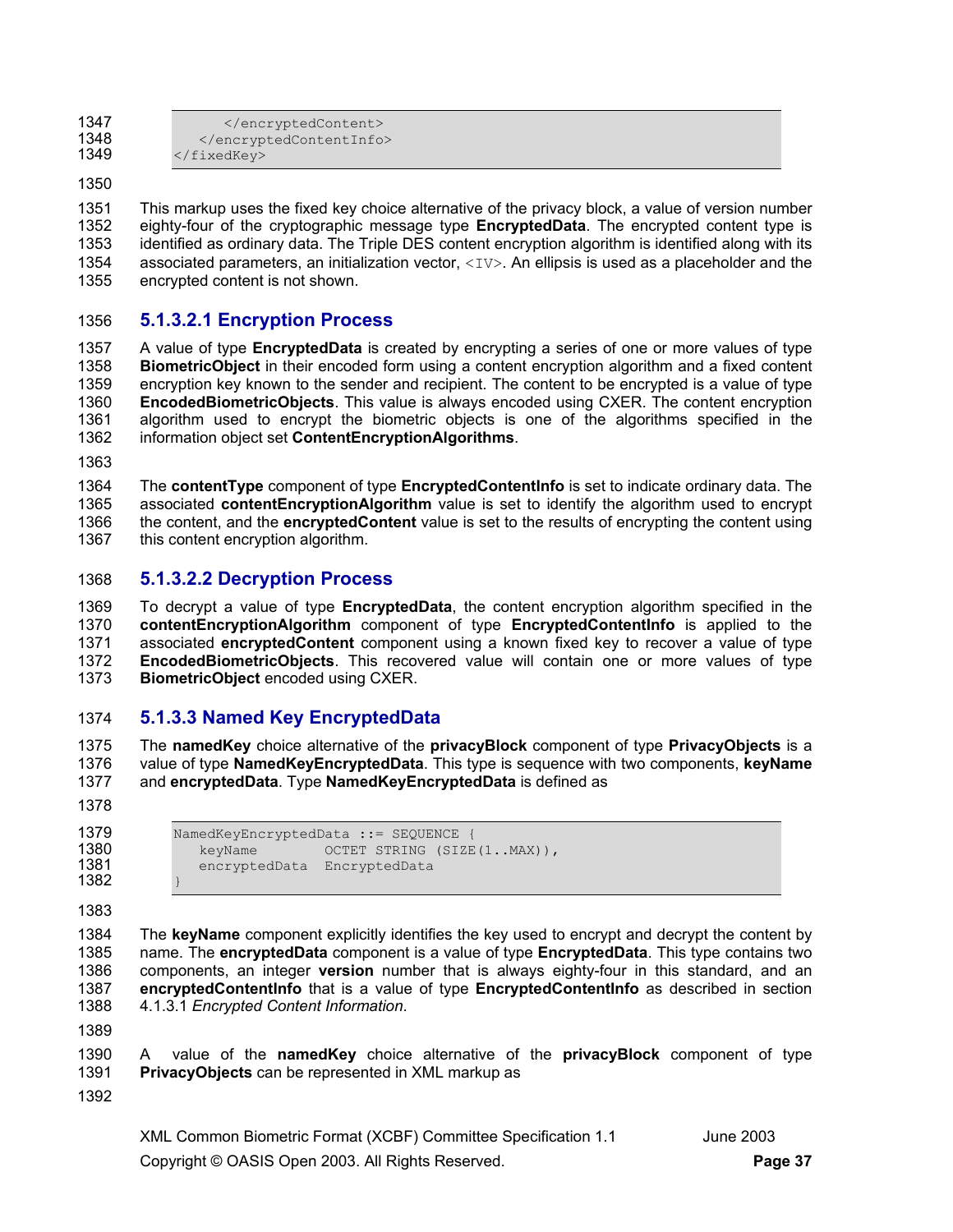| 1347 |                      |
|------|----------------------|
| 1348 |                      |
| 1349 | $\langle$ /fixedKey> |

1351 This markup uses the fixed key choice alternative of the privacy block, a value of version number 1352 eighty-four of the cryptographic message type **EncryptedData**. The encrypted content type is 1353 identified as ordinary data. The Triple DES content encryption algorithm is identified along with its 1354 associated parameters, an initialization vector,  $\langle\langle\langle\rangle\rangle$ . An ellipsis is used as a placeholder and the 1355 encrypted content is not shown. encrypted content is not shown.

### 1356 **5.1.3.2.1 Encryption Process**

1357 A value of type **EncryptedData** is created by encrypting a series of one or more values of type 1358 **BiometricObject** in their encoded form using a content encryption algorithm and a fixed content encryption key known to the sender and recipient. The content to be encrypted is a value of type 1360 **EncodedBiometricObjects**. This value is always encoded using CXER. The content encryption 1361 algorithm used to encrypt the biometric objects is one of the algorithms specified in the 1362 information object set Content Encryption Algorithms. 1362 information object set **ContentEncryptionAlgorithms**.

1363

1364 The **contentType** component of type **EncryptedContentInfo** is set to indicate ordinary data. The 1365 associated **contentEncryptionAlgorithm** value is set to identify the algorithm used to encrypt 1366 the content, and the **encryptedContent** value is set to the results of encrypting the content using 1367 this content encryption algorithm.

### 1368 **5.1.3.2.2 Decryption Process**

1369 To decrypt a value of type **EncryptedData**, the content encryption algorithm specified in the 1370 **contentEncryptionAlgorithm** component of type **EncryptedContentInfo** is applied to the 1371 associated **encryptedContent** component using a known fixed key to recover a value of type 1372 **EncodedBiometricObjects**. This recovered value will contain one or more values of type 1373 **BiometricObject** encoded using CXER.

### 1374 **5.1.3.3 Named Key EncryptedData**

1375 The **namedKey** choice alternative of the **privacyBlock** component of type **PrivacyObjects** is a 1376 value of type **NamedKeyEncryptedData**. This type is sequence with two components, **keyName** 1377 and **encryptedData**. Type **NamedKeyEncryptedData** is defined as

1378

```
1382 }
```

| 1379 | NamedKeyEncryptedData ::= SEQUENCE    |
|------|---------------------------------------|
| 1380 | OCTET STRING (SIZE(1MAX)),<br>kevName |
| 1381 | encryptedData EncryptedData           |
| 1382 |                                       |

1383

1384 The **keyName** component explicitly identifies the key used to encrypt and decrypt the content by 1385 name. The **encryptedData** component is a value of type **EncryptedData**. This type contains two 1386 components, an integer **version** number that is always eighty-four in this standard, and an 1387 **encryptedContentInfo** that is a value of type **EncryptedContentInfo** as described in section 1388 4.1.3.1 *Encrypted Content Information*.

1389

1390 A value of the **namedKey** choice alternative of the **privacyBlock** component of type 1391 **PrivacyObjects** can be represented in XML markup as

1392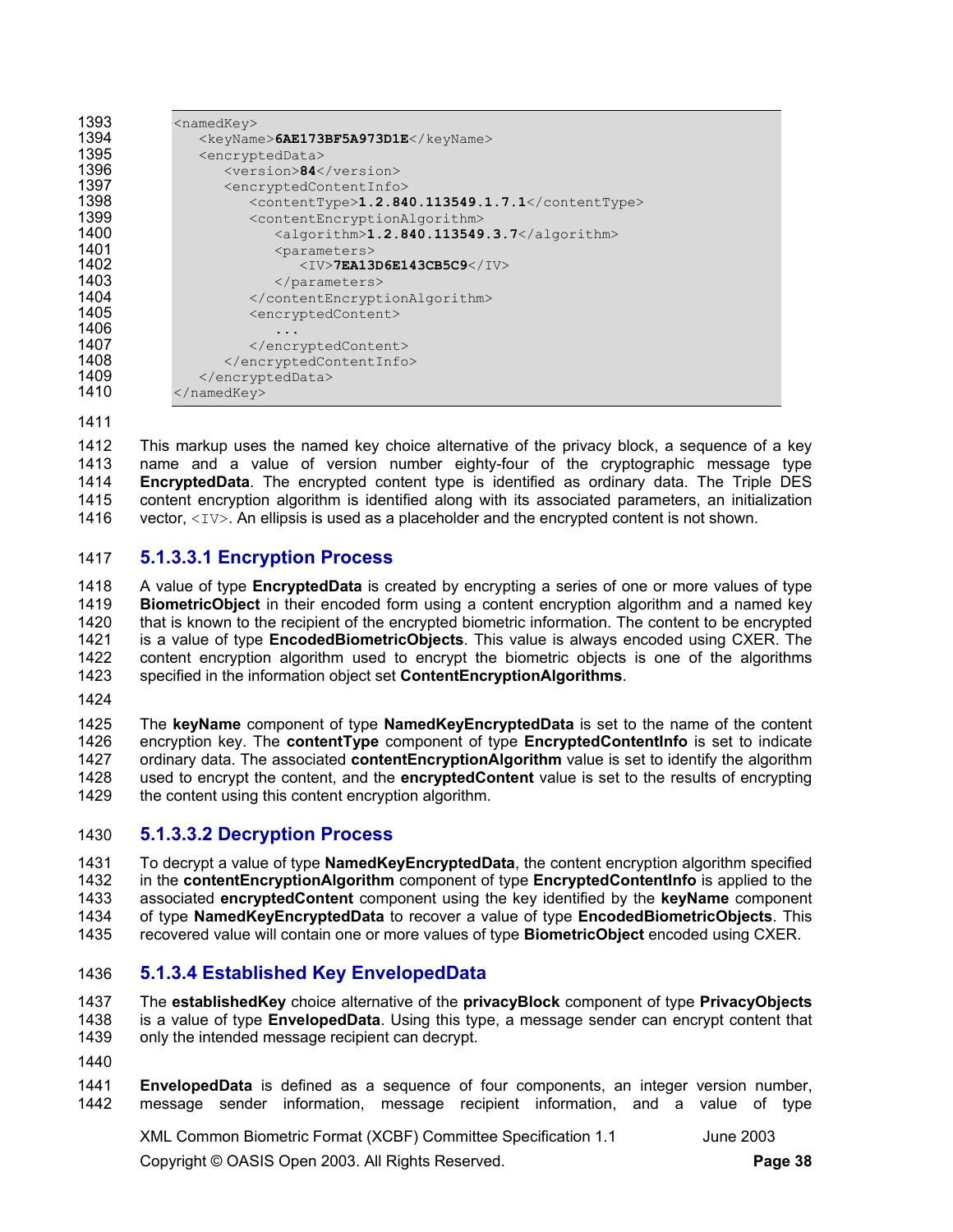| 1393 | <namedkey></namedkey>                                     |
|------|-----------------------------------------------------------|
| 1394 | <keyname>6AE173BF5A973D1E</keyname>                       |
| 1395 | <encrypteddata></encrypteddata>                           |
| 1396 | <version>84</version>                                     |
| 1397 | <encryptedcontentinfo></encryptedcontentinfo>             |
| 1398 | <contenttype>1.2.840.113549.1.7.1</contenttype>           |
| 1399 | <contentencryptionalgorithm></contentencryptionalgorithm> |
| 1400 | <algorithm>1.2.840.113549.3.7</algorithm>                 |
| 1401 | <parameters></parameters>                                 |
| 1402 | $\langle$ IV>7EA13D6E143CB5C9 $\langle$ /IV>              |
| 1403 |                                                           |
| 1404 |                                                           |
| 1405 | <encryptedcontent></encryptedcontent>                     |
| 1406 | .                                                         |
| 1407 |                                                           |
| 1408 |                                                           |
| 1409 |                                                           |
| 1410 | $\langle$ /namedKey>                                      |

1412 This markup uses the named key choice alternative of the privacy block, a sequence of a key 1413 name and a value of version number eighty-four of the cryptographic message type 1414 **EncryptedData**. The encrypted content type is identified as ordinary data. The Triple DES content encryption algorithm is identified along with its associated parameters, an initialization 1416 vector,  $\langle IV \rangle$ . An ellipsis is used as a placeholder and the encrypted content is not shown.

### 1417 **5.1.3.3.1 Encryption Process**

1418 A value of type **EncryptedData** is created by encrypting a series of one or more values of type 1419 **BiometricObject** in their encoded form using a content encryption algorithm and a named key 1420 that is known to the recipient of the encrypted biometric information. The content to be encrypted 1421 is a value of type **EncodedBiometricObjects**. This value is always encoded using CXER. The 1422 content encryption algorithm used to encrypt the biometric objects is one of the algorithms<br>1423 specified in the information object set **ContentEncryptionAlgorithms**. specified in the information object set **ContentEncryptionAlgorithms**.

1424

1425 The **keyName** component of type **NamedKeyEncryptedData** is set to the name of the content 1426 encryption key. The **contentType** component of type **EncryptedContentInfo** is set to indicate 1427 ordinary data. The associated **contentEncryptionAlgorithm** value is set to identify the algorithm 1428 used to encrypt the content, and the **encryptedContent** value is set to the results of encrypting 1429 the content using this content encryption algorithm.

### 1430 **5.1.3.3.2 Decryption Process**

1431 To decrypt a value of type **NamedKeyEncryptedData**, the content encryption algorithm specified 1432 in the **contentEncryptionAlgorithm** component of type **EncryptedContentInfo** is applied to the 1433 associated **encryptedContent** component using the key identified by the **keyName** component 1434 of type **NamedKeyEncryptedData** to recover a value of type **EncodedBiometricObjects**. This 1435 recovered value will contain one or more values of type **BiometricObject** encoded using CXER.

### 1436 **5.1.3.4 Established Key EnvelopedData**

1437 The **establishedKey** choice alternative of the **privacyBlock** component of type **PrivacyObjects** 1438 is a value of type **EnvelopedData**. Using this type, a message sender can encrypt content that 1439 only the intended message recipient can decrypt.

- 1440
- 1441 **EnvelopedData** is defined as a sequence of four components, an integer version number, 1442 message sender information, message recipient information, and a value of type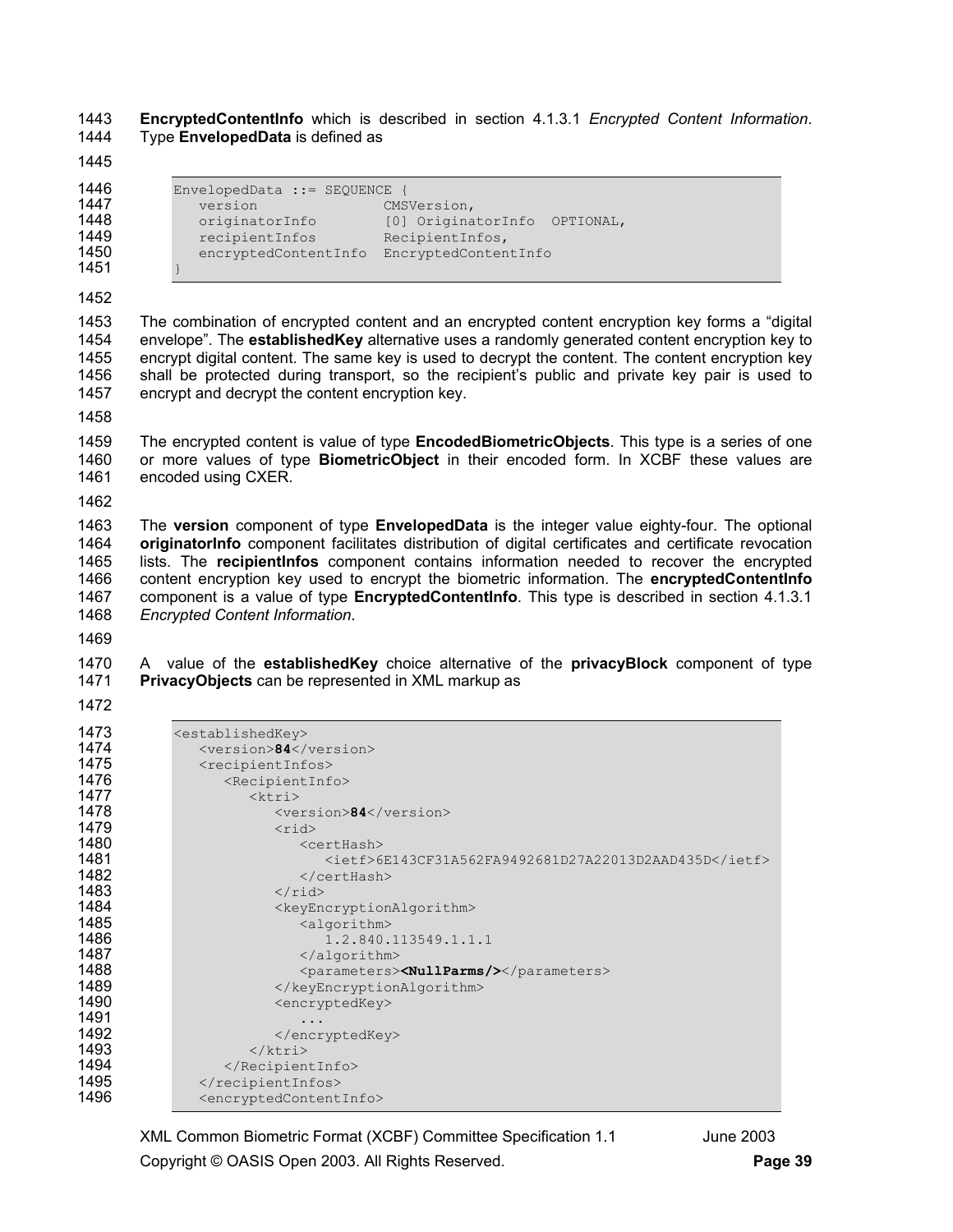**EncryptedContentInfo** which is described in section 4.1.3.1 *Encrypted Content Information*. 1444 Type **EnvelopedData** is defined as

| 1446 | $EnvelopedData :: = SEQUENCE$ |                                 |
|------|-------------------------------|---------------------------------|
| 1447 | version                       | CMSVersion,                     |
| 1448 | originatorInfo                | [0] OriginatorInfo<br>OPTIONAL, |
| 1449 | recipientInfos                | RecipientInfos,                 |
| 1450 | encryptedContentInfo          | EncryptedContentInfo            |
| 1451 |                               |                                 |

1453 The combination of encrypted content and an encrypted content encryption key forms a "digital 1454 envelope". The **establishedKey** alternative uses a randomly generated content encryption key to 1455 encrypt digital content. The same key is used to decrypt the content. The content encryption key 1456 shall be protected during transport, so the recipient's public and private key pair is used to 1457 encrypt and decrypt the content encryption key.

1459 The encrypted content is value of type **EncodedBiometricObjects**. This type is a series of one 1460 or more values of type **BiometricObject** in their encoded form. In XCBF these values are 1461 encoded using CXER.

1463 The **version** component of type **EnvelopedData** is the integer value eighty-four. The optional **originatorInfo** component facilitates distribution of digital certificates and certificate revocation 1465 lists. The **recipientInfos** component contains information needed to recover the encrypted 1466 content encryption key used to encrypt the biometric information. The **encryptedContentInfo** 1467 component is a value of type **EncryptedContentInfo**. This type is described in section 4.1.3.1 *Encrypted Content Information*.

1470 A value of the **establishedKey** choice alternative of the **privacyBlock** component of type **PrivacyObjects** can be represented in XML markup as

| 1473 | <establishedkey></establishedkey>                     |
|------|-------------------------------------------------------|
| 1474 | <version>84</version>                                 |
| 1475 | <recipientinfos></recipientinfos>                     |
| 1476 | <recipientinfo></recipientinfo>                       |
| 1477 | ktri                                                  |
| 1478 | <version>84</version>                                 |
| 1479 | $<$ rid $>$                                           |
| 1480 | <certhash></certhash>                                 |
| 1481 | <ietf>6E143CF31A562FA9492681D27A22013D2AAD435D</ietf> |
| 1482 |                                                       |
| 1483 | $\langle$ /rid>                                       |
| 1484 | <keyencryptionalgorithm></keyencryptionalgorithm>     |
| 1485 | <algorithm></algorithm>                               |
| 1486 | 1.2.840.113549.1.1.1                                  |
| 1487 | $\langle$ alqorithm>                                  |
| 1488 | <parameters><nullparms></nullparms></parameters>      |
| 1489 |                                                       |
| 1490 | <encryptedkey></encryptedkey>                         |
| 1491 |                                                       |
| 1492 |                                                       |
| 1493 | $\langle$ /ktri>                                      |
| 1494 |                                                       |
| 1495 |                                                       |
| 1496 | <encryptedcontentinfo></encryptedcontentinfo>         |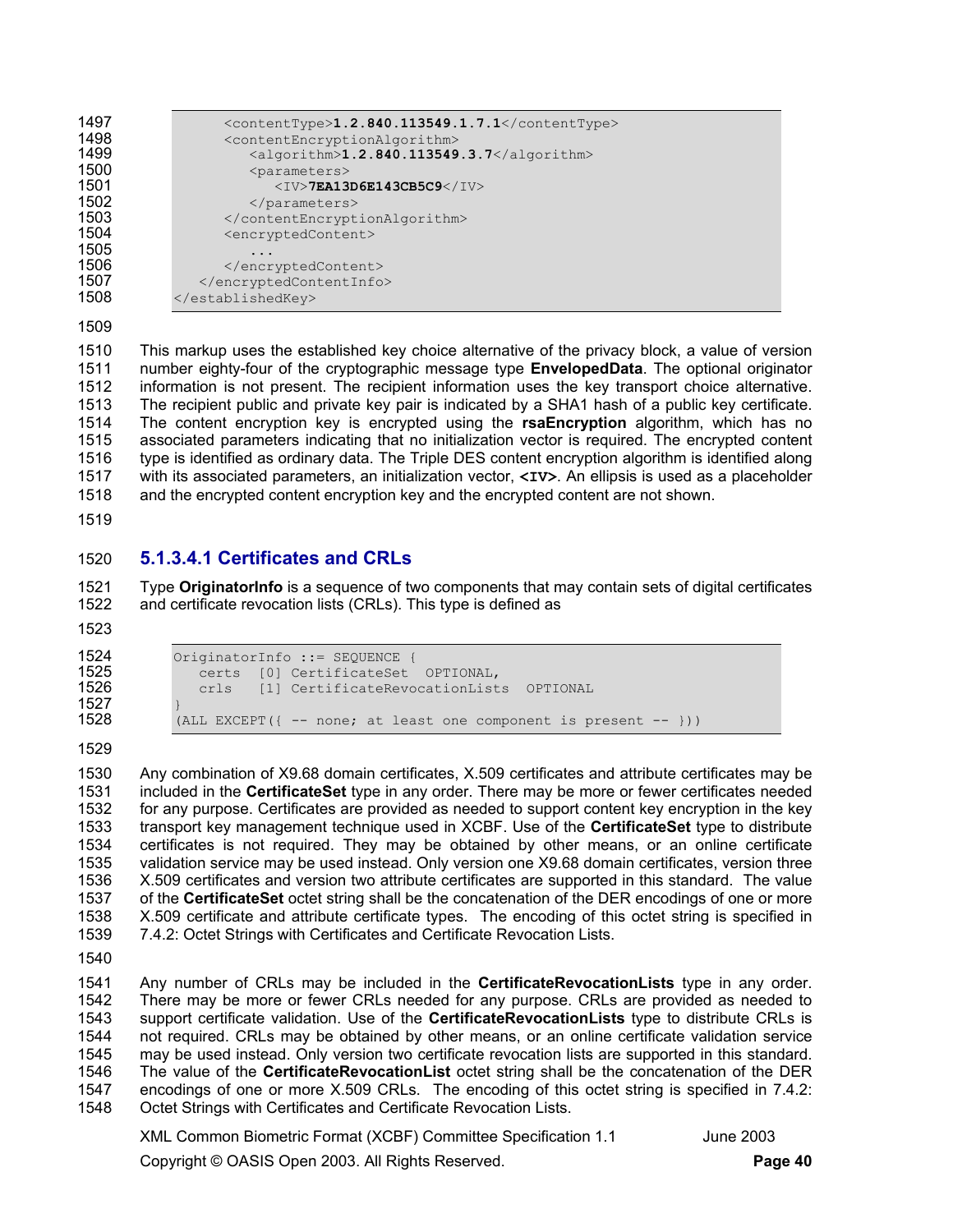| <contenttype>1.2.840.113549.1.7.1</contenttype>           |
|-----------------------------------------------------------|
| <contentencryptionalgorithm></contentencryptionalgorithm> |
| <algorithm>1.2.840.113549.3.7</algorithm>                 |
| <parameters></parameters>                                 |
| $<$ IV>7EA13D6E143CB5C9 $<$ /IV>                          |
|                                                           |
|                                                           |
| <encryptedcontent></encryptedcontent>                     |
|                                                           |
|                                                           |
|                                                           |
|                                                           |
|                                                           |

1510 This markup uses the established key choice alternative of the privacy block, a value of version 1511 number eighty-four of the cryptographic message type **EnvelopedData**. The optional originator 1512 information is not present. The recipient information uses the key transport choice alternative. 1513 The recipient public and private key pair is indicated by a SHA1 hash of a public key certificate. 1514 The content encryption key is encrypted using the **rsaEncryption** algorithm, which has no 1515 associated parameters indicating that no initialization vector is required. The encrypted content 1516 type is identified as ordinary data. The Triple DES content encryption algorithm is identified along 1517 with its associated parameters, an initialization vector, **<IV>**. An ellipsis is used as a placeholder 1518 and the encrypted content encryption key and the encrypted content are not shown.

1519

### 1520 **5.1.3.4.1 Certificates and CRLs**

1521 Type **OriginatorInfo** is a sequence of two components that may contain sets of digital certificates 1522 and certificate revocation lists (CRLs). This type is defined as

1523

1524 OriginatorInfo ::= SEQUENCE { 1525 **certs** [0] CertificateSet OPTIONAL,<br>1526 crls [1] CertificateRevocationList crls [1] CertificateRevocationLists OPTIONAL (ALL EXCEPT( $\{- - \text{none; at least one component is present } - - \}$ ))

1529

1527 }

1530 Any combination of X9.68 domain certificates, X.509 certificates and attribute certificates may be 1531 included in the **CertificateSet** type in any order. There may be more or fewer certificates needed 1532 for any purpose. Certificates are provided as needed to support content key encryption in the key 1533 transport key management technique used in XCBF. Use of the **CertificateSet** type to distribute 1534 certificates is not required. They may be obtained by other means, or an online certificate 1535 validation service may be used instead. Only version one X9.68 domain certificates, version three 1536 X.509 certificates and version two attribute certificates are supported in this standard. The value 1537 of the **CertificateSet** octet string shall be the concatenation of the DER encodings of one or more 1538 X.509 certificate and attribute certificate types. The encoding of this octet string is specified in 1539 7.4.2: Octet Strings with Certificates and Certificate Revocation Lists.

1540

1541 Any number of CRLs may be included in the **CertificateRevocationLists** type in any order. There may be more or fewer CRLs needed for any purpose. CRLs are provided as needed to 1543 support certificate validation. Use of the **CertificateRevocationLists** type to distribute CRLs is 1544 not required. CRLs may be obtained by other means, or an online certificate validation service 1545 may be used instead. Only version two certificate revocation lists are supported in this standard. 1546 The value of the **CertificateRevocationList** octet string shall be the concatenation of the DER 1547 encodings of one or more X.509 CRLs. The encoding of this octet string is specified in 7.4.2:<br>1548 Octet Strings with Certificates and Certificate Revocation Lists. Octet Strings with Certificates and Certificate Revocation Lists.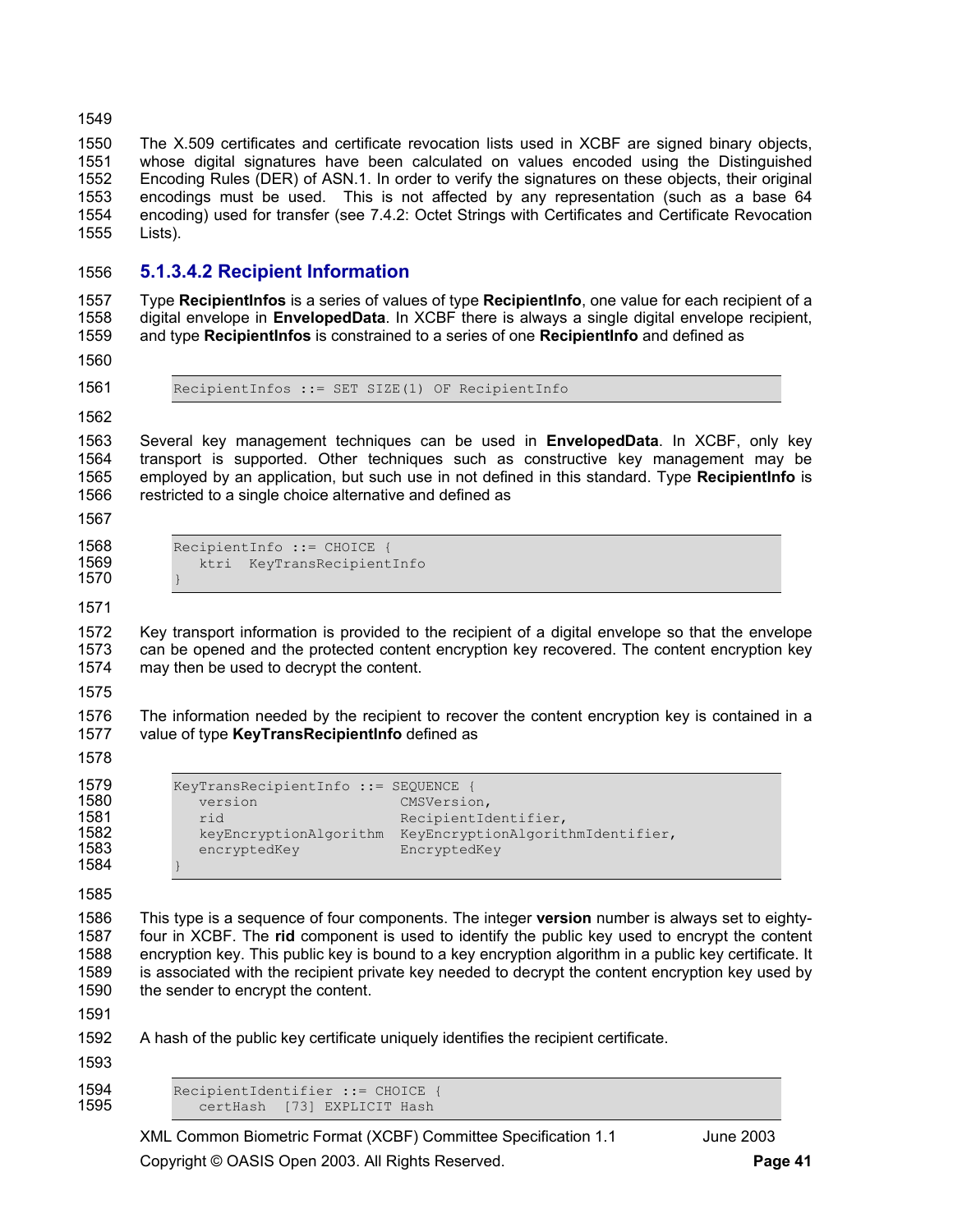1550 The X.509 certificates and certificate revocation lists used in XCBF are signed binary objects, 1551 whose digital signatures have been calculated on values encoded using the Distinguished 1552 Encoding Rules (DER) of ASN.1. In order to verify the signatures on these objects, their original 1553 encodings must be used. This is not affected by any representation (such as a base 64 1554 encoding) used for transfer (see 7.4.2: Octet Strings with Certificates and Certificate Revocation 1555 Lists).

### 1556 **5.1.3.4.2 Recipient Information**

1557 Type **RecipientInfos** is a series of values of type **RecipientInfo**, one value for each recipient of a 1558 digital envelope in **EnvelopedData**. In XCBF there is always a single digital envelope recipient, 1559 and type **RecipientInfos** is constrained to a series of one **RecipientInfo** and defined as

1560

1561 RecipientInfos ::= SET SIZE(1) OF RecipientInfo

1562

1563 Several key management techniques can be used in **EnvelopedData**. In XCBF, only key 1564 transport is supported. Other techniques such as constructive key management may be 1565 employed by an application, but such use in not defined in this standard. Type **RecipientInfo** is 1566 restricted to a single choice alternative and defined as

1567

- 1570 }
- 1568 RecipientInfo ::= CHOICE {<br>1569 Recipient RevTransRecipient ktri KeyTransRecipientInfo

1571

1572 Key transport information is provided to the recipient of a digital envelope so that the envelope 1573 can be opened and the protected content encryption key recovered. The content encryption key 1574 may then be used to decrypt the content.

1575

1576 The information needed by the recipient to recover the content encryption key is contained in a 1577 value of type **KeyTransRecipientInfo** defined as

1578

| 10 L |
|------|
| 158  |
| 158  |
| 158  |
| 158  |

1579 **KeyTransRecipientInfo ::= SEQUENCE** {<br>1580 **MEXETS** *Mersion CMSVersio* version CMSVersion, 1581 1682<br>1581 rid rid RecipientIdentifier,<br>2681 RevEncryptionAlgorithm KeyEncryptionAlgorit keyEncryptionAlgorithm KeyEncryptionAlgorithmIdentifier, 83 encryptedKey EncryptedKey

1585

1584 }

1586 This type is a sequence of four components. The integer **version** number is always set to eighty-1587 four in XCBF. The **rid** component is used to identify the public key used to encrypt the content 1588 encryption key. This public key is bound to a key encryption algorithm in a public key certificate. It 1589 is associated with the recipient private key needed to decrypt the content encryption key used by 1590 the sender to encrypt the content.

1591

1592 A hash of the public key certificate uniquely identifies the recipient certificate.

1593

1594 RecipientIdentifier ::= CHOICE { certHash [73] EXPLICIT Hash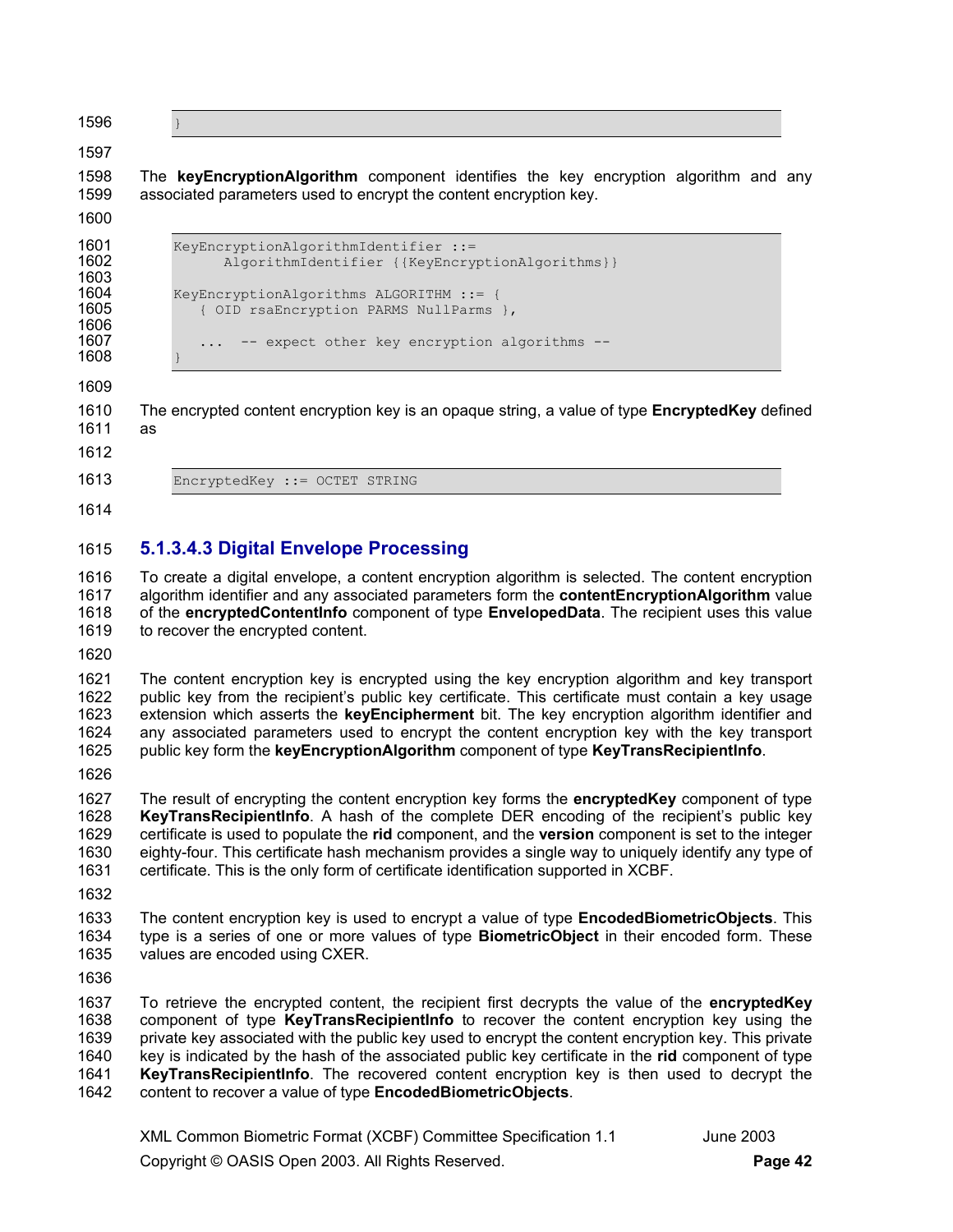1596 }

#### 1597

1598 The **keyEncryptionAlgorithm** component identifies the key encryption algorithm and any 1599 associated parameters used to encrypt the content encryption key.

1600

| 1601<br>1602<br>1603 | KeyEncryptionAlgorithmIdentifier ::=<br>AlgorithmIdentifier {{KeyEncryptionAlgorithms}} |
|----------------------|-----------------------------------------------------------------------------------------|
| 1604<br>1605<br>1606 | KeyEncryptionAlgorithms ALGORITHM ::= {<br>{ OID rsaEncryption PARMS NullParms },       |
| 1607<br>1608         | -- expect other key encryption algorithms --                                            |

1609

1610 The encrypted content encryption key is an opaque string, a value of type **EncryptedKey** defined 1611 as

1612

1613 EncryptedKey ::= OCTET STRING

1614

### 1615 **5.1.3.4.3 Digital Envelope Processing**

1616 To create a digital envelope, a content encryption algorithm is selected. The content encryption 1617 algorithm identifier and any associated parameters form the **contentEncryptionAlgorithm** value 1618 of the **encryptedContentInfo** component of type **EnvelopedData**. The recipient uses this value 1619 to recover the encrypted content.

1620

1621 The content encryption key is encrypted using the key encryption algorithm and key transport 1622 public key from the recipient's public key certificate. This certificate must contain a key usage public key from the recipient's public key certificate. This certificate must contain a key usage 1623 extension which asserts the **keyEncipherment** bit. The key encryption algorithm identifier and 1624 any associated parameters used to encrypt the content encryption key with the key transport 1625 public key form the **keyEncryptionAlgorithm** component of type **KeyTransRecipientInfo**.

1626

1627 The result of encrypting the content encryption key forms the **encryptedKey** component of type 1628 **KeyTransRecipientInfo**. A hash of the complete DER encoding of the recipient's public key 1629 certificate is used to populate the **rid** component, and the **version** component is set to the integer 1630 eighty-four. This certificate hash mechanism provides a single way to uniquely identify any type of 1631 certificate. This is the only form of certificate identification supported in XCBF.

1632

1633 The content encryption key is used to encrypt a value of type **EncodedBiometricObjects**. This 1634 type is a series of one or more values of type **BiometricObject** in their encoded form. These 1635 values are encoded using CXER.

1636

1637 To retrieve the encrypted content, the recipient first decrypts the value of the **encryptedKey** 1638 component of type **KeyTransRecipientInfo** to recover the content encryption key using the 1639 private key associated with the public key used to encrypt the content encryption key. This private 1640 key is indicated by the hash of the associated public key certificate in the **rid** component of type 1641 **KeyTransRecipientInfo**. The recovered content encryption key is then used to decrypt the 1642 content to recover a value of type **EncodedBiometricObjects**.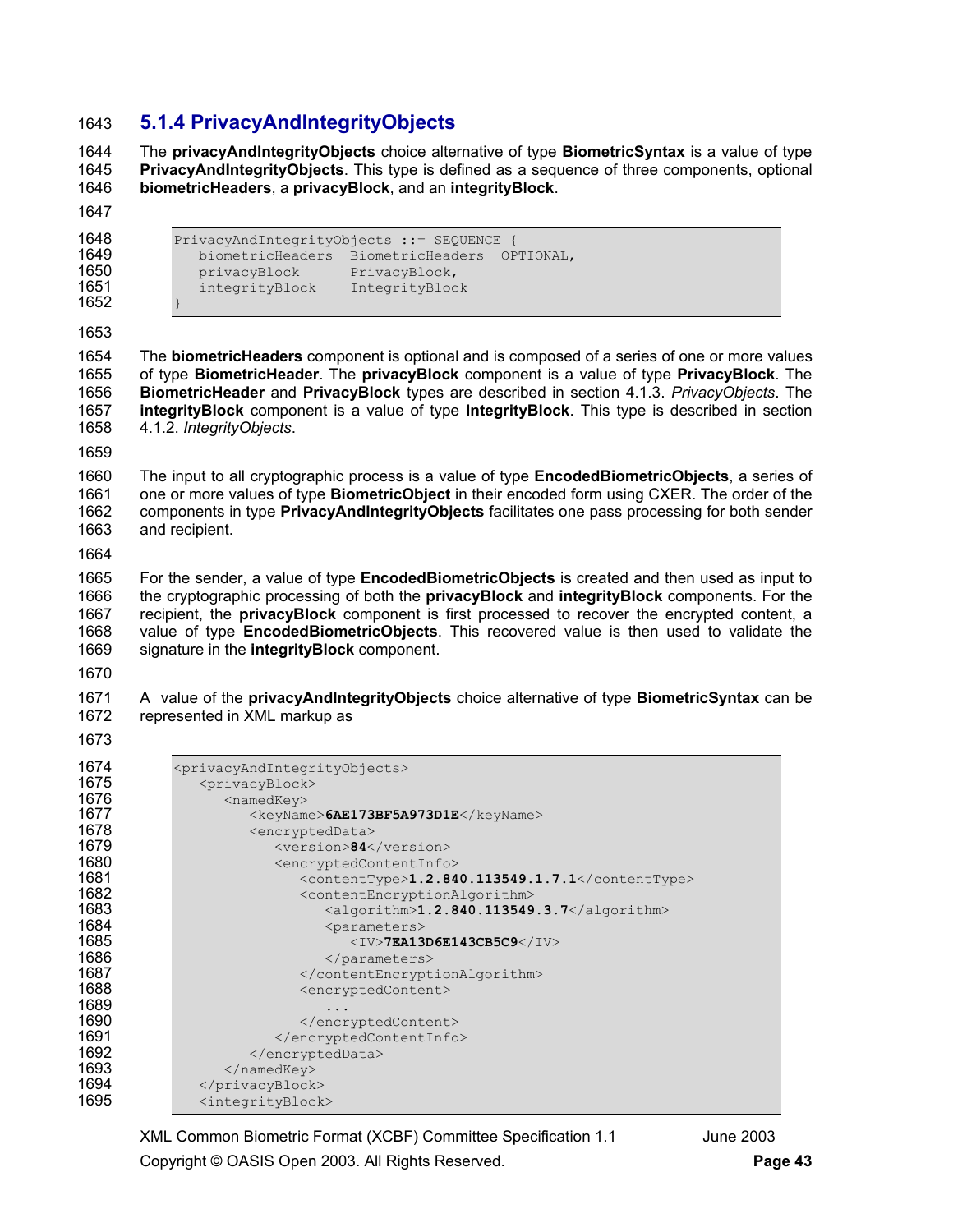## **5.1.4 PrivacyAndIntegrityObjects**

1644 The **privacyAndIntegrityObjects** choice alternative of type **BiometricSyntax** is a value of type **PrivacyAndIntegrityObjects**. This type is defined as a sequence of three components, optional **biometricHeaders**, a **privacyBlock**, and an **integrityBlock**.

PrivacyAndIntegrityObjects ::= SEQUENCE { biometricHeaders BiometricHeaders OPTIONAL, 1650 privacyBlock PrivacyBlock, 1651 integrityBlock IntegrityBlock }

1654 The **biometricHeaders** component is optional and is composed of a series of one or more values 1655 of type **BiometricHeader**. The **privacyBlock** component is a value of type **PrivacyBlock**. The **BiometricHeader** and **PrivacyBlock** types are described in section 4.1.3. *PrivacyObjects*. The **integrityBlock** component is a value of type **IntegrityBlock**. This type is described in section 1658 4.1.2. *IntegrityObjects*.

1660 The input to all cryptographic process is a value of type **EncodedBiometricObjects**, a series of 1661 one or more values of type **BiometricObject** in their encoded form using CXER. The order of the 1662 components in type **PrivacyAndIntegrityObjects** facilitates one pass processing for both sender 1663 and recipient.

1665 For the sender, a value of type **EncodedBiometricObjects** is created and then used as input to 1666 the cryptographic processing of both the **privacyBlock** and **integrityBlock** components. For the 1667 recipient, the **privacyBlock** component is first processed to recover the encrypted content, a 1668 value of type **EncodedBiometricObjects**. This recovered value is then used to validate the 1669 signature in the **integrityBlock** component.

1671 A value of the **privacyAndIntegrityObjects** choice alternative of type **BiometricSyntax** can be 1672 represented in XML markup as

| 1674 | <privacyandintegrityobjects></privacyandintegrityobjects> |
|------|-----------------------------------------------------------|
| 1675 | <privacyblock></privacyblock>                             |
| 1676 | <namedkey></namedkey>                                     |
| 1677 | <keyname>6AE173BF5A973D1E</keyname>                       |
| 1678 | <encrypteddata></encrypteddata>                           |
| 1679 | <version>84</version>                                     |
| 1680 | <encryptedcontentinfo></encryptedcontentinfo>             |
| 1681 | $\text{113549}.1.2.840.113549.1.7.1\text{124}$            |
| 1682 | <contentencryptionalgorithm></contentencryptionalgorithm> |
| 1683 | <algorithm>1.2.840.113549.3.7</algorithm>                 |
| 1684 | <parameters></parameters>                                 |
| 1685 | $<$ IV>7EA13D6E143CB5C9 $<$ /IV>                          |
| 1686 |                                                           |
| 1687 |                                                           |
| 1688 | <encryptedcontent></encryptedcontent>                     |
| 1689 | .                                                         |
| 1690 |                                                           |
| 1691 |                                                           |
| 1692 |                                                           |
| 1693 | $\langle$ /namedKey>                                      |
| 1694 |                                                           |
| 1695 | <integrityblock></integrityblock>                         |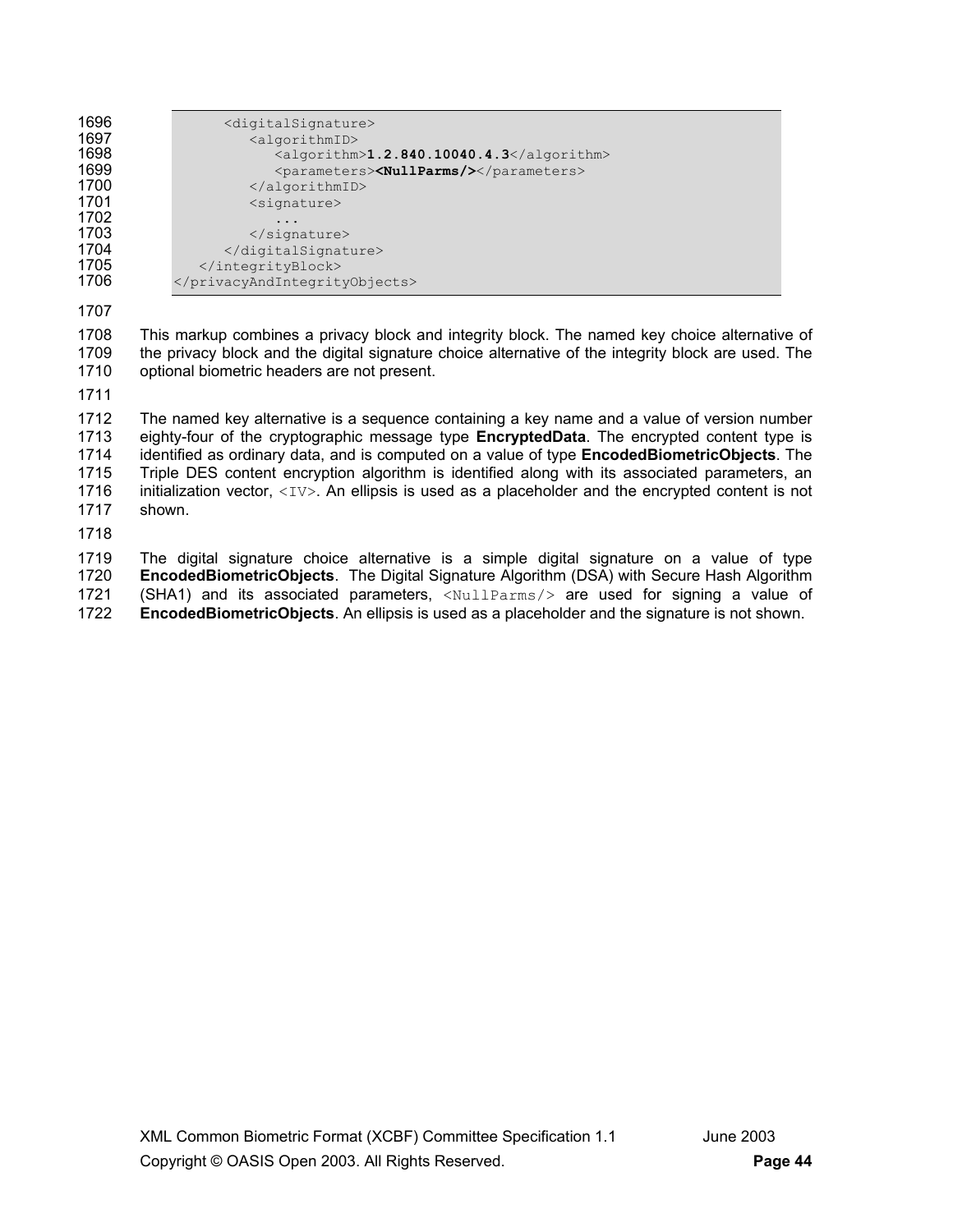| 1696 |  |
|------|--|
| . .  |  |

1697 <algorithmID><br>1698 <algorithm

1698 <algorithm>1.2.840.10040.4.3</algorithm><br>1699 <br/>>
<br/>
</algorithm></algorithm></algorithm></algorithm></algorithm></algorithm></algorithm></algorithm></algorithm></algorithm></algorithm> 1699 <parameters>**<NullParms/>**>>>
</parameters>
</algorithmID>

1700 </algorithmID><br>1701 <algorithmID><br>
<signature>

1702 ... 1703 </signature><br>1704 </digitalSignative>

1704 </digitalSignature><br>1705 </integrityBlock>

1705 </integrityBlock><br>1706 </privacyAndIntegrity

1707

1708 This markup combines a privacy block and integrity block. The named key choice alternative of 1709 the privacy block and the digital signature choice alternative of the integrity block are used. The 1710 optional biometric headers are not present.

<digitalSignature>

<signature>

</privacyAndIntegrityObjects>

1711

1712 The named key alternative is a sequence containing a key name and a value of version number 1713 eighty-four of the cryptographic message type **EncryptedData**. The encrypted content type is 1714 identified as ordinary data, and is computed on a value of type **EncodedBiometricObjects**. The 1715 Triple DES content encryption algorithm is identified along with its associated parameters, an 1716 initialization vector,  $\langle IV \rangle$ . An ellipsis is used as a placeholder and the encrypted content is not 1717 shown.

1718

1719 The digital signature choice alternative is a simple digital signature on a value of type 1720 **EncodedBiometricObjects**. The Digital Signature Algorithm (DSA) with Secure Hash Algorithm 1721 (SHA1) and its associated parameters,  $\langle \text{NullParms}/\rangle$  are used for signing a value of 1722 **EncodedBiometricObjects**. An ellipsis is used as a placeholder and the signature is not shown.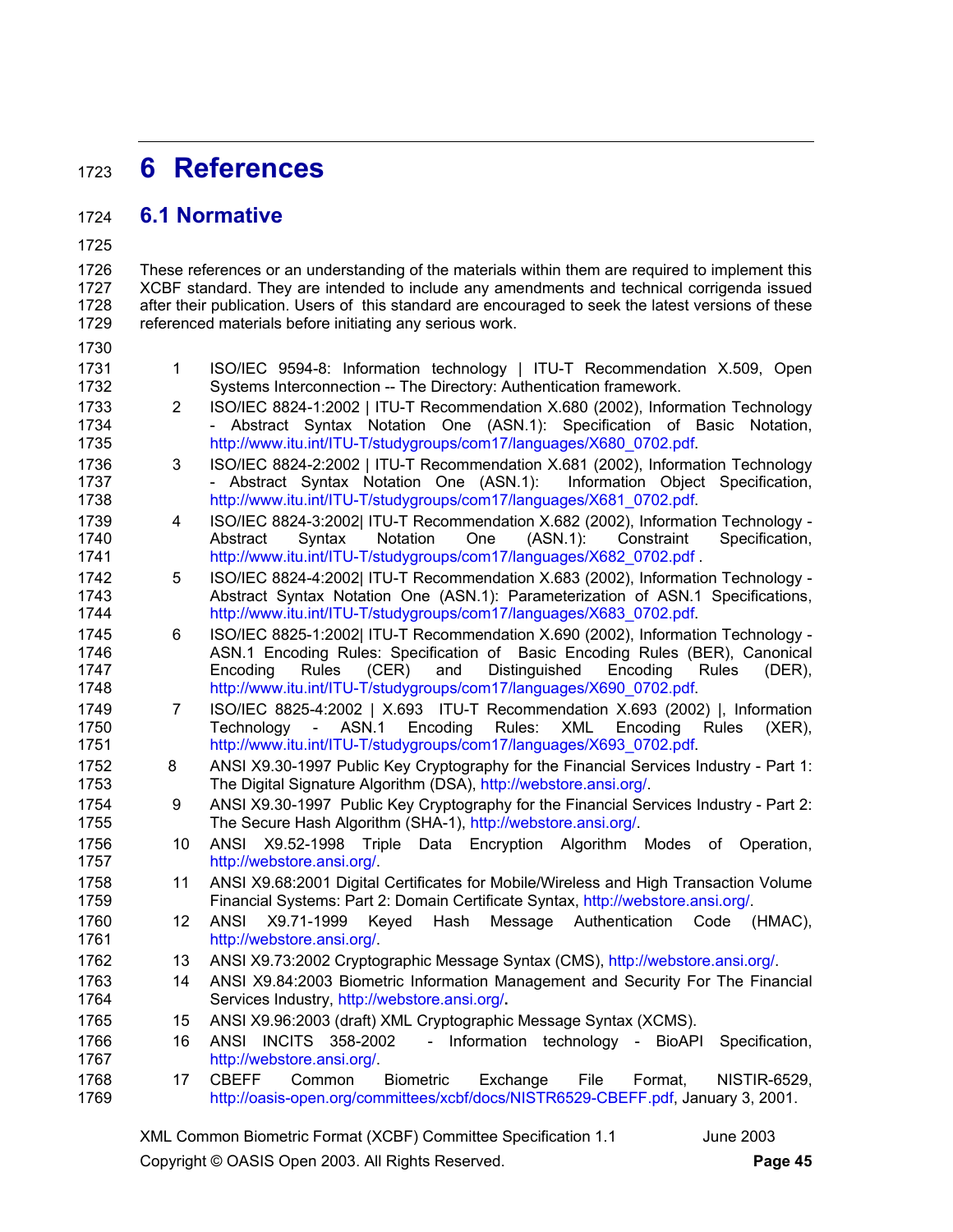## <sup>1723</sup>**6 References**

### 1724 **6.1 Normative**

1725

1726 These references or an understanding of the materials within them are required to implement this 1727 XCBF standard. They are intended to include any amendments and technical corrigenda issued 1728 after their publication. Users of this standard are encouraged to seek the latest versions of these 1729 referenced materials before initiating any serious work.

- 1730
- 1731 1 ISO/IEC 9594-8: Information technology | ITU-T Recommendation X.509, Open 1732 Systems Interconnection -- The Directory: Authentication framework. 1733 2 ISO/IEC 8824-1:2002 | ITU-T Recommendation X.680 (2002), Information Technology 1734 - Abstract Syntax Notation One (ASN.1): Specification of Basic Notation, 1735 http://www.itu.int/ITU-T/studygroups/com17/languages/X680\_0702.pdf.
- 1736 3 ISO/IEC 8824-2:2002 | ITU-T Recommendation X.681 (2002), Information Technology 1737 - Abstract Syntax Notation One (ASN.1): Information Object Specification, 1738 http://www.itu.int/ITU-T/studygroups/com17/languages/X681\_0702.pdf.
- 1739 4 ISO/IEC 8824-3:2002| ITU-T Recommendation X.682 (2002), Information Technology 1740 Abstract Syntax Notation One (ASN.1): Constraint Specification,<br>1741 http://www.itu.int/ITU-T/studygroups/com17/languages/X682\_0702.pdf http://www.itu.int/ITU-T/studygroups/com17/languages/X682\_0702.pdf .
- 1742 5 ISO/IEC 8824-4:2002| ITU-T Recommendation X.683 (2002), Information Technology 1743 Abstract Syntax Notation One (ASN.1): Parameterization of ASN.1 Specifications, 1744 http://www.itu.int/ITU-T/studygroups/com17/languages/X683\_0702.pdf.
- 1745 6 ISO/IEC 8825-1:2002| ITU-T Recommendation X.690 (2002), Information Technology 1746 ASN.1 Encoding Rules: Specification of Basic Encoding Rules (BER), Canonical 1747 Encoding Rules (CER) and Distinguished Encoding Rules (DER), 1748 http://www.itu.int/ITU-T/studygroups/com17/languages/X690\_0702.pdf.
- 1749 7 ISO/IEC 8825-4:2002 | X.693 ITU-T Recommendation X.693 (2002) |, Information 1750 Technology - ASN.1 Encoding Rules: XML Encoding Rules (XER), 1751 http://www.itu.int/ITU-T/studygroups/com17/languages/X693\_0702.pdf.
- 1752 8 ANSI X9.30-1997 Public Key Cryptography for the Financial Services Industry Part 1: 1753 The Digital Signature Algorithm (DSA), http://webstore.ansi.org/.
- 1754 9 ANSI X9.30-1997 Public Key Cryptography for the Financial Services Industry Part 2: 1755 The Secure Hash Algorithm (SHA-1), http://webstore.ansi.org/.
- 1756 10 ANSI X9.52-1998 Triple Data Encryption Algorithm Modes of Operation, 1757 http://webstore.ansi.org/.
- 1758 11 ANSI X9.68:2001 Digital Certificates for Mobile/Wireless and High Transaction Volume 1759 Financial Systems: Part 2: Domain Certificate Syntax, http://webstore.ansi.org/.
- 1760 12 ANSI X9.71-1999 Keyed Hash Message Authentication Code (HMAC), 1761 http://webstore.ansi.org/.
- 1762 13 ANSI X9.73:2002 Cryptographic Message Syntax (CMS), http://webstore.ansi.org/.
- 1763 14 ANSI X9.84:2003 Biometric Information Management and Security For The Financial 1764 Services Industry, http://webstore.ansi.org/**.**
- 1765 15 ANSI X9.96:2003 (draft) XML Cryptographic Message Syntax (XCMS).
- 1766 16 ANSI INCITS 358-2002 Information technology BioAPI Specification, 1767 http://webstore.ansi.org/.
- 1768 17 CBEFF Common Biometric Exchange File Format, NISTIR-6529, 1769 http://oasis-open.org/committees/xcbf/docs/NISTR6529-CBEFF.pdf, January 3, 2001.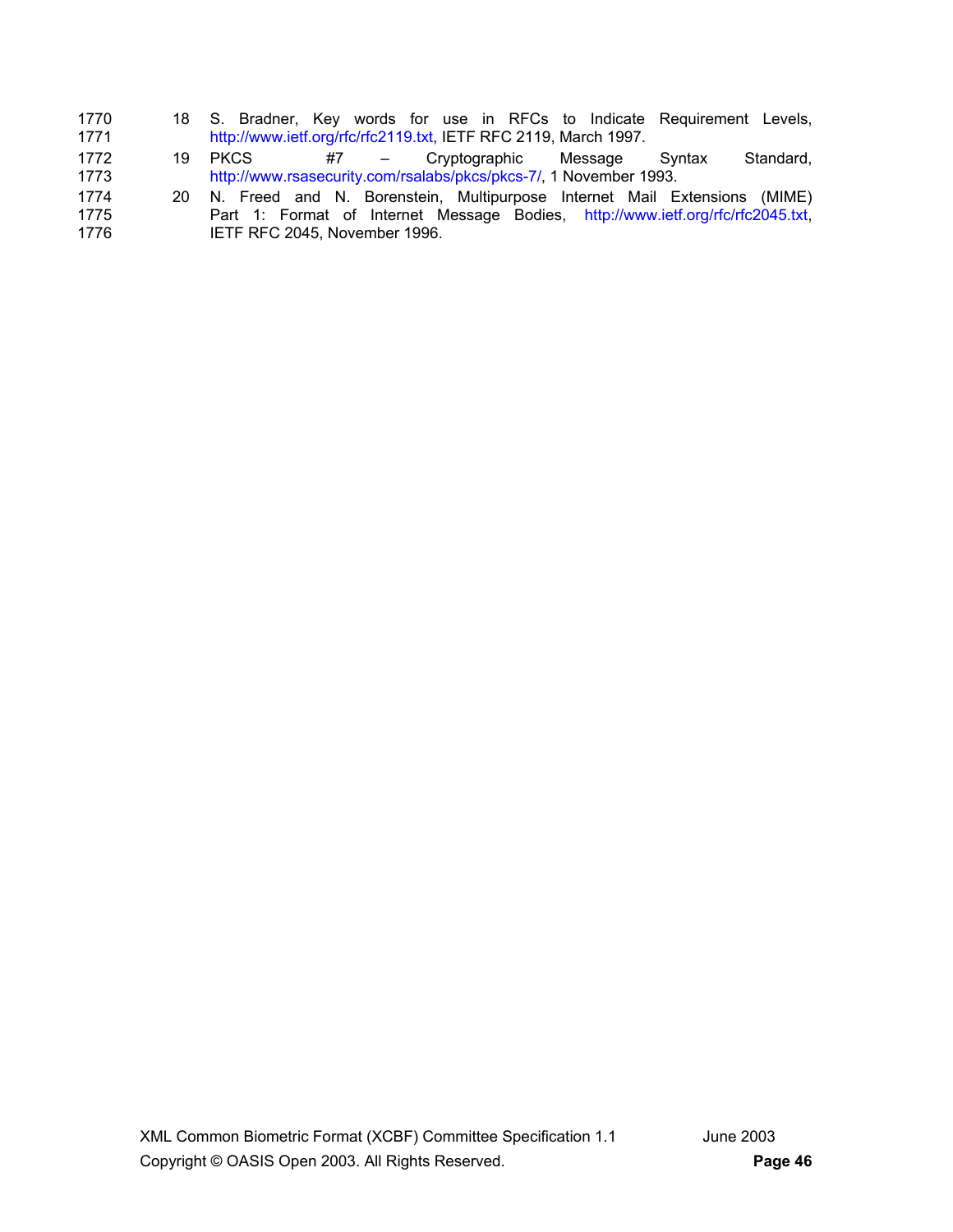| 1770 |  |                                                                 |  |  |  |  | 18 S. Bradner, Key words for use in RFCs to Indicate Requirement Levels, |  |
|------|--|-----------------------------------------------------------------|--|--|--|--|--------------------------------------------------------------------------|--|
| 1771 |  | http://www.ietf.org/rfc/rfc2119.txt, IETF RFC 2119, March 1997. |  |  |  |  |                                                                          |  |

- 1772 19 PKCS #7 Cryptographic Message Syntax Standard, 1773 http://www.rsasecurity.com/rsalabs/pkcs/pkcs-7/, 1 November 1993.
- 1774 20 N. Freed and N. Borenstein, Multipurpose Internet Mail Extensions (MIME)<br>1775 Part 1: Format of Internet Message Bodies, http://www.ietf.org/rfc/rfc2045.txt, 1775 Part 1: Format of Internet Message Bodies, http://www.ietf.org/rfc/rfc2045.txt,<br>1776 IETFRFC 2045. November 1996. IETF RFC 2045, November 1996.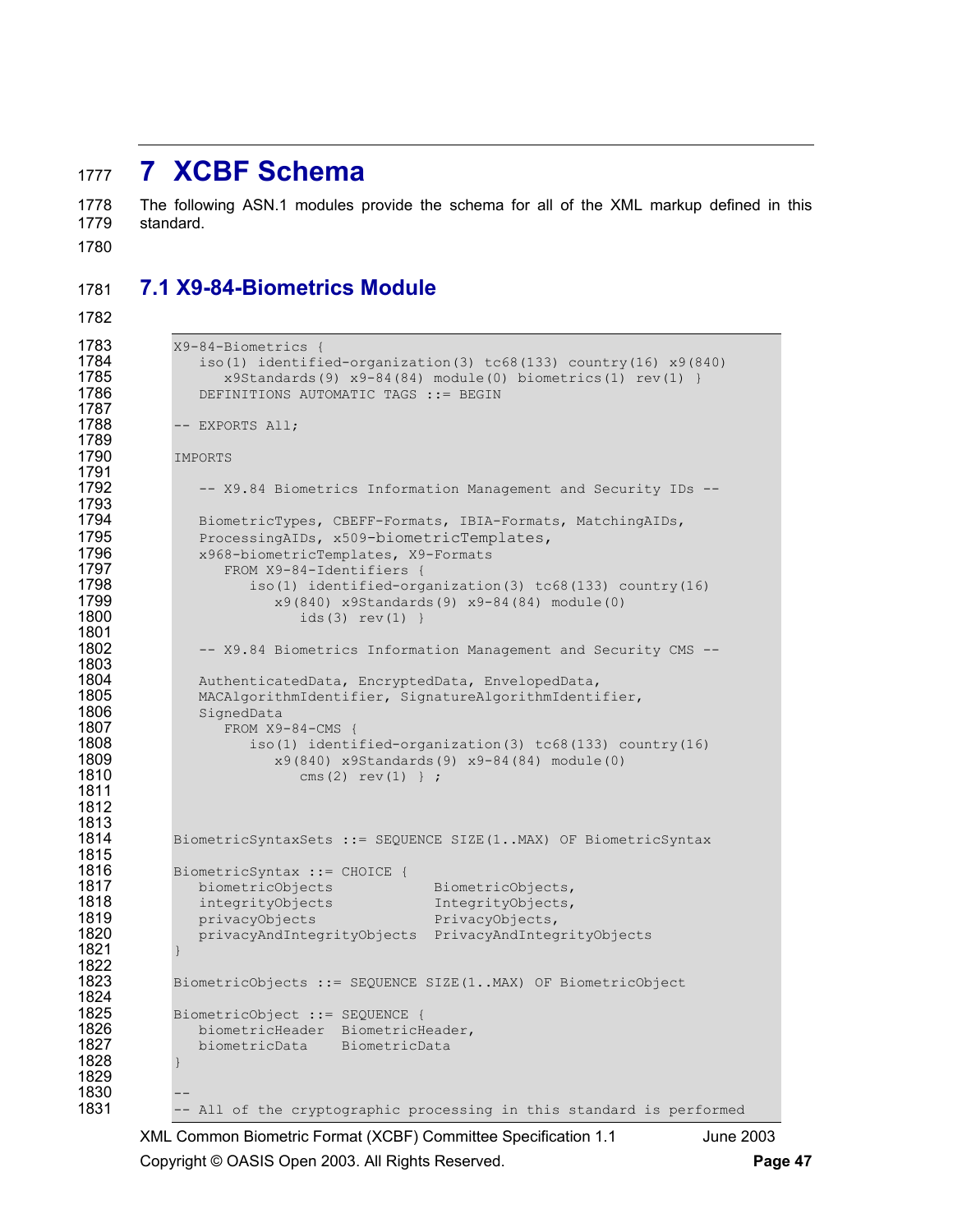## <sup>1777</sup>**7 XCBF Schema**

1778 The following ASN.1 modules provide the schema for all of the XML markup defined in this 1779 standard.

1780

## 1781 **7.1 X9-84-Biometrics Module**

1782

```
1783 <br>
1784 <br>
1784 <br>
180(1) identifi
1784 iso(1) identified-organization(3) tc68(133) country(16) x9(840)<br>1785 x9Standards(9) x9-84(84) module(0) biometrics(1) rev(1) }
1785 x9Standards(9) x9-84(84) module(0) biometrics(1) rev(1) }<br>1786 DEFINITIONS AUTOMATIC TAGS ::= BEGIN
                 DEFINITIONS AUTOMATIC TAGS ::= BEGIN
1787 
              -- EXPORTS All;
1789 
             TMPORTS
1791 
1792 -- X9.84 Biometrics Information Management and Security IDs --
1793 
1794 BiometricTypes, CBEFF-Formats, IBIA-Formats, MatchingAIDs, 1795<br>1795 ProcessingAIDs, x509-biometricTemplates,
1795 ProcessingAIDs, x509-biometricTemplates,<br>1796 x968-biometricTemplates, X9-Formats
1796 x968-biometricTemplates, X9-Formats<br>1797 FROM X9-84-Identifiers {
1797 FROM X9-84-Identifiers {<br>1798 iso(1) identified-org
1798 iso(1) identified-organization(3) tc68(133) country(16) 
1799 x9(840) x95tandards(9) x9-84(84) module(0) x9t<br>1800 x = x9(3) x = x1ids(3) rev(1) }
1801 
                 -- X9.84 Biometrics Information Management and Security CMS --
1803 
1804 AuthenticatedData, EncryptedData, EnvelopedData,<br>1805 MACAlgorithmIdentifier, SignatureAlgorithmIdenti
1805 MACAlgorithmIdentifier, SignatureAlgorithmIdentifier,<br>1806 SignedData
1806 SignedData<br>1807 FROM X9
1807 FROM X9-84-CMS {<br>1808 iso(1) identi
1808 iso(1) identified-organization(3) tc68(133) country(16)<br>1809 x9(840) x9Standards(9) x9-84(84) module(0)
                            1809 x9(840) x9Standards(9) x9-84(84) module(0) 
1810 cms(2) \text{cms}(2) \text{ rev}(1) } ;
1811 
1812 
1813 
             1814 BiometricSyntaxSets ::= SEQUENCE SIZE(1..MAX) OF BiometricSyntax 
1815 
             BiometricSyntax ::= CHOICE {
1817 biometricObjects BiometricObjects,
1818 integrityObjects IntegrityObjects, 
1819 privacyObjects PrivacyObjects,<br>1820 privacyAndIntegrityObjects PrivacyAndInteg
                 1820 privacyAndIntegrityObjects PrivacyAndIntegrityObjects 
1821 } 
1822 
1823 BiometricObjects ::= SEQUENCE SIZE(1..MAX) OF BiometricObject 
1824 
1825 BiometricObject ::= SEQUENCE { 
1826 biometricHeader BiometricHeader, 
                 biometricData BiometricData
1828 } 
1829 
1830<br>1831
             -- All of the cryptographic processing in this standard is performed
```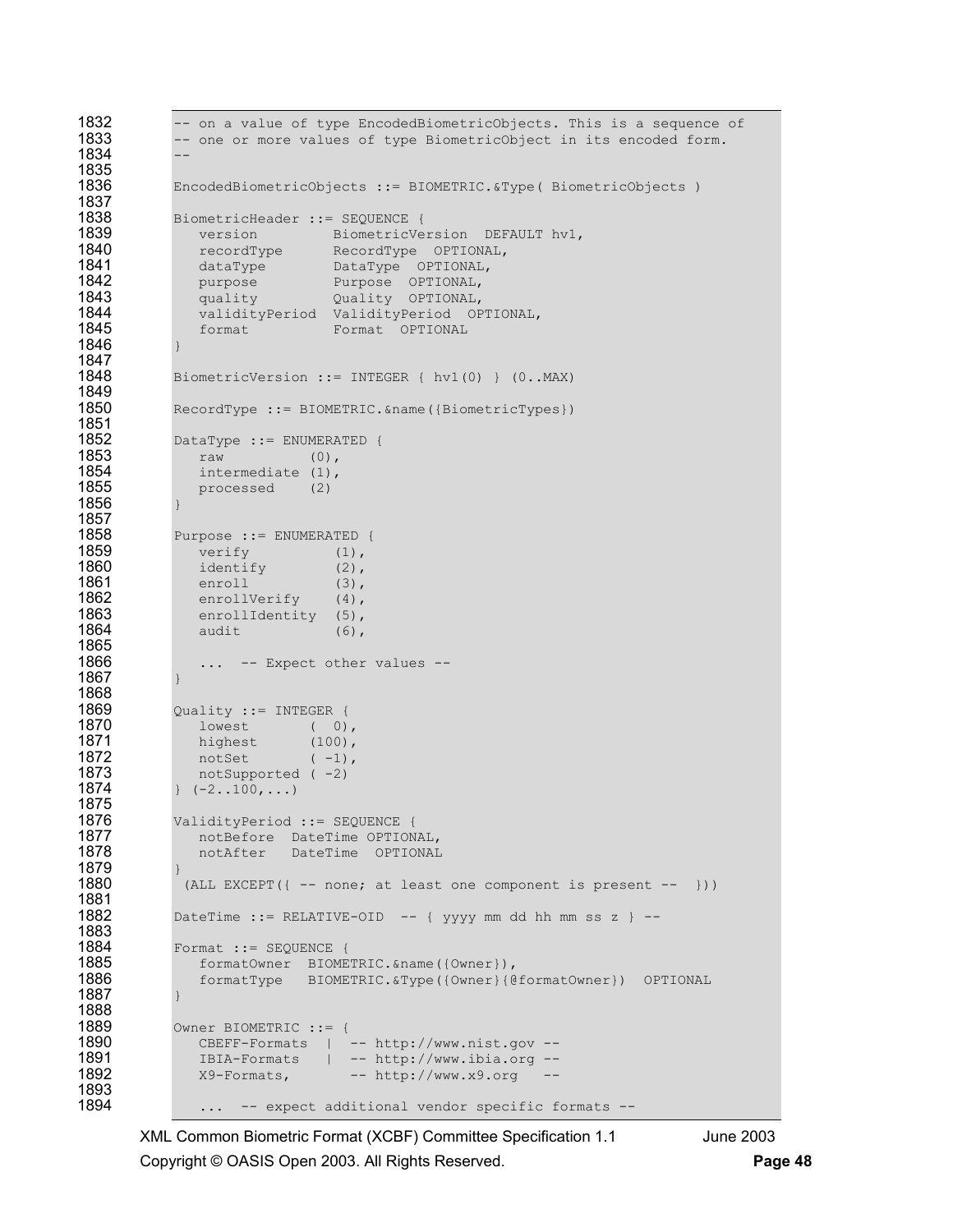```
1832 -- on a value of type EncodedBiometricObjects. This is a sequence of 1833 -- one or more values of type BiometricObject in its encoded form.
            -- one or more values of type BiometricObject in its encoded form.
1834 -- 
1835 
1836 EncodedBiometricObjects ::= BIOMETRIC.&Type( BiometricObjects ) 
1837<br>1838
1838 BiometricHeader ::= SEQUENCE { 
1839 version BiometricVersion DEFAULT hv1,
1840 recordType RecordType OPTIONAL,
1841 dataType DataType OPTIONAL,<br>1842 purpose Purpose OPTIONAL,
1842 purpose Purpose OPTIONAL, 
1843 quality Quality OPTIONAL,<br>1844 validityPeriod ValidityPeriod OF
1844 validityPeriod ValidityPeriod OPTIONAL, 
               format Format OPTIONAL
1846 } 
1847 
            BiometricVersion ::= INTEGER { hv1(0) } (0..MAX)
1849<br>1850
            RecordType ::= BIOMETRIC.&name({BiometricTypes})
1851<br>1852
1852 DataType ::= ENUMERATED {<br>1853 raw (0),
1853 raw (0),<br>1854 intermediate (1),
1854 intermediate (1), 
               processed (2)
1856 } 
1857 
1858 Purpose := ENUMERATED {<br>1859 verify (1),
1859 verify (1),<br>1860 identify (2),
1860 identify (2),<br>1861 enroll (3),
1861 enroll (3), 
1862 enrollVerify (4),<br>1863 enrollIdentity (5),
1863 enrollIdentity (5),<br>1864 audit (6),
               audit (6),
1865<br>1866
               ... -- Expect other values --
1867 } 
1868 
1869 Quality ::= INTEGER { 
1870 lowest ( 0),<br>1871 highest (100),
1871 highest (100),
1872 notSet (-1),
1873 notSupported (-2)<br>1874 | (-2, .100, ...)(-2..100, \ldots)1875 
1876 ValidityPeriod ::= SEQUENCE { 
1877 notBefore DateTime OPTIONAL,
1878 notAfter DateTime OPTIONAL
1879 } 
             (ALL EXCEPT(\{ -- none; at least one component is present -- }))
1881 
            DateTime ::= RELATIVE-OID -- { yyyy mm dd hh mm ss z } --
1883 
1884 Format ::= SEQUENCE { 
1885 formatOwner BIOMETRIC.&name({Owner}),<br>1886 formatType BIOMETRIC.&Type({Owner}{@
               1886 formatType BIOMETRIC.&Type({Owner}{@formatOwner}) OPTIONAL 
1887 } 
1888 
1889 Owner BIOMETRIC ::= {<br>1890 CBEFF-Formats | -
1890 CBEFF-Formats | -- http://www.nist.gov -- 
1891 IBIA-Formats | -- http://www.ibia.org --<br>1892 - X9-Formats, -- http://www.x9.org --
               X9-Formats, -- http://www.x9.org
1893<br>1894
                ... -- expect additional vendor specific formats --
```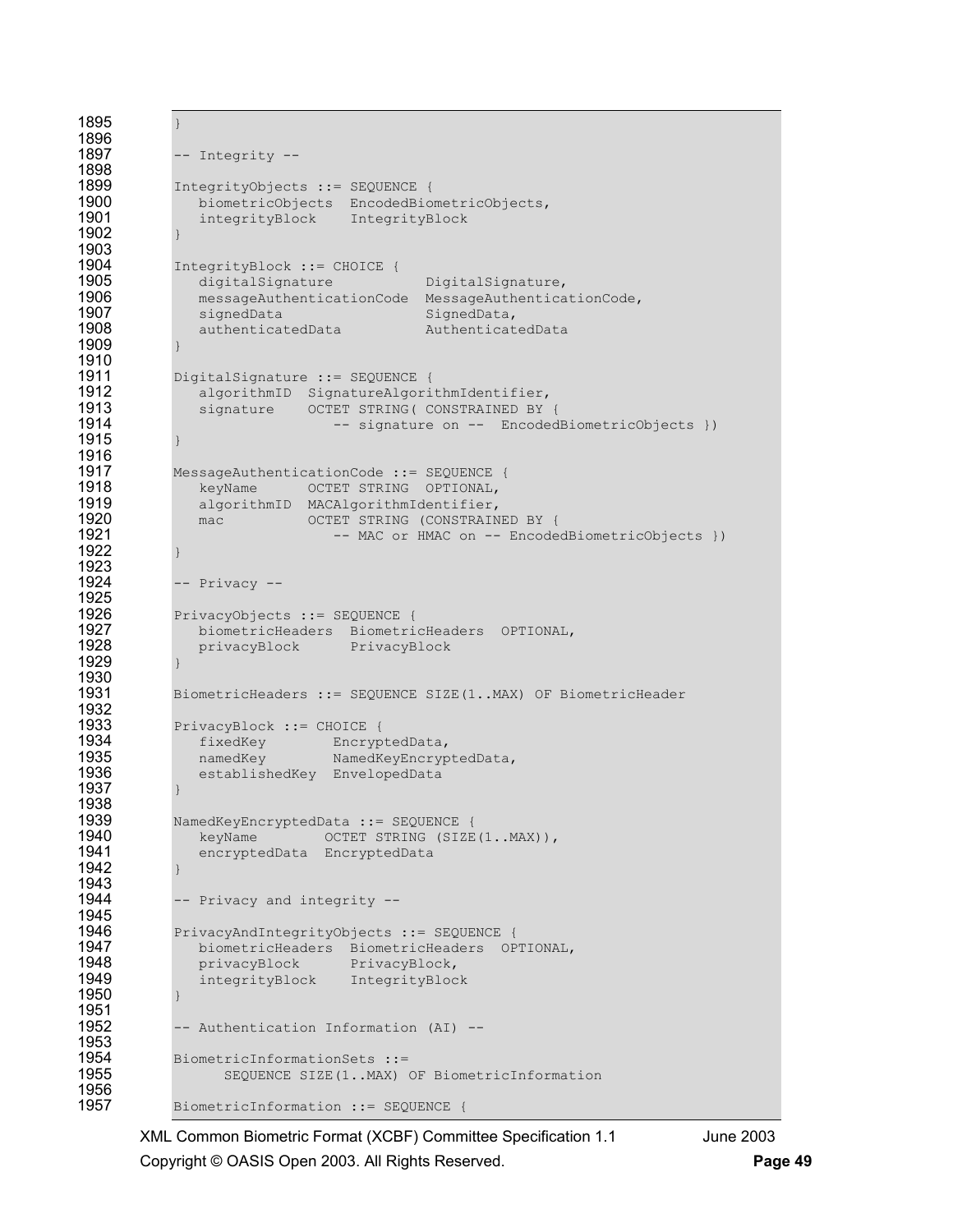```
1895 } 
1896 
             -- Integrity --
1898 
1899 IntegrityObjects ::= SEQUENCE {<br>1900 biometricObjects EncodedBio
1900 biometricObjects EncodedBiometricObjects,<br>1901 integrityBlock IntegrityBlock
                 integrityBlock IntegrityBlock
1902 } 
1903 
1904 IntegrityBlock ::= CHOICE {<br>1905 digitalSignature
1905 digitalSignature DigitalSignature,<br>1906 messageAuthenticationCode MessageAuthentica
1906 messageAuthenticationCode MessageAuthenticationCode,<br>1907 signedData messageAuthenticationCode,
1907 signedData SignedData,<br>1908 authenticatedData Authenticat
                1908 authenticatedData AuthenticatedData 
1909 } 
1910<br>1911
1911 DigitalSignature ::= SEQUENCE { 
1912 algorithmID SignatureAlgorithmIdentifier, 
1913 signature OCTET STRING ( CONSTRAINED BY {<br>1914 - signature on -- Encoded
                                   -- signature on -- EncodedBiometricObjects })
1915 } 
1916 
1917 MessageAuthenticationCode ::= SEQUENCE { 
1918 keyName OCTET STRING OPTIONAL,<br>1919 algorithmID MACAlgorithmIdentifier,
1919 algorithmID MACAlgorithmIdentifier, 
1920 mac OCTET STRING (CONSTRAINED BY { 
                                   -- MAC or HMAC on -- EncodedBiometricObjects })
1922 } 
1923 
1924 -- Privacy -- 
1925 
1926 PrivacyObjects ::= SEQUENCE {<br>1927 biometricHeaders Biometri
1927 biometricHeaders BiometricHeaders OPTIONAL, 
                privacyBlock PrivacyBlock
1929
1930 
1931 BiometricHeaders ::= SEQUENCE SIZE(1..MAX) OF BiometricHeader 
1932<br>1933
1933 PrivacyBlock ::= CHOICE { 
1934 fixedKey EncryptedData,<br>1935 hamedKey NamedKevEncryp
1935 1835 namedKey NamedKeyEncryptedData,<br>1936 1836 establishedKey EnvelopedData
                establishedKey EnvelopedData
1937 } 
1938 
1939 NamedKeyEncryptedData ::= SEQUENCE { 
1940 keyName OCTET STRING (SIZE(1..MAX)),<br>1941 encryptedData EncryptedData
                 encryptedData EncryptedData
1942 } 
1943 
             -- Privacy and integrity --
1945 
1946 PrivacyAndIntegrityObjects ::= SEQUENCE {<br>1947    biometricHeaders BiometricHeaders OP
1947 biometricHeaders BiometricHeaders OPTIONAL, 
1948 privacyBlock PrivacyBlock, 
                integrityBlock IntegrityBlock
1950 } 
1951 
             -- Authentication Information (AI) --
1953 
1954 BiometricInformationSets ::=<br>1955 SEQUENCE SIZE(1..MAX)
                    SEQUENCE SIZE(1..MAX) OF BiometricInformation
1956<br>1957
             BiometricInformation ::= SEQUENCE {
```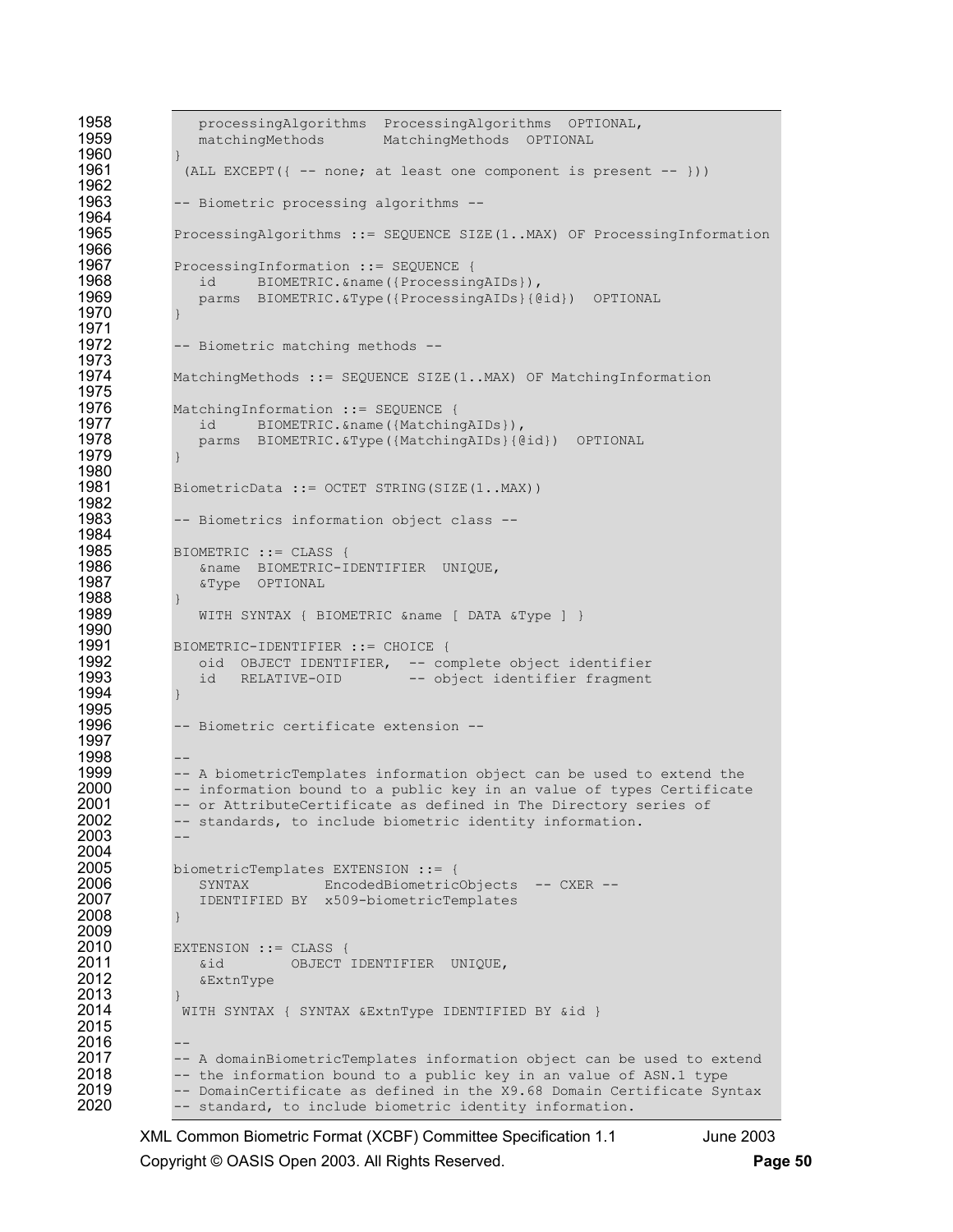```
1958 processingAlgorithms ProcessingAlgorithms OPTIONAL,<br>1959 matchingMethods MatchingMethods OPTIONAL
                  matchingMethods MatchingMethods OPTIONAL
1960<br>1961
                (ALL EXCEPT(\{ -- none; at least one component is present -- }))
1962 
1963 -- Biometric processing algorithms -- 
1964 
1965 ProcessingAlgorithms ::= SEQUENCE SIZE(1..MAX) OF ProcessingInformation
1966<br>1967
1967 ProcessingInformation ::= SEQUENCE {<br>1968 id BIOMETRIC.&name({Processin
1968 id BIOMETRIC.&name({ProcessingAIDs}), 
                  1969 parms BIOMETRIC.&Type({ProcessingAIDs}{@id}) OPTIONAL 
1970 } 
1971 
1972 -- Biometric matching methods -- 
1973 
               MatchingMethods ::= SEQUENCE SIZE(1..MAX) OF MatchingInformation
1975 
1976 MatchingInformation ::= SEQUENCE {<br>1977 id BIOMETRIC & name ({Matchin
1977 id BIOMETRIC.&name({MatchingAIDs}),<br>1978 parms BIOMETRIC.&Tvpe({MatchingAIDs}{@
                  parms BIOMETRIC.&Type({MatchingAIDs}{@id}) OPTIONAL
1979 } 
1980 
               BiometricData ::= OCTET STRING(SIZE(1..MAX))
1982<br>1983
               -- Biometrics information object class --
1984<br>1985
1985 BIOMETRIC := CLASS {<br>1986 Comme BIOMETRIC-I
1986 6name BIOMETRIC-IDENTIFIER UNIQUE,<br>1987 6Type OPTIONAL
                  1987 &Type OPTIONAL 
1988 } 
                  WITH SYNTAX { BIOMETRIC &name [ DATA &Type ] }
1990<br>1991
1991 BIOMETRIC-IDENTIFIER ::= CHOICE { 
1992 oid OBJECT IDENTIFIER, -- complete object identifier 
                                                   -- object identifier fragment
1994
1995<br>1996
               -- Biometric certificate extension --
1997 
1998<br>1999
1999 -- A biometricTemplates information object can be used to extend the<br>2000 -- information bound to a public key in an value of types Certificate
2000 -- information bound to a public key in an value of types Certificate 2001 -- or AttributeCertificate as defined in The Directory series of
2001 -- or AttributeCertificate as defined in The Directory series of 2002 -- standards, to include biometric identity information.
               -- standards, to include biometric identity information.
2003 -- 
2004<br>2005
2005 biometricTemplates EXTENSION ::= {<br>2006 SYNTAX EncodedBiometric
2006 SYNTAX EncodedBiometricObjects -- CXER --<br>2007 1DENTIFIED BY x509-biometricTemplates
                  2007 IDENTIFIED BY x509-biometricTemplates 
2008 } 
2009 
2010 EXTENSION ::= CLASS {<br>2011 6id OBJECT
2011 6id OBJECT IDENTIFIER UNIQUE,<br>2012 6ExtnType
                  2012 &ExtnType 
2013 } 
               WITH SYNTAX { SYNTAX &ExtnType IDENTIFIED BY &id }
2015 
2016<br>2017
2017 -- A domainBiometricTemplates information object can be used to extend 2018 -- the information bound to a public kev in an value of ASN.1 type
2018 -- the information bound to a public key in an value of ASN.1 type<br>2019 -- DomainCertificate as defined in the X9.68 Domain Certificate Sv.
2019 -- DomainCertificate as defined in the X9.68 Domain Certificate Syntax 2020 -- standard, to include biometric identity information.
               -- standard, to include biometric identity information.
```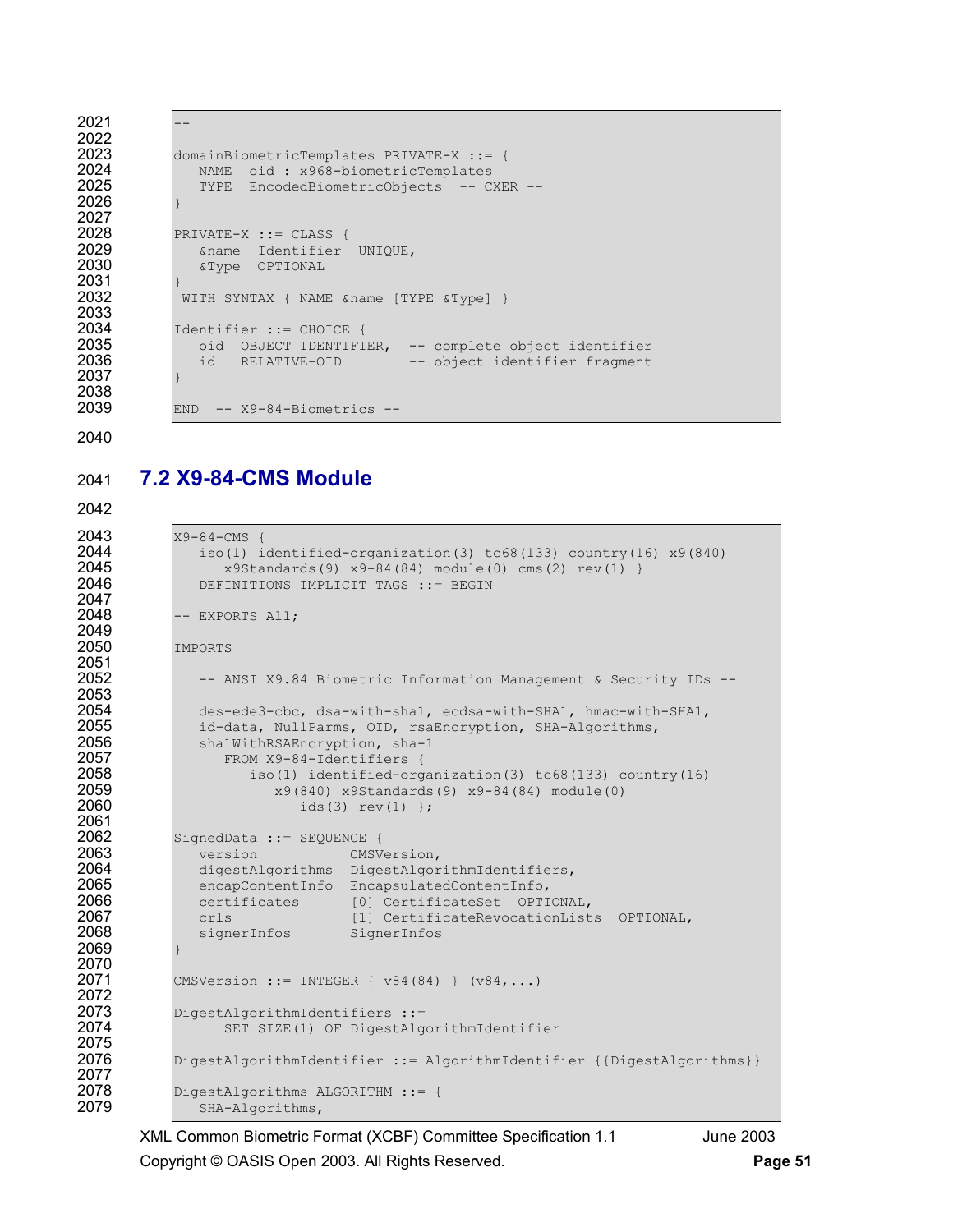```
2022 
2026 } 
2027 
2031 } 
2033<br>2034
2037 }
```
2038<br>2039

```
2021 -2023 domainBiometricTemplates PRIVATE-X ::= {<br>2024 MAME oid : x968-biometricTemplates
2024 MAME oid : x968-biometricTemplates<br>2025 TYPE EncodedBiometricObiects -- C
               TYPE EncodedBiometricObjects -- CXER --
2028 PRIVATE-X ::= CLASS { 
2029 &name Identifier UNIQUE, 
               2030 &Type OPTIONAL 
            WITH SYNTAX { NAME &name [TYPE &Type] }
2034 Identifier ::= CHOICE { 
2035 oid OBJECT IDENTIFIER, -- complete object identifier 
               id RELATIVE-OID -- object identifier fragment
            END -- X9-84-Biometrics --
```
2040

## 2041 **7.2 X9-84-CMS Module**

2042

```
2043 <br>
2044 <br>
2044 <br>
2011 <br>
2014 <br>
205
2044 iso(1) identified-organization(3) tc68(133) country(16) x9(840) 
2045 x9Standards(9) x9-84(84) module(0) cms(2) rev(1) }<br>2046 DEFINITIONS IMPLICIT TAGS := BEGIN
                 DEFINITIONS IMPLICIT TAGS ::= BEGIN
2047 
2048 -- EXPORTS All; 
2049<br>2050
             IMPORTS
2051<br>2052
                 -- ANSI X9.84 Biometric Information Management & Security IDs --
2053 
2054 des-ede3-cbc, dsa-with-sha1, ecdsa-with-SHA1, hmac-with-SHA1,<br>2055 id-data, NullParms, OID, rsaEncryption, SHA-Algorithms,
2055 id-data, NullParms, OID, rsaEncryption, SHA-Algorithms,<br>2056 shalWithRSAEncryption, sha-1
                 sha1WithRSAEncryption, sha-1
2057 FROM X9-84-Identifiers {<br>2058 iso(1) identified-org
2058 iso(1) identified-organization(3) tc68(133) country(16) 
2059 x9(840) x95tandards(9) x9-84(84) module(0)<br>2060 x = x9(3) x = x1) x = x2ids(3) rev(1) };
2061 
2062 SignedData ::= SEQUENCE {<br>2063 version CMSV
2063 version CMSVersion,<br>2064 digestAlgorithms DigestAlgor
2064 digestAlgorithms DigestAlgorithmIdentifiers,<br>2065 encapContentInfo EncapsulatedContentInfo,
2065 encapContentInfo EncapsulatedContentInfo, 
2066 certificates [0] CertificateSet OPTIONAL,<br>2067 crls [1] CertificateRevocationList
2067 crls [1] CertificateRevocationLists OPTIONAL,<br>2068 signerInfos SignerInfos
                 signerInfos SignerInfos
2069 } 
2070 
2071 CMSVersion ::= INTEGER { v84(84) } (v84,...)
2072<br>2073
2073 DigestAlgorithmIdentifiers ::= 
                     SET SIZE(1) OF DigestAlgorithmIdentifier
2075<br>2076
              DigestAlgorithmIdentifier ::= AlgorithmIdentifier {{DigestAlgorithms}}
2077 
2078 DigestAlgorithms ALGORITHM ::= {<br>2079 SHA-Algorithms.
                  SHA-Algorithms,
```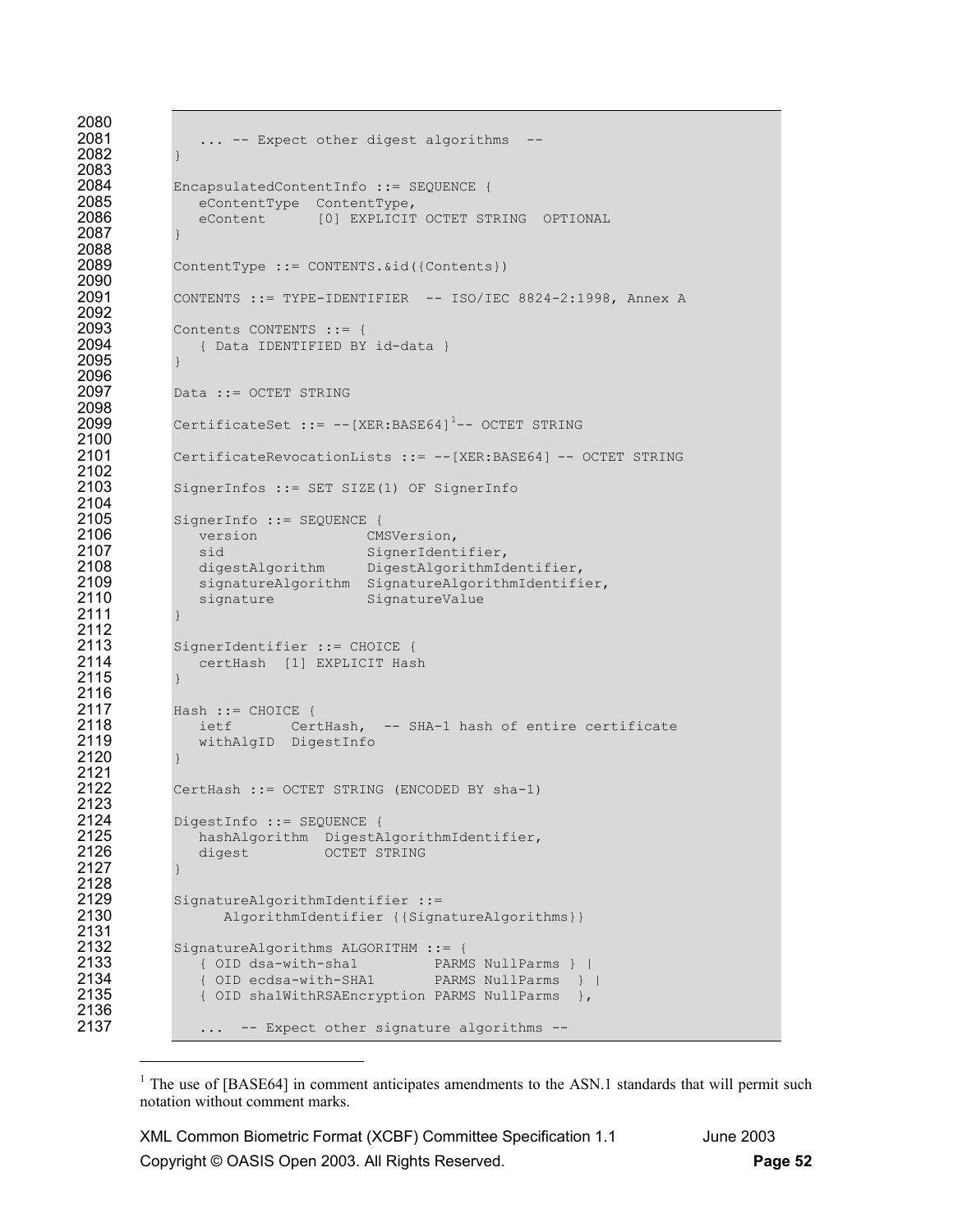```
2080<br>2081
                ... -- Expect other digest algorithms --
2082 } 
2083 
2084 EncapsulatedContentInfo ::= SEQUENCE { 
2085 eContentType ContentType,<br>2086 eContent [0] EXPLICIT
                eContent [0] EXPLICIT OCTET STRING OPTIONAL
2087 } 
2088 
             ContentType ::= CONTENTS. &id({Contents})
2090<br>2091
             2091 CONTENTS ::= TYPE-IDENTIFIER -- ISO/IEC 8824-2:1998, Annex A 
2092<br>2093
2093 Contents CONTENTS ::= {<br>2094 (Data IDENTIFIED BY
              2094 { Data IDENTIFIED BY id-data } 
2095 } 
2096<br>2097
             Data ::= OCTET STRING
2098<br>2099
             CertificateSet ::= --[XER:BASE64]^{1}--OCTET STRING2100 
2101 CertificateRevocationLists ::= --[XER:BASE64] -- OCTET STRING 
2102<br>2103
             SignerInfos ::= SET SIZE(1) OF SignerInfo
2104<br>2105
2105 SignerInfo ::= SEQUENCE {<br>2106 version CMS
2106 version CMSVersion,<br>2107 sid SignerIdent
2107 sid SignerIdentifier,
2108 digestAlgorithm DigestAlgorithmIdentifier,
2109 signatureAlgorithm SignatureAlgorithmIdentifier,<br>2110 signature SignatureValue
                signature SignatureValue
2111 } 
2112 
2113 SignerIdentifier ::= CHOICE { 
                certHash [1] EXPLICIT Hash
2115 } 
2116 
2117 Hash := CHOICE {<br>2118 ietf Cer
2118 ietf CertHash, -- SHA-1 hash of entire certificate 
                withAlgID DigestInfo
2120 } 
2121<br>2122
             CertHash ::= OCTET STRING (ENCODED BY sha-1)
2123 
2124 DigestInfo ::= SEQUENCE {<br>2125 DigestIngle hashAlgorithm DigestA
2125 hashAlgorithm DigestAlgorithmIdentifier,<br>2126 digest OCTET STRING
                digest OCTET STRING
2127 } 
2128 
2129 SignatureAlgorithmIdentifier ::= 
                   AlgorithmIdentifier {{SignatureAlgorithms}}
2131 
2132 SignatureAlgorithms ALGORITHM ::= {<br>2133 (OID dsa-with-shal PARM
2133 { OID dsa-with-shal PARMS NullParms } |<br>2134 { OID ecdsa-with-SHA1 PARMS NullParms }
2134 (OID ecdsa-with-SHA1 PARMS NullParms } |<br>2135 (OID sha1WithRSAEncryption PARMS NullParms },
                { OID sha1WithRSAEncryption PARMS NullParms },
2136<br>2137
                ... -- Expect other signature algorithms --
```
l

<sup>&</sup>lt;sup>1</sup> The use of [BASE64] in comment anticipates amendments to the ASN.1 standards that will permit such notation without comment marks.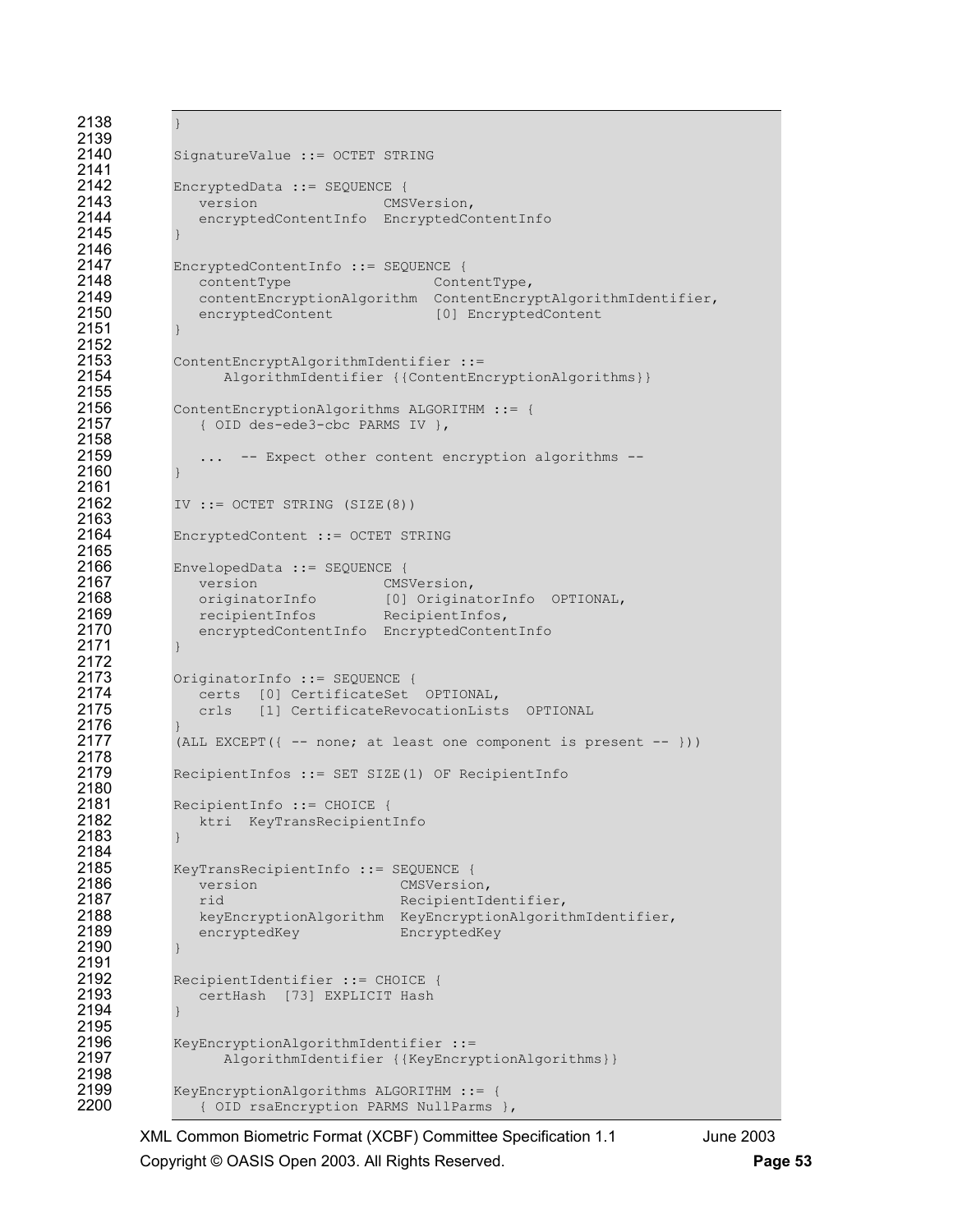```
2138 } 
2139 
             SignatureValue ::= OCTET STRING
2141 
2142 EncryptedData ::= SEQUENCE {<br>2143 version CMS
2143 version CMSVersion,<br>2144 encryptedContentInfo EncryptedCo
                encryptedContentInfo EncryptedContentInfo
2145 } 
2146 
2147 EncryptedContentInfo ::= SEQUENCE {<br>2148 contentType content
2148 contentType contentType,<br>2149 contentEncryptionAlgorithm ContentEncry
2149 contentEncryptionAlgorithm ContentEncryptAlgorithmIdentifier,<br>2150 encryptedContent [0] EncryptedContent
                encryptedContent [0] EncryptedContent
2151 } 
2152<br>2153
2153 ContentEncryptAlgorithmIdentifier ::= 
                  AlgorithmIdentifier {{ContentEncryptionAlgorithms}}
2155<br>2156
2156 ContentEncryptionAlgorithms ALGORITHM ::= {<br>2157 (0.01D) des-ede3-chc PARMS IV }.
                2157 { OID des-ede3-cbc PARMS IV }, 
2158 
2159 ... -- Expect other content encryption algorithms -- 
2160 } 
2161<br>2162
             IV ::= OCTET STRING (SIZE(8))
2163 
2164 EncryptedContent ::= OCTET STRING
2165<br>2166
2166 EnvelopedData ::= SEQUENCE { 
2167 version CMSVersion, 
2168 originatorInfo [0] OriginatorInfo OPTIONAL, 
2169 recipientInfos RecipientInfos,<br>2170 encryptedContentInfo EncryptedConten
                encryptedContentInfo EncryptedContentInfo
2171 } 
2172<br>2173
2173 OriginatorInfo ::= SEQUENCE { 
2174 certs [0] CertificateSet OPTIONAL,<br>2175 crls [1] CertificateRevocationList
                crls [1] CertificateRevocationLists OPTIONAL
2176<br>2177
             (ALL EXCEPT(\{ -- none; at least one component is present -- }))
2178 
2179 RecipientInfos ::= SET SIZE(1) OF RecipientInfo 
2180 
2181 RecipientInfo ::= CHOICE { 
                ktri KeyTransRecipientInfo
2183 } 
2184<br>2185
2185 KeyTransRecipientInfo ::= SEQUENCE {<br>2186 version CMSVersio
2186 version CMSVersion, 
2187 rid RecipientIdentifier,<br>2188 RevEncryptionAlgorithm KeyEncryptionAlgorit
2188 keyEncryptionAlgorithm KeyEncryptionAlgorithmIdentifier,<br>2189 encryptedKey EncryptedKey
                encryptedKey EncryptedKey
2190 } 
2191<br>2192
2192 RecipientIdentifier ::= CHOICE { 
                certHash [73] EXPLICIT Hash
2194
2195 
2196 KeyEncryptionAlgorithmIdentifier ::=<br>2197 AlgorithmIdentifier {{KeyEncryp
                    AlgorithmIdentifier {{KeyEncryptionAlgorithms}}
2198 
2199 KeyEncryptionAlgorithms ALGORITHM ::= {<br>2200 (OID rsaEncryption PARMS NullParms
                 { OID rsaEncryption PARMS NullParms },
```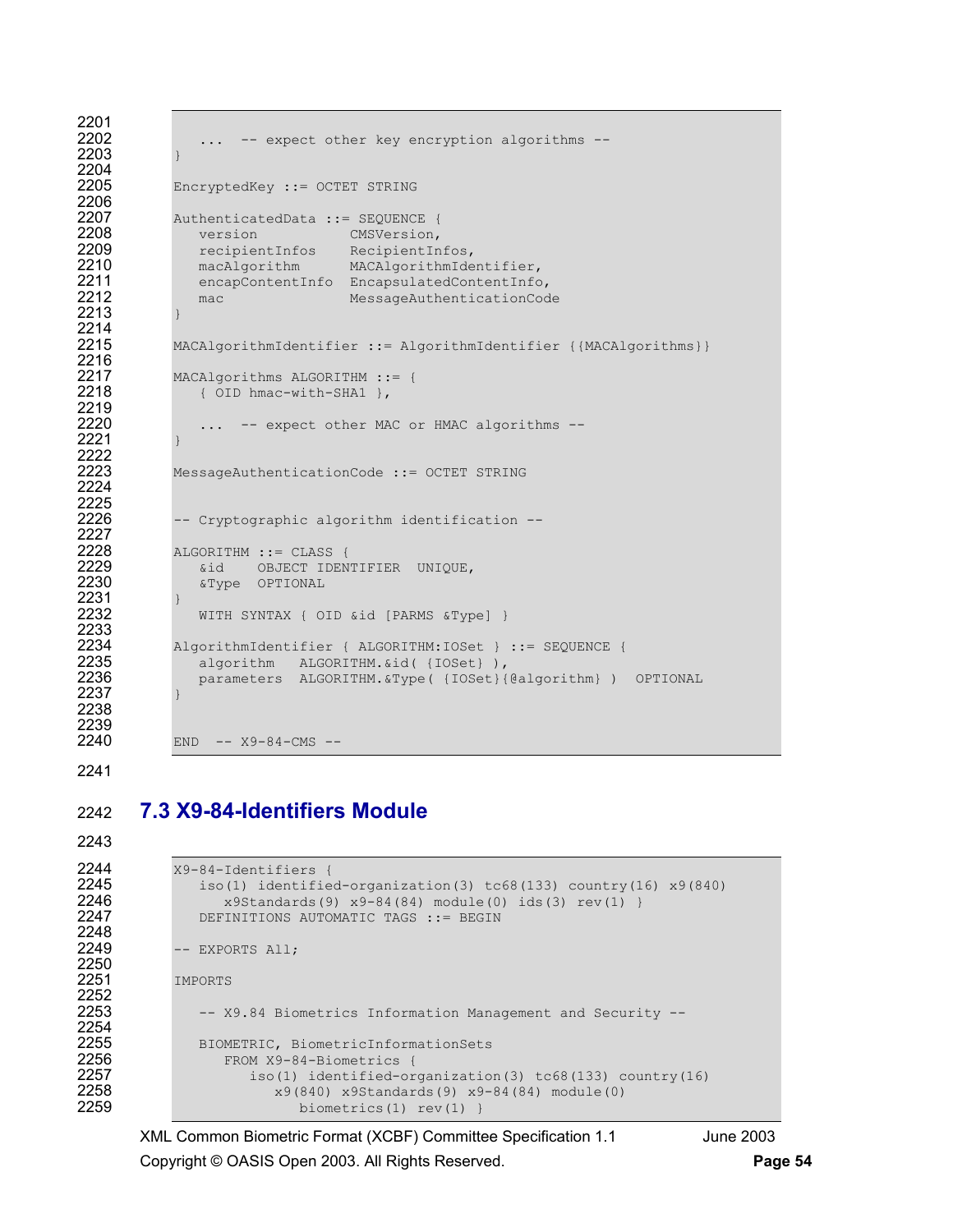```
2201 
               ... -- expect other key encryption algorithms --
2203 } 
2204 
2205 EncryptedKey ::= OCTET STRING 
2206<br>2207
2207 AuthenticatedData ::= SEQUENCE { 
2208 version CMSVersion,<br>2209 recipientInfos RecipientIn
2209 recipientInfos RecipientInfos,<br>2210 macAlgorithm MACAlgorithmIde
2210 macAlgorithm MACAlgorithmIdentifier, 
2211 encapContentInfo EncapsulatedContentInfo, 
               mac MessageAuthenticationCode
2213 } 
2214 
2215 MACAlgorithmIdentifier ::= AlgorithmIdentifier {{MACAlgorithms}} 
2216<br>2217
2217 MACAlgorithms ALGORITHM ::= {<br>2218 (OID hmac-with-SHA1 },
               2218 { OID hmac-with-SHA1 }, 
2219<br>2220
               ... -- expect other MAC or HMAC algorithms --
2221 } 
2222 
2223 MessageAuthenticationCode ::= OCTET STRING 
2224 
2225<br>2226
            -- Cryptographic algorithm identification --
2227 
2228 ALGORITHM := CLASS {<br>2229 6id OBJECT IDEN
2229 &id OBJECT IDENTIFIER UNIQUE, 
               2230 &Type OPTIONAL 
2231 } 
               WITH SYNTAX { OID &id [PARMS &Type] }
2233<br>2234
2234 AlgorithmIdentifier { ALGORITHM:IOSet } ::= SEQUENCE { 
2235 algorithm ALGORITHM.&id( {IOSet} ), 
               parameters ALGORITHM.&Type( {IOSet}{@algorithm} ) OPTIONAL
2237 } 
2238 
2239 
2240 END -- X9-84-CMS --
```
## 2242 **7.3 X9-84-Identifiers Module**

```
2243
```
2248<br>2249

2250

2252<br>2253

2254<br>2255

```
2244 X9-84-Identifiers {<br>2245 iso(1) identifie
2245 iso(1) identified-organization(3) tc68(133) country(16) x9(840) 
2246 x9Standards(9) x9-84(84) module(0) ids(3) rev(1) }<br>2247 DEFINITIONS AUTOMATIC TAGS ::= BEGIN
                 DEFINITIONS AUTOMATIC TAGS ::= BEGIN
             -- EXPORTS All;
2251 IMPORTS 
                 -- X9.84 Biometrics Information Management and Security --
2255 BIOMETRIC, BiometricInformationSets<br>2256 FROM X9-84-Biometrics {
2256 FROM X9-84-Biometrics {<br>2257 iso(1) identified-or-
2257 iso(1) identified-organization(3) tc68(133) country(16)<br>2258 x9(840) x9standards(9) x9-84(84) module(0)
2258 x9(840) x95t and x39(81) x9-84(84) module(0) 2259biometrics(1) rev(1) }
```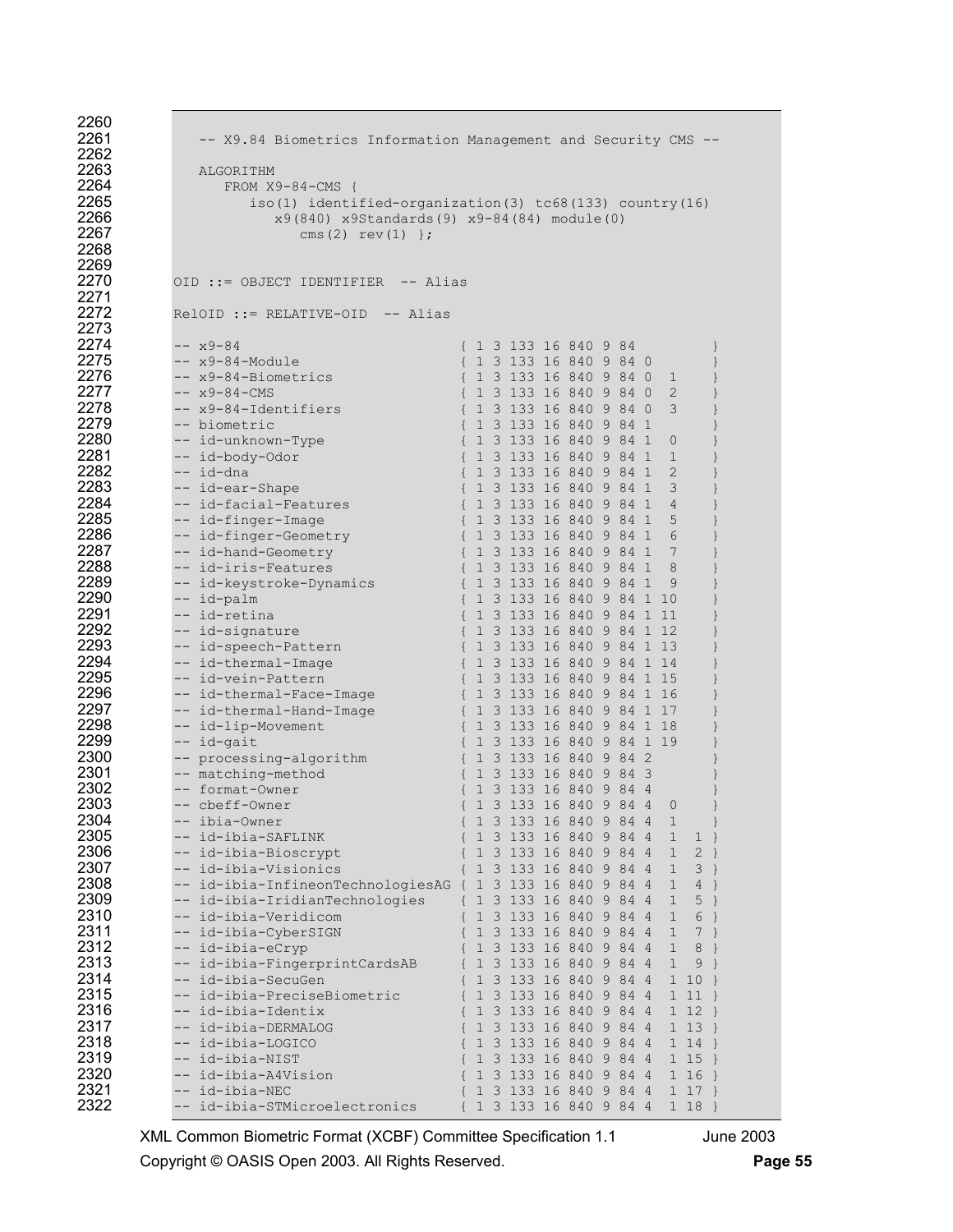| 2260         |                                                                |  |                            |  |      |                |               |               |  |
|--------------|----------------------------------------------------------------|--|----------------------------|--|------|----------------|---------------|---------------|--|
| 2261         | -- X9.84 Biometrics Information Management and Security CMS -- |  |                            |  |      |                |               |               |  |
| 2262         |                                                                |  |                            |  |      |                |               |               |  |
| 2263         | ALGORITHM                                                      |  |                            |  |      |                |               |               |  |
| 2264         | $FROM X9-84-CMS$ {                                             |  |                            |  |      |                |               |               |  |
| 2265         | iso(1) identified-organization(3) tc68(133) country(16)        |  |                            |  |      |                |               |               |  |
| 2266         | x9(840) x9Standards(9) x9-84(84) module(0)                     |  |                            |  |      |                |               |               |  |
| 2267         | cms(2) $rev(1)$ };                                             |  |                            |  |      |                |               |               |  |
| 2268         |                                                                |  |                            |  |      |                |               |               |  |
| 2269         |                                                                |  |                            |  |      |                |               |               |  |
| 2270         | OID ::= OBJECT IDENTIFIER -- Alias                             |  |                            |  |      |                |               |               |  |
| 2271         |                                                                |  |                            |  |      |                |               |               |  |
| 2272         | $RelOID :: = RELATIVE-OID -- Alias$                            |  |                            |  |      |                |               |               |  |
| 2273         |                                                                |  |                            |  |      |                |               |               |  |
| 2274         | $-- x9-84$                                                     |  | { 1 3 133 16 840 9 84      |  |      |                |               | }             |  |
| 2275         | -- x9-84-Module                                                |  | { 1 3 133 16 840 9 84 0    |  |      |                |               |               |  |
| 2276         | -- x9-84-Biometrics                                            |  | { 1 3 133 16 840 9 84 0    |  |      | $\perp$        |               |               |  |
| 2277         | $-- x9-84-CMS$                                                 |  | { 1 3 133 16 840 9 84 0    |  |      | $\mathbf{2}$   |               | $\}$          |  |
| 2278         | -- x9-84-Identifiers                                           |  | { 1 3 133 16 840 9 84 0    |  |      | 3              |               |               |  |
| 2279         | -- biometric                                                   |  | { 1 3 133 16 840 9 84 1    |  |      |                |               |               |  |
| 2280         | -- id-unknown-Type                                             |  | { 1 3 133 16 840 9 84 1    |  |      | 0              |               |               |  |
| 2281         | -- id-body-Odor                                                |  | { 1 3 133 16 840 9 84 1    |  |      | 1              |               |               |  |
| 2282         | -- id-dna                                                      |  | { 1 3 133 16 840 9 84 1    |  |      | 2              |               |               |  |
| 2283         | -- id-ear-Shape                                                |  | { 1 3 133 16 840 9 84 1    |  |      | 3              |               |               |  |
| 2284         |                                                                |  | { 1 3 133 16 840 9 84 1    |  |      | $\overline{4}$ |               |               |  |
| 2285         | -- id-facial-Features                                          |  |                            |  |      |                |               |               |  |
| 2286         | -- id-finger-Image                                             |  | { 1 3 133 16 840 9 84 1    |  |      | 5              |               |               |  |
| 2287         | -- id-finger-Geometry                                          |  | { 1 3 133 16 840 9 84 1    |  |      | 6<br>7         |               |               |  |
| 2288         | -- id-hand-Geometry                                            |  | { 1 3 133 16 840 9 84 1    |  |      |                |               |               |  |
|              | -- id-iris-Features                                            |  | { 1 3 133 16 840 9 84 1    |  |      | 8              |               |               |  |
| 2289<br>2290 | -- id-keystroke-Dynamics                                       |  | { 1 3 133 16 840 9 84 1    |  |      | 9              |               |               |  |
| 2291         | -- id-palm                                                     |  | { 1 3 133 16 840 9 84 1 10 |  |      |                |               |               |  |
|              | -- id-retina                                                   |  | { 1 3 133 16 840 9 84 1 11 |  |      |                |               |               |  |
| 2292         | -- id-signature                                                |  | { 1 3 133 16 840 9 84 1 12 |  |      |                |               |               |  |
| 2293         | -- id-speech-Pattern                                           |  | { 1 3 133 16 840 9 84 1 13 |  |      |                |               |               |  |
| 2294         | -- id-thermal-Image                                            |  | { 1 3 133 16 840 9 84 1 14 |  |      |                |               |               |  |
| 2295         | -- id-vein-Pattern                                             |  | { 1 3 133 16 840 9 84 1 15 |  |      |                |               |               |  |
| 2296         | -- id-thermal-Face-Image                                       |  | { 1 3 133 16 840 9 84 1 16 |  |      |                |               |               |  |
| 2297         | -- id-thermal-Hand-Image                                       |  | { 1 3 133 16 840 9 84 1 17 |  |      |                |               |               |  |
| 2298         | -- id-lip-Movement                                             |  | { 1 3 133 16 840 9 84 1 18 |  |      |                |               |               |  |
| 2299         | -- id-gait                                                     |  | { 1 3 133 16 840 9 84 1 19 |  |      |                |               |               |  |
| 2300         | -- processing-algorithm                                        |  | { 1 3 133 16 840 9 84 2    |  |      |                |               |               |  |
| 2301         | -- matching-method                                             |  | { 1 3 133 16 840 9 84 3    |  |      |                |               |               |  |
| 2302         | -- format-Owner                                                |  | 1 3 133 16 840 9 84 4      |  |      |                |               |               |  |
| 2303         | -- cbeff-Owner                                                 |  | 1 3 133 16 840 9 84 4      |  |      | 0              |               | $\}$          |  |
| 2304         | -- ibia-Owner                                                  |  | { 1 3 133 16 840 9 84 4    |  |      | $\mathbf 1$    |               | $\}$          |  |
| 2305         | -- id-ibia-SAFLINK                                             |  | 1 3 133 16 840 9 84 4      |  |      | 1              | $\mathbf 1$   | $\}$          |  |
| 2306         | -- id-ibia-Bioscrypt                                           |  | 1 3 133 16 840 9 84 4      |  |      | 1              | $2$ }         |               |  |
| 2307         | -- id-ibia-Visionics                                           |  | 1 3 133 16 840 9 84 4      |  |      | $\mathbf 1$    | $3 \}$        |               |  |
| 2308         | -- id-ibia-InfineonTechnologiesAG {                            |  | 1 3 133 16 840 9 84 4      |  |      | 1              | 4             | $\}$          |  |
| 2309         | -- id-ibia-IridianTechnologies                                 |  | 1 3 133 16 840 9           |  | 84 4 | 1              | 5             | }             |  |
| 2310         | -- id-ibia-Veridicom                                           |  | 1 3 133 16 840 9           |  | 844  | $\mathbf 1$    | 6             | $\}$          |  |
| 2311         | -- id-ibia-CyberSIGN                                           |  | 1 3 133 16 840 9 84 4      |  |      | $\mathbf 1$    | 7             | $\}$          |  |
| 2312         | -- id-ibia-eCryp                                               |  | 1 3 133 16 840 9 84 4      |  |      | 1              | 8             | $\}$          |  |
| 2313         | -- id-ibia-FingerprintCardsAB                                  |  | 1 3 133 16 840 9 84 4      |  |      | $\mathbf 1$    | $\mathcal{G}$ | $\rightarrow$ |  |
| 2314         | id-ibia-SecuGen                                                |  | 1 3 133 16 840 9 84 4      |  |      |                | 1 10          | }             |  |
| 2315         | -- id-ibia-PreciseBiometric                                    |  | 1 3 133 16 840 9 84 4      |  |      |                | 1 11          |               |  |
| 2316         | id-ibia-Identix                                                |  | 1 3 133 16 840 9 84 4      |  |      |                | 1 12          | - }           |  |
| 2317         | id-ibia-DERMALOG                                               |  | 1 3 133 16 840 9 84 4      |  |      |                | 1 13          | $\}$          |  |
| 2318         | -- id-ibia-LOGICO                                              |  | 1 3 133 16 840 9 84 4      |  |      |                | 1 14          |               |  |
| 2319         | id-ibia-NIST                                                   |  | 1 3 133 16 840 9 84 4      |  |      |                | 1 15          | $\rightarrow$ |  |
| 2320         | id-ibia-A4Vision                                               |  | 1 3 133 16 840 9 84 4      |  |      |                | 1 16          | $\}$          |  |
| 2321         | id-ibia-NEC                                                    |  | 1 3 133 16 840 9 84 4      |  |      |                | $1 17$ }      |               |  |
| 2322         | -- id-ibia-STMicroelectronics                                  |  | 1 3 133 16 840 9 84 4      |  |      |                | 1 18          |               |  |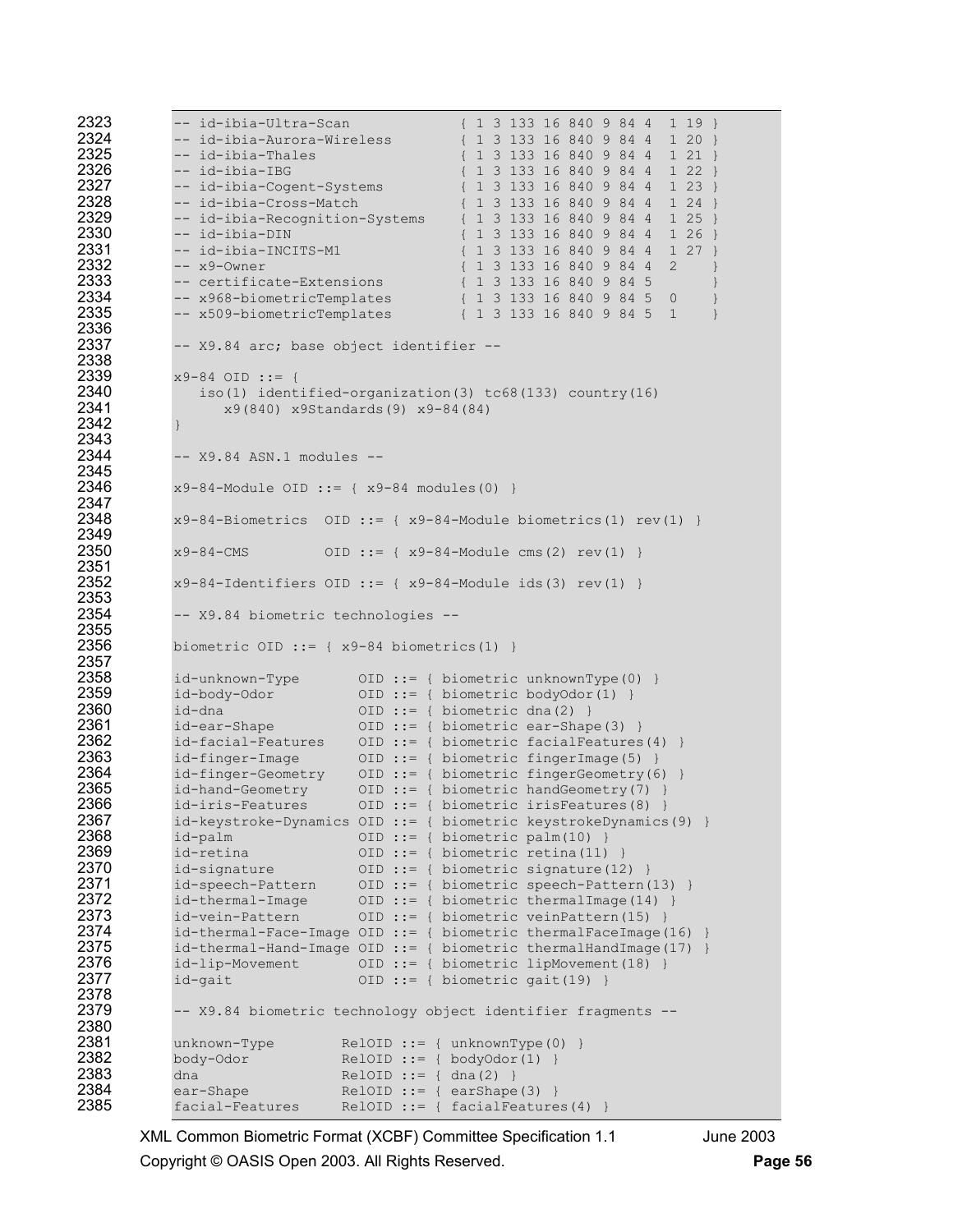| 2323         | -- id-ibia-Ultra-Scan<br>{ 1 3 133 16 840 9 84 4<br>$1\;19\;$                                                              |
|--------------|----------------------------------------------------------------------------------------------------------------------------|
| 2324         | -- id-ibia-Aurora-Wireless<br>{ 1 3 133 16 840 9 84 4<br>120                                                               |
| 2325         | { 1 3 133 16 840 9 84 4 1 21 }<br>-- id-ibia-Thales                                                                        |
| 2326         | -- id-ibia-IBG<br>{ 1 3 133 16 840 9 84 4<br>1 22                                                                          |
| 2327         | -- id-ibia-Cogent-Systems<br>{ 1 3 133 16 840 9 84 4<br>123                                                                |
| 2328         | -- id-ibia-Cross-Match<br>{ 1 3 133 16 840 9 84 4<br>124                                                                   |
| 2329         | -- id-ibia-Recognition-Systems<br>{ 1 3 133 16 840 9 84 4<br>125                                                           |
| 2330         | -- id-ibia-DIN<br>{ 1 3 133 16 840 9 84 4<br>126                                                                           |
| 2331         | { 1 3 133 16 840 9 84 4<br>127<br>-- id-ibia-INCITS-M1                                                                     |
| 2332         | -- x9-Owner<br>{ 1 3 133 16 840 9 84 4<br>$\overline{2}$<br>$\}$                                                           |
| 2333         | { 1 3 133 16 840 9 84 5<br>-- certificate-Extensions<br>}                                                                  |
| 2334         | -- x968-biometricTemplates<br>{ 1 3 133 16 840 9 84 5<br>0<br>$\big\}$                                                     |
| 2335         | -- x509-biometricTemplates<br>{ 1 3 133 16 840 9 84 5<br>$\overline{1}$<br>$\}$                                            |
| 2336         |                                                                                                                            |
| 2337         | -- X9.84 arc; base object identifier --                                                                                    |
| 2338         |                                                                                                                            |
| 2339         | $x9-84$ OID ::= {                                                                                                          |
| 2340         | iso(1) identified-organization(3) $tc68(133)$ country(16)                                                                  |
| 2341         | x9(840) x9Standards(9) x9-84(84)                                                                                           |
| 2342         | $\}$                                                                                                                       |
| 2343         |                                                                                                                            |
| 2344         | $-- X9.84$ ASN.1 modules $--$                                                                                              |
| 2345         |                                                                                                                            |
| 2346         | $x9-84$ -Module OID ::= { $x9-84$ modules(0) }                                                                             |
| 2347         |                                                                                                                            |
| 2348         | $x9-84-Biometrics$ OID ::= { $x9-84-Module$ biometrics (1) rev(1) }                                                        |
| 2349         |                                                                                                                            |
| 2350         | $x9-84$ -CMS<br>OID ::= { $x9-84$ -Module cms(2) $rev(1)$ }                                                                |
| 2351         |                                                                                                                            |
| 2352         | $x9-84$ -Identifiers OID ::= { $x9-84$ -Module ids(3) rev(1) }                                                             |
| 2353         |                                                                                                                            |
| 2354         | -- X9.84 biometric technologies --                                                                                         |
| 2355         |                                                                                                                            |
| 2356         | biometric OID ::= { $x9-84$ biometrics(1) }                                                                                |
| 2357         |                                                                                                                            |
| 2358         | id-unknown-Type<br>OID ::= { biometric unknownType(0) }                                                                    |
| 2359<br>2360 | id-body-Odor<br>OID ::= { biometric bodyOdor(1) }                                                                          |
| 2361         | id-dna<br>OID ::= { biometric dna(2) }                                                                                     |
| 2362         | id-ear-Shape<br>OID ::= { biometric ear-Shape(3) }                                                                         |
| 2363         | OID ::= { biometric facialFeatures(4) }<br>id-facial-Features                                                              |
| 2364         | OID ::= { biometric fingerImage(5) }<br>id-finger-Image                                                                    |
| 2365         | id-finger-Geometry<br>OID ::= { biometric fingerGeometry(6) }<br>id-hand-Geometry<br>OID ::= { biometric handGeometry(7) } |
| 2366         | id-iris-Features<br>OID ::= { biometric irisFeatures(8) }                                                                  |
| 2367         | id-keystroke-Dynamics OID ::= { biometric keystrokeDynamics (9) }                                                          |
| 2368         | OID ::= { biometric palm(10) }<br>id-palm                                                                                  |
| 2369         | id-retina<br>OID ::= { biometric retina(11) }                                                                              |
| 2370         | id-signature<br>OID ::= { biometric signature(12) }                                                                        |
| 2371         | id-speech-Pattern<br>OID ::= { biometric speech-Pattern(13) }                                                              |
| 2372         | id-thermal-Image<br>OID ::= { biometric thermalImage(14) }                                                                 |
| 2373         | id-vein-Pattern<br>OID ::= { biometric veinPattern(15) }                                                                   |
| 2374         | id-thermal-Face-Image OID ::= { biometric thermalFaceImage(16) }                                                           |
| 2375         | id-thermal-Hand-Image OID ::= { biometric thermalHandImage(17) }                                                           |
| 2376         | id-lip-Movement<br>OID ::= { biometric lipMovement(18) }                                                                   |
| 2377         | id-gait<br>OID ::= { biometric gait(19) }                                                                                  |
| 2378         |                                                                                                                            |
| 2379         | -- X9.84 biometric technology object identifier fragments --                                                               |
| 2380         |                                                                                                                            |
| 2381         | unknown-Type<br>$\text{RelOID}$ ::= { unknownType(0) }                                                                     |
| 2382         | body-Odor<br>$RelOID :: = { bodyOdor(1) }$                                                                                 |
| 2383         | $RelOID :: = { dna (2) }$<br>dna                                                                                           |
| 2384         | $RelOID :: = { earShape(3) }$<br>ear-Shape                                                                                 |
| 2385         | RelOID ::= { $facialFeatures(4)$ }<br>facial-Features                                                                      |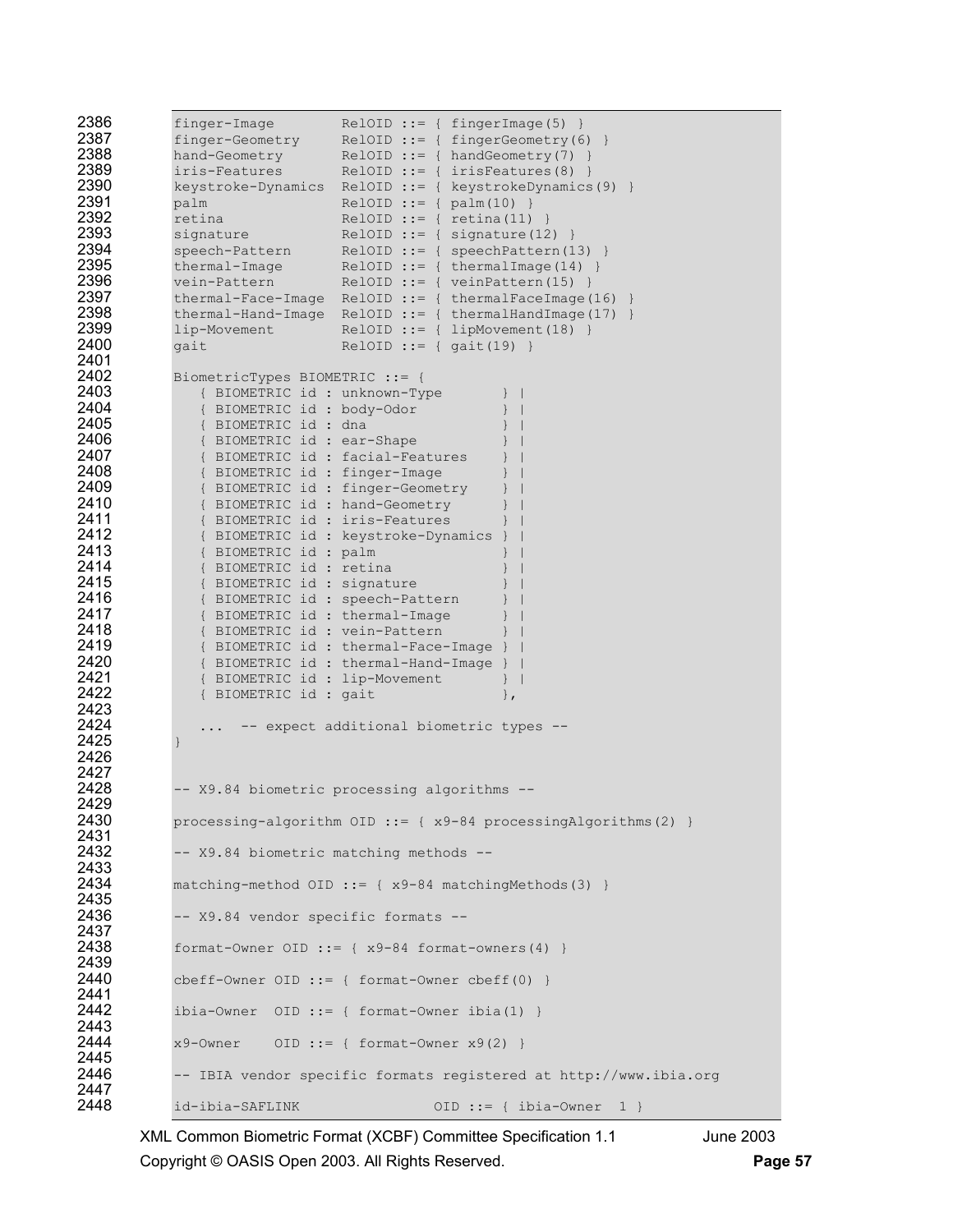| 2386<br>2387<br>2388<br>2389<br>2390<br>2391<br>2392<br>2393<br>2394<br>2395<br>2396<br>2397<br>2398<br>2399<br>2400<br>2401                                                                 | finger-Image<br>$RelOID :: = { fingerImage(5) }$<br>finger-Geometry<br>$RelOID ::= { fingerGeometry(6) }$<br>hand-Geometry<br>$RelOID ::= \{ handGeometry(7) \}$<br>$RelOID :: = { irisFeatures(8)}$<br>iris-Features<br>RelOID ::= { keystrokeDynamics(9) }<br>keystroke-Dynamics<br>$RelOID :: = { palm(10) }$<br>palm<br>$RelOID :: = { retina(11) }$<br>retina<br>$RelOID ::= { signature(12)}$<br>signature<br>speech-Pattern<br>$RelOID ::= { speechPattern(13)}$<br>thermal-Image<br>$RelOID :: = { thermalImage(14)}$<br>vein-Pattern<br>$RelOID :: = { veinPattern(15)}$<br>$RelOID ::= { thermalFaceImage(16)}$<br>thermal-Face-Image<br>$RelOID :: = { thermalHandImage(17)}$<br>thermal-Hand-Image<br>lip-Movement<br>$RelOID ::= { LipMovement (18)}$<br>$RelOID ::= { gait(19) }$<br>gait |
|----------------------------------------------------------------------------------------------------------------------------------------------------------------------------------------------|---------------------------------------------------------------------------------------------------------------------------------------------------------------------------------------------------------------------------------------------------------------------------------------------------------------------------------------------------------------------------------------------------------------------------------------------------------------------------------------------------------------------------------------------------------------------------------------------------------------------------------------------------------------------------------------------------------------------------------------------------------------------------------------------------------|
| 2402<br>2403<br>2404<br>2405<br>2406<br>2407<br>2408<br>2409<br>2410<br>2411<br>2412<br>2413<br>2414<br>2415<br>2416<br>2417<br>2418<br>2419<br>2420<br>2421<br>2422<br>2423<br>2424<br>2425 | BiometricTypes BIOMETRIC ::= {<br>{ BIOMETRIC id : unknown-Type<br>{ BIOMETRIC id : body-Odor<br>{ BIOMETRIC id : dna<br>{ BIOMETRIC id : ear-Shape<br>{ BIOMETRIC id : facial-Features<br>{ BIOMETRIC id : finger-Image<br>{ BIOMETRIC id : finger-Geometry<br>{ BIOMETRIC id : hand-Geometry<br>{ BIOMETRIC id : iris-Features<br>{ BIOMETRIC id : keystroke-Dynamics<br>{ BIOMETRIC id : palm<br>{ BIOMETRIC id : retina<br>{ BIOMETRIC id : signature<br>{ BIOMETRIC id : speech-Pattern<br>{ BIOMETRIC id : thermal-Image<br>{ BIOMETRIC id : vein-Pattern<br>{ BIOMETRIC id : thermal-Face-Image }<br>{ BIOMETRIC id : thermal-Hand-Image<br>{ BIOMETRIC id : lip-Movement<br>$\mathcal{F}$<br>{ BIOMETRIC id : gait<br>$\}$ ,<br>-- expect additional biometric types --                         |
| 2426<br>2427<br>2428                                                                                                                                                                         | $\mathcal{F}$<br>-- X9.84 biometric processing algorithms --                                                                                                                                                                                                                                                                                                                                                                                                                                                                                                                                                                                                                                                                                                                                            |
| 2429<br>2430                                                                                                                                                                                 | processing-algorithm $OID$ ::= { $x9-84$ processingAlgorithms (2) }                                                                                                                                                                                                                                                                                                                                                                                                                                                                                                                                                                                                                                                                                                                                     |
| 2431<br>2432                                                                                                                                                                                 | -- X9.84 biometric matching methods --                                                                                                                                                                                                                                                                                                                                                                                                                                                                                                                                                                                                                                                                                                                                                                  |
| 2433<br>2434                                                                                                                                                                                 | matching-method OID ::= $\{ x9-84 \text{ matchingMethods} (3) \}$                                                                                                                                                                                                                                                                                                                                                                                                                                                                                                                                                                                                                                                                                                                                       |
| 2435<br>2436                                                                                                                                                                                 | -- X9.84 vendor specific formats --                                                                                                                                                                                                                                                                                                                                                                                                                                                                                                                                                                                                                                                                                                                                                                     |
| 2437<br>2438                                                                                                                                                                                 | format-Owner OID ::= { x9-84 format-owners(4) }                                                                                                                                                                                                                                                                                                                                                                                                                                                                                                                                                                                                                                                                                                                                                         |
| 2439<br>2440                                                                                                                                                                                 | $cbeff-Owner$ $OID$ ::= { format-Owner $cbeff(0)$ }                                                                                                                                                                                                                                                                                                                                                                                                                                                                                                                                                                                                                                                                                                                                                     |
| 2441<br>2442                                                                                                                                                                                 | ibia-Owner $OD :: = { format-Owner ibia(1) }$                                                                                                                                                                                                                                                                                                                                                                                                                                                                                                                                                                                                                                                                                                                                                           |
| 2443<br>2444                                                                                                                                                                                 | $x9$ -Owner OID ::= { format-Owner $x9(2)$ }                                                                                                                                                                                                                                                                                                                                                                                                                                                                                                                                                                                                                                                                                                                                                            |
| 2445<br>2446                                                                                                                                                                                 | -- IBIA vendor specific formats registered at http://www.ibia.org                                                                                                                                                                                                                                                                                                                                                                                                                                                                                                                                                                                                                                                                                                                                       |
| 2447<br>2448                                                                                                                                                                                 | id-ibia-SAFLINK<br>OID ::= { ibia-Owner $1$ }                                                                                                                                                                                                                                                                                                                                                                                                                                                                                                                                                                                                                                                                                                                                                           |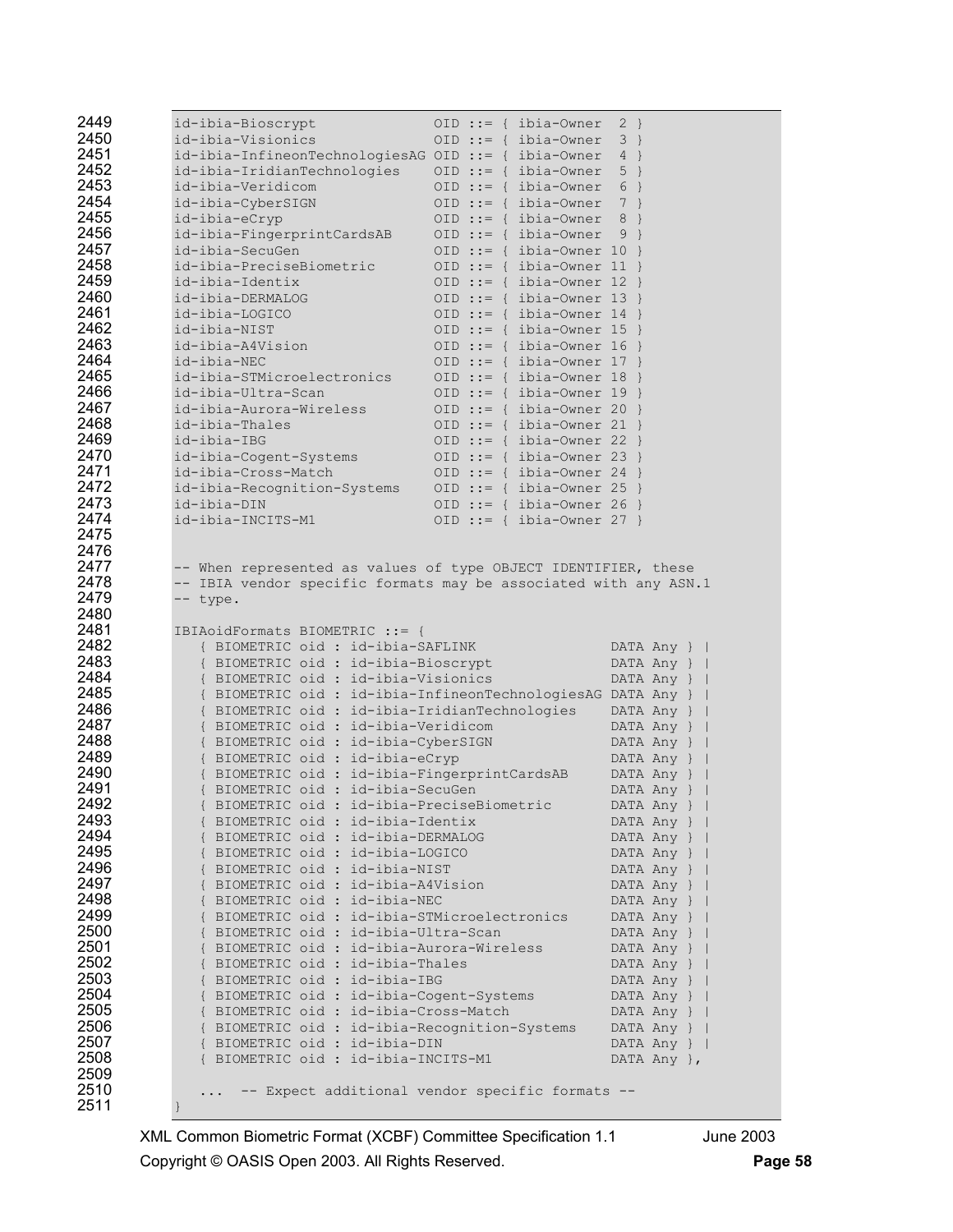| 2449         | id-ibia-Bioscrypt                                                                    | $OID :: = {$ ibia-Owner     | $2 \}$                     |
|--------------|--------------------------------------------------------------------------------------|-----------------------------|----------------------------|
| 2450         | id-ibia-Visionics                                                                    | $OID :: = {ibia-Owner}$     | $3 \}$                     |
| 2451         | $id - ibia - Infineon TechnologyiesAG OID :: = { ibia - Owner}$                      |                             | $4$ }                      |
| 2452         | id-ibia-IridianTechnologies                                                          | $OID :: = {ibia-Owner}$     | $5 \}$                     |
| 2453         | id-ibia-Veridicom                                                                    | $OID :: = {ible-Owner}$     | 6 }                        |
| 2454         | id-ibia-CyberSIGN                                                                    | OID ::= { ibia-Owner 7 }    |                            |
| 2455         | id-ibia-eCryp                                                                        | $OID :: = { libia-Owner}$   | 8<br>$\rightarrow$         |
| 2456         | id-ibia-FingerprintCardsAB                                                           | OID ::= { ibia-Owner        | $9$ }                      |
| 2457         | id-ibia-SecuGen                                                                      | OID ::= { ibia-Owner 10 }   |                            |
| 2458         | id-ibia-PreciseBiometric                                                             | OID ::= { ibia-Owner 11 }   |                            |
| 2459         | id-ibia-Identix                                                                      | OID ::= { ibia-Owner $12$ } |                            |
| 2460         | id-ibia-DERMALOG                                                                     | OID ::= { ibia-Owner 13 }   |                            |
| 2461         | id-ibia-LOGICO                                                                       | OID ::= { ibia-Owner 14 }   |                            |
| 2462         | id-ibia-NIST                                                                         | OID ::= { ibia-Owner $15$ } |                            |
| 2463         | id-ibia-A4Vision                                                                     | OID ::= { ibia-Owner $16$ } |                            |
| 2464         | id-ibia-NEC                                                                          | OID ::= { ibia-Owner 17 }   |                            |
| 2465         | id-ibia-STMicroelectronics                                                           | OID ::= { ibia-Owner $18$ } |                            |
| 2466         | id-ibia-Ultra-Scan                                                                   | OID ::= { ibia-Owner $19$ } |                            |
| 2467         | id-ibia-Aurora-Wireless                                                              | OID ::= { ibia-Owner 20 }   |                            |
| 2468         | id-ibia-Thales                                                                       | OID ::= { ibia-Owner 21 }   |                            |
| 2469         | id-ibia-IBG                                                                          | OID ::= { ibia-Owner 22 }   |                            |
| 2470         | id-ibia-Cogent-Systems                                                               | OID ::= { ibia-Owner 23 }   |                            |
| 2471         | id-ibia-Cross-Match                                                                  | OID ::= { ibia-Owner 24 }   |                            |
| 2472         | id-ibia-Recognition-Systems                                                          | OID ::= { ibia-Owner 25 }   |                            |
| 2473         | id-ibia-DIN                                                                          | OID ::= { ibia-Owner 26 }   |                            |
| 2474         | id-ibia-INCITS-M1                                                                    | OID ::= { ibia-Owner 27 }   |                            |
| 2475         |                                                                                      |                             |                            |
| 2476         |                                                                                      |                             |                            |
| 2477         | -- When represented as values of type OBJECT IDENTIFIER, these                       |                             |                            |
| 2478         | -- IBIA vendor specific formats may be associated with any ASN.1                     |                             |                            |
| 2479<br>2480 | -- type.                                                                             |                             |                            |
| 2481         |                                                                                      |                             |                            |
| 2482         | IBIAoidFormats BIOMETRIC ::= {<br>{ BIOMETRIC oid : id-ibia-SAFLINK                  |                             |                            |
| 2483         | { BIOMETRIC oid : id-ibia-Bioscrypt                                                  |                             | DATA Any }                 |
| 2484         | { BIOMETRIC oid : id-ibia-Visionics                                                  |                             | DATA Any }  <br>DATA Any } |
| 2485         | { BIOMETRIC oid : id-ibia-InfineonTechnologiesAG DATA Any }                          |                             |                            |
| 2486         | { BIOMETRIC oid : id-ibia-IridianTechnologies                                        |                             |                            |
| 2487         |                                                                                      |                             |                            |
| 2488         |                                                                                      |                             | DATA Any }                 |
|              | { BIOMETRIC oid : id-ibia-Veridicom                                                  |                             | DATA Any }                 |
|              | { BIOMETRIC oid : id-ibia-CyberSIGN                                                  |                             | DATA Any }                 |
| 2489         | { BIOMETRIC oid : id-ibia-eCryp                                                      |                             | DATA Any }                 |
| 2490         | { BIOMETRIC oid : id-ibia-FingerprintCardsAB                                         |                             | DATA Any }                 |
| 2491         | { BIOMETRIC oid : id-ibia-SecuGen                                                    |                             | DATA Any }                 |
| 2492         | { BIOMETRIC oid : id-ibia-PreciseBiometric                                           |                             | DATA Any }                 |
| 2493<br>2494 | { BIOMETRIC oid : id-ibia-Identix                                                    |                             | DATA Any }                 |
|              | { BIOMETRIC oid : id-ibia-DERMALOG                                                   |                             | DATA Any }                 |
| 2495         | { BIOMETRIC oid : id-ibia-LOGICO                                                     |                             | DATA Any }                 |
| 2496         | { BIOMETRIC oid : id-ibia-NIST                                                       |                             | DATA Any }                 |
| 2497         | { BIOMETRIC oid : id-ibia-A4Vision                                                   |                             | DATA Any }                 |
| 2498<br>2499 | { BIOMETRIC oid : id-ibia-NEC                                                        |                             | DATA Any }                 |
| 2500         | { BIOMETRIC oid : id-ibia-STMicroelectronics<br>{ BIOMETRIC oid : id-ibia-Ultra-Scan |                             | DATA Any }<br>DATA Any }   |
| 2501         | { BIOMETRIC oid : id-ibia-Aurora-Wireless                                            |                             | DATA Any }                 |
| 2502         | { BIOMETRIC oid : id-ibia-Thales                                                     |                             | DATA Any }                 |
| 2503         | { BIOMETRIC oid : id-ibia-IBG                                                        |                             | DATA Any }                 |
| 2504         | { BIOMETRIC oid : id-ibia-Cogent-Systems                                             |                             | DATA Any }                 |
| 2505         | { BIOMETRIC oid : id-ibia-Cross-Match                                                |                             | DATA Any }                 |
| 2506         | { BIOMETRIC oid : id-ibia-Recognition-Systems                                        |                             | DATA Any }                 |
| 2507         | { BIOMETRIC oid : id-ibia-DIN                                                        |                             | DATA Any }                 |
| 2508         | { BIOMETRIC oid : id-ibia-INCITS-M1                                                  |                             | DATA Any },                |
| 2509         |                                                                                      |                             |                            |
| 2510<br>2511 | -- Expect additional vendor specific formats --                                      |                             |                            |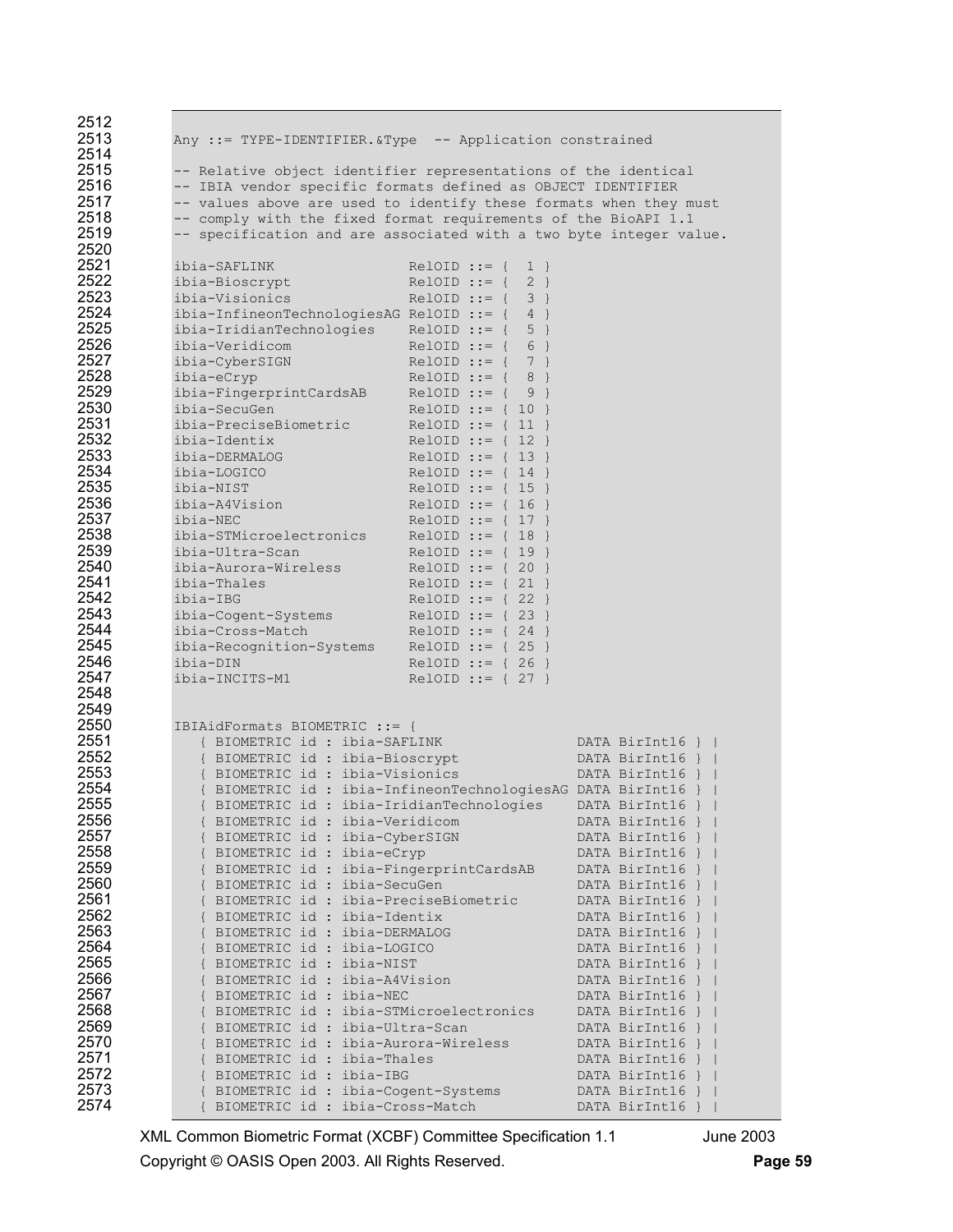| 2512 |                                                                    |                           |                 |
|------|--------------------------------------------------------------------|---------------------------|-----------------|
| 2513 | Any ::= TYPE-IDENTIFIER.&Type -- Application constrained           |                           |                 |
| 2514 |                                                                    |                           |                 |
| 2515 | -- Relative object identifier representations of the identical     |                           |                 |
| 2516 | -- IBIA vendor specific formats defined as OBJECT IDENTIFIER       |                           |                 |
| 2517 |                                                                    |                           |                 |
| 2518 | -- values above are used to identify these formats when they must  |                           |                 |
|      | -- comply with the fixed format requirements of the BioAPI 1.1     |                           |                 |
| 2519 | -- specification and are associated with a two byte integer value. |                           |                 |
| 2520 |                                                                    |                           |                 |
| 2521 | ibia-SAFLINK                                                       | $RelOID :: = {$<br>$1 \}$ |                 |
| 2522 | ibia-Bioscrypt                                                     | $RelOID :: = {$<br>$2 \}$ |                 |
| 2523 | ibia-Visionics                                                     | $RelOID :: = \{ 3 \}$     |                 |
| 2524 | ibia-InfineonTechnologiesAG RelOID ::= $\{4\}$                     |                           |                 |
| 2525 | ibia-IridianTechnologies                                           | RelOID ::= $\{ 5 \}$      |                 |
| 2526 | ibia-Veridicom                                                     | $RelOID :: = {$<br>6 }    |                 |
| 2527 | ibia-CyberSIGN                                                     | $ReLOID :: = {$<br>$7$ }  |                 |
| 2528 | ibia-eCryp                                                         | $RelOID :: = {$<br>$8$ }  |                 |
| 2529 | ibia-FingerprintCardsAB                                            | $RelOID :: = {$<br>$9$ }  |                 |
| 2530 | ibia-SecuGen                                                       | $RelOID :: = \{ 10 \}$    |                 |
| 2531 | ibia-PreciseBiometric                                              | $RelOID :: = \{ 11 \}$    |                 |
| 2532 | ibia-Identix                                                       | $RelOID :: = \{ 12 \}$    |                 |
| 2533 | ibia-DERMALOG                                                      | $RelOID :: = \{ 13 \}$    |                 |
| 2534 |                                                                    |                           |                 |
|      | ibia-LOGICO                                                        | RelOID ::= $\{ 14 \}$     |                 |
| 2535 | ibia-NIST                                                          | RelOID ::= $\{ 15 \}$     |                 |
| 2536 | ibia-A4Vision                                                      | $RelOID :: = { 16 }$      |                 |
| 2537 | ibia-NEC                                                           | RelOID ::= $\{ 17 \}$     |                 |
| 2538 | ibia-STMicroelectronics                                            | $RelOID :: = \{ 18 \}$    |                 |
| 2539 | ibia-Ultra-Scan                                                    | $RelOID :: = { 19 }$      |                 |
| 2540 | ibia-Aurora-Wireless                                               | RelOID ::= $\{ 20 \}$     |                 |
| 2541 | ibia-Thales                                                        | RelOID ::= $\{ 21 \}$     |                 |
| 2542 | ibia-IBG                                                           | RelOID ::= $\{ 22 \}$     |                 |
| 2543 | ibia-Cogent-Systems                                                | $RelOID :: = { 23 }$      |                 |
| 2544 | ibia-Cross-Match                                                   | RelOID ::= $\{ 24 \}$     |                 |
| 2545 | ibia-Recognition-Systems                                           | $RelOID :: = {25}$        |                 |
| 2546 | ibia-DIN                                                           | RelOID ::= $\{ 26 \}$     |                 |
| 2547 | ibia-INCITS-M1                                                     | RelOID ::= $\{ 27 \}$     |                 |
| 2548 |                                                                    |                           |                 |
| 2549 |                                                                    |                           |                 |
| 2550 | IBIAidFormats BIOMETRIC ::= {                                      |                           |                 |
| 2551 | { BIOMETRIC id : ibia-SAFLINK                                      |                           | DATA BirInt16 } |
| 2552 | { BIOMETRIC id : ibia-Bioscrypt                                    |                           | DATA BirInt16 } |
| 2553 | { BIOMETRIC id : ibia-Visionics                                    |                           |                 |
| 2554 |                                                                    |                           | DATA BirInt16 } |
|      | { BIOMETRIC id : ibia-InfineonTechnologiesAG DATA BirInt16 }       |                           |                 |
| 2555 | { BIOMETRIC id : ibia-IridianTechnologies                          |                           | DATA BirInt16 } |
| 2556 | { BIOMETRIC id : ibia-Veridicom                                    |                           | DATA BirInt16 } |
| 2557 | { BIOMETRIC id : ibia-CyberSIGN                                    |                           | DATA BirInt16 } |
| 2558 | { BIOMETRIC id : ibia-eCryp                                        |                           | DATA BirInt16 } |
| 2559 | { BIOMETRIC id : ibia-FingerprintCardsAB                           |                           | DATA BirInt16 } |
| 2560 | { BIOMETRIC id : ibia-SecuGen                                      |                           | DATA BirInt16 } |
| 2561 | { BIOMETRIC id : ibia-PreciseBiometric                             |                           | DATA BirInt16 } |
| 2562 | { BIOMETRIC id : ibia-Identix                                      |                           | DATA BirInt16 } |
| 2563 | { BIOMETRIC id : ibia-DERMALOG                                     |                           | DATA BirInt16 } |
| 2564 | { BIOMETRIC id : ibia-LOGICO                                       |                           | DATA BirInt16 } |
| 2565 | { BIOMETRIC id : ibia-NIST                                         |                           | DATA BirInt16 } |
| 2566 | { BIOMETRIC id : ibia-A4Vision                                     |                           | DATA BirInt16 } |
| 2567 | { BIOMETRIC id : ibia-NEC                                          |                           | DATA BirInt16 } |
| 2568 | { BIOMETRIC id : ibia-STMicroelectronics                           |                           | DATA BirInt16 } |
| 2569 | { BIOMETRIC id : ibia-Ultra-Scan                                   |                           |                 |
|      |                                                                    |                           | DATA BirInt16 } |
| 2570 | { BIOMETRIC id : ibia-Aurora-Wireless                              |                           | DATA BirInt16 } |
| 2571 | { BIOMETRIC id : ibia-Thales                                       |                           | DATA BirInt16 } |
| 2572 | { BIOMETRIC id : ibia-IBG                                          |                           | DATA BirInt16 } |
| 2573 | { BIOMETRIC id : ibia-Cogent-Systems                               |                           | DATA BirInt16 } |
| 2574 | BIOMETRIC id: ibia-Cross-Match                                     |                           | DATA BirInt16 } |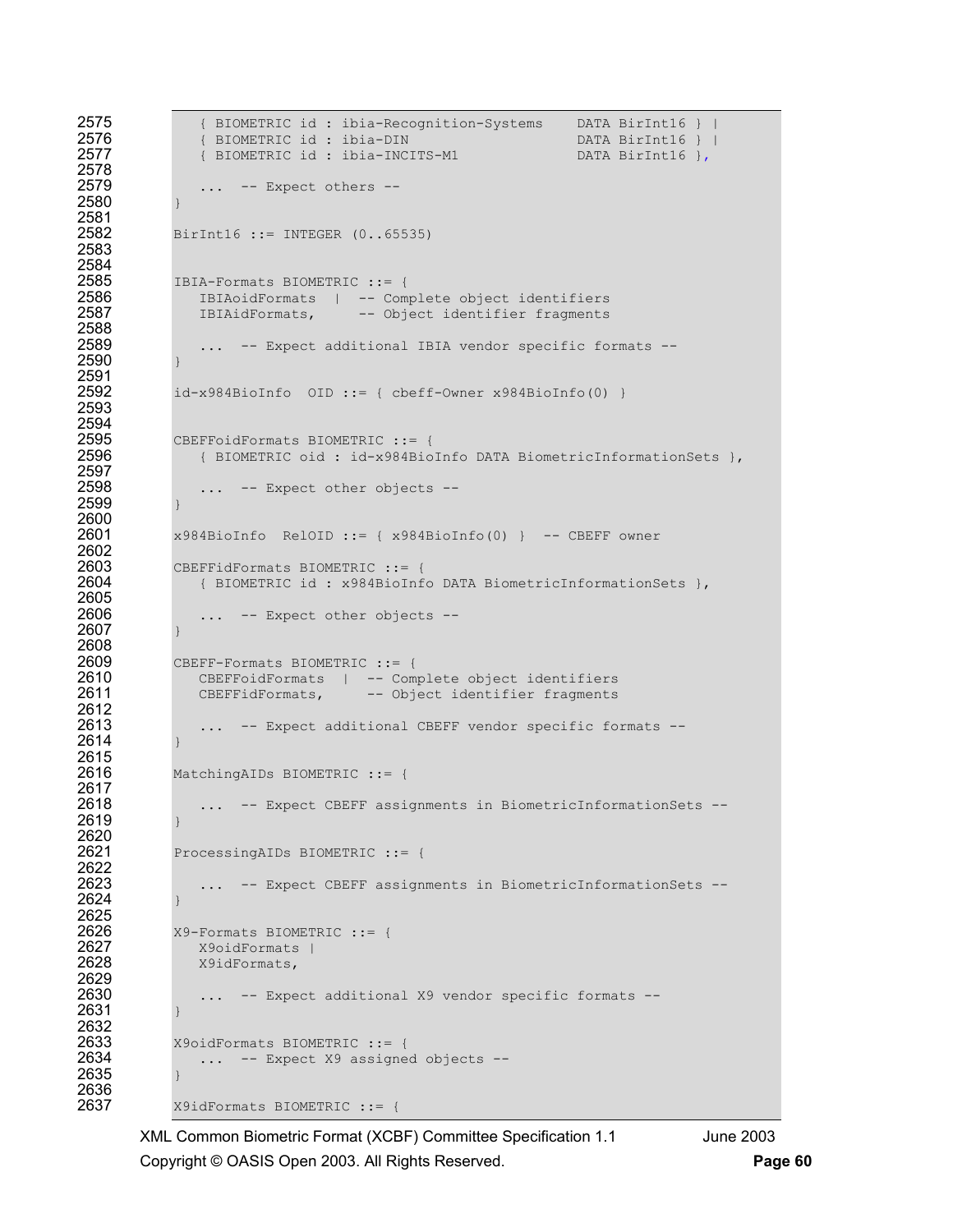```
2575 { BIOMETRIC id : ibia-Recognition-Systems DATA BirInt16 } | 
2576 { BIOMETRIC id : ibia-DIN DATA BirInt16 } | 
                 2577 { BIOMETRIC id : ibia-INCITS-M1 DATA BirInt16 },
2578 
2579 ... -- Expect others -- 
2580 } 
2581 
2582 BirInt16 ::= INTEGER (0..65535) 
2583 
2584<br>2585
2585 IBIA-Formats BIOMETRIC ::= { 
2586 IBIAoidFormats | -- Complete object identifiers<br>2587 1BIAidFormats, -- Object identifier fragments
                IBIAidFormats, -- Object identifier fragments
2588<br>2589
                 ... -- Expect additional IBIA vendor specific formats --
2590 } 
2591<br>2592
             id-x984BioInfo OD ::= { cbef-Owner x984BioInfo(0) }2593 
2594<br>2595
2595 CBEFFoidFormats BIOMETRIC ::= {<br>2596 (BIOMETRIC oid : id-x984Bio
                2596 { BIOMETRIC oid : id-x984BioInfo DATA BiometricInformationSets }, 
2597<br>2598
                 ... -- Expect other objects --
2599 } 
2600 
2601 x984BioInfo RelOID ::= { x984BioInfo(0) } -- CBEFF owner 
2602<br>2603
2603 CBEFFidFormats BIOMETRIC ::= {<br>2604 (BIOMETRIC id : x984BioInf
               2604 { BIOMETRIC id : x984BioInfo DATA BiometricInformationSets }, 
2605<br>2606
                ... -- Expect other objects --
2607 } 
2608 
2609 CBEFF-Formats BIOMETRIC ::= {<br>2610 CBEFFoidFormats | -- Com
2610 CBEFFoidFormats | -- Complete object identifiers<br>2611 CBEFFidFormats, -- Object identifier fragments
                CBEFFidFormats, -- Object identifier fragments
2612<br>2613
                 ... -- Expect additional CBEFF vendor specific formats --
2614 } 
2615<br>2616
             MatchingAIDs BIOMETRIC ::= {
2617<br>2618
                 ... -- Expect CBEFF assignments in BiometricInformationSets --
2619 } 
2620<br>2621
             ProcessingAIDs BIOMETRIC ::= {
2622<br>2623
                 ... -- Expect CBEFF assignments in BiometricInformationSets --
2624 } 
2625 
2626 X9-Formats BIOMETRIC ::= { 
2627 X9oidFormats |<br>2628 X9idFormats,
                X9idFormats,
2629<br>2630
                 ... -- Expect additional X9 vendor specific formats --
2631 } 
2632<br>2633
2633 X9oidFormats BIOMETRIC ::= {<br>2634 ... -- Expect X9 assigne
                ... -- Expect X9 assigned objects --
2635 } 
2636<br>2637
             2637 X9idFormats BIOMETRIC ::= {
```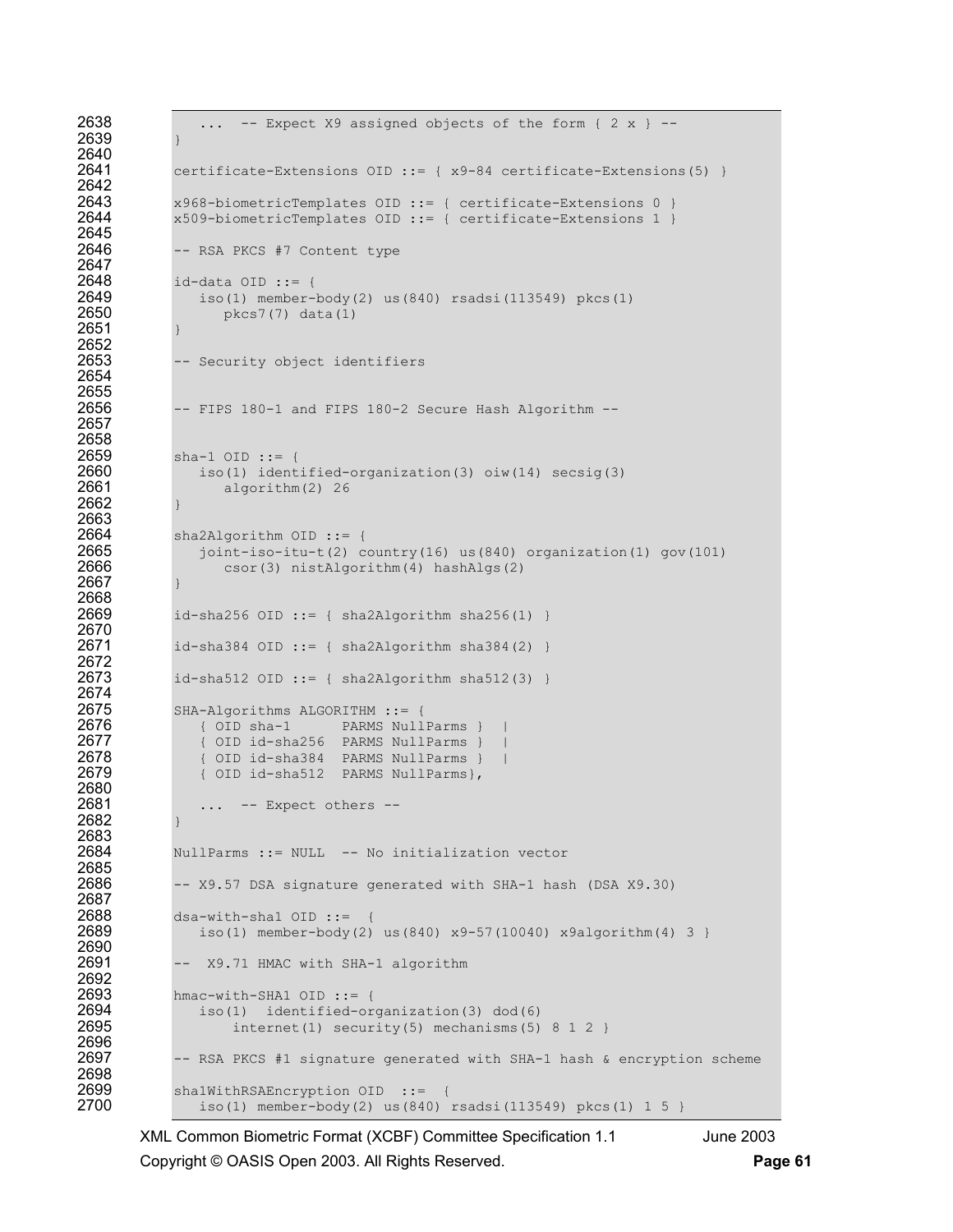```
2638 ... - Expect X9 assigned objects of the form { 2 x } -2639 } 
2640<br>2641
              certificate-Extensions OID ::= {x9-84 certificate-Extensions(5) }
2642 
2643 x968-biometricTemplates OID ::= { certificate-Extensions 0 }<br>2644 x509-biometricTemplates OID ::= { certificate-Extensions 1 }
              2644 x509-biometricTemplates OID ::= { certificate-Extensions 1 } 
2645<br>2646
              -- RSA PKCS #7 Content type
2647 
2648 id-data OID ::= { 
2649 iso(1) member-body(2) us(840) rsadsi(113549) pkcs(1) 2650 pkcs7(7) data(1)
                     pkcs7(7) data(1)
2651 } 
2652<br>2653
              -- Security object identifiers
2654 
2655<br>2656
              -- FIPS 180-1 and FIPS 180-2 Secure Hash Algorithm --
2657 
2658 
2659 sha-1 OID ::= {<br>2660 iso(1) ident
2660 iso(1) identified-organization(3) oiw(14) secsig(3) 
                     algorithm(2) 26
2662 } 
2663 
2664 sha2Algorithm OID ::= {<br>2665   ioint-iso-itu-t(2) c
2665 joint-iso-itu-t(2) country(16) us(840) organization(1) gov(101)<br>2666 csor(3) nistAlgorithm(4) hashAlgs(2)
                     csor(3) nistAlgorithm(4) hashAlgs(2)
2667 } 
2668 
2669 id-sha256 OID ::= { sha2Algorithm sha256(1) } 
2670<br>2671
              id\text{-}sha384 OID ::= { shape, sha2Algorithm sha384(2) }2672<br>2673
              id-sha512 OID ::= { sha2Algorithm sha512(3) }
2674 
2675 SHA-Algorithms ALGORITHM ::= {<br>2676 (OID sha-1 PARMS Null
2676 { OID sha-1 PARMS NullParms } | 
2677 (OID id-sha256 PARMS NullParms } |<br>2678 (OID id-sha384 PARMS NullParms } |
2678 (OID id-sha384 PARMS NullParms } |<br>2679 (OID id-sha512 PARMS NullParms },
                 2679 { OID id-sha512 PARMS NullParms}, 
2680<br>2681
                  ... -- Expect others --
2682 } 
2683 
2684 NullParms ::= NULL -- No initialization vector 
2685<br>2686
              -- X9.57 DSA signature generated with SHA-1 hash (DSA X9.30)
2687<br>2688
2688 dsa-with-shal OID ::= {<br>2689 iso(1) member-body(2)
                 iso(1) member-body(2) us(840) x9-57(10040) x9algorithm(4) 3 }
2690<br>2691
              -- X9.71 HMAC with SHA-1 algorithm
2692<br>2693
2693 hmac-with-SHA1 OID ::= {<br>2694 iso(1) identified-or
2694 iso(1) identified-organization(3) dod(6)<br>2695 internet(1) security(5) mechanisms(5)
                      internet(1) security(5) mechanisms(5) 8 1 2 }
2696 
2697 -- RSA PKCS #1 signature generated with SHA-1 hash & encryption scheme
2698 
2699 sha1WithRSAEncryption OID ::= {<br>2700 iso(1) member-body(2) us(840)
                  iso(1) member-body(2) us(840) rsadsi(113549) pkcs(1) 1 5 }
```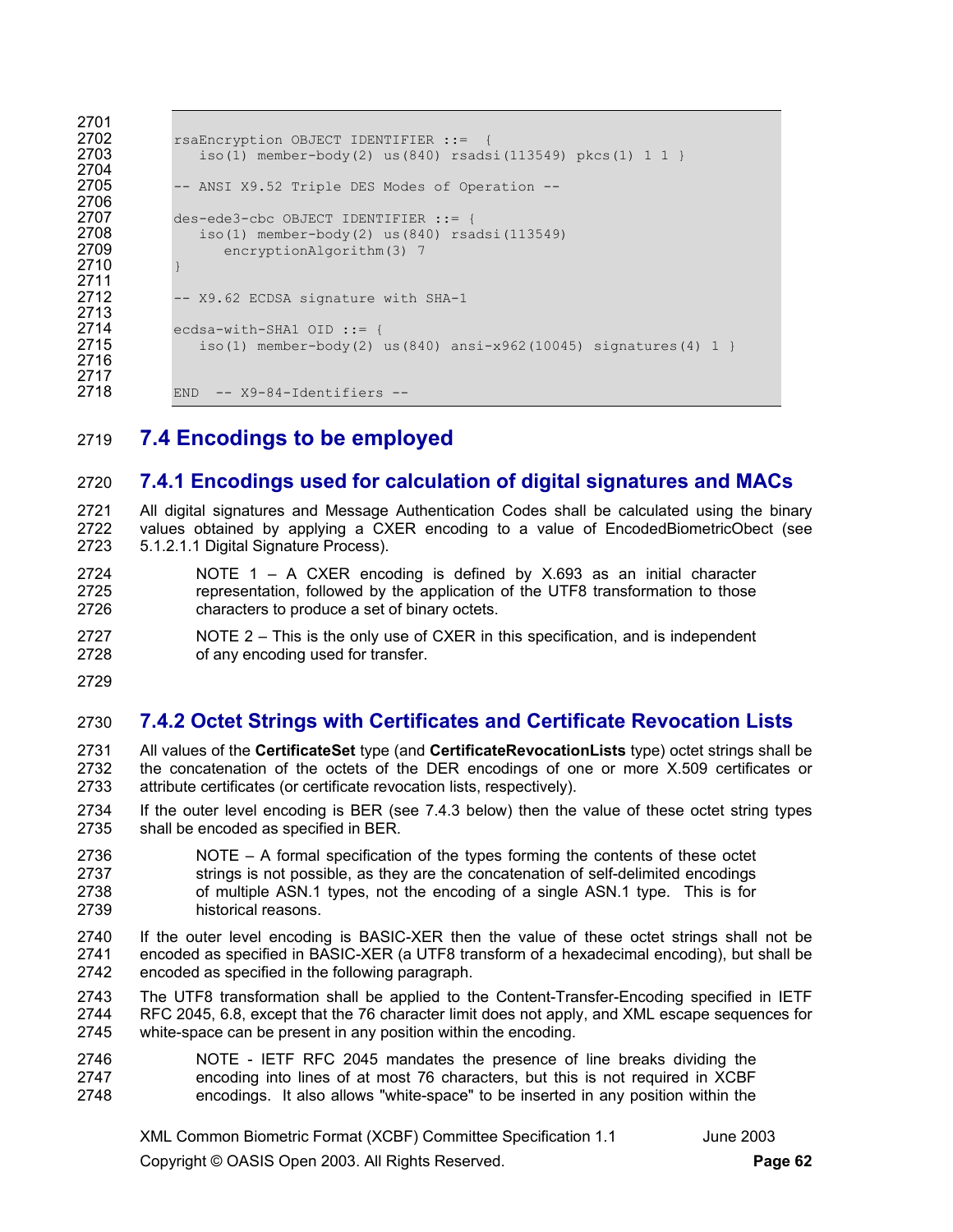```
2701 
2702 rsaEncryption OBJECT IDENTIFIER ::= {<br>2703 1so(1) member-body(2) us(840) rsads
                   iso(1) member-body(2) us(840) rsadsi(113549) pkcs(1) 1 1 }
2704 
2705 -- ANSI X9.52 Triple DES Modes of Operation -- 
2706<br>2707
2707 des-ede3-cbc OBJECT IDENTIFIER ::= {<br>2708 iso(1) member-body(2) us(840) rsa
2708 iso(1) member-body(2) us(840) rsadsi(113549)<br>2709 encryptionAlgorithm(3) 7
                      encryptionAlgorithm(3) 7
2710 } 
2711 
               -- X9.62 ECDSA signature with SHA-1
2713<br>2714
2714 ecdsa-with-SHA1 OID ::= {<br>2715 iso(1) member-body(2)
                  iso(1) member-body(2) us(840) ansi-x962(10045) signatures(4) 1 }
2716 
2717<br>2718
              END -- X9-84-Identifiers --
```
2719 **7.4 Encodings to be employed** 

## 2720 **7.4.1 Encodings used for calculation of digital signatures and MACs**

2721 All digital signatures and Message Authentication Codes shall be calculated using the binary 2722 values obtained by applying a CXER encoding to a value of EncodedBiometricObect (see 2723 5.1.2.1.1 Digital Signature Process).

- 2724 NOTE 1 A CXER encoding is defined by X.693 as an initial character 2725 representation, followed by the application of the UTF8 transformation to those 2726 characters to produce a set of binary octets.
- 2727 NOTE 2 This is the only use of CXER in this specification, and is independent 2728 of any encoding used for transfer.
- 2729

## 2730 **7.4.2 Octet Strings with Certificates and Certificate Revocation Lists**

- 2731 All values of the **CertificateSet** type (and **CertificateRevocationLists** type) octet strings shall be 2732 the concatenation of the octets of the DER encodings of one or more X.509 certificates or 2733 attribute certificates (or certificate revocation lists, respectively).
- 2734 If the outer level encoding is BER (see 7.4.3 below) then the value of these octet string types 2735 shall be encoded as specified in BER.
- 2736 NOTE A formal specification of the types forming the contents of these octet 2737 strings is not possible, as they are the concatenation of self-delimited encodings 2738 of multiple ASN.1 types, not the encoding of a single ASN.1 type. This is for 2739 historical reasons.
- 2740 If the outer level encoding is BASIC-XER then the value of these octet strings shall not be 2741 encoded as specified in BASIC-XER (a UTF8 transform of a hexadecimal encoding), but shall be 2742 encoded as specified in the following paragraph.
- 2743 The UTF8 transformation shall be applied to the Content-Transfer-Encoding specified in IETF 2744 RFC 2045, 6.8, except that the 76 character limit does not apply, and XML escape sequences for 2745 white-space can be present in any position within the encoding.
- 2746 NOTE IETF RFC 2045 mandates the presence of line breaks dividing the 2747 encoding into lines of at most 76 characters, but this is not required in XCBF 2748 encodings. It also allows "white-space" to be inserted in any position within the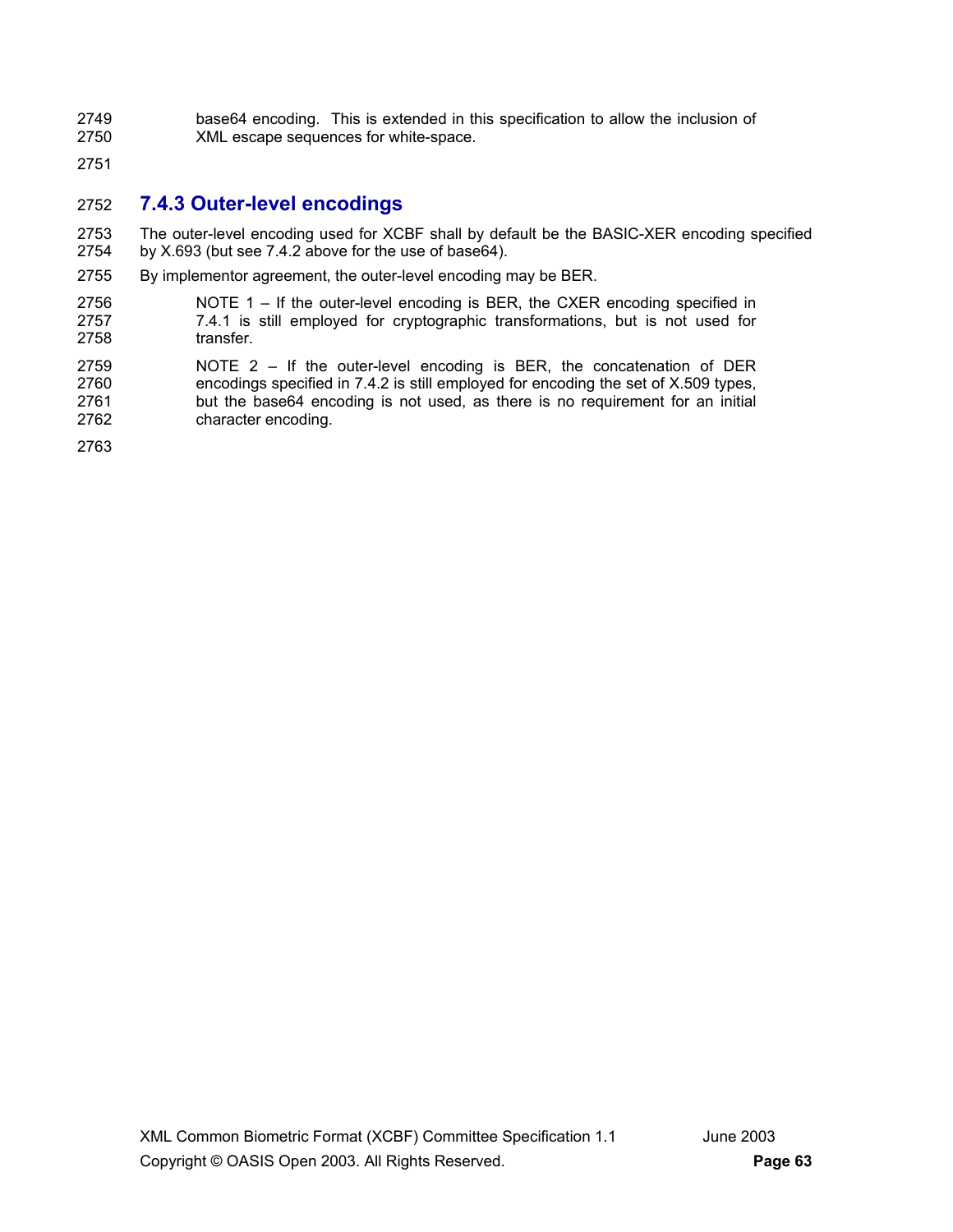- 2749 base64 encoding. This is extended in this specification to allow the inclusion of 2750 XML escape sequences for white-space. XML escape sequences for white-space.
- 2751

### 2752 **7.4.3 Outer-level encodings**

2753 The outer-level encoding used for XCBF shall by default be the BASIC-XER encoding specified 2754 by X.693 (but see 7.4.2 above for the use of base64).

- 2755 By implementor agreement, the outer-level encoding may be BER.
- 2756 NOTE 1 If the outer-level encoding is BER, the CXER encoding specified in 2757 7.4.1 is still employed for cryptographic transformations, but is not used for 2758 transfer.
- 2759 NOTE 2 If the outer-level encoding is BER, the concatenation of DER 2760 encodings specified in 7.4.2 is still employed for encoding the set of X.509 types, 2761 but the base64 encoding is not used, as there is no requirement for an initial 2762 character encoding.

2763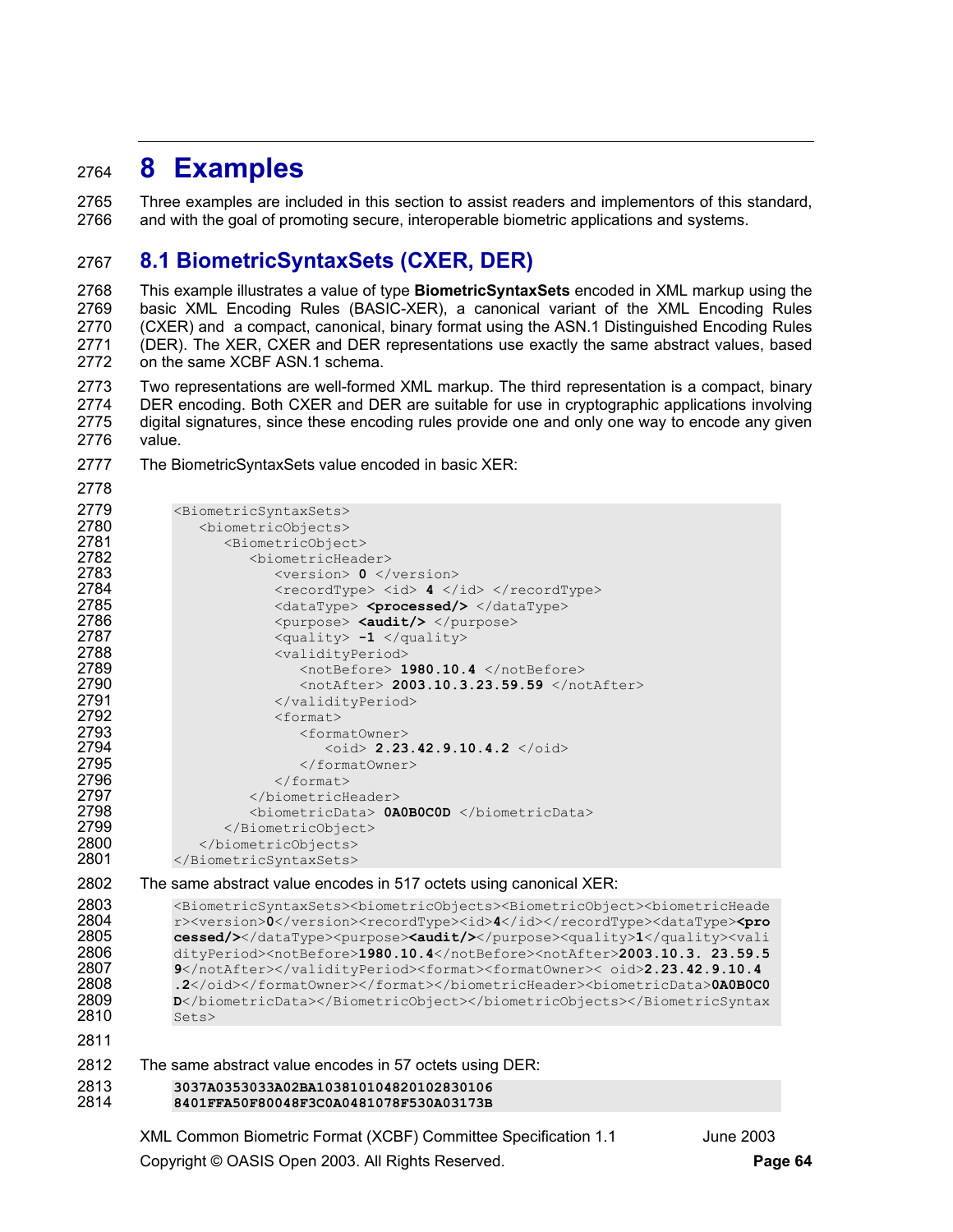# <sup>2764</sup>**8 Examples**

2778

2765 Three examples are included in this section to assist readers and implementors of this standard, 2766 and with the goal of promoting secure, interoperable biometric applications and systems.

## 2767 **8.1 BiometricSyntaxSets (CXER, DER)**

2768 This example illustrates a value of type **BiometricSyntaxSets** encoded in XML markup using the 2769 basic XML Encoding Rules (BASIC-XER), a canonical variant of the XML Encoding Rules 2770 (CXER) and a compact, canonical, binary format using the ASN.1 Distinguished Encoding Rules 2771 (DER). The XER, CXER and DER representations use exactly the same abstract values, based 2772 on the same XCBF ASN.1 schema.

2773 Two representations are well-formed XML markup. The third representation is a compact, binary 2774 DER encoding. Both CXER and DER are suitable for use in cryptographic applications involving 2775 digital signatures, since these encoding rules provide one and only one way to encode any given 2776 value.

2777 The BiometricSyntaxSets value encoded in basic XER:

```
2779 <BiometricSyntaxSets><br>2780 <br />
<br />
<br />
<br />
<br />
<br />
<br />
<br />
<br />
<br />
<br />
<br />
<br />
<br />
<br />
<br />
<br />
<br />
<br />
<br />
<br />
<br />
<br />
<br />
<br />
<br />
<br />
<
2780 <biometricObjects> 
2781 <br />
<br />
<br />
<br />
<br />
<br />
<br />
<br />
<br />
<br />
<br />
<br />
<br />
<br />
<br />
<br />
<br />
<br />
<br />
<br />
<br />
<br />
<br />
<br />
<br />
<br />
<br />
<br />\label{eq:2.1}<br />\label{eq2782 <biometricHeader> 
2783 <version> 0 </version> 
2784 </recordType> <id> 4 </id> </recordType><br>2785 </recordType> <dataType> <processed/> </dataType>
2785 <dataType> <processed/> </dataType><br>2786 <br/>
</burnose> <audit/></purnose>
2786 <purpose> <audit/> </purpose><br>2787 <audity> -1 </audity>
2787 <quality> -1 </quality><br>2788 <arb>>>>>>> <validityPeriod>
2788 <validityPeriod><br>2789 <walidityPeriod><br>2789 <walidityPeriod>
2789 <notBefore> 1980.10.4 </notBefore> 
2790 <notAfter> 2003.10.3.23.59.59 </notAfter><br>2791 </validityPeriod>
2791 </validityPeriod><br>2792 </r></br/></tormat>
2792 <format> 
2793 <formatOwner><br>2794 <oid> 2.23
2794 <oid> 2.23.42.9.10.4.2 </oid> 
2795 </formatOwner><br>2796 </format>
2796 </format> 
2797 </biometricHeader><br>2798 <br/>>>>>>>>>>>>>>>>>>>>>0A
2798 <biometricData> 0A0B0C0D </biometricData> 
2799 </BiometricObject><br>2800 </biometricObjects>
2800 </biometricObjects><br>2801 </biometricSyntaxSets>
                </BiometricSyntaxSets>
2802 The same abstract value encodes in 517 octets using canonical XER:
```

```
2803 <BiometricSyntaxSets><biometricObjects><BiometricObject><br/><br/>>CometricHeade 2804 <br/>r>><<br/>version>0</version><recordType><id>4</recordType><dataType><<pr</recordFype><<br/>
2804 r><version>0</version><recordType><id>4</id></recordType><dataType><pro</recordType><problement condit-
2805 cessed/></dataType><purpose><audit/>>>></purpose><quality>1</quality><vali<br>2806 dityPeriod><notBefore>1980.10.4</notBefore><notAfter>2003.10.3. 23.59.5
2806 dityPeriod><notBefore>1980.10.4</notBefore><notAfter>2003.10.3. 23.59.5 
2807 9</notAfter></validityPeriod><format><formatOwner>< oid>2.23.42.9.10.4 
2808 .2</oid></formatOwner></format></biometricHeader><br/>biometricData>0A0B0C0 2809 <br> p</biometricData></BiometricObject></biometricObjects></BiometricSyntax
2809 D</biometricData></BiometricObject></biometricObjects></BiometricSyntax<br>2810 Sets>
                Sets>
2811
```

```
2812 The same abstract value encodes in 57 octets using DER:
```

```
2813 3037A0353033A02BA103810104820102830106 
           2814 8401FFA50F80048F3C0A0481078F530A03173B
```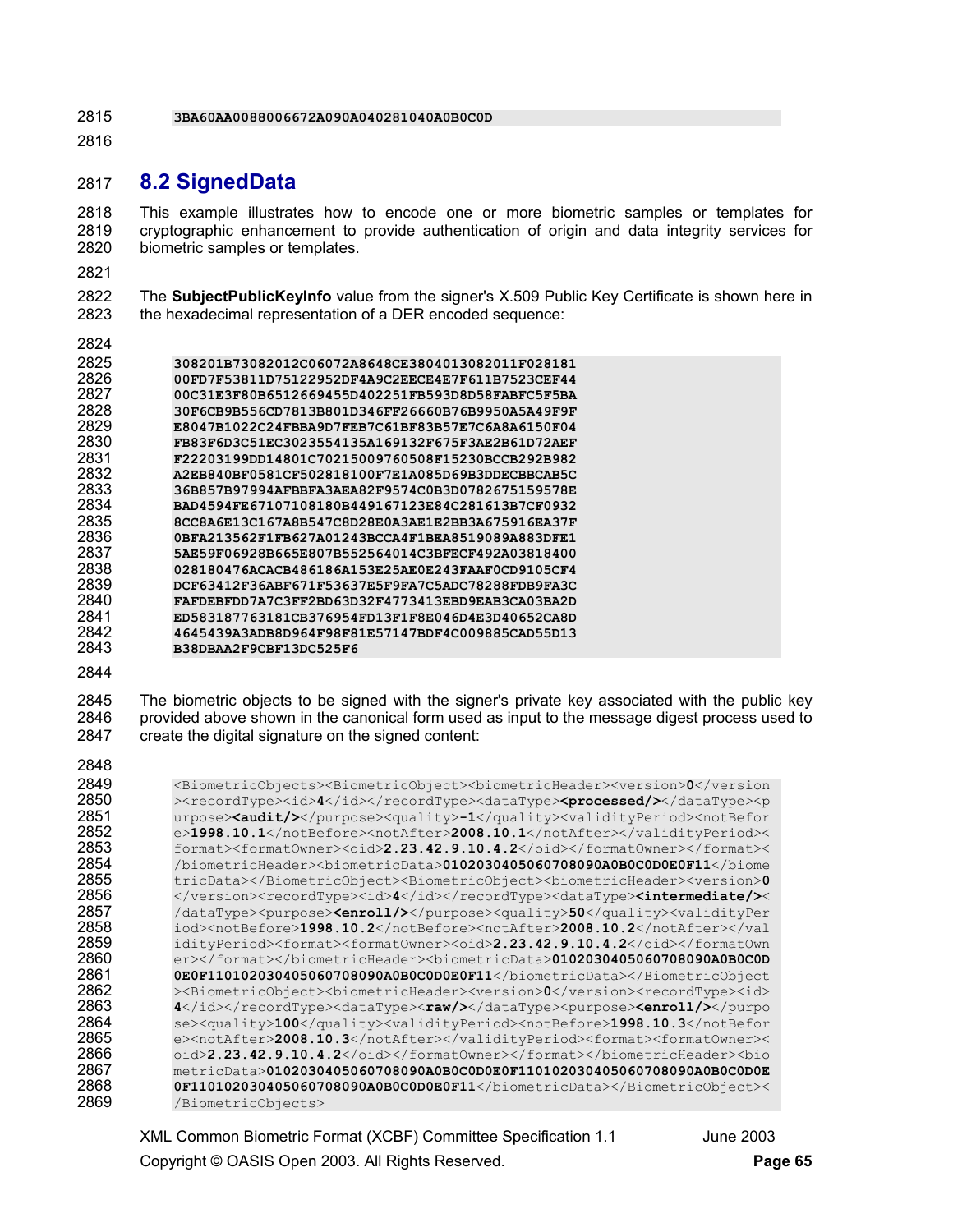**3BA60AA0088006672A090A040281040A0B0C0D** 

## **8.2 SignedData**

2818 This example illustrates how to encode one or more biometric samples or templates for 2819 cryptographic enhancement to provide authentication of origin and data integrity services for 2819 cryptographic enhancement to provide authentication of origin and data integrity services for biometric samples or templates.

2822 The **SubjectPublicKeyInfo** value from the signer's X.509 Public Key Certificate is shown here in 2823 the hexadecimal representation of a DER encoded sequence:

| ۰. |
|----|
|----|

| 2825 | 308201B73082012C06072A8648CE3804013082011F028181 |
|------|--------------------------------------------------|
| 2826 | 00FD7F53811D75122952DF4A9C2EECE4E7F611B7523CEF44 |
| 2827 | 00C31E3F80B6512669455D402251FB593D8D58FABFC5F5BA |
| 2828 | 30F6CB9B556CD7813B801D346FF26660B76B9950A5A49F9F |
| 2829 | E8047B1022C24FBBA9D7FEB7C61BF83B57E7C6A8A6150F04 |
| 2830 | FB83F6D3C51EC3023554135A169132F675F3AE2B61D72AEF |
| 2831 | F22203199DD14801C70215009760508F15230BCCB292B982 |
| 2832 | A2EB840BF0581CF502818100F7E1A085D69B3DDECBBCAB5C |
| 2833 | 36B857B97994AFBBFA3AEA82F9574C0B3D0782675159578E |
| 2834 | BAD4594FE67107108180B449167123E84C281613B7CF0932 |
| 2835 | 8CC8A6E13C167A8B547C8D28E0A3AE1E2BB3A675916EA37F |
| 2836 | 0BFA213562F1FB627A01243BCCA4F1BEA8519089A883DFE1 |
| 2837 | 5AE59F06928B665E807B552564014C3BFECF492A03818400 |
| 2838 | 028180476ACACB486186A153E25AE0E243FAAF0CD9105CF4 |
| 2839 | DCF63412F36ABF671F53637E5F9FA7C5ADC78288FDB9FA3C |
| 2840 | FAFDEBFDD7A7C3FF2BD63D32F4773413EBD9EAB3CA03BA2D |
| 2841 | ED583187763181CB376954FD13F1F8E046D4E3D40652CA8D |
| 2842 | 4645439A3ADB8D964F98F81E57147BDF4C009885CAD55D13 |
| 2843 | B38DBAA2F9CBF13DC525F6                           |
|      |                                                  |

2845 The biometric objects to be signed with the signer's private key associated with the public key<br>2846 provided above shown in the canonical form used as input to the message digest process used to provided above shown in the canonical form used as input to the message digest process used to 2847 create the digital signature on the signed content:

| 2040         |                                                                                                                                                                                                                  |
|--------------|------------------------------------------------------------------------------------------------------------------------------------------------------------------------------------------------------------------|
| 2849<br>2850 | <biometricobjects><biometricobject><biometricheader><version>0</version></biometricheader></biometricobject></biometricobjects>                                                                                  |
| 2851         | > <recordtype><id>4</id></recordtype> <datatype><processed></processed>&gt;</datatype> <p<br>urpose&gt;<audit></audit><quality>-1</quality><validityperiod><notbefor< th=""></notbefor<></validityperiod></p<br> |
| 2852         | e>1998.10.1 <notafter>2008.10.1</notafter> <                                                                                                                                                                     |
| 2853         | format> <format0wner><oid>2.23.42.9.10.4.2</oid></format0wner> <                                                                                                                                                 |
| 2854         | /biometricHeader> <biometricdata>0102030405060708090A0B0C0D0E0F11</biometricdata>                                                                                                                                |
| 2855         | tricData> <biometricobject><bo></bo><br/>SiometricHeader&gt;<version>0</version></biometricobject>                                                                                                               |
| 2856         | <recordtype><id>4</id></recordtype> <datatype><intermediate></intermediate>&lt;&lt;</datatype>                                                                                                                   |
| 2857         | /dataType> <purpose><b><enroll></enroll></b></purpose> <quality>50</quality> <validityper< th=""></validityper<>                                                                                                 |
| 2858         | iod> <notbefore>1998.10.2</notbefore> <notafter>2008.10.2</notafter>                                                                                                                                             |
| 2859         | idityPeriod> <format><format0wner><oid>2.23.42.9.10.4.2</oid></format0wner></format>                                                                                                                             |
| 2860         | er> <biometricdata>0102030405060708090A0B0C0D</biometricdata>                                                                                                                                                    |
| 2861         | OEOF110102030405060708090A0BOCODOEOF11                                                                                                                                                                           |
| 2862         | > <biometricobject><biometricheader><version>0</version><recordtype><id></id></recordtype></biometricheader></biometricobject>                                                                                   |
| 2863         | 4 <datatype><raw></raw>&gt;/dataType&gt;<purpose><enroll></enroll></purpose></datatype>                                                                                                                          |
| 2864         | se> <quality>100</quality> <validityperiod><notbefore>1998.10.3</notbefore></validityperiod>                                                                                                                     |
| 2865         | e> <notafter>2008.10.3</notafter> <format><format0wner>&lt;</format0wner></format>                                                                                                                               |
| 2866         | oid>2.23.42.9.10.4.2 <bo></bo> bio                                                                                                                                                                               |
| 2867         | $metricData > 0102030405060708090A0B0C0D0E0F110102030405060708090A0B0C0D0E$                                                                                                                                      |
| 2868         | OF110102030405060708090A0B0C0D0EOF11<                                                                                                                                                                            |
| 2869         | /BiometricObjects>                                                                                                                                                                                               |
|              |                                                                                                                                                                                                                  |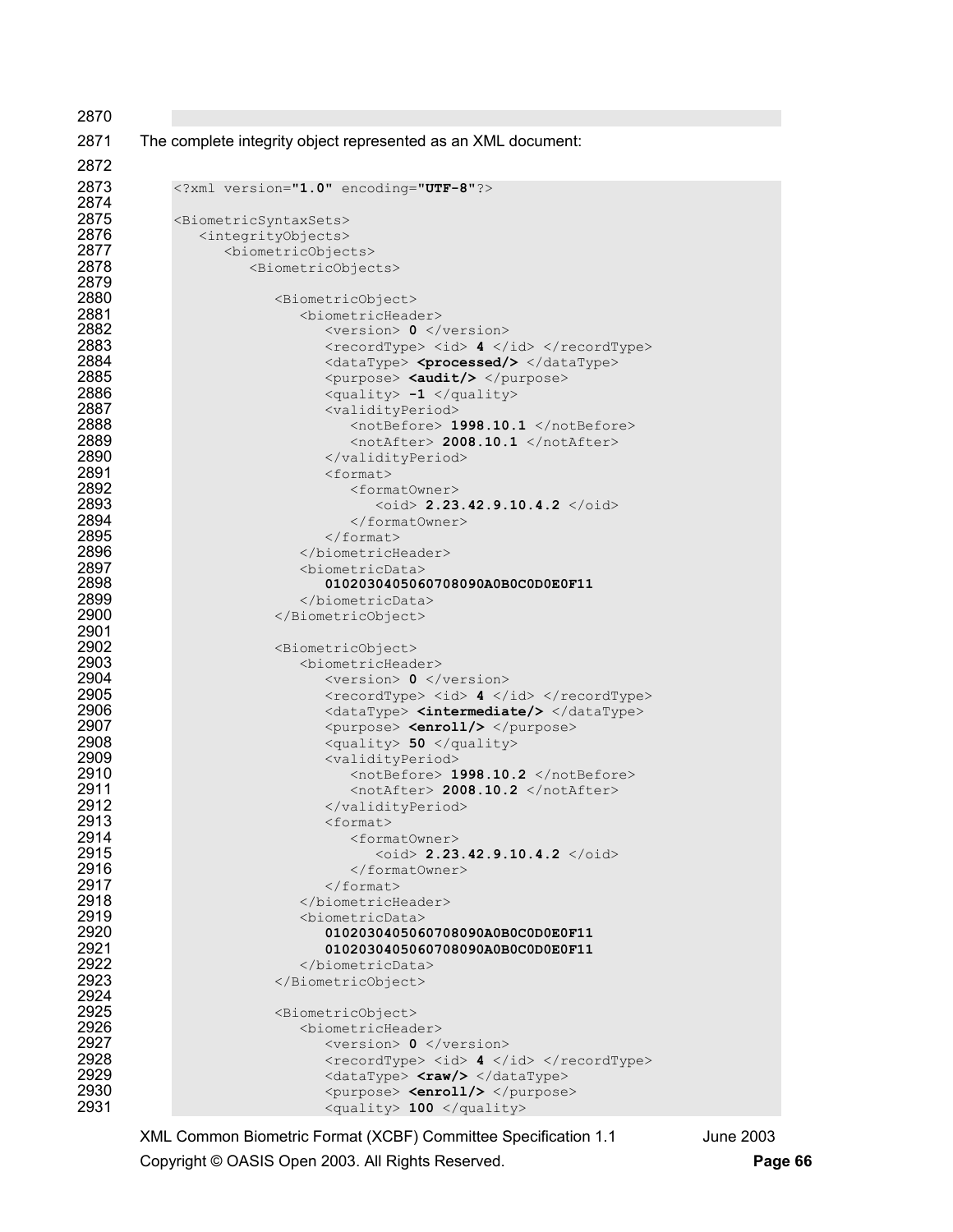| The complete integrity object represented as an XML document:               |
|-----------------------------------------------------------------------------|
|                                                                             |
| xml version="1.0" encoding="UTF-8"?                                         |
| <biometricsyntaxsets></biometricsyntaxsets>                                 |
| <integrityobjects></integrityobjects>                                       |
| <biometricobjects></biometricobjects>                                       |
| <biometricobjects></biometricobjects>                                       |
|                                                                             |
| <biometricobject><br/><biometricheader></biometricheader></biometricobject> |
| $<$ version> 0 $\lt/$ version>                                              |
| <recordtype> <id> 4 </id> </recordtype>                                     |
| <datatype> <processed></processed> </datatype>                              |
| <purpose> <audit></audit> </purpose>                                        |
| <quality> -1 </quality>                                                     |
| <validityperiod><br/><notbefore> 1998.10.1 </notbefore></validityperiod>    |
| <notafter> 2008.10.1 </notafter>                                            |
|                                                                             |
| $<$ format>                                                                 |
| <formatowner></formatowner>                                                 |
| $\text{1} > 2.23.42.9.10.4.2$ $\text{1} > 10.4.2$                           |
| <br>$\langle$ /format>                                                      |
|                                                                             |
| <biometricdata></biometricdata>                                             |
| 0102030405060708090A0B0C0D0E0F11                                            |
|                                                                             |
|                                                                             |
| <biometricobject></biometricobject>                                         |
| <biometricheader></biometricheader>                                         |
| $<$ version> 0 $\lt/$ version>                                              |
| <recordtype> <id> 4 </id> </recordtype>                                     |
| <datatype> <intermediate></intermediate> </datatype>                        |
| <purpose> <enroll></enroll> </purpose><br><quality> 50 </quality>           |
| <validityperiod></validityperiod>                                           |
| <notbefore> 1998.10.2 </notbefore>                                          |
| <notafter> 2008.10.2 </notafter>                                            |
|                                                                             |
| $<$ format><br><formatowner></formatowner>                                  |
| $\langle \text{oid} \rangle$ 2.23.42.9.10.4.2 $\langle \text{oid} \rangle$  |
|                                                                             |
| $\langle$ /format>                                                          |
|                                                                             |
| <biometricdata></biometricdata>                                             |
| 0102030405060708090A0B0C0D0E0F11<br>0102030405060708090A0B0C0D0E0F11        |
|                                                                             |
|                                                                             |
|                                                                             |
| <biometricobject></biometricobject>                                         |
| <biometricheader><br/><version> 0 </version></biometricheader>              |
| <recordtype> <id> 4 </id> </recordtype>                                     |
| <datatype> <raw></raw> </datatype>                                          |
| <purpose> <enroll></enroll> </purpose>                                      |
| <quality> 100 </quality>                                                    |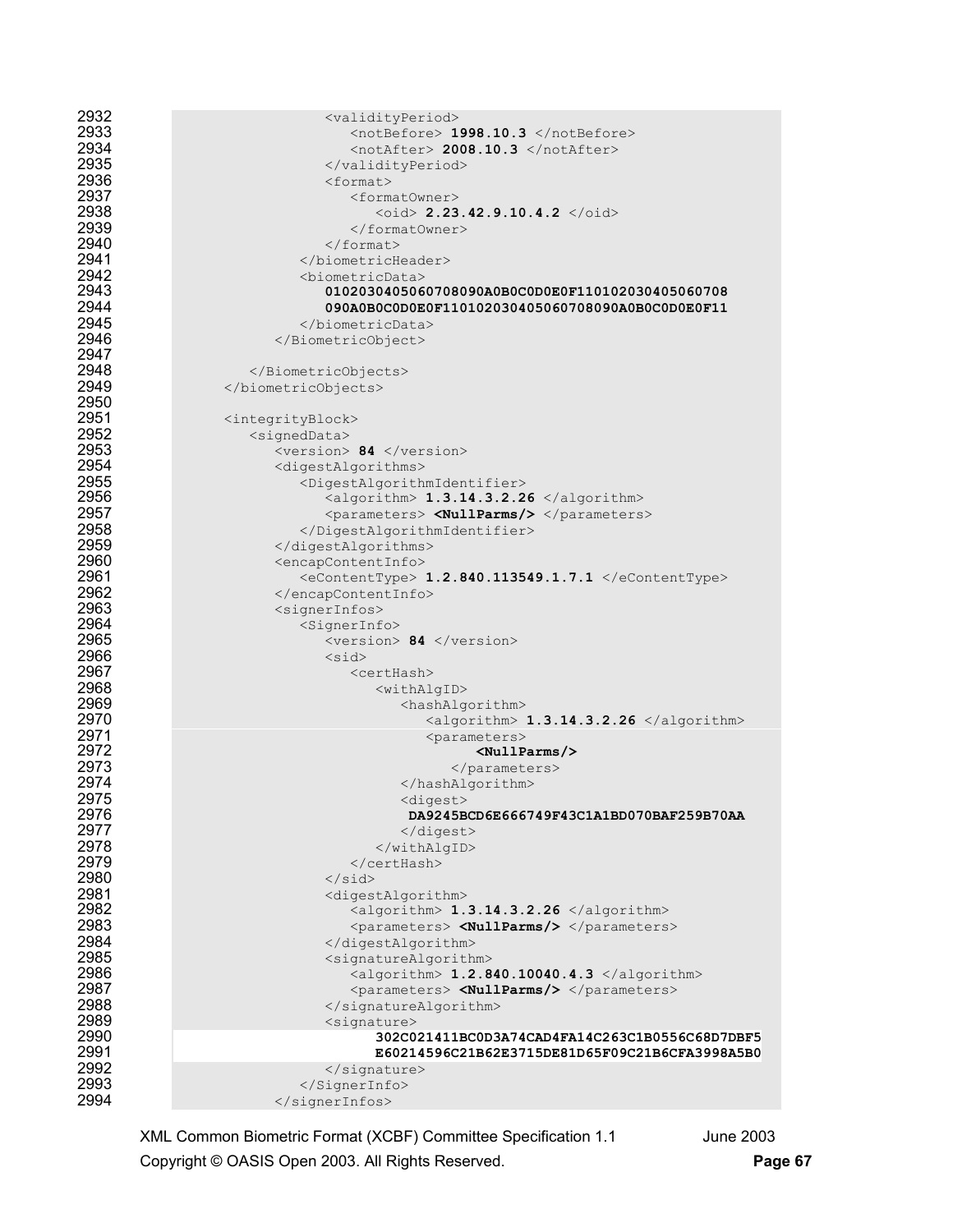| 2932         | <validityperiod></validityperiod>                                                                |
|--------------|--------------------------------------------------------------------------------------------------|
| 2933         | <notbefore> 1998.10.3 </notbefore>                                                               |
| 2934         | <notafter> 2008.10.3 </notafter>                                                                 |
| 2935         |                                                                                                  |
| 2936         | <format></format>                                                                                |
| 2937         | <formatowner></formatowner>                                                                      |
| 2938         | $\phi$ id> 2.23.42.9.10.4.2                                                                      |
| 2939         |                                                                                                  |
| 2940         | $\langle$ /format>                                                                               |
| 2941         |                                                                                                  |
| 2942         | <biometricdata></biometricdata>                                                                  |
| 2943         | 0102030405060708090A0B0C0D0E0F110102030405060708                                                 |
| 2944         | 090A0B0C0D0E0F110102030405060708090A0B0C0D0E0F11                                                 |
| 2945         |                                                                                                  |
| 2946         |                                                                                                  |
| 2947         |                                                                                                  |
| 2948         |                                                                                                  |
| 2949         |                                                                                                  |
| 2950         |                                                                                                  |
| 2951         | <integrityblock></integrityblock>                                                                |
| 2952         | <signeddata></signeddata>                                                                        |
| 2953         | $<$ version> 84 $\lt$ /version>                                                                  |
| 2954         | <digestalgorithms></digestalgorithms>                                                            |
| 2955         | <digestalgorithmidentifier></digestalgorithmidentifier>                                          |
| 2956         | <algorithm> 1.3.14.3.2.26 </algorithm>                                                           |
| 2957         | <parameters> <nullparms></nullparms> </parameters>                                               |
| 2958         |                                                                                                  |
| 2959         |                                                                                                  |
| 2960         | <encapcontentinfo></encapcontentinfo>                                                            |
| 2961         | <econtenttype> 1.2.840.113549.1.7.1 </econtenttype>                                              |
| 2962         |                                                                                                  |
| 2963         | <signerinfos></signerinfos>                                                                      |
| 2964         | $<$ SignerInfo $>$                                                                               |
| 2965         | <version> 84 </version>                                                                          |
| 2966         | $<$ sid $>$                                                                                      |
| 2967         | <certhash></certhash>                                                                            |
| 2968         | <withalgid></withalgid>                                                                          |
| 2969         | <hashalgorithm></hashalgorithm>                                                                  |
| 2970         | $\langle$ algorithm> 1.3.14.3.2.26 $\langle$ algorithm>                                          |
| 2971         | <parameters></parameters>                                                                        |
| 2972         | $\langle$ NullParms/ $\rangle$                                                                   |
| 2973         |                                                                                                  |
| 2974         |                                                                                                  |
| 2975         | <digest></digest>                                                                                |
| 2976         | DA9245BCD6E666749F43C1A1BD070BAF259B70AA                                                         |
| 2977         |                                                                                                  |
| 2978         |                                                                                                  |
| 2979         |                                                                                                  |
| 2980         | $\langle$ /sid $\rangle$                                                                         |
| 2981         | <digestalgorithm></digestalgorithm>                                                              |
| 2982         | <algorithm> 1.3.14.3.2.26 </algorithm>                                                           |
| 2983         | <parameters> <nullparms></nullparms> </parameters>                                               |
| 2984         |                                                                                                  |
| 2985         | <signaturealgorithm></signaturealgorithm>                                                        |
| 2986<br>2987 | <algorithm> 1.2.840.10040.4.3 </algorithm><br><parameters> <nullparms></nullparms> </parameters> |
| 2988         |                                                                                                  |
| 2989         | <br><signature></signature>                                                                      |
| 2990         | 302C021411BC0D3A74CAD4FA14C263C1B0556C68D7DBF5                                                   |
| 2991         | E60214596C21B62E3715DE81D65F09C21B6CFA3998A5B0                                                   |
| 2992         |                                                                                                  |
| 2993         |                                                                                                  |
| 2994         |                                                                                                  |
|              |                                                                                                  |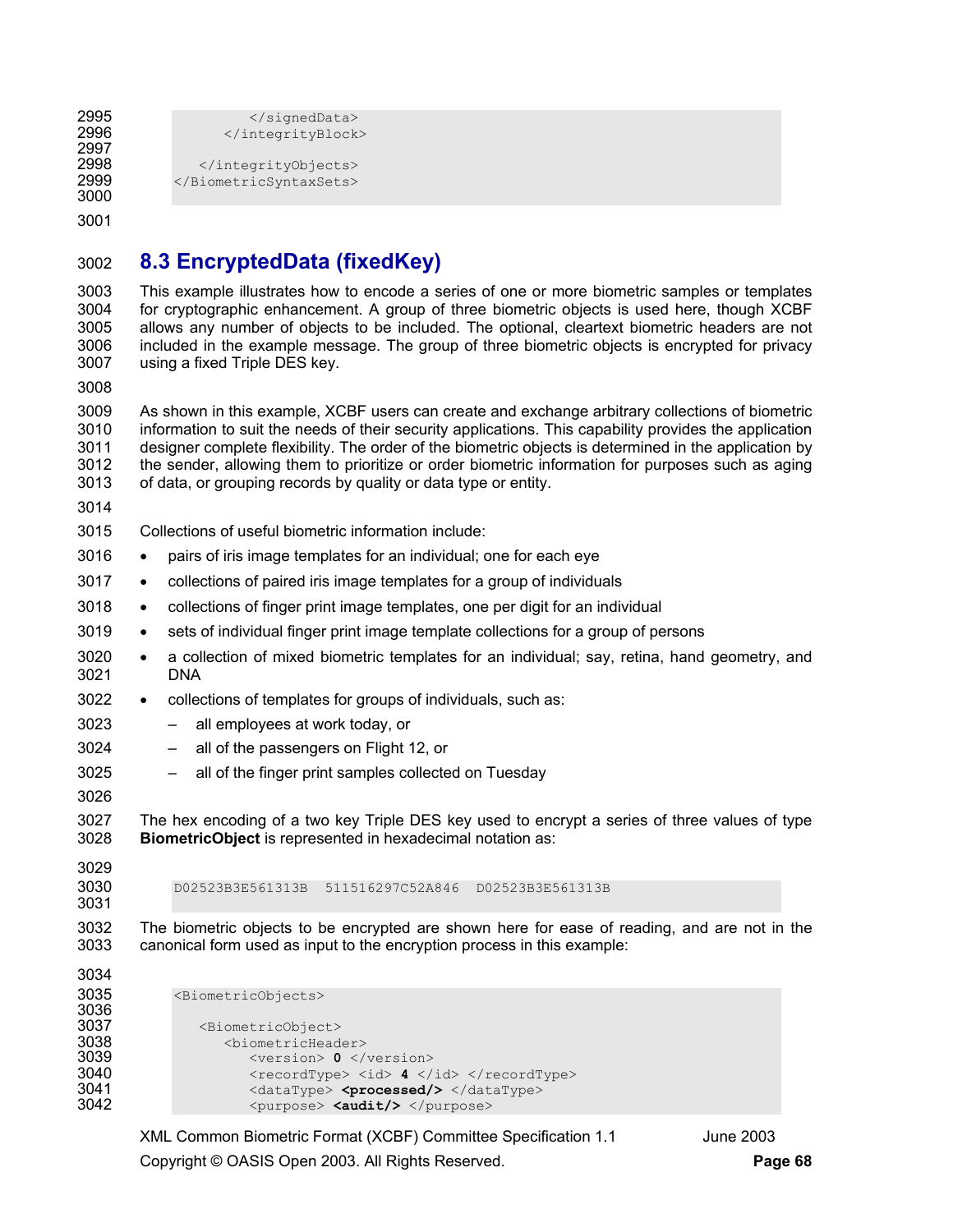```
2995 </signedData><br>2996 </signedData>
                      </integrityBlock>
2997 
2998 </integrityObjects><br>2999 </BiometricSyntaxSets>
              </BiometricSyntaxSets>
3000
```
## 3002 **8.3 EncryptedData (fixedKey)**

3003 This example illustrates how to encode a series of one or more biometric samples or templates 3004 for cryptographic enhancement. A group of three biometric objects is used here, though XCBF 3005 allows any number of objects to be included. The optional, cleartext biometric headers are not 3006 included in the example message. The group of three biometric objects is encrypted for privacy 3007 using a fixed Triple DES key.

3008

3009 As shown in this example, XCBF users can create and exchange arbitrary collections of biometric 3010 information to suit the needs of their security applications. This capability provides the application 3011 designer complete flexibility. The order of the biometric objects is determined in the application by 3012 the sender, allowing them to prioritize or order biometric information for purposes such as aging 3013 of data, or grouping records by quality or data type or entity.

3014

3015 Collections of useful biometric information include:

- 3016 pairs of iris image templates for an individual; one for each eye
- 3017 collections of paired iris image templates for a group of individuals
- 3018 collections of finger print image templates, one per digit for an individual
- 3019 sets of individual finger print image template collections for a group of persons
- 3020 a collection of mixed biometric templates for an individual; say, retina, hand geometry, and 3021 DNA
- 3022 collections of templates for groups of individuals, such as:
- 3023 all employees at work today, or
- 3024 all of the passengers on Flight 12, or
- 3025 all of the finger print samples collected on Tuesday
- 3026

3027 The hex encoding of a two key Triple DES key used to encrypt a series of three values of type 3028 **BiometricObject** is represented in hexadecimal notation as:

3029

3031

3030 D02523B3E561313B 511516297C52A846 D02523B3E561313B

3032 The biometric objects to be encrypted are shown here for ease of reading, and are not in the 3033 canonical form used as input to the encryption process in this example:

```
3034 
3035 <BiometricObjects> 
3036<br>3037
3037 <br />
ShimmatricObject>
<br />
Shimmatric<br />
<br />
<br />
<br />
<br />
<br />
<br />
<br />
<br />
<br />
<br />
<br />
<br />
<br />
<br />
<br />
<br />
<br />
<br />
<br />
<br />
<br />
<br />
<br />
<br />

                                <biometricHeader>
3039 <version> 0 </version> 
3040 <recordType> <id> 4 </id> </recordType><br>3041 <dataType> <processed/> </dataType>
3041 <dataType> <processed/> </dataType><br>3042 <purpose> <audit/> </purpose>
                                      3042 <purpose> <audit/> </purpose>
```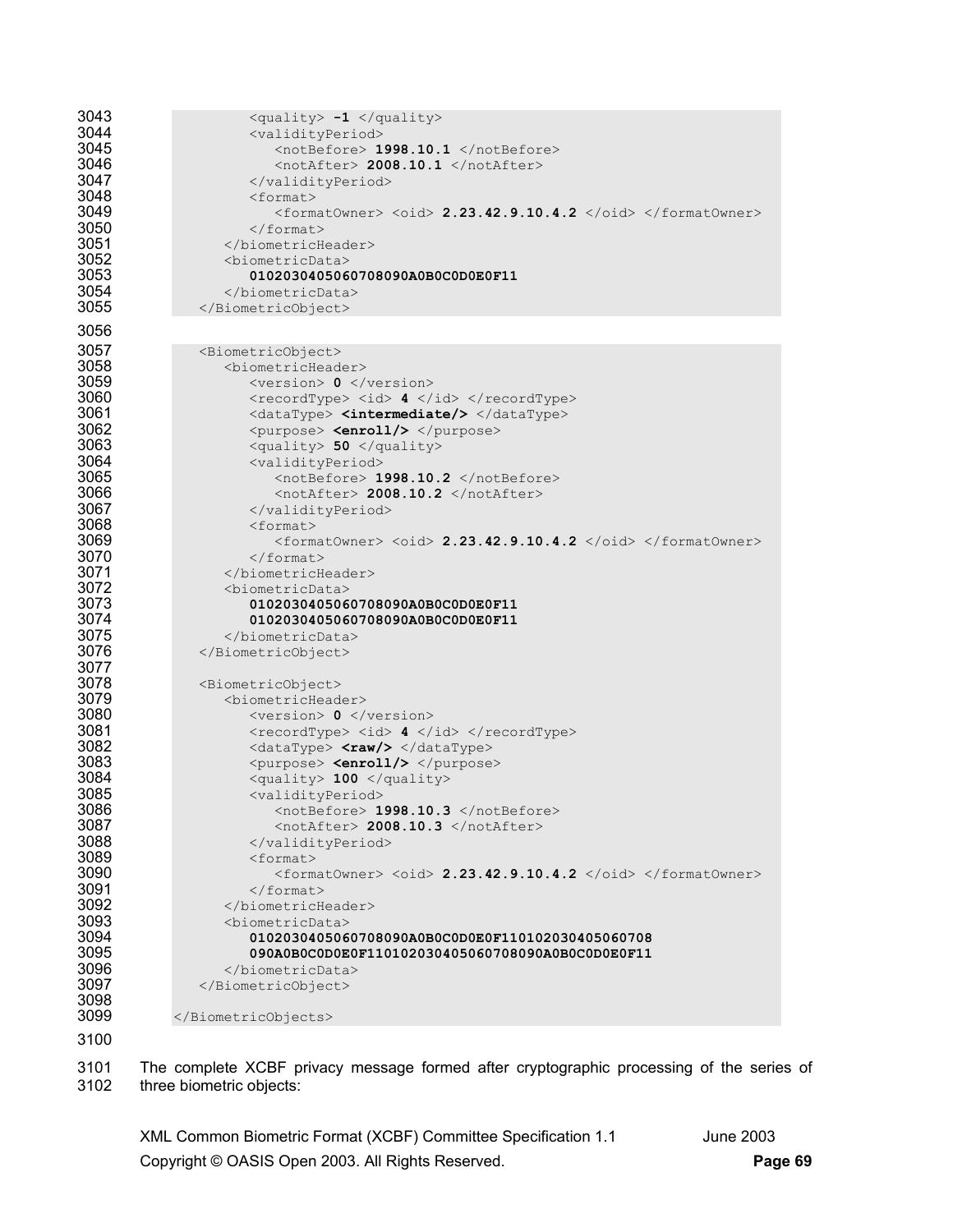```
3043 <quality> -1 </quality><br>3044 <validityPeriod>
3044 <validityPeriod> 
3045 <notBefore> 1998.10.1 </notBefore> 
3046 <notAfter> 2008.10.1 </notAfter><br>3047 </validityPeriod>
3047 </validityPeriod><br>3048 <format>
3048 <format> 
3049 <formatOwner> <oid> 2.23.42.9.10.4.2 </oid> </formatOwner> 3050 </format>
3050 </format><br>3051 </biometricHendent
3051 </biometricHeader><br>3052 <br/>>>>>>>>>>>>>>>>
3052 <biometricData> 
3053 0102030405060708090A0B0C0D0E0F11 
3054 </biometricData> 
               3055 </BiometricObject> 
3056 
3057 <BiometricObject><br>3058 <br />
<br />
<br />
<br />
<br />
<br />
<br />
<br />
<br />
<br />
<br />
<br />
<br />
<br />
<br />
<br />
<br />
<br />
<br />
<br />
<br />
<br />
<br />
<br />
<br />
<br />
<br />
<br /
3058 <biometricHeader> 
                         3059 <version> 0 </version> 
3060 \langle \text{recordType} \rangle \langle \text{id} \rangle 4 \langle \text{id} \rangle \langle \text{recordType} \rangle3061 <dataType> <intermediate/> </dataType><br>3062 <www.fourpose> <enroll/> </purpose>
3062 <purpose> <enroll/> </purpose> 
3063 <quality> 50 </quality> 
3064 <validityPeriod> 
3065 <notBefore> 1998.10.2 </notBefore><br>3066 <notafter> 2008.10.2 </notAfter>
3066 <notAfter> 2008.10.2 </notAfter> 
3067 </validityPeriod><br>3068 </r></br>></br></tormat>
3068 <format><br>3069 <form
3069 <formatOwner> <oid> 2.23.42.9.10.4.2 </oid> </formatOwner> 
3070 </format><br>3071 </biometricHended
3071 </biometricHeader><br>3072 <br/>>>>>>>>>>>>>>>>>
3072 <biometricData> 
3073 0102030405060708090A0B0C0D0E0F11 
                         3074 0102030405060708090A0B0C0D0E0F11 
3075 </biometricData> 
3076 </BiometricObject> 
3077<br>3078
3078 <BiometricObject><br>3079 <br/>>>>>>>>>>>>>>>>
3079 <biometricHeader> 
3080 <version> 0 </version> 
3081 </recordType><id> 4</id></recordType><br>3082 </ataType></rev></dataType></dataType></
3082 <dataType> <raw/></dataType><br>3083 <purpose> <enroll/></purpose>
3083 <purpose> <purpose> <purpose><br>3084 <apurpose> <apurpose> <apurpose> </apurpose> </apurpose> </apurpose> </apurpose> </apurpose> </apurpose> </apurpose> </apurpose> </apurpose> </apurpose> </apurpose> </apurpose> </apu
3084 <quality> 100 </quality> 
3085 <validityPeriod><br>3086 <watalibutyPeriod>
3086 <notBefore> 1998.10.3 </notBefore> 
3087 </br />
and the state of the state of the state of the state of the state of the state of the state of the state of the state of the state of the state of the state of the state of the state of the state of the state 
3088 </validityPeriod><br>3089 </br/></br/></br/></br/></br/>format>
3089 <format><br>3090 <format>
3090 <formatOwner> <oid> 2.23.42.9.10.4.2 </oid> </formatOwner> 
3091 </format><br>3092 </biometricHendel
3092 </biometricHeader><br>3093 <br/>>>>>>>>>>>>>>>
3093 <biometricData> 
3094 0102030405060708090A0B0C0D0E0F110102030405060708 
3095 090A0B0C0D0E0F110102030405060708090A0B0C0D0E0F11 
3096 </biometricData> 
                 </BiometricObject>
3098 
              </BiometricObjects>
3100
```
3101 The complete XCBF privacy message formed after cryptographic processing of the series of 3102 three biometric objects: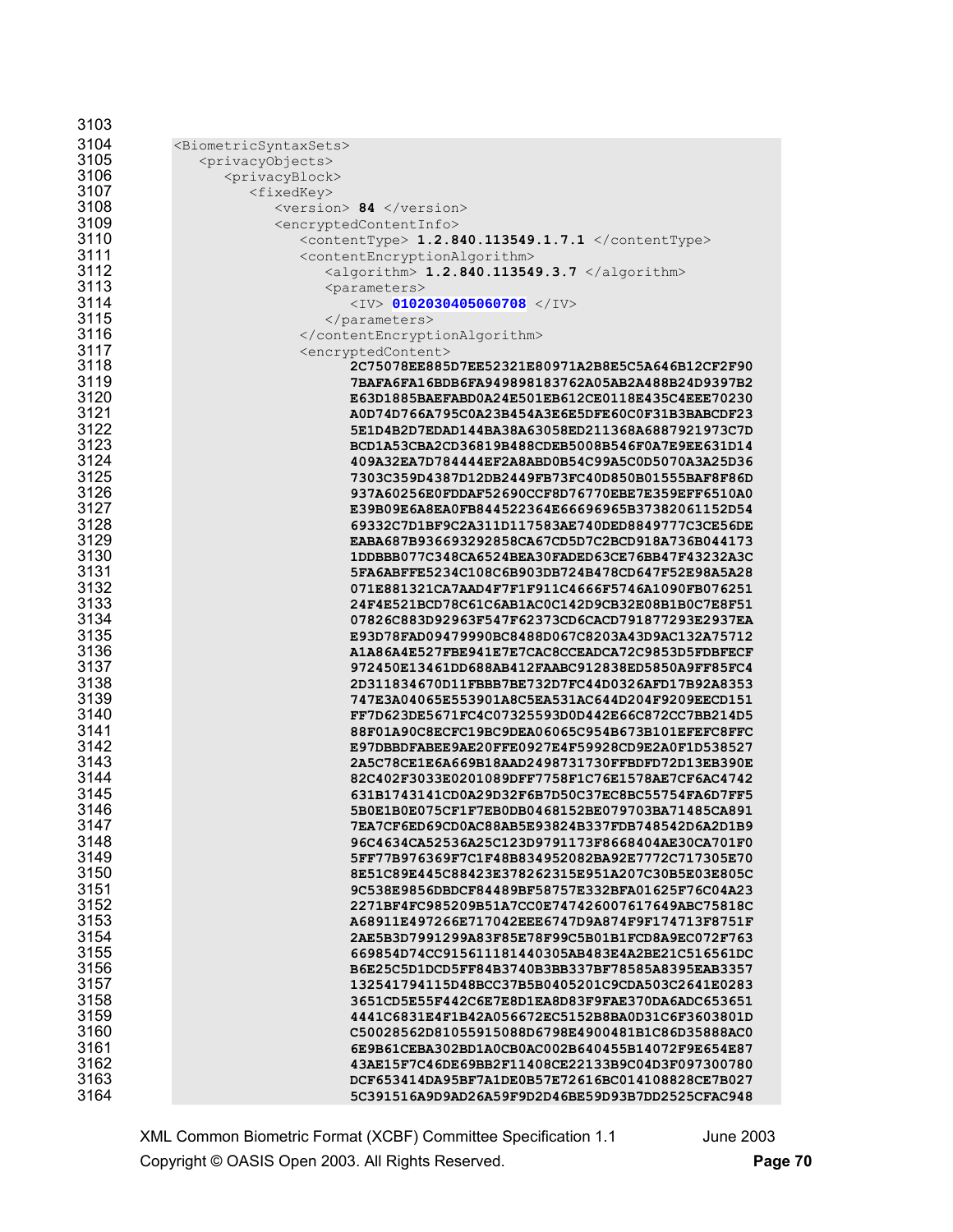| 3103         |                                                                                                      |
|--------------|------------------------------------------------------------------------------------------------------|
| 3104         | <biometricsyntaxsets></biometricsyntaxsets>                                                          |
| 3105         | <privacyobjects></privacyobjects>                                                                    |
| 3106         | <privacyblock></privacyblock>                                                                        |
| 3107         | <fixedkey></fixedkey>                                                                                |
| 3108         | <version> 84 </version>                                                                              |
| 3109         | <encryptedcontentinfo></encryptedcontentinfo>                                                        |
| 3110         | <contenttype> 1.2.840.113549.1.7.1 </contenttype>                                                    |
| 3111         | <contentencryptionalgorithm></contentencryptionalgorithm>                                            |
| 3112         | <algorithm> 1.2.840.113549.3.7 </algorithm>                                                          |
| 3113         | <parameters></parameters>                                                                            |
| 3114<br>3115 | $<$ IV> 0102030405060708 $<$ /IV>                                                                    |
| 3116         |                                                                                                      |
| 3117         | <br><encryptedcontent></encryptedcontent>                                                            |
| 3118         | 2C75078EE885D7EE52321E80971A2B8E5C5A646B12CF2F90                                                     |
| 3119         | 7BAFA6FA16BDB6FA949898183762A05AB2A488B24D9397B2                                                     |
| 3120         | E63D1885BAEFABD0A24E501EB612CE0118E435C4EEE70230                                                     |
| 3121         | A0D74D766A795C0A23B454A3E6E5DFE60C0F31B3BABCDF23                                                     |
| 3122         | 5E1D4B2D7EDAD144BA38A63058ED211368A6887921973C7D                                                     |
| 3123         | BCD1A53CBA2CD36819B488CDEB5008B546F0A7E9EE631D14                                                     |
| 3124         | 409A32EA7D784444EF2A8ABD0B54C99A5C0D5070A3A25D36                                                     |
| 3125         | 7303C359D4387D12DB2449FB73FC40D850B01555BAF8F86D                                                     |
| 3126         | 937A60256E0FDDAF52690CCF8D76770EBE7E359EFF6510A0                                                     |
| 3127         | E39B09E6A8EA0FB844522364E66696965B37382061152D54                                                     |
| 3128         | 69332C7D1BF9C2A311D117583AE740DED8849777C3CE56DE                                                     |
| 3129         | EABA687B936693292858CA67CD5D7C2BCD918A736B044173                                                     |
| 3130         | 1DDBBB077C348CA6524BEA30FADED63CE76BB47F43232A3C                                                     |
| 3131         | 5FA6ABFFE5234C108C6B903DB724B478CD647F52E98A5A28                                                     |
| 3132         | 071E881321CA7AAD4F7F1F911C4666F5746A1090FB076251                                                     |
| 3133         | 24F4E521BCD78C61C6AB1AC0C142D9CB32E08B1B0C7E8F51                                                     |
| 3134         | 07826C883D92963F547F62373CD6CACD791877293E2937EA                                                     |
| 3135         | E93D78FAD09479990BC8488D067C8203A43D9AC132A75712                                                     |
| 3136         | A1A86A4E527FBE941E7E7CAC8CCEADCA72C9853D5FDBFECF                                                     |
| 3137         | 972450E13461DD688AB412FAABC912838ED5850A9FF85FC4                                                     |
| 3138         | 2D311834670D11FBBB7BE732D7FC44D0326AFD17B92A8353                                                     |
| 3139<br>3140 | 747E3A04065E553901A8C5EA531AC644D204F9209EECD151                                                     |
| 3141         | FF7D623DE5671FC4C07325593D0D442E66C872CC7BB214D5<br>88F01A90C8ECFC19BC9DEA06065C954B673B101EFEFC8FFC |
| 3142         | E97DBBDFABEE9AE20FFE0927E4F59928CD9E2A0F1D538527                                                     |
| 3143         | 2A5C78CE1E6A669B18AAD2498731730FFBDFD72D13EB390E                                                     |
| 3144         | 82C402F3033E0201089DFF7758F1C76E1578AE7CF6AC4742                                                     |
| 3145         | 631B1743141CD0A29D32F6B7D50C37EC8BC55754FA6D7FF5                                                     |
| 3146         | 5B0E1B0E075CF1F7EB0DB0468152BE079703BA71485CA891                                                     |
| 3147         | 7EA7CF6ED69CD0AC88AB5E93824B337FDB748542D6A2D1B9                                                     |
| 3148         | 96C4634CA52536A25C123D9791173F8668404AE30CA701F0                                                     |
| 3149         | 5FF77B976369F7C1F48B834952082BA92E7772C717305E70                                                     |
| 3150         | 8E51C89E445C88423E378262315E951A207C30B5E03E805C                                                     |
| 3151         | 9C538E9856DBDCF84489BF58757E332BFA01625F76C04A23                                                     |
| 3152         | 2271BF4FC985209B51A7CC0E747426007617649ABC75818C                                                     |
| 3153         | A68911E497266E717042EEE6747D9A874F9F174713F8751F                                                     |
| 3154         | 2AE5B3D7991299A83F85E78F99C5B01B1FCD8A9EC072F763                                                     |
| 3155         | 669854D74CC915611181440305AB483E4A2BE21C516561DC                                                     |
| 3156         | B6E25C5D1DCD5FF84B3740B3BB337BF78585A8395EAB3357                                                     |
| 3157         | 132541794115D48BCC37B5B0405201C9CDA503C2641E0283                                                     |
| 3158         | 3651CD5E55F442C6E7E8D1EA8D83F9FAE370DA6ADC653651                                                     |
| 3159         | 4441C6831E4F1B42A056672EC5152B8BA0D31C6F3603801D                                                     |
| 3160         | C50028562D81055915088D6798E4900481B1C86D35888AC0                                                     |
| 3161         | 6E9B61CEBA302BD1A0CB0AC002B640455B14072F9E654E87                                                     |
| 3162         | 43AE15F7C46DE69BB2F11408CE22133B9C04D3F097300780                                                     |
| 3163         | DCF653414DA95BF7A1DE0B57E72616BC014108828CE7B027                                                     |
| 3164         | 5C391516A9D9AD26A59F9D2D46BE59D93B7DD2525CFAC948                                                     |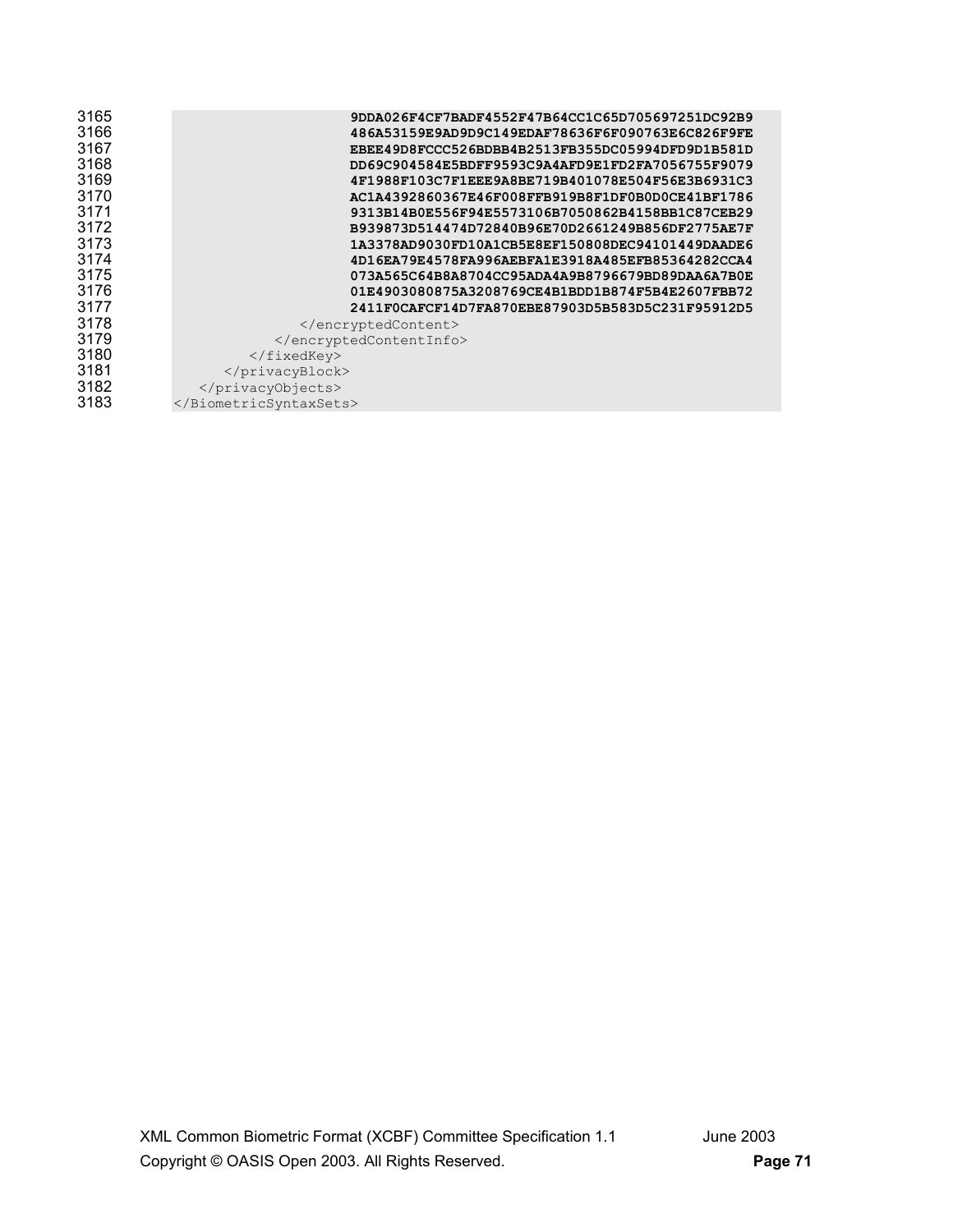| 3165 | 9DDA026F4CF7BADF4552F47B64CC1C65D705697251DC92B9 |
|------|--------------------------------------------------|
| 3166 | 486A53159E9AD9D9C149EDAF78636F6F090763E6C826F9FE |
| 3167 | EBEE49D8FCCC526BDBB4B2513FB355DC05994DFD9D1B581D |
| 3168 | DD69C904584E5BDFF9593C9A4AFD9E1FD2FA7056755F9079 |
| 3169 | 4F1988F103C7F1EEE9A8BE719B401078E504F56E3B6931C3 |
| 3170 | AC1A4392860367E46F008FFB919B8F1DF0B0D0CE41BF1786 |
| 3171 | 9313B14B0E556F94E5573106B7050862B4158BB1C87CEB29 |
| 3172 | B939873D514474D72840B96E70D2661249B856DF2775AE7F |
| 3173 | 1A3378AD9030FD10A1CB5E8EF150808DEC94101449DAADE6 |
| 3174 | 4D16EA79E4578FA996AEBFA1E3918A485EFB85364282CCA4 |
| 3175 | 073A565C64B8A8704CC95ADA4A9B8796679BD89DAA6A7B0E |
| 3176 | 01E4903080875A3208769CE4B1BDD1B874F5B4E2607FBB72 |
| 3177 | 2411F0CAFCF14D7FA870EBE87903D5B583D5C231F95912D5 |
| 3178 |                                                  |
| 3179 |                                                  |
| 3180 |                                                  |
| 3181 |                                                  |
| 3182 |                                                  |
| 3183 |                                                  |
|      |                                                  |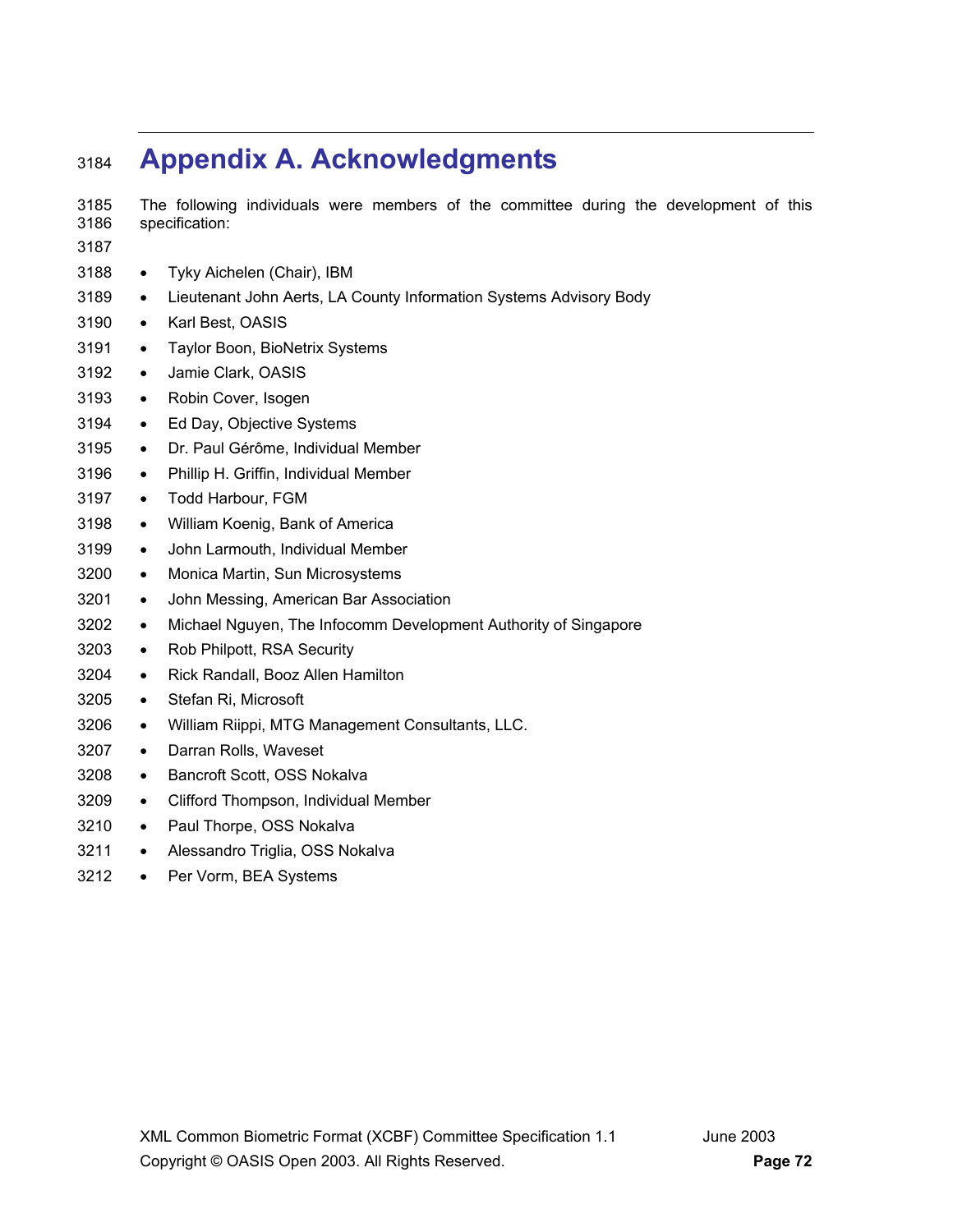# **Appendix A. Acknowledgments**

- 3185 The following individuals were members of the committee during the development of this 3186 specification:
- 
- Tyky Aichelen (Chair), IBM
- Lieutenant John Aerts, LA County Information Systems Advisory Body
- Karl Best, OASIS
- 3191 Taylor Boon, BioNetrix Systems
- Jamie Clark, OASIS
- Robin Cover, Isogen
- Ed Day, Objective Systems
- Dr. Paul Gérôme, Individual Member
- Phillip H. Griffin, Individual Member
- Todd Harbour, FGM
- William Koenig, Bank of America
- John Larmouth, Individual Member
- Monica Martin, Sun Microsystems
- John Messing, American Bar Association
- Michael Nguyen, The Infocomm Development Authority of Singapore
- Rob Philpott, RSA Security
- Rick Randall, Booz Allen Hamilton
- Stefan Ri, Microsoft
- William Riippi, MTG Management Consultants, LLC.
- Darran Rolls, Waveset
- Bancroft Scott, OSS Nokalva
- Clifford Thompson, Individual Member
- 3210 Paul Thorpe, OSS Nokalva
- 3211 Alessandro Triglia, OSS Nokalva
- Per Vorm, BEA Systems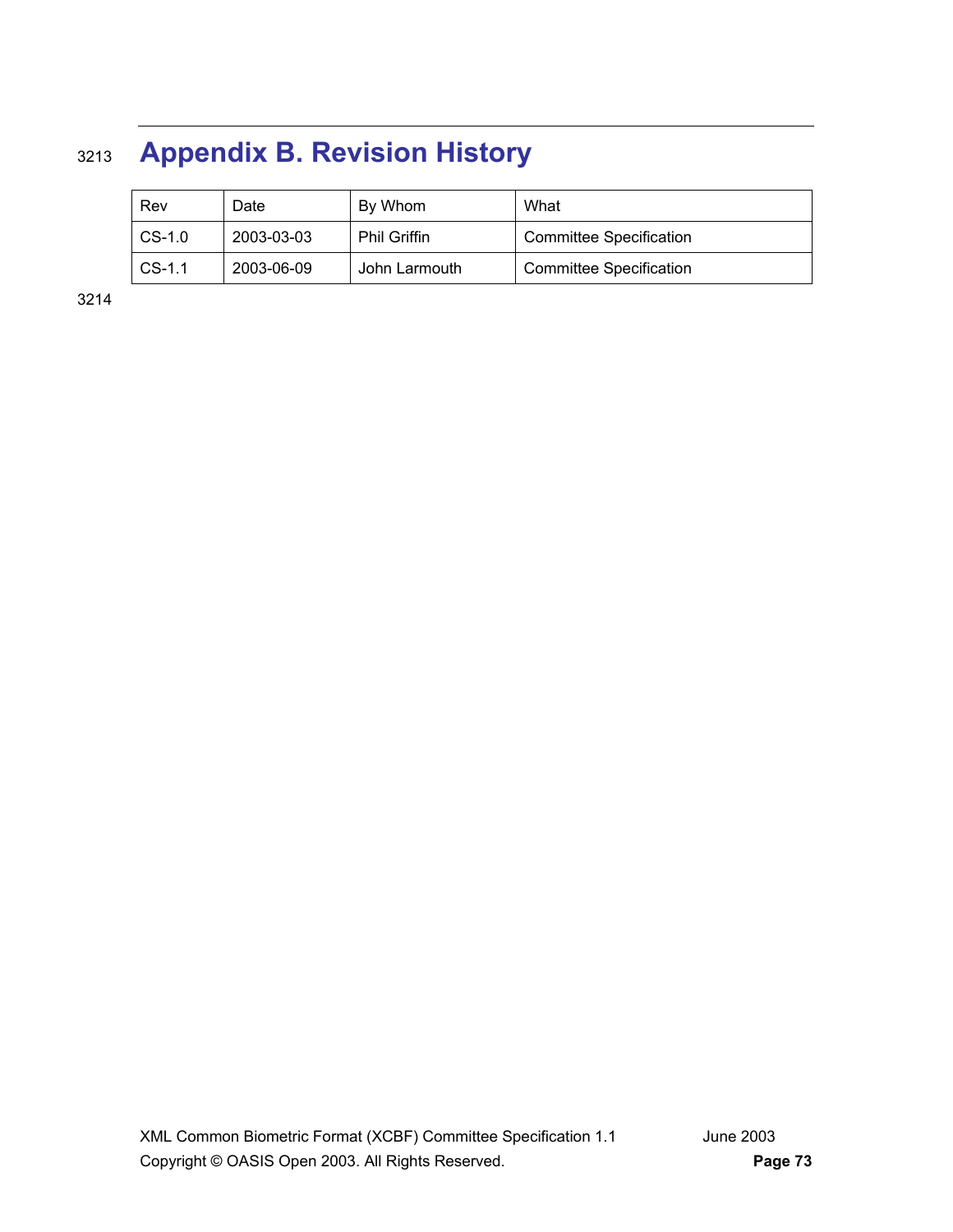## <sup>3213</sup>**Appendix B. Revision History**

|  | Rev      | Date       | By Whom             | What                           |
|--|----------|------------|---------------------|--------------------------------|
|  | $CS-1.0$ | 2003-03-03 | <b>Phil Griffin</b> | <b>Committee Specification</b> |
|  | $CS-1.1$ | 2003-06-09 | John Larmouth       | <b>Committee Specification</b> |

3214